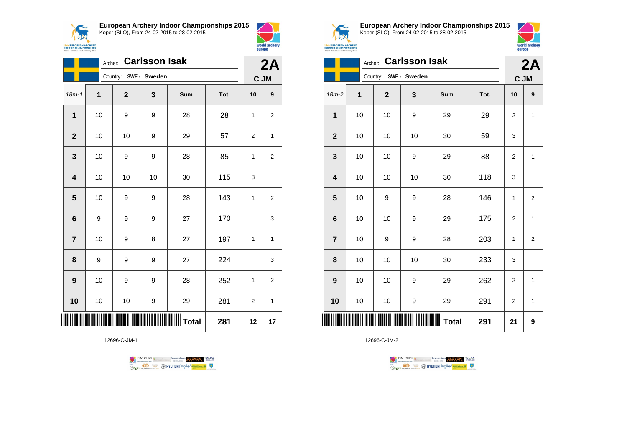



world archery

europe

|                         | <b>Carlsson Isak</b><br>Archer: |                       |    |                                             |      |                |                         |
|-------------------------|---------------------------------|-----------------------|----|---------------------------------------------|------|----------------|-------------------------|
|                         |                                 | Country: SWE - Sweden |    |                                             |      | C JM           |                         |
| $18m - 1$               | 1                               | $\mathbf{2}$          | 3  | Sum                                         | Tot. | 10             | $\boldsymbol{9}$        |
| $\mathbf{1}$            | 10                              | 9                     | 9  | 28                                          | 28   | 1              | 2                       |
| $\mathbf{2}$            | 10                              | 10                    | 9  | 29                                          | 57   | $\overline{2}$ | $\mathbf{1}$            |
| $\mathbf{3}$            | 10                              | 9                     | 9  | 28                                          | 85   | $\mathbf{1}$   | $\overline{\mathbf{c}}$ |
| $\overline{\mathbf{4}}$ | 10                              | 10                    | 10 | 30                                          | 115  | 3              |                         |
| 5                       | 10                              | 9                     | 9  | 28                                          | 143  | 1              | $\overline{\mathbf{c}}$ |
| 6                       | 9                               | 9                     | 9  | 27                                          | 170  |                | 3                       |
| $\overline{7}$          | 10                              | 9                     | 8  | 27                                          | 197  | 1              | $\mathbf{1}$            |
| 8                       | 9                               | 9                     | 9  | 27                                          | 224  |                | 3                       |
| 9                       | 10                              | 9                     | 9  | 28                                          | 252  | $\mathbf{1}$   | $\overline{2}$          |
| 10                      | 10                              | 10                    | 9  | 29                                          | 281  | $\overline{2}$ | 1                       |
|                         |                                 |                       |    | <b>                            </b>   Total | 281  | 12             | 17                      |

12696-C-JM-1





**European Archery Indoor Championships 2015** Koper (SLO), From 24-02-2015 to 28-02-2015



|                | <b>Carlsson Isak</b><br>Archer: |              |            |     |      |                |                |  |
|----------------|---------------------------------|--------------|------------|-----|------|----------------|----------------|--|
|                |                                 | Country:     | SWE-Sweden |     |      | 2A             | C JM           |  |
| 18m-2          | 1                               | $\mathbf{2}$ | 3          | Sum | Tot. | 10             | 9              |  |
| 1              | 10                              | 10           | 9          | 29  | 29   | $\overline{2}$ | $\mathbf{1}$   |  |
| $\overline{2}$ | 10                              | 10           | 10         | 30  | 59   | 3              |                |  |
| 3              | 10                              | 10           | 9          | 29  | 88   | $\overline{2}$ | 1              |  |
| 4              | 10                              | 10           | 10         | 30  | 118  | 3              |                |  |
| 5              | 10                              | 9            | 9          | 28  | 146  | 1              | 2              |  |
| 6              | 10                              | 10           | 9          | 29  | 175  | $\overline{2}$ | $\mathbf{1}$   |  |
| $\overline{7}$ | 10                              | 9            | 9          | 28  | 203  | $\mathbf{1}$   | $\overline{2}$ |  |
| 8              | 10                              | 10           | 10         | 30  | 233  | 3              |                |  |
| 9              | 10                              | 10           | 9          | 29  | 262  | $\overline{c}$ | $\mathbf{1}$   |  |
| 10             | 10                              | 10           | 9          | 29  | 291  | 2              | $\mathbf{1}$   |  |
| ║║             |                                 |              |            |     | 291  | 21             | 9              |  |

TENTOURS **(i)** CONSIDER DEVELOPS OF THE VEDA **Example 2** @ HYUNDAI lansed **State 4** U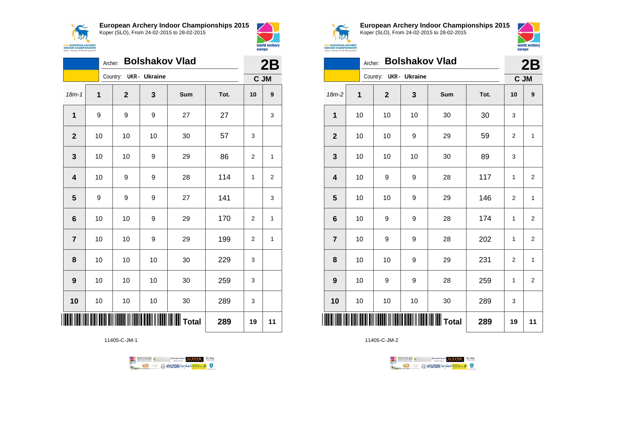



|                         | <b>Bolshakov Vlad</b><br>Archer: |                        |    |     |      |                |                  |
|-------------------------|----------------------------------|------------------------|----|-----|------|----------------|------------------|
|                         |                                  | Country: UKR - Ukraine |    |     |      | C JM           |                  |
| $18m - 1$               | 1                                | $\mathbf 2$            | 3  | Sum | Tot. | 10             | $\boldsymbol{9}$ |
| 1                       | 9                                | 9                      | 9  | 27  | 27   |                | 3                |
| $\mathbf{2}$            | 10                               | 10                     | 10 | 30  | 57   | 3              |                  |
| $\mathbf{3}$            | 10                               | 10                     | 9  | 29  | 86   | 2              | 1                |
| $\overline{\mathbf{4}}$ | 10                               | 9                      | 9  | 28  | 114  | 1              | $\overline{2}$   |
| 5                       | 9                                | 9                      | 9  | 27  | 141  |                | 3                |
| 6                       | 10                               | 10                     | 9  | 29  | 170  | $\overline{2}$ | $\mathbf{1}$     |
| $\overline{7}$          | $10$                             | $10$                   | 9  | 29  | 199  | $\overline{2}$ | 1                |
| 8                       | 10                               | 10                     | 10 | 30  | 229  | 3              |                  |
| 9                       | 10                               | $10$                   | 10 | 30  | 259  | 3              |                  |
| 10                      | 10                               | 10                     | 10 | 30  | 289  | 3              |                  |
|                         |                                  |                        |    |     | 289  | 19             | 11               |

11405-C-JM-1





**European Archery Indoor Championships 2015** Koper (SLO), From 24-02-2015 to 28-02-2015



|                | <b>Bolshakov Vlad</b><br>Archer: |                        |    |       |      |                  |                  |
|----------------|----------------------------------|------------------------|----|-------|------|------------------|------------------|
|                |                                  | Country: UKR - Ukraine |    |       |      | C JM             |                  |
| 18m-2          | 1                                | $\mathbf{2}$           | 3  | Sum   | Tot. | 10               | $\boldsymbol{9}$ |
| 1              | 10                               | 10                     | 10 | 30    | 30   | 3                |                  |
| $\mathbf{2}$   | 10                               | 10                     | 9  | 29    | 59   | $\overline{2}$   | 1                |
| 3              | 10                               | 10                     | 10 | 30    | 89   | 3                |                  |
| 4              | 10                               | 9                      | 9  | 28    | 117  | 1                | $\overline{2}$   |
| 5              | 10                               | 10                     | 9  | 29    | 146  | $\boldsymbol{2}$ | $\mathbf{1}$     |
| 6              | 10                               | 9                      | 9  | 28    | 174  | 1                | $\overline{2}$   |
| $\overline{7}$ | 10                               | 9                      | 9  | 28    | 202  | 1                | $\overline{2}$   |
| 8              | 10                               | 10                     | 9  | 29    | 231  | $\overline{2}$   | 1                |
| 9              | 10                               | 9                      | 9  | 28    | 259  | 1                | $\overline{2}$   |
| 10             | 10                               | 10                     | 10 | 30    | 289  | 3                |                  |
| ║              |                                  |                        |    | Total | 289  | 19               | 11               |

TENTOURS **(i)** CONSIDER DEVELOPS OF THE VEDA **Example 2** @ HYUNDAI lansed **State 4** U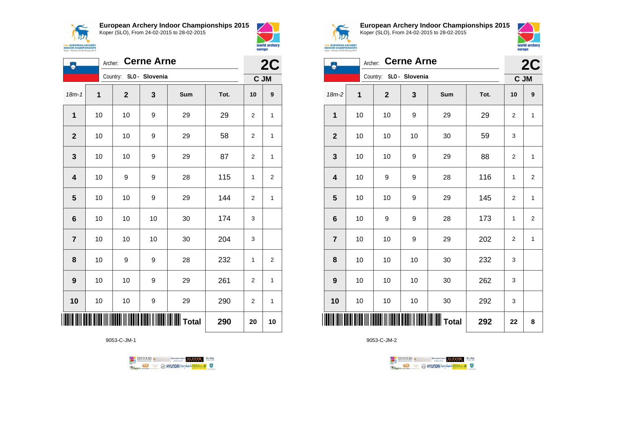$\sqrt{N}$ **15th EUROPEAN ARCHERY**<br>INDOOR CHAMPIONSHIPS<br>Koper - Slovenia, 24-28 February 2015 **European Archery Indoor Championships 2015** Koper (SLO), From 24-02-2015 to 28-02-2015



| ٨                       | <b>Cerne Arne</b><br>Archer: |                         |    |                   |      |                |              |
|-------------------------|------------------------------|-------------------------|----|-------------------|------|----------------|--------------|
|                         |                              | Country: SLO - Slovenia |    |                   |      | C JM           |              |
| $18m - 1$               | 1                            | $\mathbf 2$             | 3  | Sum               | Tot. | 10             | 9            |
| 1                       | 10                           | 10                      | 9  | 29                | 29   | 2              | 1            |
| $\mathbf 2$             | 10                           | 10                      | 9  | 29                | 58   | 2              | 1            |
| $\mathbf 3$             | 10                           | 10                      | 9  | 29                | 87   | 2              | 1            |
| $\overline{\mathbf{4}}$ | 10                           | 9                       | 9  | 28                | 115  | 1              | 2            |
| 5                       | 10                           | 10                      | 9  | 29                | 144  | 2              | 1            |
| $6\phantom{1}$          | 10                           | 10                      | 10 | 30                | 174  | 3              |              |
| $\overline{7}$          | 10                           | 10                      | 10 | 30                | 204  | 3              |              |
| 8                       | 10                           | 9                       | 9  | 28                | 232  | 1              | 2            |
| $\boldsymbol{9}$        | 10                           | 10                      | 9  | 29                | 261  | 2              | 1            |
| 10                      | 10                           | 10                      | 9  | 29                | 290  | $\overline{2}$ | $\mathbf{1}$ |
|                         |                              |                         |    | $\parallel$ Total | 290  | 20             | 10           |

9053-C-JM-1

TENTOURS of BENJAMING COUP ELEVEN VEBA **B** MYUNDAI lonsed **Williams & Ragma** 



**European Archery Indoor Championships 2015** Koper (SLO), From 24-02-2015 to 28-02-2015



| Koper - Slovenia, 24-28 February 2015 |                              |                            | europe |                   |            |    |                |  |  |
|---------------------------------------|------------------------------|----------------------------|--------|-------------------|------------|----|----------------|--|--|
|                                       | <b>Cerne Arne</b><br>Archer: |                            |        |                   |            |    |                |  |  |
|                                       |                              | SLO - Slovenia<br>Country: |        |                   | 2C<br>C JM |    |                |  |  |
| $18m-2$                               | 1                            | $\overline{2}$             | 3      | Sum               | Tot.       | 10 | 9              |  |  |
| 1                                     | 10                           | 10                         | 9      | 29                | 29         | 2  | $\mathbf{1}$   |  |  |
| $\mathbf{2}$                          | 10                           | 10                         | 10     | 30                | 59         | 3  |                |  |  |
| 3                                     | 10                           | 10                         | 9      | 29                | 88         | 2  | $\mathbf{1}$   |  |  |
| 4                                     | 10                           | 9                          | 9      | 28                | 116        | 1  | $\overline{2}$ |  |  |
| 5                                     | 10                           | 10                         | 9      | 29                | 145        | 2  | $\mathbf{1}$   |  |  |
| 6                                     | 10                           | 9                          | 9      | 28                | 173        | 1  | $\overline{2}$ |  |  |
| $\overline{7}$                        | 10                           | 10                         | 9      | 29                | 202        | 2  | $\mathbf{1}$   |  |  |
| 8                                     | 10                           | 10                         | 10     | 30                | 232        | 3  |                |  |  |
| 9                                     | 10                           | 10                         | 10     | 30                | 262        | 3  |                |  |  |
| 10                                    | 10                           | 10                         | 10     | 30                | 292        | 3  |                |  |  |
|                                       |                              |                            |        | IIIIIIIIIII Total | 292        | 22 | 8              |  |  |

TENTOURS **(i)** CONSIDER DEVELOPS OF THE VEDA

**B** MYUNDAI Tonsed **Williams 9** 

9053-C-JM-2

**Regin**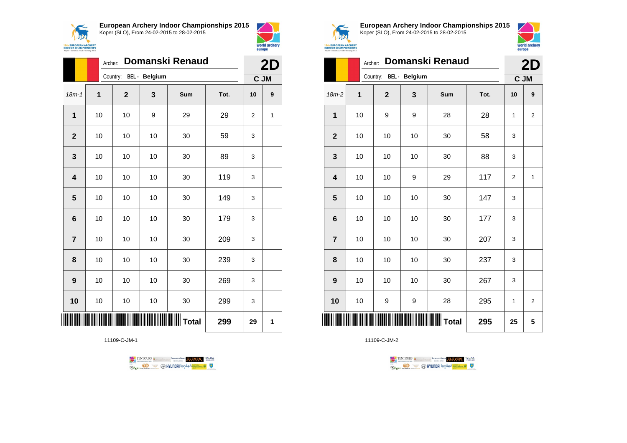

**European Archery Indoor Championships 2015**







**European Archery Indoor Championships 2015** Koper (SLO), From 24-02-2015 to 28-02-2015



|                         |    | Domanski Renaud<br>Archer: |    |                                                  |      |                |                |  |  |
|-------------------------|----|----------------------------|----|--------------------------------------------------|------|----------------|----------------|--|--|
|                         |    | Country: BEL - Belgium     |    |                                                  |      |                | 2D<br>C JM     |  |  |
| $18m-2$                 | 1  | $\mathbf 2$                | 3  | Sum                                              | Tot. | 10             | 9              |  |  |
| 1                       | 10 | 9                          | 9  | 28                                               | 28   | 1              | $\overline{2}$ |  |  |
| $\mathbf{2}$            | 10 | 10                         | 10 | 30                                               | 58   | 3              |                |  |  |
| 3                       | 10 | 10                         | 10 | 30                                               | 88   | 3              |                |  |  |
| $\overline{\mathbf{4}}$ | 10 | 10                         | 9  | 29                                               | 117  | $\overline{2}$ | $\mathbf{1}$   |  |  |
| 5                       | 10 | 10                         | 10 | 30                                               | 147  | 3              |                |  |  |
| $6\phantom{1}$          | 10 | 10                         | 10 | 30                                               | 177  | 3              |                |  |  |
| $\overline{7}$          | 10 | 10                         | 10 | 30                                               | 207  | 3              |                |  |  |
| 8                       | 10 | 10                         | 10 | 30                                               | 237  | 3              |                |  |  |
| 9                       | 10 | 10                         | 10 | 30                                               | 267  | 3              |                |  |  |
| 10                      | 10 | 9                          | 9  | 28                                               | 295  | 1              | $\overline{2}$ |  |  |
| ║║║                     |    |                            |    | <b>                                   </b> Total | 295  | 25             | 5              |  |  |

11109-C-JM-2





**7** | 10 | 10 | 10 | 30 | 209 | 3

**8** | 10 | 10 | 10 | 30 | 239 | 3

**9** | 10 | 10 | 30 | 269 | 3

**10** | 10 | 10 | 30 | 299 | 3

11109-C-JM-1

\*11109-C-JM-1\* **Total 299 29 1**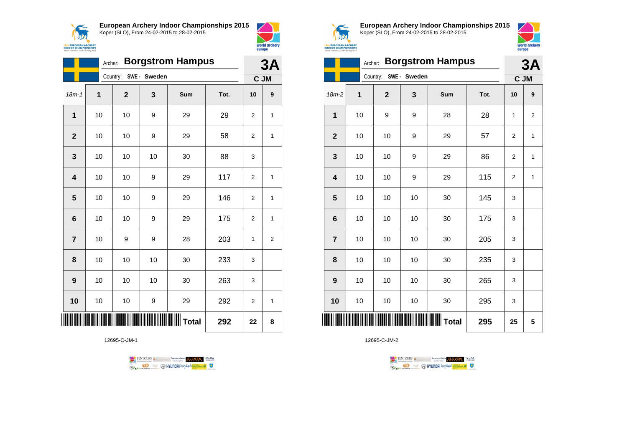



|                         | <b>Borgstrom Hampus</b><br>Archer: |              |                       |                  |      |                |                  |
|-------------------------|------------------------------------|--------------|-----------------------|------------------|------|----------------|------------------|
|                         |                                    |              | Country: SWE - Sweden |                  |      | C JM           |                  |
| $18m - 1$               | 1                                  | $\mathbf{2}$ | 3                     | Sum              | Tot. | 10             | $\boldsymbol{9}$ |
| 1                       | 10                                 | 10           | 9                     | 29               | 29   | $\overline{2}$ | 1                |
| $\overline{\mathbf{2}}$ | 10                                 | 10           | 9                     | 29               | 58   | 2              | 1                |
| 3                       | 10                                 | 10           | 10                    | 30               | 88   | 3              |                  |
| 4                       | 10                                 | 10           | 9                     | 29               | 117  | $\overline{2}$ | 1                |
| 5                       | 10                                 | 10           | 9                     | 29               | 146  | $\overline{2}$ | 1                |
| $6\phantom{1}6$         | 10                                 | 10           | 9                     | 29               | 175  | $\overline{2}$ | 1                |
| $\overline{7}$          | 10                                 | 9            | 9                     | 28               | 203  | 1              | 2                |
| 8                       | 10                                 | 10           | 10                    | 30               | 233  | 3              |                  |
| 9                       | 10                                 | 10           | 10                    | 30               | 263  | 3              |                  |
| 10                      | 10                                 | 10           | 9                     | 29               | 292  | $\overline{2}$ | 1                |
|                         |                                    |              |                       | <b>I</b> I Total | 292  | 22             | 8                |

12695-C-JM-1





**European Archery Indoor Championships 2015** Koper (SLO), From 24-02-2015 to 28-02-2015



|                 | <b>Borgstrom Hampus</b><br>Archer: |                       |    |                                |      |                |                |  |
|-----------------|------------------------------------|-----------------------|----|--------------------------------|------|----------------|----------------|--|
|                 |                                    | Country: SWE - Sweden |    |                                |      | C JM           |                |  |
| $18m-2$         | 1                                  | $\mathbf{2}$          | 3  | Sum                            | Tot. | 10             | 9              |  |
| 1               | 10                                 | 9                     | 9  | 28                             | 28   | 1              | $\overline{2}$ |  |
| $\overline{2}$  | 10                                 | 10                    | 9  | 29                             | 57   | $\overline{2}$ | 1              |  |
| 3               | 10                                 | 10                    | 9  | 29                             | 86   | 2              | 1              |  |
| 4               | 10                                 | 10                    | 9  | 29                             | 115  | 2              | $\mathbf 1$    |  |
| 5               | 10                                 | 10                    | 10 | 30                             | 145  | 3              |                |  |
| $6\phantom{1}6$ | 10                                 | 10                    | 10 | 30                             | 175  | 3              |                |  |
| $\overline{7}$  | 10                                 | 10                    | 10 | 30                             | 205  | 3              |                |  |
| 8               | 10                                 | 10                    | 10 | 30                             | 235  | 3              |                |  |
| 9               | 10                                 | 10                    | 10 | 30                             | 265  | 3              |                |  |
| 10              | 10                                 | 10                    | 10 | 30                             | 295  | 3              |                |  |
| ║║║             |                                    |                       |    | <b>IIIIIIIIIIIIIIIII</b> Total | 295  | 25             | 5              |  |

TENTOURS **(i)** CONSIDER DEVELOPS OF THE VEDA **B** MYUNDAI Tonsed **Williams 9 Regin**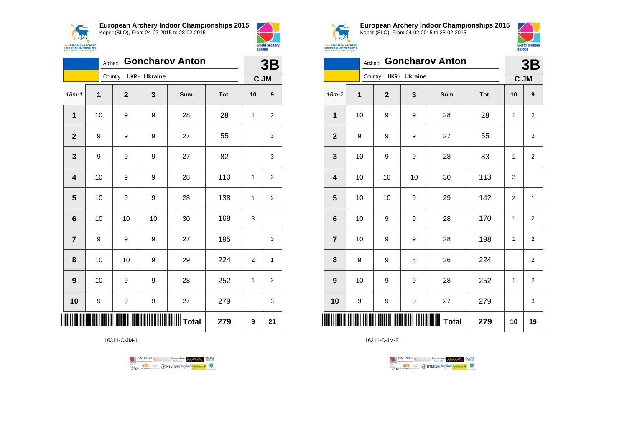



|                         | <b>Goncharov Anton</b><br>Archer: |                        |    |       |      |              |                  |
|-------------------------|-----------------------------------|------------------------|----|-------|------|--------------|------------------|
|                         |                                   | Country: UKR - Ukraine |    |       |      |              | C JM             |
| $18m - 1$               | $\overline{1}$                    | $\mathbf 2$            | 3  | Sum   | Tot. | 10           | $\boldsymbol{9}$ |
| 1                       | 10                                | 9                      | 9  | 28    | 28   | 1            | $\overline{2}$   |
| $\mathbf{2}$            | 9                                 | 9                      | 9  | 27    | 55   |              | 3                |
| 3                       | 9                                 | 9                      | 9  | 27    | 82   |              | 3                |
| $\overline{\mathbf{4}}$ | 10                                | 9                      | 9  | 28    | 110  | 1            | $\overline{c}$   |
| $\overline{\mathbf{5}}$ | 10                                | 9                      | 9  | 28    | 138  | $\mathbf{1}$ | $\overline{2}$   |
| 6                       | 10                                | 10                     | 10 | 30    | 168  | 3            |                  |
| $\overline{\mathbf{r}}$ | 9                                 | 9                      | 9  | 27    | 195  |              | 3                |
| 8                       | 10                                | 10                     | 9  | 29    | 224  | 2            | 1                |
| 9                       | 10                                | 9                      | 9  | 28    | 252  | $\mathbf{1}$ | $\overline{2}$   |
| 10                      | 9                                 | 9                      | 9  | 27    | 279  |              | 3                |
|                         |                                   |                        |    | Total | 279  | 9            | 21               |

16311-C-JM-1





**European Archery Indoor Championships 2015** Koper (SLO), From 24-02-2015 to 28-02-2015



|                 | <b>Goncharov Anton</b><br>Archer: |              |               |                                       |      |              |                         |
|-----------------|-----------------------------------|--------------|---------------|---------------------------------------|------|--------------|-------------------------|
|                 |                                   | Country:     | UKR - Ukraine |                                       |      |              | C JM                    |
| $18m-2$         | $\overline{1}$                    | $\mathbf{2}$ | 3             | Sum                                   | Tot. | 10           | 9                       |
| 1               | 10                                | 9            | 9             | 28                                    | 28   | 1            | $\overline{2}$          |
| $\overline{2}$  | 9                                 | 9            | 9             | 27                                    | 55   |              | 3                       |
| 3               | 10                                | 9            | 9             | 28                                    | 83   | 1            | 2                       |
| 4               | 10                                | 10           | 10            | 30                                    | 113  | 3            |                         |
| 5               | 10                                | 10           | 9             | 29                                    | 142  | 2            | $\mathbf{1}$            |
| $6\phantom{1}6$ | 10                                | 9            | 9             | 28                                    | 170  | $\mathbf{1}$ | $\overline{2}$          |
| $\overline{7}$  | 10                                | 9            | 9             | 28                                    | 198  | 1            | $\overline{\mathbf{c}}$ |
| 8               | 9                                 | 9            | 8             | 26                                    | 224  |              | $\overline{\mathbf{c}}$ |
| 9               | 10                                | 9            | 9             | 28                                    | 252  | 1            | $\overline{2}$          |
| 10              | 9                                 | 9            | 9             | 27                                    | 279  |              | 3                       |
| IIIII           |                                   |              |               | ╟║║║║║║║║║║║║║║║║║║│┰ <sub>ota!</sub> | 279  | 10           | 19                      |

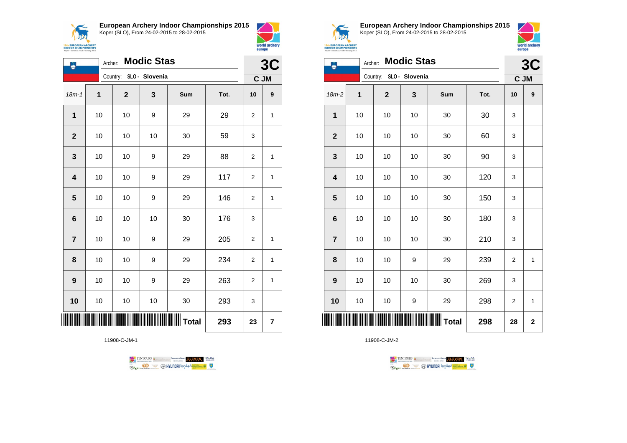





| ٨                       | <b>Modic Stas</b><br>Archer: |             |                |                   |      |                |              |
|-------------------------|------------------------------|-------------|----------------|-------------------|------|----------------|--------------|
|                         |                              | Country:    | SLO - Slovenia |                   |      | C JM           | 3C           |
| $18m - 1$               | 1                            | $\mathbf 2$ | 3              | Sum               | Tot. | 10             | 9            |
| 1                       | 10                           | 10          | 9              | 29                | 29   | 2              | 1            |
| $\mathbf{2}$            | 10                           | 10          | 10             | 30                | 59   | 3              |              |
| $\mathbf{3}$            | 10                           | 10          | 9              | 29                | 88   | $\overline{2}$ | 1            |
| $\overline{\mathbf{4}}$ | 10                           | 10          | 9              | 29                | 117  | $\overline{2}$ | 1            |
| $\overline{\mathbf{5}}$ | 10                           | 10          | 9              | 29                | 146  | 2              | $\mathbf 1$  |
| $\bf 6$                 | $10$                         | 10          | 10             | 30                | 176  | 3              |              |
| $\overline{7}$          | 10                           | 10          | 9              | 29                | 205  | 2              | 1            |
| 8                       | 10                           | 10          | 9              | 29                | 234  | $\overline{2}$ | $\mathbf{1}$ |
| 9                       | 10                           | 10          | 9              | 29                | 263  | $\overline{2}$ | 1            |
| 10                      | 10                           | 10          | 10             | 30                | 293  | 3              |              |
|                         |                              |             |                | $\parallel$ Total | 293  | 23             | 7            |

11908-C-JM-1





**European Archery Indoor Championships 2015** Koper (SLO), From 24-02-2015 to 28-02-2015



| <b>5th EUROPEAN ARCHERY</b><br>NDOOR CHAMPIONSHIPS<br>r - Slovenia, 24-28 February 2015 |         |                         |                   |     |      | europe | world archery |
|-----------------------------------------------------------------------------------------|---------|-------------------------|-------------------|-----|------|--------|---------------|
|                                                                                         | Archer: |                         | <b>Modic Stas</b> |     |      |        | 3C            |
|                                                                                         |         | Country: SLO - Slovenia |                   |     |      |        | C JM          |
| $18m-2$                                                                                 | 1       | $\mathbf{2}$            | 3                 | Sum | Tot. | 10     | 9             |
| 1                                                                                       | 10      | 10                      | 10                | 30  | 30   | 3      |               |
| $\mathbf{2}$                                                                            | 10      | 10                      | 10                | 30  | 60   | 3      |               |
| 3                                                                                       | 10      | 10                      | 10                | 30  | 90   | 3      |               |
| 4                                                                                       | 10      | 10                      | 10                | 30  | 120  | 3      |               |
| 5                                                                                       | 10      | 10                      | 10                | 30  | 150  | 3      |               |
| $6\phantom{1}6$                                                                         | 10      | 10                      | 10                | 30  | 180  | 3      |               |
| $\overline{7}$                                                                          | 10      | 10                      | 10                | 30  | 210  | 3      |               |
| 8                                                                                       | 10      | 10                      | 9                 | 29  | 239  | 2      | 1             |
| 9                                                                                       | 10      | 10                      | 10                | 30  | 269  | 3      |               |

\*11908-C-JM-2\* **Total 298 28 2**11908-C-JM-2



**10** | 10 | 10 | 9 | 29 | 298 | 2 | 1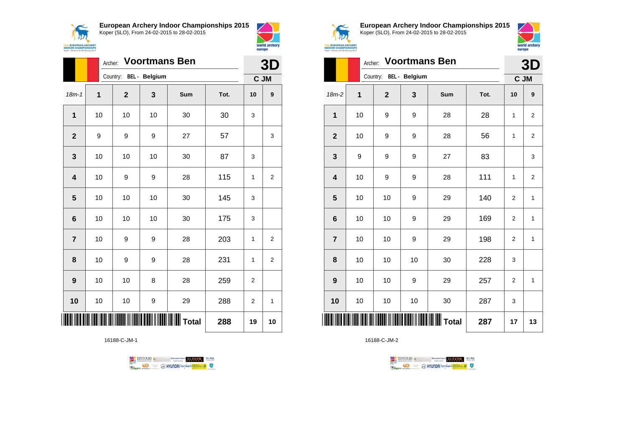



|                         |    | <b>Voortmans Ben</b><br>Archer: |    |                         |      |    |                  |  |  |
|-------------------------|----|---------------------------------|----|-------------------------|------|----|------------------|--|--|
|                         |    | Country: BEL - Belgium          |    |                         |      |    |                  |  |  |
| $18m - 1$               | 1  | $\mathbf 2$                     | 3  | Sum                     | Tot. | 10 | $\boldsymbol{9}$ |  |  |
| $\mathbf 1$             | 10 | 10                              | 10 | 30                      | 30   | 3  |                  |  |  |
| $\mathbf{2}$            | 9  | 9                               | 9  | 27                      | 57   |    | 3                |  |  |
| 3                       | 10 | 10                              | 10 | 30                      | 87   | 3  |                  |  |  |
| $\overline{\mathbf{4}}$ | 10 | 9                               | 9  | 28                      | 115  | 1  | $\overline{c}$   |  |  |
| $5\phantom{1}$          | 10 | 10                              | 10 | 30                      | 145  | 3  |                  |  |  |
| 6                       | 10 | 10                              | 10 | 30                      | 175  | 3  |                  |  |  |
| $\overline{\mathbf{r}}$ | 10 | 9                               | 9  | 28                      | 203  | 1  | $\overline{2}$   |  |  |
| 8                       | 10 | 9                               | 9  | 28                      | 231  | 1  | $\overline{2}$   |  |  |
| 9                       | 10 | 10                              | 8  | 28                      | 259  | 2  |                  |  |  |
| 10                      | 10 | 10                              | 9  | 29                      | 288  | 2  | 1                |  |  |
|                         |    |                                 |    | <b>IIIIIIIIII</b> Total | 288  | 19 | 10               |  |  |

16188-C-JM-1





**European Archery Indoor Championships 2015** Koper (SLO), From 24-02-2015 to 28-02-2015



| Koper - Slovenia, 24-28 February 2015 | europe      |                |               |                      |      |                |                |
|---------------------------------------|-------------|----------------|---------------|----------------------|------|----------------|----------------|
|                                       |             | 3D             |               |                      |      |                |                |
|                                       |             | Country:       | BEL - Belgium |                      |      |                | C JM           |
| 18m-2                                 | $\mathbf 1$ | $\overline{2}$ | 3             | Sum                  | Tot. | 10             | 9              |
| 1                                     | 10          | 9              | 9             | 28                   | 28   | 1              | 2              |
| $\overline{2}$                        | 10          | 9              | 9             | 28                   | 56   | 1              | $\overline{2}$ |
| 3                                     | 9           | 9              | 9             | 27                   | 83   |                | 3              |
| $\overline{\mathbf{4}}$               | 10          | 9              | 9             | 28                   | 111  | 1              | $\overline{2}$ |
| 5                                     | 10          | 10             | 9             | 29                   | 140  | $\overline{2}$ | 1              |
| 6                                     | 10          | 10             | 9             | 29                   | 169  | $\overline{2}$ | $\mathbf{1}$   |
| $\overline{7}$                        | 10          | 10             | 9             | 29                   | 198  | $\overline{2}$ | 1              |
| 8                                     | 10          | 10             | 10            | 30                   | 228  | 3              |                |
| 9                                     | 10          | 10             | 9             | 29                   | 257  | $\overline{2}$ | $\mathbf{1}$   |
| 10                                    | 10          | 10             | 10            | 30                   | 287  | 3              |                |
| ║║║                                   |             |                |               | <b>III III</b> Total | 287  | 17             | 13             |

TENTOURS **(i)** CONSIDER DEVELOPS OF THE VEDA

**B** MYUNDAI Tonsed **Williams 9** 

16188-C-JM-2

Ragm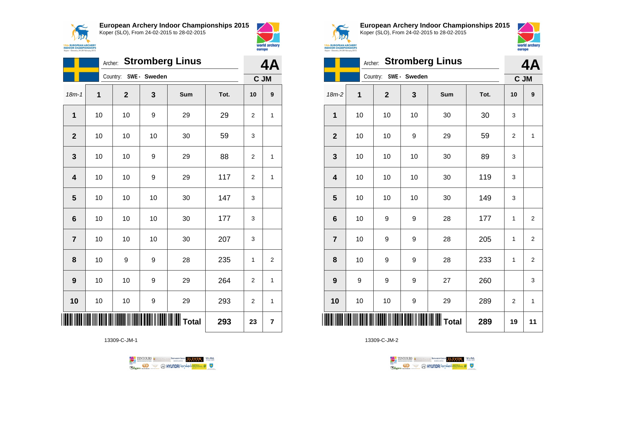



world archery

europe

|                         | Archer: Stromberg Linus |             |                       |     |      |                |                         |
|-------------------------|-------------------------|-------------|-----------------------|-----|------|----------------|-------------------------|
|                         |                         |             | Country: SWE - Sweden |     |      | C JM           |                         |
| $18m - 1$               | 1                       | $\mathbf 2$ | 3                     | Sum | Tot. | 10             | 9                       |
| $\mathbf 1$             | 10                      | 10          | 9                     | 29  | 29   | $\overline{2}$ | 1                       |
| $\overline{2}$          | 10                      | 10          | 10                    | 30  | 59   | 3              |                         |
| $\mathbf 3$             | 10                      | 10          | 9                     | 29  | 88   | $\overline{2}$ | 1                       |
| $\overline{\mathbf{4}}$ | 10                      | 10          | 9                     | 29  | 117  | $\overline{2}$ | 1                       |
| 5                       | 10                      | 10          | 10                    | 30  | 147  | 3              |                         |
| 6                       | 10                      | 10          | 10                    | 30  | 177  | 3              |                         |
| $\overline{7}$          | 10                      | 10          | 10                    | 30  | 207  | 3              |                         |
| 8                       | 10                      | 9           | 9                     | 28  | 235  | 1              | $\overline{\mathbf{c}}$ |
| 9                       | 10                      | 10          | 9                     | 29  | 264  | $\overline{2}$ | 1                       |
| 10                      | 10                      | 10          | 9                     | 29  | 293  | 2              | $\mathbf{1}$            |
| IIII                    |                         |             |                       |     | 293  | 23             | 7                       |

13309-C-JM-1





**European Archery Indoor Championships 2015** Koper (SLO), From 24-02-2015 to 28-02-2015



|                         | 4A |                       |    |     |      |                |                |
|-------------------------|----|-----------------------|----|-----|------|----------------|----------------|
|                         |    | Country: SWE - Sweden |    |     | C JM |                |                |
| $18m-2$                 | 1  | $\mathbf 2$           | 3  | Sum | Tot. | 10             | 9              |
| $\mathbf 1$             | 10 | 10                    | 10 | 30  | 30   | 3              |                |
| $\mathbf{2}$            | 10 | 10                    | 9  | 29  | 59   | 2              | 1              |
| 3                       | 10 | 10                    | 10 | 30  | 89   | 3              |                |
| $\overline{\mathbf{4}}$ | 10 | 10                    | 10 | 30  | 119  | 3              |                |
| 5                       | 10 | 10                    | 10 | 30  | 149  | 3              |                |
| $6\phantom{1}6$         | 10 | 9                     | 9  | 28  | 177  | 1              | $\overline{2}$ |
| $\overline{7}$          | 10 | 9                     | 9  | 28  | 205  | 1              | $\overline{2}$ |
| 8                       | 10 | 9                     | 9  | 28  | 233  | 1              | $\overline{2}$ |
| 9                       | 9  | 9                     | 9  | 27  | 260  |                | 3              |
| 10                      | 10 | 10                    | 9  | 29  | 289  | $\overline{2}$ | $\mathbf{1}$   |
| ║║║                     |    |                       |    |     | 289  | 19             | 11             |

TENTOURS GENERAL BRASIDINGSOUP ELEVEN WERE **Example 2** @ HYUNDAI lansed **State 4** U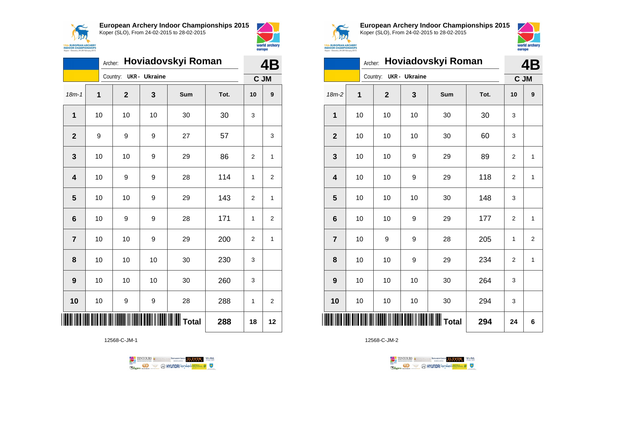



|                         | Hoviadovskyi Roman<br>Archer: |                |                      |                          |      |              |                |
|-------------------------|-------------------------------|----------------|----------------------|--------------------------|------|--------------|----------------|
|                         |                               | Country:       | <b>UKR</b> - Ukraine |                          |      |              | C JM           |
| $18m - 1$               | $\overline{1}$                | $\overline{2}$ | 3                    | Sum                      | Tot. | 10           | 9              |
| $\mathbf{1}$            | 10                            | 10             | 10                   | 30                       | 30   | 3            |                |
| $\overline{2}$          | 9                             | 9              | 9                    | 27                       | 57   |              | 3              |
| 3                       | 10                            | 10             | 9                    | 29                       | 86   | 2            | $\mathbf{1}$   |
| $\overline{\mathbf{4}}$ | 10                            | 9              | 9                    | 28                       | 114  | $\mathbf{1}$ | 2              |
| 5                       | 10                            | 10             | 9                    | 29                       | 143  | 2            | $\mathbf{1}$   |
| $6\phantom{1}6$         | 10                            | 9              | 9                    | 28                       | 171  | 1            | 2              |
| $\overline{7}$          | 10                            | 10             | 9                    | 29                       | 200  | 2            | 1              |
| 8                       | 10                            | 10             | 10                   | 30                       | 230  | 3            |                |
| 9                       | 10                            | 10             | 10                   | 30                       | 260  | 3            |                |
| 10                      | 10                            | 9              | 9                    | 28                       | 288  | 1            | $\overline{2}$ |
|                         |                               |                |                      | IIIIIIIIIIIIIIIIII Total | 288  | 18           | 12             |

12568-C-JM-1





**European Archery Indoor Championships 2015** Koper (SLO), From 24-02-2015 to 28-02-2015



|                 | Hoviadovskyi Roman<br>Archer: |                        |    |     |      |                |                  |  |
|-----------------|-------------------------------|------------------------|----|-----|------|----------------|------------------|--|
|                 |                               | Country: UKR - Ukraine |    |     |      | C JM           |                  |  |
| 18m-2           | 1                             | $\mathbf 2$            | 3  | Sum | Tot. | 10             | $\boldsymbol{9}$ |  |
| 1               | 10                            | 10                     | 10 | 30  | 30   | 3              |                  |  |
| $\overline{2}$  | 10                            | 10                     | 10 | 30  | 60   | 3              |                  |  |
| 3               | 10                            | 10                     | 9  | 29  | 89   | 2              | 1                |  |
| 4               | 10                            | 10                     | 9  | 29  | 118  | $\overline{2}$ | $\mathbf{1}$     |  |
| 5               | 10                            | 10                     | 10 | 30  | 148  | 3              |                  |  |
| $6\phantom{1}6$ | 10                            | 10                     | 9  | 29  | 177  | $\overline{2}$ | $\mathbf{1}$     |  |
| $\overline{7}$  | 10                            | 9                      | 9  | 28  | 205  | 1              | $\overline{2}$   |  |
| 8               | 10                            | 10                     | 9  | 29  | 234  | $\overline{2}$ | 1                |  |
| 9               | 10                            | 10                     | 10 | 30  | 264  | 3              |                  |  |
| 10              | 10                            | 10                     | 10 | 30  | 294  | 3              |                  |  |
| ║║║             |                               |                        |    |     | 294  | 24             | 6                |  |

TENTOURS **(i)** CONSIDER DEVELOPS OF THE VEDA **B** MYUNDAI Tonsed **Williams 9** Ragm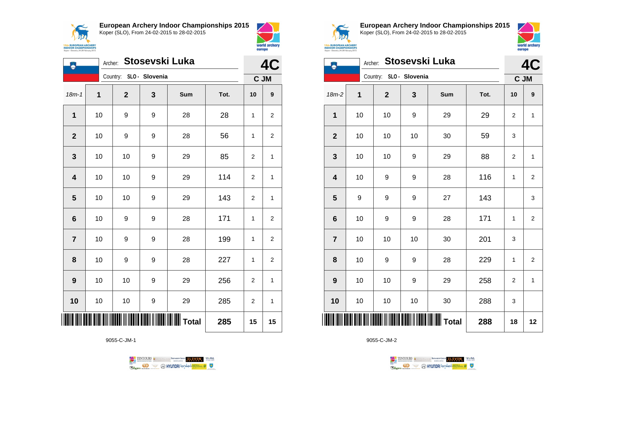



world archery

europe

| ۸                       | Stosevski Luka<br>Archer: |                         |   |                  |      |              |                  |
|-------------------------|---------------------------|-------------------------|---|------------------|------|--------------|------------------|
|                         |                           | Country: SLO - Slovenia |   |                  |      | C JM         |                  |
| $18m - 1$               | $\mathbf 1$               | $\mathbf 2$             | 3 | Sum              | Tot. | 10           | $\boldsymbol{9}$ |
| $\mathbf{1}$            | 10                        | 9                       | 9 | 28               | 28   | $\mathbf{1}$ | 2                |
| $\mathbf 2$             | 10                        | 9                       | 9 | 28               | 56   | 1            | 2                |
| $\mathbf 3$             | 10                        | 10                      | 9 | 29               | 85   | 2            | $\mathbf{1}$     |
| $\overline{\mathbf{4}}$ | 10                        | 10                      | 9 | 29               | 114  | 2            | $\mathbf{1}$     |
| $\overline{\mathbf{5}}$ | 10                        | 10                      | 9 | 29               | 143  | 2            | 1                |
| $6\phantom{1}6$         | 10                        | 9                       | 9 | 28               | 171  | 1            | $\overline{c}$   |
| $\overline{\mathbf{7}}$ | 10                        | 9                       | 9 | 28               | 199  | $\mathbf{1}$ | $\overline{c}$   |
| 8                       | 10                        | 9                       | 9 | 28               | 227  | 1            | 2                |
| $\boldsymbol{9}$        | 10                        | 10                      | 9 | 29               | 256  | 2            | $\mathbf{1}$     |
| 10                      | 10                        | $10$                    | 9 | 29               | 285  | 2            | $\mathbf{1}$     |
|                         |                           |                         |   | <b>WWW</b> Total | 285  | 15           | 15               |

9055-C-JM-1





**European Archery Indoor Championships 2015** Koper (SLO), From 24-02-2015 to 28-02-2015



|                  | 4C |             |                         |              |      |              |                         |
|------------------|----|-------------|-------------------------|--------------|------|--------------|-------------------------|
|                  |    |             | Country: SLO - Slovenia |              |      | C JM         |                         |
| 18m-2            | 1  | $\mathbf 2$ | 3                       | Sum          | Tot. | 10           | 9                       |
| 1                | 10 | 10          | 9                       | 29           | 29   | 2            | 1                       |
| $\mathbf{2}$     | 10 | 10          | 10                      | 30           | 59   | 3            |                         |
| $\mathbf{3}$     | 10 | 10          | 9                       | 29           | 88   | 2            | $\mathbf 1$             |
| 4                | 10 | 9           | $\boldsymbol{9}$        | 28           | 116  | $\mathbf{1}$ | $\mathbf 2$             |
| 5                | 9  | 9           | $\boldsymbol{9}$        | 27           | 143  |              | 3                       |
| $6\phantom{1}6$  | 10 | 9           | 9                       | 28           | 171  | 1            | $\overline{\mathbf{c}}$ |
| $\overline{7}$   | 10 | 10          | 10                      | 30           | 201  | 3            |                         |
| 8                | 10 | 9           | 9                       | 28           | 229  | $\mathbf{1}$ | $\overline{2}$          |
| $\boldsymbol{9}$ | 10 | 10          | 9                       | 29           | 258  | 2            | 1                       |
| 10               | 10 | 10          | 10                      | 30           | 288  | 3            |                         |
|                  |    |             |                         | <b>Total</b> | 288  | 18           | 12                      |

TENTOURS **(i)** CONSIDER DEVELOPS OF THE VEDA

**B** MYUNDAI Tonsed **Williams 9** 

 $\perp$ 

9055-C-JM-2

**Regin**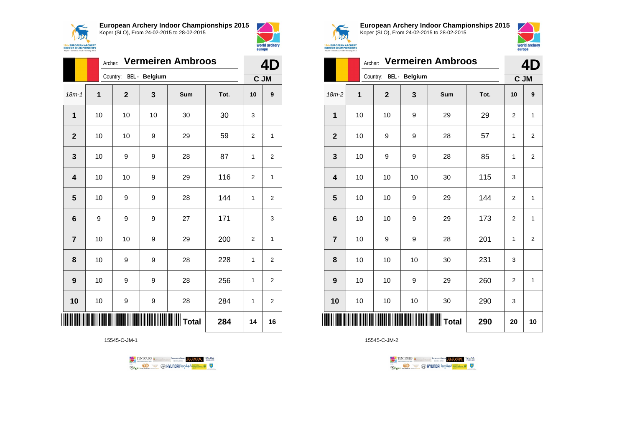



|                         | Archer:        |                        | 4D |                  |      |                |                |
|-------------------------|----------------|------------------------|----|------------------|------|----------------|----------------|
|                         |                | Country: BEL - Belgium |    |                  |      | C JM           |                |
| $18m - 1$               | $\overline{1}$ | $\mathbf{2}$           | 3  | Sum              | Tot. | 10             | 9              |
| 1                       | 10             | 10                     | 10 | 30               | 30   | 3              |                |
| $\overline{2}$          | 10             | 10                     | 9  | 29               | 59   | 2              | 1              |
| 3                       | 10             | 9                      | 9  | 28               | 87   | 1              | 2              |
| $\overline{\mathbf{4}}$ | 10             | 10                     | 9  | 29               | 116  | 2              | 1              |
| 5                       | 10             | 9                      | 9  | 28               | 144  | 1              | $\overline{2}$ |
| 6                       | 9              | 9                      | 9  | 27               | 171  |                | 3              |
| $\overline{7}$          | 10             | 10                     | 9  | 29               | 200  | $\overline{2}$ | 1              |
| 8                       | 10             | 9                      | 9  | 28               | 228  | 1              | 2              |
| 9                       | 10             | 9                      | 9  | 28               | 256  | 1              | 2              |
| 10                      | 10             | 9                      | 9  | 28               | 284  | 1              | $\overline{2}$ |
|                         |                |                        |    | IIIIIIIIII Total | 284  | 14             | 16             |

15545-C-JM-1





**European Archery Indoor Championships 2015** Koper (SLO), From 24-02-2015 to 28-02-2015



|                         |    | <b>Vermeiren Ambroos</b><br>Archer: |    |     |      |                |                  |  |  |
|-------------------------|----|-------------------------------------|----|-----|------|----------------|------------------|--|--|
|                         |    | Country: BEL - Belgium              |    |     |      | C JM           |                  |  |  |
| $18m-2$                 | 1  | $\mathbf{2}$                        | 3  | Sum | Tot. | 10             | $\boldsymbol{9}$ |  |  |
| $\mathbf{1}$            | 10 | 10                                  | 9  | 29  | 29   | $\overline{2}$ | $\mathbf{1}$     |  |  |
| $\mathbf{2}$            | 10 | 9                                   | 9  | 28  | 57   | 1              | $\overline{2}$   |  |  |
| 3                       | 10 | 9                                   | 9  | 28  | 85   | 1              | 2                |  |  |
| $\overline{\mathbf{4}}$ | 10 | 10                                  | 10 | 30  | 115  | 3              |                  |  |  |
| 5                       | 10 | 10                                  | 9  | 29  | 144  | $\overline{2}$ | $\mathbf{1}$     |  |  |
| $6\phantom{1}$          | 10 | 10                                  | 9  | 29  | 173  | $\overline{2}$ | $\mathbf{1}$     |  |  |
| $\overline{7}$          | 10 | 9                                   | 9  | 28  | 201  | 1              | $\overline{2}$   |  |  |
| 8                       | 10 | 10                                  | 10 | 30  | 231  | 3              |                  |  |  |
| 9                       | 10 | 10                                  | 9  | 29  | 260  | $\overline{2}$ | $\mathbf{1}$     |  |  |
| 10                      | 10 | 10                                  | 10 | 30  | 290  | 3              |                  |  |  |
| ║║║                     |    |                                     |    |     | 290  | 20             | 10               |  |  |

TENTOURS **(i)** CONSIDER DEVELOPS OF THE VEDA **Example 2** @ HYUNDAI lansed **State 4** U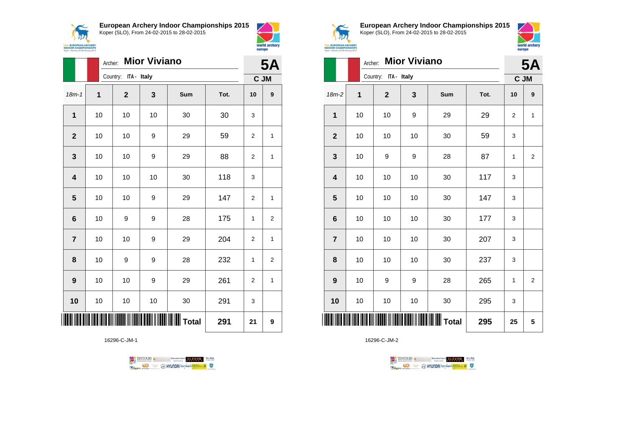



|                 | Archer: |                      |    | <b>5A</b>         |      |                |                         |  |  |
|-----------------|---------|----------------------|----|-------------------|------|----------------|-------------------------|--|--|
|                 |         | Country: ITA - Italy |    |                   |      |                |                         |  |  |
| $18m - 1$       | 1       | $\mathbf{2}$         | 3  | Sum               | Tot. | 10             | 9                       |  |  |
| 1               | 10      | 10                   | 10 | 30                | 30   | 3              |                         |  |  |
| $\mathbf{2}$    | 10      | 10                   | 9  | 29                | 59   | $\overline{2}$ | 1                       |  |  |
| 3               | 10      | 10                   | 9  | 29                | 88   | $\overline{2}$ | 1                       |  |  |
| 4               | 10      | 10                   | 10 | 30                | 118  | 3              |                         |  |  |
| 5               | 10      | 10                   | 9  | 29                | 147  | $\overline{2}$ | 1                       |  |  |
| $6\phantom{1}6$ | 10      | 9                    | 9  | 28                | 175  | 1              | $\overline{2}$          |  |  |
| $\overline{7}$  | 10      | 10                   | 9  | 29                | 204  | $\overline{2}$ | 1                       |  |  |
| 8               | 10      | 9                    | 9  | 28                | 232  | 1              | $\overline{\mathbf{c}}$ |  |  |
| 9               | 10      | 10                   | 9  | 29                | 261  | 2              | 1                       |  |  |
| 10              | 10      | 10                   | 10 | 30                | 291  | 3              |                         |  |  |
| ║║              |         |                      |    | $\parallel$ Total | 291  | 21             | 9                       |  |  |

16296-C-JM-1





world archery

europe

**European Archery Indoor Championships 2015** Koper (SLO), From 24-02-2015 to 28-02-2015



|                  |    | <b>Mior Viviano</b><br>Archer: |                  |              |      |                |                         |  |  |
|------------------|----|--------------------------------|------------------|--------------|------|----------------|-------------------------|--|--|
|                  |    | Country: ITA - Italy           |                  |              |      | C JM           |                         |  |  |
| 18m-2            | 1  | $\mathbf 2$                    | 3                | Sum          | Tot. | 10             | 9                       |  |  |
| 1                | 10 | 10                             | $\boldsymbol{9}$ | 29           | 29   | $\overline{2}$ | $\mathbf{1}$            |  |  |
| $\mathbf{2}$     | 10 | 10                             | 10               | 30           | 59   | 3              |                         |  |  |
| 3                | 10 | 9                              | 9                | 28           | 87   | 1              | $\overline{\mathbf{c}}$ |  |  |
| 4                | 10 | 10                             | 10               | 30           | 117  | 3              |                         |  |  |
| 5                | 10 | 10                             | 10               | 30           | 147  | 3              |                         |  |  |
| 6                | 10 | 10                             | 10               | 30           | 177  | 3              |                         |  |  |
| $\overline{7}$   | 10 | 10                             | 10               | 30           | 207  | 3              |                         |  |  |
| 8                | 10 | 10                             | 10               | 30           | 237  | 3              |                         |  |  |
| $\boldsymbol{9}$ | 10 | 9                              | 9                | 28           | 265  | $\mathbf{1}$   | $\mathbf 2$             |  |  |
| 10               | 10 | 10                             | $10$             | 30           | 295  | 3              |                         |  |  |
|                  |    |                                |                  | <b>Total</b> | 295  | 25             | 5                       |  |  |

16296-C-JM-2

TENTOURS **Q** CONSIDERED BEXTRED CONDUCT **CONSIDERED** VICE DA **Example 2** @ HYUNDAI lansed **State 4** U

 $\mathbf{I}$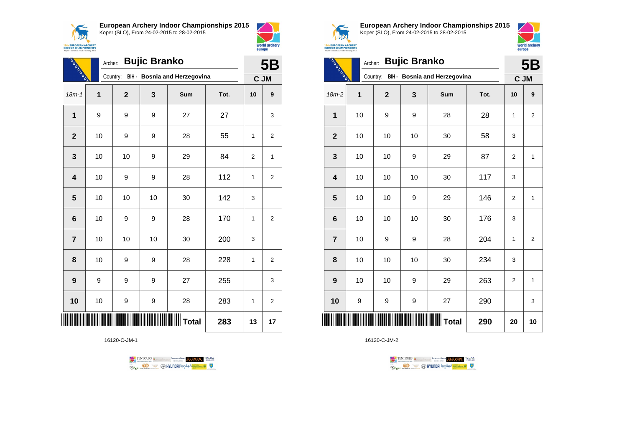$\sqrt{N}$ **15th EUROPEAN ARCHERY**<br>INDOOR CHAMPIONSHIPS<br>Koper - Slovenia, 24-28 February 2015 **European Archery Indoor Championships 2015** Koper (SLO), From 24-02-2015 to 28-02-2015



| <b>HARACASES</b>        |    | <b>Bujic Branko</b><br>Archer: |    |                              |      |      |                  |  |  |
|-------------------------|----|--------------------------------|----|------------------------------|------|------|------------------|--|--|
|                         |    | Country:                       |    | BIH - Bosnia and Herzegovina |      | C JM |                  |  |  |
| $18m - 1$               | 1  | $\mathbf{2}$                   | 3  | Sum                          | Tot. | 10   | 9                |  |  |
| $\overline{1}$          | 9  | 9                              | 9  | 27                           | 27   |      | 3                |  |  |
| $\mathbf{2}$            | 10 | 9                              | 9  | 28                           | 55   | 1    | $\overline{2}$   |  |  |
| 3                       | 10 | 10                             | 9  | 29                           | 84   | 2    | 1                |  |  |
| $\overline{\mathbf{4}}$ | 10 | 9                              | 9  | 28                           | 112  | 1    | $\boldsymbol{2}$ |  |  |
| 5                       | 10 | 10                             | 10 | 30                           | 142  | 3    |                  |  |  |
| $6\phantom{1}6$         | 10 | 9                              | 9  | 28                           | 170  | 1    | $\overline{2}$   |  |  |
| $\overline{7}$          | 10 | 10                             | 10 | 30                           | 200  | 3    |                  |  |  |
| 8                       | 10 | 9                              | 9  | 28                           | 228  | 1    | $\overline{2}$   |  |  |
| 9                       | 9  | 9                              | 9  | 27                           | 255  |      | 3                |  |  |
| 10                      | 10 | 9                              | 9  | 28                           | 283  | 1    | $\overline{2}$   |  |  |
|                         |    |                                |    | Total                        | 283  | 13   | 17               |  |  |

16120-C-JM-1





world archery

europe

**European Archery Indoor Championships 2015** Koper (SLO), From 24-02-2015 to 28-02-2015



| <b>REGISTER</b> | <b>5B</b> |                |                  |                                       |      |                |                |
|-----------------|-----------|----------------|------------------|---------------------------------------|------|----------------|----------------|
|                 |           |                |                  | Country: BIH - Bosnia and Herzegovina |      | C JM           |                |
| $18m-2$         | 1         | $\overline{2}$ | 3                | Sum                                   | Tot. | 10             | 9              |
| 1               | 10        | 9              | $\boldsymbol{9}$ | 28                                    | 28   | $\mathbf{1}$   | $\overline{2}$ |
| $\overline{2}$  | 10        | 10             | 10               | 30                                    | 58   | 3              |                |
| 3               | 10        | 10             | 9                | 29                                    | 87   | $\overline{2}$ | $\mathbf{1}$   |
| 4               | 10        | 10             | 10               | 30                                    | 117  | 3              |                |
| 5               | 10        | 10             | 9                | 29                                    | 146  | $\overline{2}$ | $\mathbf{1}$   |
| 6               | 10        | 10             | 10               | 30                                    | 176  | 3              |                |
| $\overline{7}$  | 10        | 9              | $\boldsymbol{9}$ | 28                                    | 204  | 1              | 2              |
| 8               | 10        | 10             | 10               | 30                                    | 234  | 3              |                |
| 9               | 10        | 10             | 9                | 29                                    | 263  | $\overline{2}$ | $\mathbf{1}$   |
| 10              | 9         | 9              | 9                | 27                                    | 290  |                | 3              |
|                 |           |                |                  | <b>Total</b>                          | 290  | 20             | 10             |

16120-C-JM-2

TENTOURS **(i)** CONSIDER DEVELOPS OF THE VEDA **Example 2** @ HYUNDAI lansed **State 4** U

 $\mathbf{I}$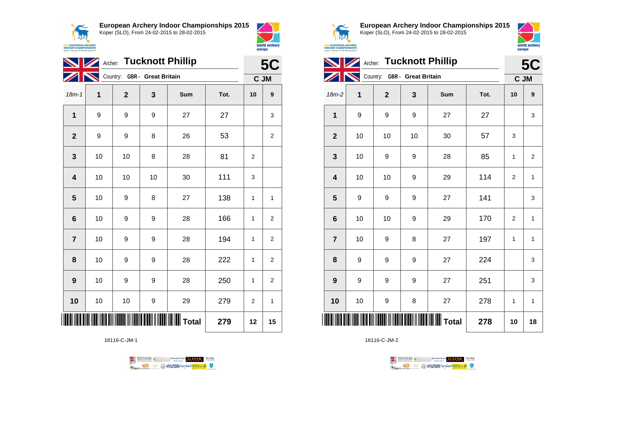



world archery

europe

|  |                  | <b>5C</b> |              |                              |     |      |    |              |
|--|------------------|-----------|--------------|------------------------------|-----|------|----|--------------|
|  |                  |           |              | Country: GBR - Great Britain |     |      |    | C JM         |
|  | $18m - 1$        | 1         | $\mathbf{2}$ | 3                            | Sum | Tot. | 10 | 9            |
|  | 1                | 9         | 9            | 9                            | 27  | 27   |    | 3            |
|  | $\mathbf{2}$     | 9         | 9            | 8                            | 26  | 53   |    | 2            |
|  | 3                | 10        | 10           | 8                            | 28  | 81   | 2  |              |
|  | 4                | 10        | 10           | 10                           | 30  | 111  | 3  |              |
|  | 5                | 10        | 9            | 8                            | 27  | 138  | 1  | $\mathbf{1}$ |
|  | $6\phantom{1}6$  | 10        | 9            | 9                            | 28  | 166  | 1  | 2            |
|  | $\overline{7}$   | 10        | 9            | 9                            | 28  | 194  | 1  | 2            |
|  | 8                | 10        | 9            | 9                            | 28  | 222  | 1  | 2            |
|  | $\boldsymbol{9}$ | 10        | 9            | 9                            | 28  | 250  | 1  | 2            |
|  | 10               | 10        | 10           | 9                            | 29  | 279  | 2  | 1            |
|  | 12               | 15        |              |                              |     |      |    |              |

16116-C-JM-1





**European Archery Indoor Championships 2015** Koper (SLO), From 24-02-2015 to 28-02-2015



| Archer: Tucknott Phillip |    |                |                              |         |      |                | <b>5C</b>      |  |  |
|--------------------------|----|----------------|------------------------------|---------|------|----------------|----------------|--|--|
|                          |    |                | Country: GBR - Great Britain |         |      | C JM           |                |  |  |
| 18m-2                    | 1  | $\overline{2}$ | 3                            | Sum     | Tot. | 10             | 9              |  |  |
| $\mathbf{1}$             | 9  | 9              | 9                            | 27      | 27   |                | 3              |  |  |
| $\overline{2}$           | 10 | 10             | 10                           | 30      | 57   | 3              |                |  |  |
| $\mathbf{3}$             | 10 | 9              | 9                            | 28      | 85   | 1              | $\overline{2}$ |  |  |
| $\overline{\mathbf{4}}$  | 10 | 10             | 9                            | 29      | 114  | 2              | 1              |  |  |
| 5                        | 9  | 9              | 9                            | 27      | 141  |                | 3              |  |  |
| $6\phantom{1}6$          | 10 | 10             | 9                            | 29      | 170  | $\overline{2}$ | 1              |  |  |
| $\overline{7}$           | 10 | 9              | 8                            | 27      | 197  | 1              | 1              |  |  |
| 8                        | 9  | 9              | 9                            | 27      | 224  |                | 3              |  |  |
| $\boldsymbol{9}$         | 9  | 9              | 9                            | 27      | 251  |                | 3              |  |  |
| 10                       | 10 | 9              | 8                            | 27      | 278  | 1              | 1              |  |  |
|                          |    |                |                              | ∥ Total | 278  | 10             | 18             |  |  |

TENTOURS **(i)** CONSIDER DEVELOPS OF THE VEDA

**Example 2** @ HYUNDAI lansed **State 4** U

 $\mathbf{I}$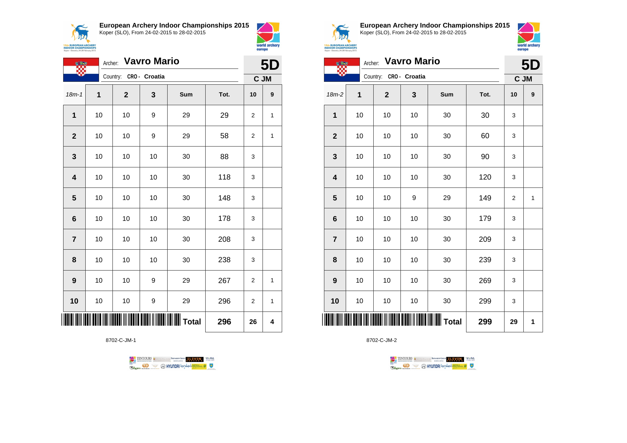





8702-C-JM-1





world archery

europe

**European Archery Indoor Championships 2015** Koper (SLO), From 24-02-2015 to 28-02-2015



**5D**

**ANA 15th EUROPEAN ARCHERY**<br>**INDOOR CHAMPIONSHIPS**<br>Koper - Slovenia, 24-28 February 2015

|                         | Archer: | 5D                     |    |     |      |      |   |
|-------------------------|---------|------------------------|----|-----|------|------|---|
|                         |         | Country: CRO - Croatia |    |     |      | C JM |   |
| $18m-2$                 | 1       | $\mathbf 2$            | 3  | Sum | Tot. | 10   | 9 |
| 1                       | 10      | 10                     | 10 | 30  | 30   | 3    |   |
| $\mathbf{2}$            | 10      | 10                     | 10 | 30  | 60   | 3    |   |
| 3                       | 10      | 10                     | 10 | 30  | 90   | 3    |   |
| $\overline{\mathbf{4}}$ | 10      | 10                     | 10 | 30  | 120  | 3    |   |
| 5                       | 10      | 10                     | 9  | 29  | 149  | 2    | 1 |
| $\bf 6$                 | 10      | 10                     | 10 | 30  | 179  | 3    |   |
| $\overline{7}$          | 10      | 10                     | 10 | 30  | 209  | 3    |   |
| 8                       | 10      | 10                     | 10 | 30  | 239  | 3    |   |
| 9                       | 10      | 10                     | 10 | 30  | 269  | 3    |   |
| 10                      | 10      | 10                     | 10 | 30  | 299  | 3    |   |
| ║║║                     |         |                        |    |     | 299  | 29   | 1 |

TENTOURS & RENARDING CONTROLLER WEBA

**Company CO** & CONYUNDAL IS AND A COMPANY COMPANY COMPANY COMPANY COMPANY COMPANY COMPANY COMPANY COMPANY COMPANY COMPANY COMPANY COMPANY COMPANY COMPANY COMPANY COMPANY COMPANY COMPANY COMPANY COMPANY COMPANY COMPANY COMP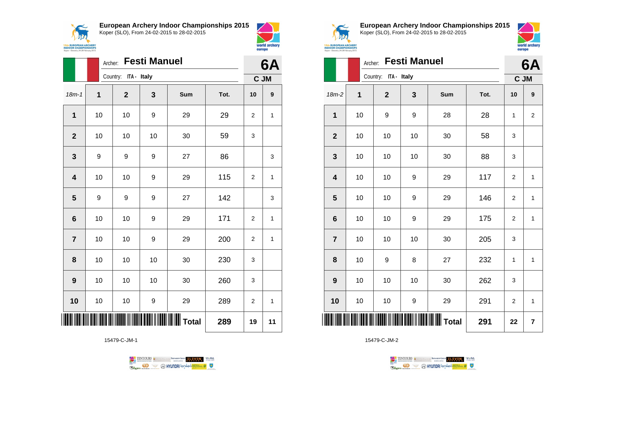

**European Archery Indoor Championships 2015**





|                         |             | <b>Festi Manuel</b><br>Archer: |    |     |      |      |    |  |
|-------------------------|-------------|--------------------------------|----|-----|------|------|----|--|
|                         |             | Country: ITA - Italy           |    |     |      | C JM |    |  |
| $18m - 1$               | $\mathbf 1$ | $\mathbf 2$                    | 3  | Sum | Tot. | 10   | 9  |  |
| 1                       | 10          | 10                             | 9  | 29  | 29   | 2    | 1  |  |
| $\overline{2}$          | 10          | 10                             | 10 | 30  | 59   | 3    |    |  |
| $\mathbf{3}$            | 9           | 9                              | 9  | 27  | 86   |      | 3  |  |
| $\overline{\mathbf{4}}$ | 10          | 10                             | 9  | 29  | 115  | 2    | 1  |  |
| 5                       | 9           | 9                              | 9  | 27  | 142  |      | 3  |  |
| $6\phantom{1}$          | 10          | 10                             | 9  | 29  | 171  | 2    | 1  |  |
| $\overline{7}$          | 10          | 10                             | 9  | 29  | 200  | 2    | 1  |  |
| 8                       | 10          | 10                             | 10 | 30  | 230  | 3    |    |  |
| 9                       | 10          | 10                             | 10 | 30  | 260  | 3    |    |  |
| 10                      | 10          | 10                             | 9  | 29  | 289  | 2    | 1  |  |
|                         |             |                                |    |     | 289  | 19   | 11 |  |

15479-C-JM-1





**European Archery Indoor Championships 2015** Koper (SLO), From 24-02-2015 to 28-02-2015



|  | 717 |                                 |  |
|--|-----|---------------------------------|--|
|  |     |                                 |  |
|  |     | <b>EUROPEAN ARCHERY</b>         |  |
|  |     | <b>OOR CHAMPIONSHIPS</b>        |  |
|  |     | - Slovenia, 24-28 February 2015 |  |

|                         |    | <b>Festi Manuel</b><br>Archer: |             |                                                  |      |                  |                  |  |  |
|-------------------------|----|--------------------------------|-------------|--------------------------------------------------|------|------------------|------------------|--|--|
|                         |    | Country: ITA - Italy           |             |                                                  |      |                  | 6A<br>C JM       |  |  |
| $18m-2$                 | 1  | $\mathbf 2$                    | $\mathbf 3$ | Sum                                              | Tot. | 10               | $\boldsymbol{9}$ |  |  |
| 1                       | 10 | 9                              | 9           | 28                                               | 28   | 1                | $\overline{2}$   |  |  |
| $\mathbf 2$             | 10 | 10                             | 10          | 30                                               | 58   | 3                |                  |  |  |
| 3                       | 10 | 10                             | 10          | 30                                               | 88   | 3                |                  |  |  |
| $\overline{\mathbf{4}}$ | 10 | 10                             | 9           | 29                                               | 117  | $\boldsymbol{2}$ | $\mathbf{1}$     |  |  |
| 5                       | 10 | 10                             | 9           | 29                                               | 146  | $\overline{2}$   | $\mathbf{1}$     |  |  |
| $6\phantom{1}$          | 10 | 10                             | 9           | 29                                               | 175  | $\overline{2}$   | $\mathbf{1}$     |  |  |
| $\overline{7}$          | 10 | 10                             | 10          | 30                                               | 205  | 3                |                  |  |  |
| 8                       | 10 | 9                              | 8           | 27                                               | 232  | 1                | 1                |  |  |
| $\boldsymbol{9}$        | 10 | 10                             | 10          | 30                                               | 262  | 3                |                  |  |  |
| 10                      | 10 | 10                             | 9           | 29                                               | 291  | $\overline{2}$   | 1                |  |  |
| ║║║                     |    |                                |             | <b>                                   </b> Total | 291  | 22               | 7                |  |  |

TENTOURS **(i)** CONSIDER DEVELOPS OF THE VEDA **Example 2** @ HYUNDAI lansed **State 4** U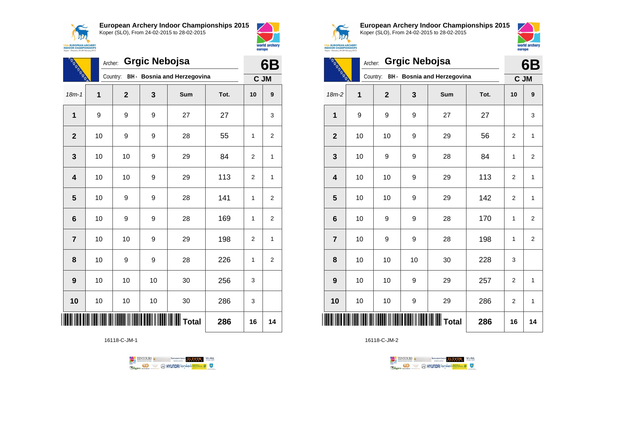



|                                                | <b>REAL PROPERTY</b>    |             | <b>Grgic Nebojsa</b><br>Archer: |    |                              |      |                |                         |  |  |
|------------------------------------------------|-------------------------|-------------|---------------------------------|----|------------------------------|------|----------------|-------------------------|--|--|
|                                                |                         |             | Country:                        |    | BIH - Bosnia and Herzegovina |      | C JM           |                         |  |  |
|                                                | $18m - 1$               | $\mathbf 1$ | $\mathbf{2}$                    | 3  | Sum                          | Tot. | 10             | 9                       |  |  |
|                                                | 1                       | 9           | 9                               | 9  | 27                           | 27   |                | 3                       |  |  |
|                                                | $\overline{2}$          | 10          | 9                               | 9  | 28                           | 55   | 1              | 2                       |  |  |
|                                                | 3                       | 10          | 10                              | 9  | 29                           | 84   | $\overline{2}$ | 1                       |  |  |
|                                                | $\overline{\mathbf{4}}$ | 10          | 10                              | 9  | 29                           | 113  | $\overline{2}$ | 1                       |  |  |
|                                                | 5                       | 10          | 9                               | 9  | 28                           | 141  | 1              | $\overline{\mathbf{c}}$ |  |  |
|                                                | $6\phantom{1}6$         | 10          | 9                               | 9  | 28                           | 169  | $\mathbf{1}$   | 2                       |  |  |
|                                                | $\overline{7}$          | 10          | 10                              | 9  | 29                           | 198  | $\overline{2}$ | 1                       |  |  |
|                                                | 8                       | 10          | 9                               | 9  | 28                           | 226  | $\mathbf{1}$   | $\boldsymbol{2}$        |  |  |
|                                                | 9                       | 10          | 10                              | 10 | 30                           | 256  | 3              |                         |  |  |
|                                                | 10                      | 10          | 10                              | 10 | 30                           | 286  | 3              |                         |  |  |
| <b>                          </b> Total<br>286 |                         |             |                                 |    |                              |      |                |                         |  |  |

16118-C-JM-1





world archery

europe

**European Archery Indoor Championships 2015** Koper (SLO), From 24-02-2015 to 28-02-2015



 $\overline{\phantom{0}}$ 

| $\cdots$                          |  |  |
|-----------------------------------|--|--|
|                                   |  |  |
| <b>EUROPEAN ARCHERY</b>           |  |  |
| <b>OOR CHAMPIONSHIPS</b>          |  |  |
| r - Slovenia, 24-28 February 2015 |  |  |

| <b>REAL PROPERTY</b>    |             | <b>Grgic Nebojsa</b><br>Archer: |    |                                            |      |                |                |  |  |
|-------------------------|-------------|---------------------------------|----|--------------------------------------------|------|----------------|----------------|--|--|
|                         |             | Country:                        |    | BIH - Bosnia and Herzegovina               |      | C JM           |                |  |  |
| $18m-2$                 | $\mathbf 1$ | $\overline{2}$                  | 3  | Sum                                        | Tot. | 10             | 9              |  |  |
| 1                       | 9           | 9                               | 9  | 27                                         | 27   |                | 3              |  |  |
| $\mathbf{2}$            | 10          | 10                              | 9  | 29                                         | 56   | $\overline{2}$ | 1              |  |  |
| 3                       | 10          | 9                               | 9  | 28                                         | 84   | 1              | 2              |  |  |
| $\overline{\mathbf{4}}$ | 10          | 10                              | 9  | 29                                         | 113  | $\overline{2}$ | $\mathbf{1}$   |  |  |
| 5                       | 10          | 10                              | 9  | 29                                         | 142  | $\overline{2}$ | $\mathbf{1}$   |  |  |
| $6\phantom{1}6$         | 10          | 9                               | 9  | 28                                         | 170  | 1              | $\overline{2}$ |  |  |
| $\overline{7}$          | 10          | 9                               | 9  | 28                                         | 198  | 1              | $\overline{2}$ |  |  |
| 8                       | 10          | 10                              | 10 | 30                                         | 228  | 3              |                |  |  |
| 9                       | 10          | 10                              | 9  | 29                                         | 257  | $\overline{2}$ | 1              |  |  |
| 10                      | 10          | 10                              | 9  | 29                                         | 286  | $\overline{2}$ | 1              |  |  |
| <b>       </b>          |             |                                 |    | <b>                             </b> Total | 286  | 16             | 14             |  |  |

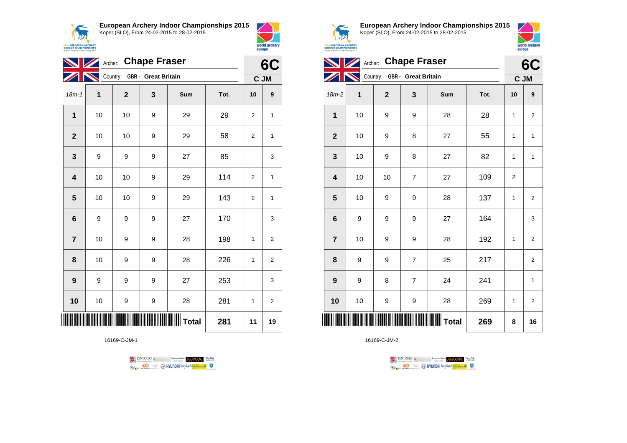



| Archer: Chape Fraser    |  |           |                              |   |       |      |                | 6C               |  |
|-------------------------|--|-----------|------------------------------|---|-------|------|----------------|------------------|--|
|                         |  | <b>IN</b> | Country: GBR - Great Britain |   |       |      |                | C JM             |  |
| $18m - 1$               |  | 1         | $\mathbf{2}$                 | 3 | Sum   | Tot. | 10             | $\boldsymbol{9}$ |  |
| 1                       |  | 10        | 10                           | 9 | 29    | 29   | $\overline{2}$ | 1                |  |
| $\overline{\mathbf{2}}$ |  | 10        | 10                           | 9 | 29    | 58   | $\overline{2}$ | 1                |  |
| 3                       |  | 9         | 9                            | 9 | 27    | 85   |                | 3                |  |
| 4                       |  | 10        | 10                           | 9 | 29    | 114  | $\overline{2}$ | 1                |  |
| 5                       |  | 10        | 10                           | 9 | 29    | 143  | $\overline{2}$ | 1                |  |
| 6                       |  | 9         | 9                            | 9 | 27    | 170  |                | 3                |  |
| $\overline{7}$          |  | 10        | 9                            | 9 | 28    | 198  | 1              | $\boldsymbol{2}$ |  |
| 8                       |  | 10        | 9                            | 9 | 28    | 226  | 1              | $\overline{c}$   |  |
| 9                       |  | 9         | 9                            | 9 | 27    | 253  |                | 3                |  |
| 10                      |  | 10        | 9                            | 9 | 28    | 281  | 1              | $\overline{2}$   |  |
|                         |  |           |                              |   | Total | 281  | 11             | 19               |  |

16169-C-JM-1





world archery

europe

**European Archery Indoor Championships 2015** Koper (SLO), From 24-02-2015 to 28-02-2015



|                 | 6C          |                              |                |     |      |             |                         |
|-----------------|-------------|------------------------------|----------------|-----|------|-------------|-------------------------|
|                 |             | Country: GBR - Great Britain |                |     |      | C JM        |                         |
| $18m-2$         | $\mathbf 1$ | $\mathbf{2}$                 | 3              | Sum | Tot. | 10          | 9                       |
| 1               | 10          | 9                            | 9              | 28  | 28   | 1           | $\overline{2}$          |
| $\mathbf{2}$    | 10          | 9                            | 8              | 27  | 55   | 1           | $\mathbf{1}$            |
| 3               | 10          | 9                            | 8              | 27  | 82   | 1           | $\mathbf{1}$            |
| 4               | 10          | 10                           | $\overline{7}$ | 27  | 109  | $\mathbf 2$ |                         |
| 5               | 10          | 9                            | 9              | 28  | 137  | 1           | $\overline{\mathbf{c}}$ |
| $6\phantom{1}6$ | 9           | 9                            | 9              | 27  | 164  |             | 3                       |
| $\overline{7}$  | 10          | 9                            | 9              | 28  | 192  | 1           | 2                       |
| 8               | 9           | 9                            | $\overline{7}$ | 25  | 217  |             | $\overline{2}$          |
| 9               | 9           | 8                            | $\overline{7}$ | 24  | 241  |             | 1                       |
| 10              | 10          | 9                            | 9              | 28  | 269  | 1           | $\overline{\mathbf{c}}$ |
|                 |             |                              |                |     | 269  | 8           | 16                      |

TENTOURS **Q** CONSIDERED BEXTRED CONDUCT **CONSIDERED** VICE DA **B** MYUNDAI Tonsed **Williams 9** Ragm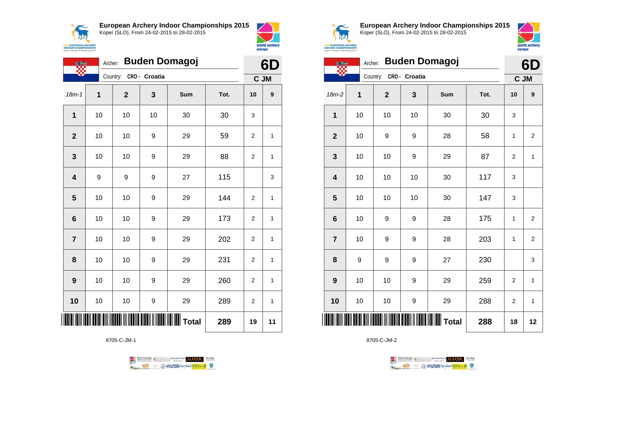



|                         | <b>Buden Domagoj</b><br>Archer:<br><b>OF BRA</b> |              |               |     |      |                |    |
|-------------------------|--------------------------------------------------|--------------|---------------|-----|------|----------------|----|
|                         |                                                  | Country:     | CRO - Croatia |     |      | C JM           |    |
| $18m - 1$               | 1                                                | $\mathbf{2}$ | 3             | Sum | Tot. | 10             | 9  |
| 1                       | 10                                               | 10           | 10            | 30  | 30   | 3              |    |
| $\overline{\mathbf{2}}$ | 10                                               | 10           | 9             | 29  | 59   | 2              | 1  |
| 3                       | 10                                               | 10           | 9             | 29  | 88   | 2              | 1  |
| 4                       | 9                                                | 9            | 9             | 27  | 115  |                | 3  |
| 5                       | 10                                               | 10           | 9             | 29  | 144  | $\overline{2}$ | 1  |
| $\bf 6$                 | 10                                               | 10           | 9             | 29  | 173  | $\overline{2}$ | 1  |
| $\overline{7}$          | 10                                               | 10           | 9             | 29  | 202  | 2              | 1  |
| 8                       | 10                                               | 10           | 9             | 29  | 231  | 2              | 1  |
| 9                       | 10                                               | 10           | 9             | 29  | 260  | 2              | 1  |
| 10                      | 10                                               | 10           | 9             | 29  | 289  | 2              | 1  |
| IIII                    |                                                  |              |               |     | 289  | 19             | 11 |

8705-C-JM-1





**European Archery Indoor Championships 2015** Koper (SLO), From 24-02-2015 to 28-02-2015



 $\overline{\phantom{0}}$ 

|  | <b>EUROPEAN ARCHERY</b>         |  |
|--|---------------------------------|--|
|  | <b>DOR CHAMPIONSHIPS</b>        |  |
|  | - Slovenia, 24-28 February 2015 |  |

|                         | <b>Buden Domagoj</b><br>Archer: |                        |    |     |      |              |                         |
|-------------------------|---------------------------------|------------------------|----|-----|------|--------------|-------------------------|
|                         |                                 | Country: CRO - Croatia |    |     |      | C JM         |                         |
| $18m-2$                 | $\mathbf 1$                     | $\mathbf{2}$           | 3  | Sum | Tot. | 10           | 9                       |
| 1                       | 10                              | 10                     | 10 | 30  | 30   | 3            |                         |
| $\mathbf{2}$            | 10                              | 9                      | 9  | 28  | 58   | 1            | $\overline{\mathbf{c}}$ |
| 3                       | 10                              | 10                     | 9  | 29  | 87   | 2            | 1                       |
| $\overline{\mathbf{4}}$ | 10                              | 10                     | 10 | 30  | 117  | 3            |                         |
| 5                       | 10                              | 10                     | 10 | 30  | 147  | 3            |                         |
| $6\phantom{1}6$         | 10                              | 9                      | 9  | 28  | 175  | 1            | $\overline{\mathbf{c}}$ |
| $\overline{7}$          | 10                              | 9                      | 9  | 28  | 203  | $\mathbf{1}$ | $\mathbf 2$             |
| 8                       | 9                               | 9                      | 9  | 27  | 230  |              | 3                       |
| 9                       | 10                              | 10                     | 9  | 29  | 259  | 2            | 1                       |
| 10                      | 10                              | 10                     | 9  | 29  | 288  | 2            | $\mathbf{1}$            |
|                         |                                 |                        |    |     | 288  | 18           | 12                      |

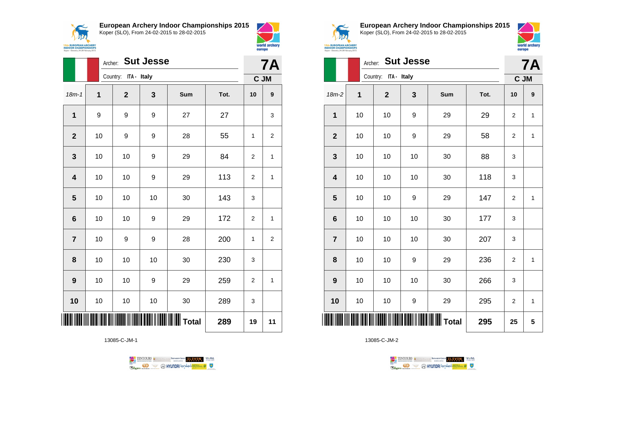



world archery

europe

|                         |              | <b>Sut Jesse</b><br>Archer: |              |       |      |                |                  |  |
|-------------------------|--------------|-----------------------------|--------------|-------|------|----------------|------------------|--|
|                         |              | Country: ITA - Italy        |              |       |      |                | C JM             |  |
| $18m - 1$               | $\mathbf{1}$ | $\mathbf{2}$                | $\mathbf{3}$ | Sum   | Tot. | 10             | $\boldsymbol{9}$ |  |
| $\mathbf{1}$            | 9            | 9                           | 9            | 27    | 27   |                | 3                |  |
| $\mathbf{2}$            | 10           | 9                           | 9            | 28    | 55   | 1              | 2                |  |
| $\mathbf{3}$            | 10           | 10                          | 9            | 29    | 84   | 2              | 1                |  |
| $\overline{\mathbf{4}}$ | 10           | 10                          | 9            | 29    | 113  | 2              | 1                |  |
| 5                       | 10           | 10                          | 10           | 30    | 143  | 3              |                  |  |
| $6\phantom{a}$          | 10           | 10                          | 9            | 29    | 172  | 2              | 1                |  |
| $\overline{7}$          | 10           | 9                           | 9            | 28    | 200  | 1              | 2                |  |
| 8                       | 10           | 10                          | 10           | 30    | 230  | 3              |                  |  |
| 9                       | 10           | 10                          | 9            | 29    | 259  | $\overline{2}$ | $\mathbf{1}$     |  |
| 10                      | 10           | 10                          | 10           | 30    | 289  | 3              |                  |  |
|                         |              |                             |              | Total | 289  | 19             | 11               |  |

13085-C-JM-1





**European Archery Indoor Championships 2015** Koper (SLO), From 24-02-2015 to 28-02-2015



|                         |    | <b>Sut Jesse</b><br>Archer: |    |       |      |                |              |  |  |
|-------------------------|----|-----------------------------|----|-------|------|----------------|--------------|--|--|
|                         |    | Country: ITA - Italy        |    |       |      |                | C JM         |  |  |
| $18m-2$                 | 1  | $\mathbf 2$                 | 3  | Sum   | Tot. | 10             | 9            |  |  |
| 1                       | 10 | 10                          | 9  | 29    | 29   | $\overline{c}$ | 1            |  |  |
| $\mathbf{2}$            | 10 | 10                          | 9  | 29    | 58   | $\overline{2}$ | 1            |  |  |
| 3                       | 10 | 10                          | 10 | 30    | 88   | 3              |              |  |  |
| $\overline{\mathbf{4}}$ | 10 | 10                          | 10 | 30    | 118  | 3              |              |  |  |
| 5                       | 10 | 10                          | 9  | 29    | 147  | $\overline{c}$ | 1            |  |  |
| $\bf 6$                 | 10 | 10                          | 10 | 30    | 177  | 3              |              |  |  |
| $\overline{7}$          | 10 | 10                          | 10 | 30    | 207  | 3              |              |  |  |
| 8                       | 10 | 10                          | 9  | 29    | 236  | $\overline{2}$ | $\mathbf{1}$ |  |  |
| 9                       | 10 | 10                          | 10 | 30    | 266  | 3              |              |  |  |
| 10                      | 10 | 10                          | 9  | 29    | 295  | 2              | $\mathbf{1}$ |  |  |
| ║║║                     |    |                             |    | Total | 295  | 25             | 5            |  |  |

TENTOURS **(i)** CONSIDER DEVELOPS OF THE VEDA **Example 2** @ HYUNDAI lansed **State 4** U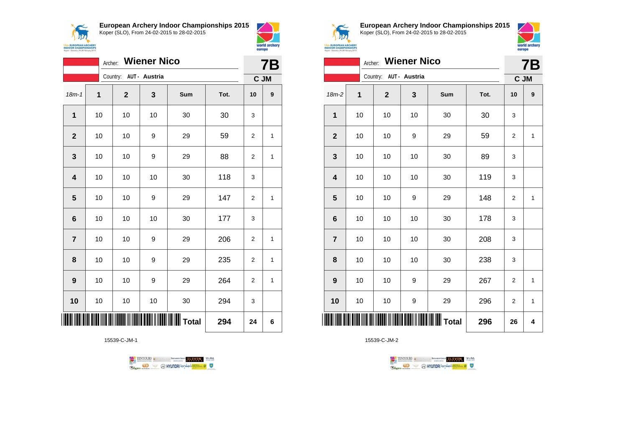

**European Archery Indoor Championships 2015**



|                | <b>Wiener Nico</b><br>Archer: |                        |    |                   |      |                |              |  |
|----------------|-------------------------------|------------------------|----|-------------------|------|----------------|--------------|--|
|                |                               | Country: AUT - Austria |    |                   |      | C JM           |              |  |
| $18m - 1$      | $\mathbf 1$                   | $\mathbf{2}$           | 3  | Sum               | Tot. | 10             | 9            |  |
| $\mathbf{1}$   | 10                            | 10                     | 10 | 30                | 30   | 3              |              |  |
| $\mathbf{2}$   | 10                            | 10                     | 9  | 29                | 59   | 2              | 1            |  |
| 3              | 10                            | 10                     | 9  | 29                | 88   | $\overline{2}$ | 1            |  |
| 4              | 10                            | 10                     | 10 | 30                | 118  | 3              |              |  |
| 5              | 10                            | 10                     | 9  | 29                | 147  | $\overline{2}$ | 1            |  |
| 6              | 10                            | 10                     | 10 | 30                | 177  | 3              |              |  |
| $\overline{7}$ | 10                            | 10                     | 9  | 29                | 206  | 2              | 1            |  |
| 8              | 10                            | 10                     | 9  | 29                | 235  | 2              | $\mathbf{1}$ |  |
| 9              | 10                            | 10                     | 9  | 29                | 264  | 2              | 1            |  |
| 10             | 10                            | 10                     | 10 | 30                | 294  | 3              |              |  |
| Ш              |                               |                        |    | $\parallel$ Total | 294  | 24             | 6            |  |

15539-C-JM-1





world archery

europe

**European Archery Indoor Championships 2015** Koper (SLO), From 24-02-2015 to 28-02-2015



|                         |             | Archer:                | <b>Wiener Nico</b> |     |      |                | <b>7B</b>    |
|-------------------------|-------------|------------------------|--------------------|-----|------|----------------|--------------|
|                         |             | Country: AUT - Austria |                    |     |      | C JM           |              |
| $18m-2$                 | $\mathbf 1$ | $\mathbf{2}$           | 3                  | Sum | Tot. | 10             | 9            |
| 1                       | 10          | 10                     | 10                 | 30  | 30   | 3              |              |
| $\mathbf{2}$            | 10          | 10                     | 9                  | 29  | 59   | $\overline{2}$ | $\mathbf{1}$ |
| 3                       | 10          | 10                     | 10                 | 30  | 89   | 3              |              |
| $\overline{\mathbf{4}}$ | 10          | 10                     | 10                 | 30  | 119  | 3              |              |
| 5                       | 10          | 10                     | 9                  | 29  | 148  | $\overline{2}$ | $\mathbf{1}$ |
| $\bf 6$                 | 10          | 10                     | 10                 | 30  | 178  | 3              |              |
| $\overline{7}$          | 10          | 10                     | 10                 | 30  | 208  | 3              |              |
| 8                       | 10          | 10                     | 10                 | 30  | 238  | 3              |              |
| $\boldsymbol{9}$        | 10          | 10                     | 9                  | 29  | 267  | 2              | 1            |
| 10                      | 10          | 10                     | 9                  | 29  | 296  | $\overline{2}$ | $\mathbf{1}$ |
|                         |             |                        |                    |     | 296  | 26             | 4            |

TENTOURS **(i)** CONSIDER DEVELOPS OF THE VEDA **Example 2** @ HYUNDAI lansed **State 4** U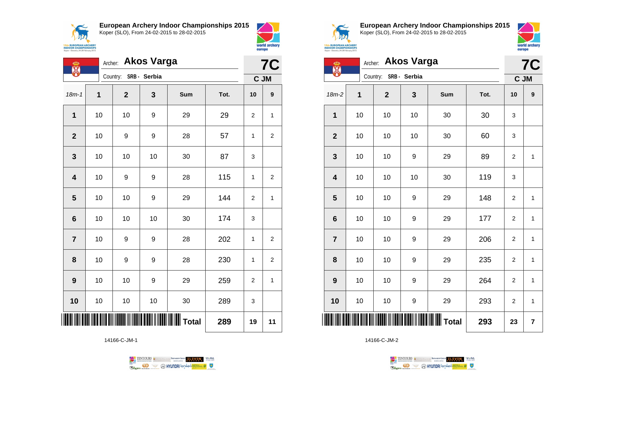



| ക                               | <b>Akos Varga</b><br>Archer:<br>X |                       |    |     |      |                |                |  |
|---------------------------------|-----------------------------------|-----------------------|----|-----|------|----------------|----------------|--|
|                                 |                                   | Country: SRB - Serbia |    |     |      | C JM           |                |  |
| $18m - 1$                       | 1                                 | $\mathbf{2}$          | 3  | Sum | Tot. | 10             | 9              |  |
| $\mathbf 1$                     | 10                                | 10                    | 9  | 29  | 29   | $\overline{2}$ | 1              |  |
| $\mathbf{2}$                    | 10                                | 9                     | 9  | 28  | 57   | 1              | $\overline{2}$ |  |
| 3                               | 10                                | 10                    | 10 | 30  | 87   | 3              |                |  |
| $\overline{\mathbf{4}}$         | 10                                | 9                     | 9  | 28  | 115  | $\mathbf{1}$   | $\overline{2}$ |  |
| 5                               | 10                                | 10                    | 9  | 29  | 144  | $\overline{2}$ | 1              |  |
| $6\phantom{1}6$                 | 10                                | 10                    | 10 | 30  | 174  | 3              |                |  |
| $\overline{7}$                  | 10                                | 9                     | 9  | 28  | 202  | 1              | $\overline{c}$ |  |
| 8                               | 10                                | 9                     | 9  | 28  | 230  | 1              | 2              |  |
| 9                               | 10                                | 10                    | 9  | 29  | 259  | $\overline{2}$ | $\mathbf{1}$   |  |
| 10                              | 10                                | 10                    | 10 | 30  | 289  | 3              |                |  |
| IIIIIIIIIIIIIIIIII Total<br>289 |                                   |                       |    |     |      |                | 11             |  |

14166-C-JM-1





**European Archery Indoor Championships 2015** Koper (SLO), From 24-02-2015 to 28-02-2015



 $\overline{I}$ 

| <b>EAN ARCHERY</b><br><b>AMPIONSHIPS</b><br>4-28 February 2015 |         |            |
|----------------------------------------------------------------|---------|------------|
|                                                                | Archar: | Akos Varga |

| W              | AIGHT.<br>Anvo varga |                       |     |     |      |                |   |  |
|----------------|----------------------|-----------------------|-----|-----|------|----------------|---|--|
|                |                      | Country: SRB - Serbia |     |     |      | C JM           |   |  |
| $18m-2$        | 1                    | $\mathbf 2$           | 3   | Sum | Tot. | 10             | 9 |  |
| 1              | 10                   | 10                    | 10  | 30  | 30   | 3              |   |  |
| $\mathbf{2}$   | 10                   | 10                    | 10  | 30  | 60   | 3              |   |  |
| $\mathbf{3}$   | 10                   | 10                    | 9   | 29  | 89   | 2              | 1 |  |
| 4              | $10$                 | 10                    | 10  | 30  | 119  | 3              |   |  |
| 5              | 10                   | 10                    | 9   | 29  | 148  | 2              | 1 |  |
| 6              | $10$                 | 10                    | 9   | 29  | 177  | $\overline{c}$ | 1 |  |
| $\overline{7}$ | 10                   | $10$                  | 9   | 29  | 206  | 2              | 1 |  |
| 8              | 10                   | 10                    | 9   | 29  | 235  | 2              | 1 |  |
| 9              | 10                   | 10                    | 9   | 29  | 264  | 2              | 1 |  |
| 10             | 10                   | $10$                  | 9   | 29  | 293  | 2              | 1 |  |
|                |                      |                       | 293 | 23  | 7    |                |   |  |

TENTOURS **(i)** CONSIDER DEVELOPS OF THE VEDA **Example 2** @ HYUNDAI lansed **State 4** U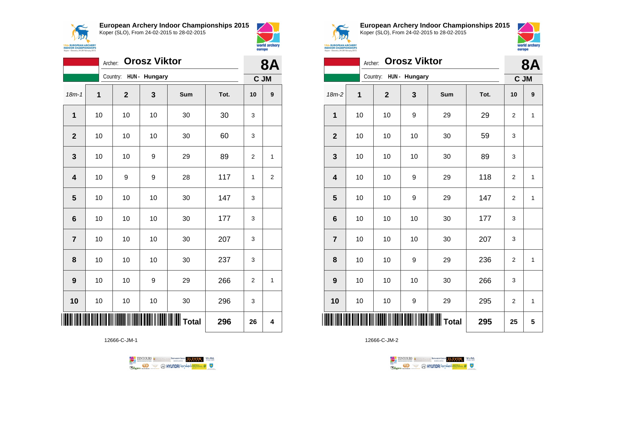

**European Archery Indoor Championships 2015**





|                         | Archer: |                        | <b>Orosz Viktor</b> |       |      | <b>8A</b>      |                |
|-------------------------|---------|------------------------|---------------------|-------|------|----------------|----------------|
|                         |         | Country: HUN - Hungary |                     |       |      |                | C JM           |
| $18m - 1$               | 1       | $\mathbf 2$            | 3                   | Sum   | Tot. | 10             | 9              |
| 1                       | 10      | 10                     | 10                  | 30    | 30   | 3              |                |
| $\mathbf{2}$            | 10      | 10                     | 10                  | 30    | 60   | 3              |                |
| 3                       | 10      | 10                     | 9                   | 29    | 89   | $\overline{2}$ | 1              |
| $\overline{\mathbf{4}}$ | 10      | 9                      | 9                   | 28    | 117  | 1              | $\overline{c}$ |
| $\overline{\mathbf{5}}$ | 10      | 10                     | 10                  | 30    | 147  | 3              |                |
| 6                       | 10      | 10                     | 10                  | 30    | 177  | 3              |                |
| $\overline{\mathbf{r}}$ | 10      | 10                     | 10                  | 30    | 207  | 3              |                |
| 8                       | 10      | 10                     | 10                  | 30    | 237  | 3              |                |
| 9                       | 10      | 10                     | 9                   | 29    | 266  | 2              | 1              |
| 10                      | 10      | 10                     | 10                  | 30    | 296  | 3              |                |
|                         |         |                        |                     | Total | 296  | 26             | 4              |

12666-C-JM-1





**European Archery Indoor Championships 2015** Koper (SLO), From 24-02-2015 to 28-02-2015



|                  | Archer: |                        | <b>Orosz Viktor</b> |              |      | <b>8A</b>        |                  |
|------------------|---------|------------------------|---------------------|--------------|------|------------------|------------------|
|                  |         | Country: HUN - Hungary |                     |              |      | C JM             |                  |
| $18m-2$          | 1       | $\mathbf{2}$           | 3                   | Sum          | Tot. | 10               | $\boldsymbol{9}$ |
| 1                | 10      | 10                     | 9                   | 29           | 29   | 2                | 1                |
| $\mathbf{2}$     | 10      | 10                     | 10                  | 30           | 59   | 3                |                  |
| 3                | 10      | 10                     | 10                  | 30           | 89   | 3                |                  |
| 4                | 10      | 10                     | 9                   | 29           | 118  | $\boldsymbol{2}$ | $\mathbf{1}$     |
| 5                | 10      | 10                     | 9                   | 29           | 147  | 2                | 1                |
| $6\phantom{1}6$  | 10      | 10                     | 10                  | 30           | 177  | 3                |                  |
| $\overline{7}$   | 10      | 10                     | 10                  | 30           | 207  | 3                |                  |
| 8                | 10      | 10                     | 9                   | 29           | 236  | $\overline{2}$   | $\mathbf{1}$     |
| $\boldsymbol{9}$ | 10      | 10                     | 10                  | 30           | 266  | 3                |                  |
| 10               | 10      | 10                     | 9                   | 29           | 295  | 2                | 1                |
| Ⅲ                |         |                        |                     | <b>Total</b> | 295  | 25               | 5                |

12666-C-JM-2

TENTOURS GENERAL BRASIDINGSOUP ELEVEN WERE **Example 2** @ HYUNDAI lansed **State 4** U

 $\perp$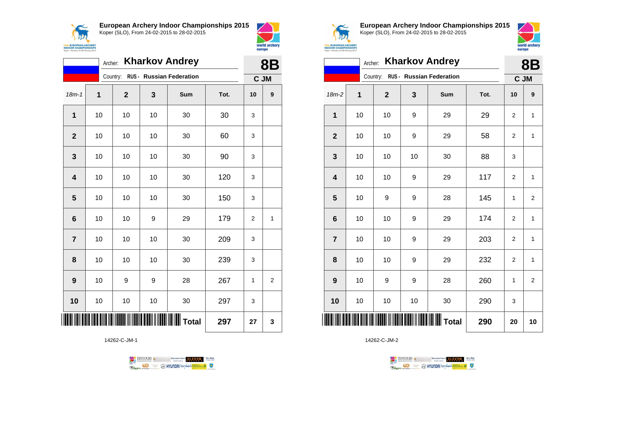



|                         | Archer: |             |    | <b>Kharkov Andrey</b>    |      | <b>8B</b>      |                |
|-------------------------|---------|-------------|----|--------------------------|------|----------------|----------------|
|                         |         | Country:    |    | RUS - Russian Federation |      | C JM           |                |
| $18m - 1$               | 1       | $\mathbf 2$ | 3  | Sum                      | Tot. | 10             | 9              |
| $\mathbf{1}$            | 10      | 10          | 10 | 30                       | 30   | 3              |                |
| $\mathbf{2}$            | 10      | 10          | 10 | 30                       | 60   | 3              |                |
| 3                       | 10      | 10          | 10 | 30                       | 90   | 3              |                |
| $\overline{\mathbf{4}}$ | 10      | 10          | 10 | 30                       | 120  | 3              |                |
| 5                       | 10      | 10          | 10 | 30                       | 150  | 3              |                |
| $6\phantom{1}$          | 10      | 10          | 9  | 29                       | 179  | $\overline{2}$ | 1              |
| $\overline{7}$          | 10      | 10          | 10 | 30                       | 209  | 3              |                |
| 8                       | 10      | 10          | 10 | 30                       | 239  | 3              |                |
| 9                       | 10      | 9           | 9  | 28                       | 267  | 1              | $\overline{2}$ |
| 10                      | 10      | 10          | 10 | 30                       | 297  | 3              |                |
| Ш                       |         |             |    |                          | 297  | 27             | 3              |

14262-C-JM-1





**European Archery Indoor Championships 2015** Koper (SLO), From 24-02-2015 to 28-02-2015



|                         | Archer: |              |    | <b>Kharkov Andrey</b>             |      |                | <b>8B</b>      |
|-------------------------|---------|--------------|----|-----------------------------------|------|----------------|----------------|
|                         |         |              |    | Country: RUS - Russian Federation |      | C JM           |                |
| $18m-2$                 | 1       | $\mathbf{2}$ | 3  | Sum                               | Tot. | 10             | 9              |
| 1                       | 10      | 10           | 9  | 29                                | 29   | 2              | 1              |
| $\mathbf{2}$            | 10      | 10           | 9  | 29                                | 58   | 2              | 1              |
| 3                       | 10      | 10           | 10 | 30                                | 88   | 3              |                |
| $\overline{\mathbf{4}}$ | 10      | 10           | 9  | 29                                | 117  | $\overline{2}$ | 1              |
| 5                       | 10      | 9            | 9  | 28                                | 145  | 1              | $\overline{2}$ |
| $6\phantom{1}6$         | 10      | 10           | 9  | 29                                | 174  | $\overline{2}$ | $\mathbf{1}$   |
| $\overline{7}$          | 10      | 10           | 9  | 29                                | 203  | $\overline{2}$ | $\mathbf{1}$   |
| 8                       | 10      | 10           | 9  | 29                                | 232  | $\overline{2}$ | 1              |
| 9                       | 10      | 9            | 9  | 28                                | 260  | 1              | 2              |
| 10                      | 10      | 10           | 10 | 30                                | 290  | 3              |                |
| IIII                    |         |              |    |                                   | 290  | 20             | 10             |

TENTOURS **(i)** CONSIDER DEVELOPS OF THE VEDA **B** MYUNDAI Tonsed **Williams 9 Regin**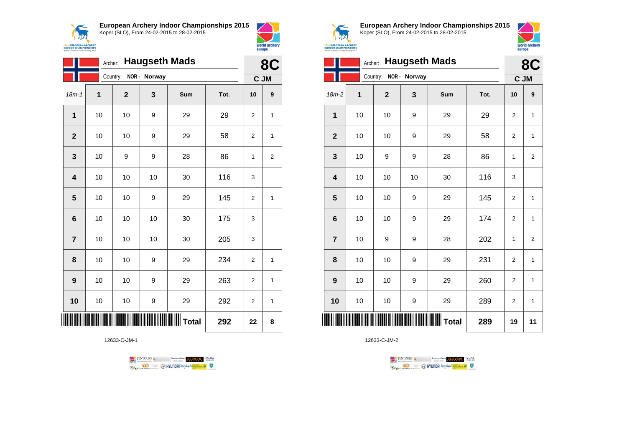



|                 | Archer: |             |              | <b>Haugseth Mads</b> |      | 8C             |                |
|-----------------|---------|-------------|--------------|----------------------|------|----------------|----------------|
|                 |         | Country:    | NOR - Norway |                      |      |                | C JM           |
| $18m - 1$       | 1       | $\mathbf 2$ | 3            | Sum                  | Tot. | 10             | 9              |
| $\mathbf{1}$    | 10      | 10          | 9            | 29                   | 29   | 2              | 1              |
| $\mathbf{2}$    | 10      | 10          | 9            | 29                   | 58   | $\overline{2}$ | 1              |
| 3               | 10      | 9           | 9            | 28                   | 86   | 1              | $\overline{c}$ |
| 4               | 10      | 10          | 10           | 30                   | 116  | 3              |                |
| 5               | 10      | 10          | 9            | 29                   | 145  | 2              | 1              |
| $6\phantom{1}6$ | 10      | 10          | 10           | 30                   | 175  | 3              |                |
| $\overline{7}$  | 10      | 10          | 10           | 30                   | 205  | 3              |                |
| 8               | 10      | 10          | 9            | 29                   | 234  | 2              | 1              |
| 9               | 10      | 10          | 9            | 29                   | 263  | 2              | 1              |
| 10              | 10      | 10          | 9            | 29                   | 292  | $\overline{2}$ | 1              |
|                 |         |             |              | <b>IIII</b> Total    | 292  | 22             | 8              |

12633-C-JM-1





**European Archery Indoor Championships 2015** Koper (SLO), From 24-02-2015 to 28-02-2015



 $\overline{\phantom{a}}$ 

| ЗΙХ                                                  |  |
|------------------------------------------------------|--|
| <b>ROPEAN ARCHERY</b>                                |  |
| <b>R CHAMPIONSHIPS</b><br>wenia, 24-28 February 2015 |  |
|                                                      |  |

|                 | Archer: |                       |    | <b>Haugseth Mads</b> |      | 8C             |                |
|-----------------|---------|-----------------------|----|----------------------|------|----------------|----------------|
|                 |         | Country: NOR - Norway |    |                      |      |                | C JM           |
| 18m-2           | 1       | $\mathbf{2}$          | 3  | Sum                  | Tot. | 10             | 9              |
| $\mathbf 1$     | 10      | 10                    | 9  | 29                   | 29   | 2              | 1              |
| $\overline{2}$  | 10      | 10                    | 9  | 29                   | 58   | 2              | 1              |
| 3               | 10      | 9                     | 9  | 28                   | 86   | 1              | $\overline{2}$ |
| 4               | 10      | 10                    | 10 | 30                   | 116  | 3              |                |
| 5               | 10      | 10                    | 9  | 29                   | 145  | $\overline{2}$ | $\mathbf{1}$   |
| $6\phantom{1}6$ | 10      | 10                    | 9  | 29                   | 174  | $\overline{2}$ | $\mathbf{1}$   |
| $\overline{7}$  | 10      | 9                     | 9  | 28                   | 202  | 1              | $\overline{2}$ |
| 8               | 10      | 10                    | 9  | 29                   | 231  | $\overline{2}$ | 1              |
| 9               | 10      | 10                    | 9  | 29                   | 260  | $\overline{2}$ | 1              |
| 10              | 10      | 10                    | 9  | 29                   | 289  | $\overline{2}$ | 1              |
| IIII            |         |                       |    | <b>WWW</b> Total     | 289  | 19             | 11             |

TENTOURS **(i)** CONSIDER DEVELOPS OF THE VEDA **Example 2** @ HYUNDAI lansed **State 4** U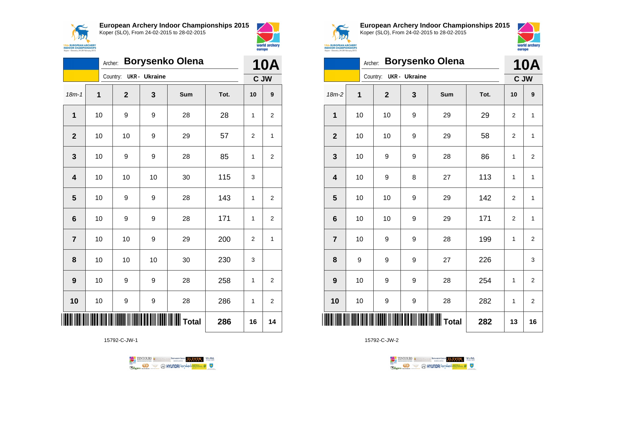



|                         | Archer: |              |                      | <b>Borysenko Olena</b> |      | <b>10A</b>     |                |
|-------------------------|---------|--------------|----------------------|------------------------|------|----------------|----------------|
|                         |         | Country:     | <b>UKR</b> - Ukraine |                        |      |                | C JW           |
| $18m - 1$               | 1       | $\mathbf{2}$ | 3                    | Sum                    | Tot. | 10             | 9              |
| 1                       | 10      | 9            | 9                    | 28                     | 28   | 1              | $\overline{2}$ |
| $\overline{2}$          | 10      | 10           | 9                    | 29                     | 57   | 2              | 1              |
| 3                       | 10      | 9            | 9                    | 28                     | 85   | 1              | 2              |
| $\overline{\mathbf{4}}$ | 10      | 10           | 10                   | 30                     | 115  | 3              |                |
| 5                       | 10      | 9            | 9                    | 28                     | 143  | 1              | $\overline{2}$ |
| 6                       | 10      | 9            | 9                    | 28                     | 171  | 1              | $\overline{2}$ |
| $\overline{7}$          | 10      | 10           | 9                    | 29                     | 200  | $\overline{2}$ | 1              |
| 8                       | 10      | 10           | 10                   | 30                     | 230  | 3              |                |
| 9                       | 10      | 9            | 9                    | 28                     | 258  | 1              | 2              |
| 10                      | 10      | 9            | 9                    | 28                     | 286  | 1              | 2              |
|                         |         |              |                      |                        | 286  | 16             | 14             |

15792-C-JW-1





**European Archery Indoor Championships 2015** Koper (SLO), From 24-02-2015 to 28-02-2015



|                         | Archer: |             |               | <b>Borysenko Olena</b> |      | <b>10A</b>     |                         |
|-------------------------|---------|-------------|---------------|------------------------|------|----------------|-------------------------|
|                         |         | Country:    | UKR - Ukraine |                        |      |                | C JW                    |
| $18m-2$                 | 1       | $\mathbf 2$ | 3             | Sum                    | Tot. | 10             | 9                       |
| 1                       | 10      | 10          | 9             | 29                     | 29   | $\overline{2}$ | $\mathbf 1$             |
| $\overline{2}$          | 10      | 10          | 9             | 29                     | 58   | $\overline{2}$ | 1                       |
| 3                       | 10      | 9           | 9             | 28                     | 86   | 1              | 2                       |
| $\overline{\mathbf{4}}$ | 10      | 9           | 8             | 27                     | 113  | $\mathbf{1}$   | $\mathbf{1}$            |
| 5                       | 10      | 10          | 9             | 29                     | 142  | 2              | 1                       |
| $6\phantom{1}6$         | 10      | 10          | 9             | 29                     | 171  | $\overline{2}$ | $\mathbf{1}$            |
| $\overline{7}$          | 10      | 9           | 9             | 28                     | 199  | 1              | $\overline{\mathbf{c}}$ |
| 8                       | 9       | 9           | 9             | 27                     | 226  |                | 3                       |
| 9                       | 10      | 9           | 9             | 28                     | 254  | 1              | $\overline{\mathbf{c}}$ |
| 10                      | 10      | 9           | 9             | 28                     | 282  | 1              | $\overline{2}$          |
| ║║                      |         |             |               |                        | 282  | 13             | 16                      |

TENTOURS **(i)** CONSIDER DEVELOPS OF THE VEDA **B** MYUNDAI Tonsed **Williams 9** Ragm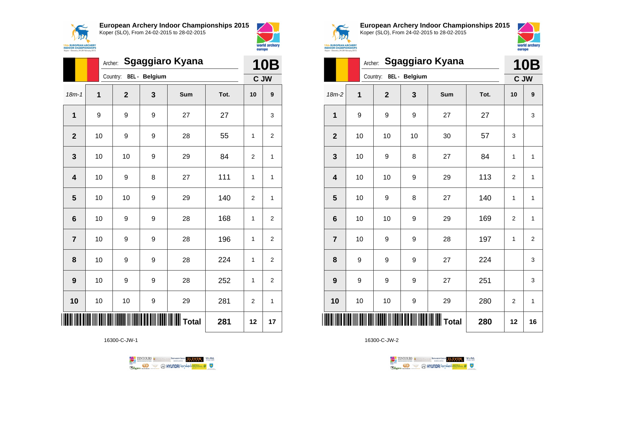



world archery

europe

|                         | Archer:     | <b>Sgaggiaro Kyana</b>                     |   |                       | <b>10B</b> |                |                |
|-------------------------|-------------|--------------------------------------------|---|-----------------------|------------|----------------|----------------|
|                         |             | Country: BEL - Belgium                     |   |                       |            |                | C JW           |
| $18m - 1$               | $\mathbf 1$ | $\mathbf 2$                                | 3 | Sum                   | Tot.       | 10             | 9              |
| 1                       | 9           | 9                                          | 9 | 27                    | 27         |                | 3              |
| $\overline{2}$          | 10          | 9                                          | 9 | 28                    | 55         | 1              | 2              |
| 3                       | 10          | 10                                         | 9 | 29                    | 84         | $\overline{2}$ | 1              |
| $\overline{\mathbf{4}}$ | 10          | 9                                          | 8 | 27                    | 111        | 1              | 1              |
| $\overline{\mathbf{5}}$ | 10          | 10                                         | 9 | 29                    | 140        | $\overline{2}$ | 1              |
| 6                       | 10          | 9                                          | 9 | 28                    | 168        | 1              | 2              |
| $\overline{7}$          | 10          | 9                                          | 9 | 28                    | 196        | 1              | 2              |
| 8                       | 10          | 9                                          | 9 | 28                    | 224        | 1              | $\overline{2}$ |
| 9                       | 10          | 9                                          | 9 | 28                    | 252        | 1              | $\overline{2}$ |
| 10                      | 10          | 10                                         | 9 | 29                    | 281        | 2              | 1              |
| ║║                      |             | <u>                                   </u> |   | <b>IIIIIIII</b> Total | 281        | 12             | 17             |

16300-C-JW-1





**European Archery Indoor Championships 2015** Koper (SLO), From 24-02-2015 to 28-02-2015



|                | <b>Sgaggiaro Kyana</b><br>Archer: |              |               |                  |      |                |                    |  |
|----------------|-----------------------------------|--------------|---------------|------------------|------|----------------|--------------------|--|
|                |                                   | Country:     | BEL - Belgium |                  |      |                | <b>10B</b><br>C JW |  |
| $18m-2$        | 1                                 | $\mathbf{2}$ | 3             | Sum              | Tot. | 10             | 9                  |  |
| 1              | 9                                 | 9            | 9             | 27               | 27   |                | 3                  |  |
| $\mathbf{2}$   | 10                                | 10           | 10            | 30               | 57   | 3              |                    |  |
| 3              | 10                                | 9            | 8             | 27               | 84   | 1              | $\mathbf{1}$       |  |
| 4              | 10                                | 10           | 9             | 29               | 113  | 2              | 1                  |  |
| 5              | 10                                | 9            | 8             | 27               | 140  | 1              | 1                  |  |
| 6              | 10                                | 10           | 9             | 29               | 169  | $\overline{2}$ | 1                  |  |
| $\overline{7}$ | 10                                | 9            | 9             | 28               | 197  | 1              | $\overline{2}$     |  |
| 8              | 9                                 | 9            | 9             | 27               | 224  |                | 3                  |  |
| 9              | 9                                 | 9            | 9             | 27               | 251  |                | 3                  |  |
| 10             | 10                                | 10           | 9             | 29               | 280  | $\overline{2}$ | 1                  |  |
| ║║║            |                                   |              |               | <b>WII</b> Total | 280  | 12             | 16                 |  |

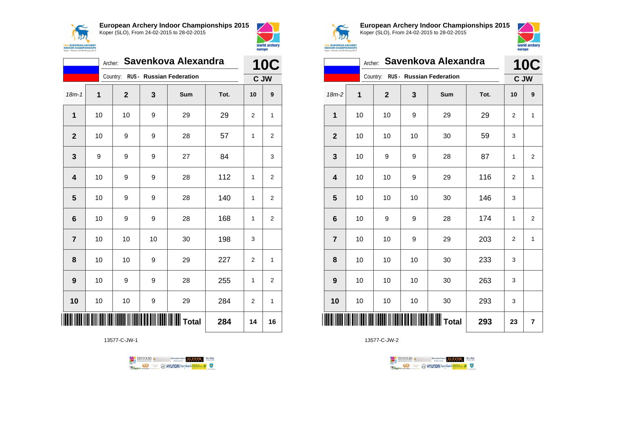



|                  | Archer: |                         |    | Savenkova Alexandra               |      | <b>10C</b>     |                |
|------------------|---------|-------------------------|----|-----------------------------------|------|----------------|----------------|
|                  |         |                         |    | Country: RUS - Russian Federation |      |                | C JW           |
| $18m - 1$        | 1       | $\overline{\mathbf{2}}$ | 3  | Sum                               | Tot. | 10             | 9              |
| 1                | 10      | 10                      | 9  | 29                                | 29   | 2              | 1              |
| $\overline{2}$   | 10      | 9                       | 9  | 28                                | 57   | 1              | $\overline{2}$ |
| 3                | 9       | 9                       | 9  | 27                                | 84   |                | 3              |
| 4                | 10      | 9                       | 9  | 28                                | 112  | 1              | $\overline{2}$ |
| 5                | 10      | 9                       | 9  | 28                                | 140  | 1              | $\overline{2}$ |
| 6                | 10      | 9                       | 9  | 28                                | 168  | 1              | $\overline{2}$ |
| $\overline{7}$   | 10      | 10                      | 10 | 30                                | 198  | 3              |                |
| 8                | 10      | 10                      | 9  | 29                                | 227  | $\overline{2}$ | 1              |
| $\boldsymbol{9}$ | 10      | 9                       | 9  | 28                                | 255  | 1              | $\overline{2}$ |
| 10               | 10      | 10                      | 9  | 29                                | 284  | 2              | 1              |
|                  |         |                         |    | <b>WILLE</b> Total                | 284  | 14             | 16             |

13577-C-JW-1

TENTOURS of BENJAMING COUP ELEVEN VEBA **OD SOUTHERRY AND STATES OF THE STATES OF STATES** Ragun



**European Archery Indoor Championships 2015** Koper (SLO), From 24-02-2015 to 28-02-2015



|                         |    |              |    | Archer: Savenkova Alexandra       |      | 10<br>C        |                |
|-------------------------|----|--------------|----|-----------------------------------|------|----------------|----------------|
|                         |    |              |    | Country: RUS - Russian Federation |      | C JW           |                |
| $18m-2$                 | 1  | $\mathbf{2}$ | 3  | Sum                               | Tot. | 10             | 9              |
| $\mathbf{1}$            | 10 | 10           | 9  | 29                                | 29   | $\overline{2}$ | 1              |
| $\mathbf{2}$            | 10 | 10           | 10 | 30                                | 59   | 3              |                |
| 3                       | 10 | 9            | 9  | 28                                | 87   | 1              | 2              |
| $\overline{\mathbf{4}}$ | 10 | 10           | 9  | 29                                | 116  | 2              | $\mathbf{1}$   |
| 5                       | 10 | 10           | 10 | 30                                | 146  | 3              |                |
| 6                       | 10 | 9            | 9  | 28                                | 174  | 1              | $\overline{2}$ |
| $\overline{7}$          | 10 | 10           | 9  | 29                                | 203  | $\overline{2}$ | $\mathbf{1}$   |
| 8                       | 10 | 10           | 10 | 30                                | 233  | 3              |                |
| 9                       | 10 | 10           | 10 | 30                                | 263  | 3              |                |
| 10                      | 10 | 10           | 10 | 30                                | 293  | 3              |                |
|                         |    |              |    | Total                             | 293  | 23             | 7              |

TENTOURS **(i)** CONSIDER DEVELOPS OF THE VEDA **B** MYUNDAI Tonsed **Williams 9** Ragm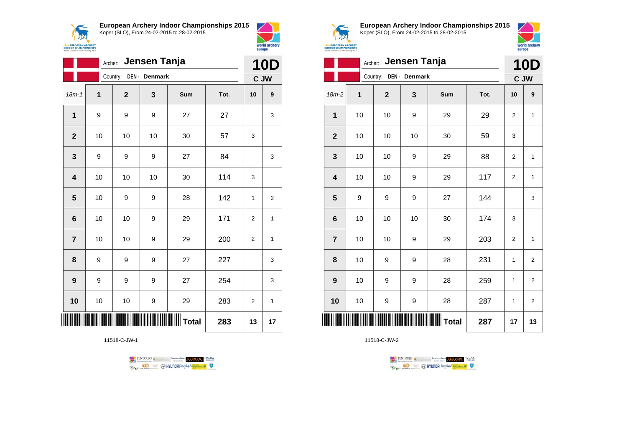



|                         | Archer: |              | Jensen Tanja  |                  |      | <b>10D</b>     |                |
|-------------------------|---------|--------------|---------------|------------------|------|----------------|----------------|
|                         |         | Country:     | DEN - Denmark |                  |      |                | C JW           |
| $18m - 1$               | 1       | $\mathbf{2}$ | 3             | Sum              | Tot. | 10             | 9              |
| $\mathbf 1$             | 9       | 9            | 9             | 27               | 27   |                | 3              |
| $\mathbf{2}$            | 10      | 10           | 10            | 30               | 57   | 3              |                |
| $\mathbf{3}$            | 9       | 9            | 9             | 27               | 84   |                | 3              |
| $\overline{\mathbf{4}}$ | 10      | 10           | 10            | 30               | 114  | 3              |                |
| 5                       | 10      | 9            | 9             | 28               | 142  | $\mathbf{1}$   | $\overline{2}$ |
| $6\phantom{1}6$         | 10      | 10           | 9             | 29               | 171  | $\overline{2}$ | 1              |
| $\overline{7}$          | 10      | 10           | 9             | 29               | 200  | 2              | 1              |
| 8                       | 9       | 9            | 9             | 27               | 227  |                | 3              |
| $\boldsymbol{9}$        | 9       | 9            | 9             | 27               | 254  |                | 3              |
| 10                      | 10      | 10           | 9             | 29               | 283  | $\overline{2}$ | 1              |
|                         |         |              |               | <b>WWW</b> Total | 283  | 13             | 17             |

11518-C-JW-1





**European Archery Indoor Championships 2015** Koper (SLO), From 24-02-2015 to 28-02-2015



**10D** 

| <b>EUROPEAN ARCHERY</b><br><b>OOR CHAMPIONSHIPS</b> |  |
|-----------------------------------------------------|--|
| r - Slovenia 24-28 February 2015                    |  |

|                  |    | Archer:      | Jensen Tanja  |       |      | <b>10D</b>       |                         |
|------------------|----|--------------|---------------|-------|------|------------------|-------------------------|
|                  |    | Country:     | DEN - Denmark |       |      | C JW             |                         |
| $18m-2$          | 1  | $\mathbf{2}$ | 3             | Sum   | Tot. | 10               | 9                       |
| 1                | 10 | 10           | 9             | 29    | 29   | $\boldsymbol{2}$ | 1                       |
| $\mathbf{2}$     | 10 | 10           | 10            | 30    | 59   | 3                |                         |
| 3                | 10 | 10           | 9             | 29    | 88   | 2                | 1                       |
| 4                | 10 | 10           | 9             | 29    | 117  | 2                | $\mathbf{1}$            |
| 5                | 9  | 9            | 9             | 27    | 144  |                  | 3                       |
| $6\phantom{1}6$  | 10 | 10           | 10            | 30    | 174  | 3                |                         |
| $\overline{7}$   | 10 | 10           | 9             | 29    | 203  | $\overline{2}$   | $\mathbf 1$             |
| 8                | 10 | 9            | 9             | 28    | 231  | 1                | $\overline{\mathbf{c}}$ |
| $\boldsymbol{9}$ | 10 | 9            | 9             | 28    | 259  | 1                | $\overline{2}$          |
| 10               | 10 | 9            | 9             | 28    | 287  | 1                | $\overline{\mathbf{c}}$ |
| Ⅲ                |    |              |               | Total | 287  | 17               | 13                      |

TENTOURS GENERAL BEXTRONGENT FUEVEN. WEBA

**Example 2** @ HYUNDAI lansed **State 4** U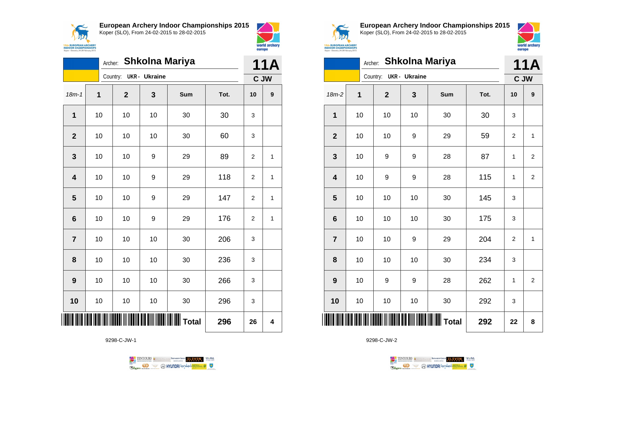



|                |             | Archer:                |    | <b>Shkolna Mariya</b> |      | <b>11A</b>     |      |
|----------------|-------------|------------------------|----|-----------------------|------|----------------|------|
|                |             | Country: UKR - Ukraine |    |                       |      |                | C JW |
| $18m - 1$      | $\mathbf 1$ | $\mathbf 2$            | 3  | Sum                   | Tot. | 10             | 9    |
| 1              | 10          | 10                     | 10 | 30                    | 30   | 3              |      |
| $\mathbf{2}$   | 10          | 10                     | 10 | 30                    | 60   | 3              |      |
| 3              | 10          | 10                     | 9  | 29                    | 89   | $\overline{2}$ | 1    |
| 4              | 10          | 10                     | 9  | 29                    | 118  | 2              | 1    |
| 5              | 10          | 10                     | 9  | 29                    | 147  | 2              | 1    |
| 6              | 10          | 10                     | 9  | 29                    | 176  | $\overline{2}$ | 1    |
| $\overline{7}$ | 10          | 10                     | 10 | 30                    | 206  | 3              |      |
| 8              | 10          | 10                     | 10 | 30                    | 236  | 3              |      |
| 9              | 10          | 10                     | 10 | 30                    | 266  | 3              |      |
| 10             | 10          | 10                     | 10 | 30                    | 296  | 3              |      |
|                |             |                        |    | <b>WW</b> Total       | 296  | 26             | 4    |

9298-C-JW-1





**European Archery Indoor Championships 2015** Koper (SLO), From 24-02-2015 to 28-02-2015



|                         |             | Archer:     |                      | <b>Shkolna Mariya</b> |      | 11A            |                         |
|-------------------------|-------------|-------------|----------------------|-----------------------|------|----------------|-------------------------|
|                         |             | Country:    | <b>UKR</b> - Ukraine |                       |      | C JW           |                         |
| $18m-2$                 | $\mathbf 1$ | $\mathbf 2$ | 3                    | Sum                   | Tot. | 10             | 9                       |
| 1                       | 10          | 10          | 10                   | 30                    | 30   | 3              |                         |
| $\overline{2}$          | 10          | 10          | 9                    | 29                    | 59   | $\overline{2}$ | 1                       |
| 3                       | 10          | 9           | 9                    | 28                    | 87   | 1              | 2                       |
| $\overline{\mathbf{4}}$ | 10          | 9           | 9                    | 28                    | 115  | 1              | $\overline{2}$          |
| 5                       | 10          | 10          | 10                   | 30                    | 145  | 3              |                         |
| $6\phantom{1}6$         | 10          | 10          | 10                   | 30                    | 175  | 3              |                         |
| $\overline{7}$          | 10          | 10          | 9                    | 29                    | 204  | $\overline{2}$ | 1                       |
| 8                       | 10          | 10          | 10                   | 30                    | 234  | 3              |                         |
| 9                       | 10          | 9           | 9                    | 28                    | 262  | 1              | $\overline{\mathbf{c}}$ |
| 10                      | 10          | 10          | 10                   | 30                    | 292  | 3              |                         |
| <b>THE</b>              |             |             |                      |                       | 292  | 22             | 8                       |

TENTOURS **(i)** CONSIDER DEVELOPS OF THE PARAMETERS OF THE PARTIES OF THE PARTIES OF THE PARTIES OF THE PARTIES OF THE PARTIES OF THE PARTIES OF THE PARTIES OF THE PARTIES OF THE PARTIES OF THE PARTIES OF THE PARTIES OF THE

**B** MYUNDAI Tonsed **Williams 9** 

9298-C-JW-2

**Regin**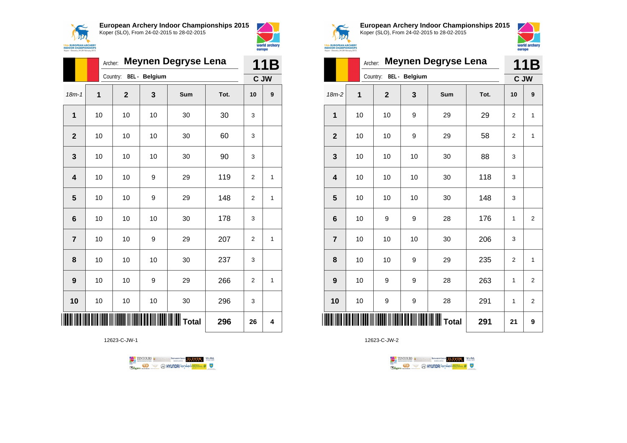



|                 |             | <b>Meynen Degryse Lena</b><br>Archer: |    |                 |      |                |              |  |  |
|-----------------|-------------|---------------------------------------|----|-----------------|------|----------------|--------------|--|--|
|                 |             | Country: BEL - Belgium                |    |                 |      |                | C JW         |  |  |
| $18m - 1$       | $\mathbf 1$ | $\overline{2}$                        | 3  | Sum             | Tot. | 10             | 9            |  |  |
| 1               | 10          | 10                                    | 10 | 30              | 30   | 3              |              |  |  |
| $\overline{2}$  | 10          | 10                                    | 10 | 30              | 60   | 3              |              |  |  |
| 3               | 10          | 10                                    | 10 | 30              | 90   | 3              |              |  |  |
| 4               | 10          | 10                                    | 9  | 29              | 119  | $\overline{2}$ | 1            |  |  |
| 5               | 10          | 10                                    | 9  | 29              | 148  | $\overline{2}$ | $\mathbf{1}$ |  |  |
| $6\phantom{1}6$ | 10          | 10                                    | 10 | 30              | 178  | 3              |              |  |  |
| $\overline{7}$  | 10          | 10                                    | 9  | 29              | 207  | $\overline{2}$ | 1            |  |  |
| 8               | 10          | 10                                    | 10 | 30              | 237  | 3              |              |  |  |
| 9               | 10          | 10                                    | 9  | 29              | 266  | $\overline{2}$ | 1            |  |  |
| 10              | 10          | 10                                    | 10 | 30              | 296  | 3              |              |  |  |
|                 |             |                                       |    | <b>WI</b> Total | 296  | 26             | 4            |  |  |

12623-C-JW-1

TENTOURS of BENJAMING COUP ELEVEN VEBA **OD SOUTHERRY AND STATES OF THE STATES OF STATES** Ragun



**European Archery Indoor Championships 2015** Koper (SLO), From 24-02-2015 to 28-02-2015



|                 |                | <b>Meynen Degryse Lena</b><br>Archer: |    |                                               |      |                |                |  |  |
|-----------------|----------------|---------------------------------------|----|-----------------------------------------------|------|----------------|----------------|--|--|
|                 |                | Country: BEL - Belgium                |    |                                               |      |                | C JW           |  |  |
| $18m-2$         | $\overline{1}$ | $\overline{2}$                        | 3  | Sum                                           | Tot. | 10             | 9              |  |  |
| 1               | 10             | 10                                    | 9  | 29                                            | 29   | $\overline{2}$ | $\mathbf{1}$   |  |  |
| $\overline{2}$  | 10             | 10                                    | 9  | 29                                            | 58   | $\overline{2}$ | 1              |  |  |
| 3               | 10             | 10                                    | 10 | 30                                            | 88   | 3              |                |  |  |
| 4               | 10             | 10                                    | 10 | 30                                            | 118  | 3              |                |  |  |
| 5               | 10             | 10                                    | 10 | 30                                            | 148  | 3              |                |  |  |
| $6\phantom{1}6$ | 10             | 9                                     | 9  | 28                                            | 176  | 1              | $\overline{2}$ |  |  |
| $\overline{7}$  | 10             | 10                                    | 10 | 30                                            | 206  | 3              |                |  |  |
| 8               | 10             | 10                                    | 9  | 29                                            | 235  | $\overline{2}$ | $\mathbf{1}$   |  |  |
| 9               | 10             | 9                                     | 9  | 28                                            | 263  | 1              | $\mathbf 2$    |  |  |
| 10              | 10             | 9                                     | 9  | 28                                            | 291  | 1              | $\overline{2}$ |  |  |
| ║║║             |                |                                       |    | <b>                              </b>   Total | 291  | 21             | 9              |  |  |

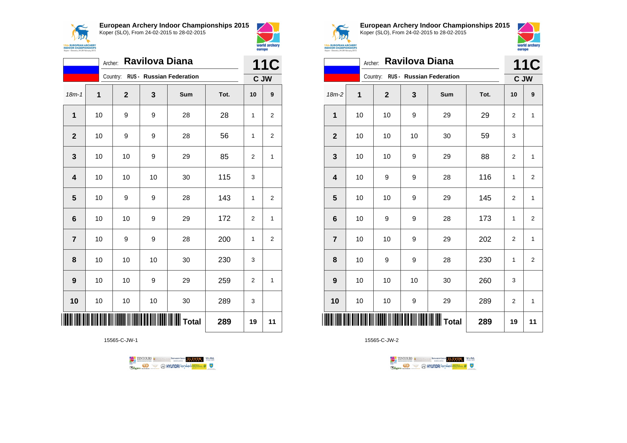



|                | Ravilova Diana<br>Archer: |              |    |                                   |      |                |                  |  |
|----------------|---------------------------|--------------|----|-----------------------------------|------|----------------|------------------|--|
|                |                           |              |    | Country: RUS - Russian Federation |      | C JW           | <b>11C</b>       |  |
| $18m - 1$      | 1                         | $\mathbf{2}$ | 3  | Sum                               | Tot. | 10             | $\boldsymbol{9}$ |  |
| 1              | 10                        | 9            | 9  | 28                                | 28   | 1              | 2                |  |
| $\mathbf{2}$   | 10                        | 9            | 9  | 28                                | 56   | 1              | 2                |  |
| 3              | 10                        | 10           | 9  | 29                                | 85   | 2              | $\mathbf{1}$     |  |
| 4              | 10                        | 10           | 10 | 30                                | 115  | 3              |                  |  |
| 5              | 10                        | 9            | 9  | 28                                | 143  | 1              | 2                |  |
| 6              | 10                        | 10           | 9  | 29                                | 172  | $\overline{2}$ | 1                |  |
| $\overline{7}$ | 10                        | 9            | 9  | 28                                | 200  | 1              | 2                |  |
| 8              | 10                        | 10           | 10 | 30                                | 230  | 3              |                  |  |
| 9              | 10                        | 10           | 9  | 29                                | 259  | 2              | 1                |  |
| 10             | 10                        | 10           | 10 | 30                                | 289  | 3              |                  |  |
|                |                           |              |    | <b>III</b> Total                  | 289  | 19             | 11               |  |

15565-C-JW-1





**European Archery Indoor Championships 2015** Koper (SLO), From 24-02-2015 to 28-02-2015



|                |    | Archer:      | Ravilova Diana |                                   |      | 11C            |                         |
|----------------|----|--------------|----------------|-----------------------------------|------|----------------|-------------------------|
|                |    |              |                | Country: RUS - Russian Federation |      |                | C JW                    |
| $18m-2$        | 1  | $\mathbf{2}$ | 3              | Sum                               | Tot. | 10             | 9                       |
| 1              | 10 | 10           | 9              | 29                                | 29   | 2              | 1                       |
| $\mathbf{2}$   | 10 | 10           | 10             | 30                                | 59   | 3              |                         |
| 3              | 10 | 10           | 9              | 29                                | 88   | 2              | 1                       |
| 4              | 10 | 9            | 9              | 28                                | 116  | 1              | $\overline{\mathbf{c}}$ |
| 5              | 10 | 10           | 9              | 29                                | 145  | $\overline{2}$ | $\mathbf{1}$            |
| 6              | 10 | 9            | 9              | 28                                | 173  | 1              | $\overline{\mathbf{c}}$ |
| $\overline{7}$ | 10 | 10           | 9              | 29                                | 202  | $\overline{2}$ | $\mathbf{1}$            |
| 8              | 10 | 9            | 9              | 28                                | 230  | 1              | $\overline{\mathbf{c}}$ |
| 9              | 10 | 10           | 10             | 30                                | 260  | 3              |                         |
| 10             | 10 | 10           | 9              | 29                                | 289  | 2              | 1                       |
| ∭              |    |              |                | <b>I</b> Total                    | 289  | 19             | 11                      |

TENTOURS **(i)** CONSIDER DEVELOPS OF THE PARAMETERS OF THE PARTIES OF THE PARTIES OF THE PARTIES OF THE PARTIES OF THE PARTIES OF THE PARTIES OF THE PARTIES OF THE PARTIES OF THE PARTIES OF THE PARTIES OF THE PARTIES OF THE **B** MYUNDAI Tonsed **Williams 9** Ragm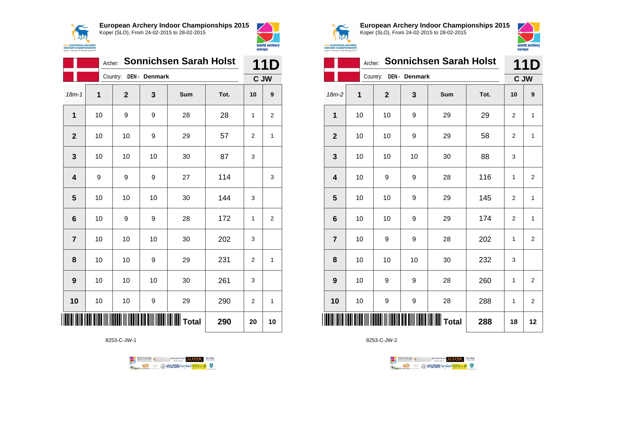



|                | <b>Sonnichsen Sarah Holst</b><br>Archer: |              |               |                 |      |                |                |
|----------------|------------------------------------------|--------------|---------------|-----------------|------|----------------|----------------|
|                |                                          | Country:     | DEN - Denmark |                 |      | C JW           | 11D            |
| $18m - 1$      | 1                                        | $\mathbf{2}$ | 3             | Sum             | Tot. | 10             | 9              |
| 1              | 10                                       | 9            | 9             | 28              | 28   | 1              | $\overline{2}$ |
| $\mathbf{2}$   | 10                                       | 10           | 9             | 29              | 57   | $\overline{2}$ | 1              |
| 3              | 10                                       | 10           | 10            | 30              | 87   | 3              |                |
| 4              | 9                                        | 9            | 9             | 27              | 114  |                | 3              |
| 5              | 10                                       | 10           | 10            | 30              | 144  | 3              |                |
| 6              | 10                                       | 9            | 9             | 28              | 172  | 1              | 2              |
| $\overline{7}$ | 10                                       | 10           | 10            | 30              | 202  | 3              |                |
| 8              | 10                                       | 10           | 9             | 29              | 231  | $\overline{2}$ | 1              |
| 9              | 10                                       | 10           | 10            | 30              | 261  | 3              |                |
| 10             | 10                                       | 10           | 9             | 29              | 290  | $\overline{2}$ | 1              |
|                |                                          |              |               | <b>II</b> Total | 290  | 20             | 10             |

8253-C-JW-1





**European Archery Indoor Championships 2015** Koper (SLO), From 24-02-2015 to 28-02-2015



world archery

europe

|                         | Archer: |              | 11D           |       |      |                |                         |
|-------------------------|---------|--------------|---------------|-------|------|----------------|-------------------------|
|                         |         | Country:     | DEN - Denmark |       |      |                | C JW                    |
| 18m-2                   | 1       | $\mathbf{2}$ | 3             | Sum   | Tot. | 10             | 9                       |
| 1                       | 10      | 10           | 9             | 29    | 29   | $\overline{2}$ | $\mathbf{1}$            |
| $\mathbf{2}$            | 10      | 10           | 9             | 29    | 58   | 2              | 1                       |
| 3                       | 10      | 10           | 10            | 30    | 88   | 3              |                         |
| $\overline{\mathbf{4}}$ | 10      | 9            | 9             | 28    | 116  | 1              | 2                       |
| 5                       | 10      | 10           | 9             | 29    | 145  | 2              | $\mathbf{1}$            |
| $\bf 6$                 | 10      | 10           | 9             | 29    | 174  | $\overline{2}$ | $\mathbf{1}$            |
| $\overline{7}$          | 10      | 9            | 9             | 28    | 202  | 1              | $\mathbf 2$             |
| 8                       | 10      | 10           | 10            | 30    | 232  | 3              |                         |
| 9                       | 10      | 9            | 9             | 28    | 260  | 1              | $\overline{\mathbf{c}}$ |
| 10                      | 10      | 9            | 9             | 28    | 288  | 1              | $\overline{2}$          |
|                         |         |              |               | Total | 288  | 18             | 12                      |

TENTOURS **(i)** CONSIDER DEVELOPS OF THE PARAMETERS OF THE PARTIES OF THE PARTIES OF THE PARTIES OF THE PARTIES OF THE PARTIES OF THE PARTIES OF THE PARTIES OF THE PARTIES OF THE PARTIES OF THE PARTIES OF THE PARTIES OF THE

**Example 2** @ HYUNDAI lansed **State 4** U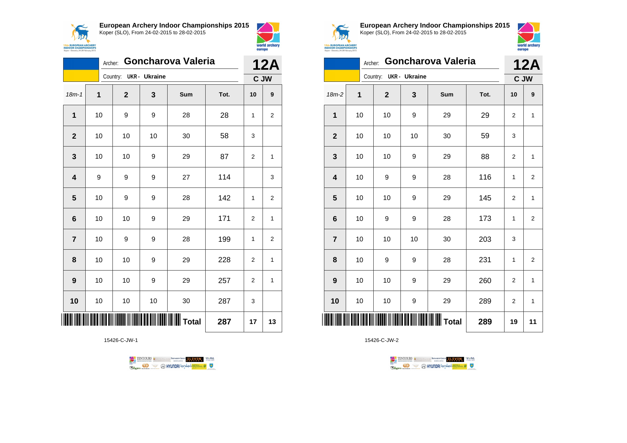



| Goncharova Valeria<br>Archer: |    |                |    |     |      | <b>12A</b> |                |
|-------------------------------|----|----------------|----|-----|------|------------|----------------|
| UKR - Ukraine<br>Country:     |    |                |    |     |      | C JW       |                |
| $18m - 1$                     | 1  | $\overline{2}$ | 3  | Sum | Tot. | 10         | 9              |
| $\mathbf{1}$                  | 10 | 9              | 9  | 28  | 28   | 1          | $\overline{2}$ |
| $\mathbf{2}$                  | 10 | 10             | 10 | 30  | 58   | 3          |                |
| 3                             | 10 | 10             | 9  | 29  | 87   | 2          | 1              |
| $\overline{\mathbf{4}}$       | 9  | 9              | 9  | 27  | 114  |            | 3              |
| 5                             | 10 | 9              | 9  | 28  | 142  | 1          | $\overline{2}$ |
| 6                             | 10 | 10             | 9  | 29  | 171  | 2          | 1              |
| $\overline{7}$                | 10 | 9              | 9  | 28  | 199  | 1          | 2              |
| 8                             | 10 | 10             | 9  | 29  | 228  | 2          | 1              |
| 9                             | 10 | 10             | 9  | 29  | 257  | 2          | 1              |
| 10                            | 10 | 10             | 10 | 30  | 287  | 3          |                |
|                               |    |                |    | 287 | 17   | 13         |                |

15426-C-JW-1





**European Archery Indoor Championships 2015** Koper (SLO), From 24-02-2015 to 28-02-2015



| Goncharova Valeria<br>Archer: |    |              |    |     |      | <b>12A</b>     |                  |  |
|-------------------------------|----|--------------|----|-----|------|----------------|------------------|--|
| Country: UKR - Ukraine        |    |              |    |     |      |                | C JW             |  |
| $18m-2$                       | 1  | $\mathbf{2}$ | 3  | Sum | Tot. | 10             | $\boldsymbol{9}$ |  |
| 1                             | 10 | 10           | 9  | 29  | 29   | $\overline{2}$ | $\mathbf{1}$     |  |
| $\mathbf{2}$                  | 10 | 10           | 10 | 30  | 59   | 3              |                  |  |
| 3                             | 10 | 10           | 9  | 29  | 88   | $\overline{2}$ | $\mathbf{1}$     |  |
| $\overline{\mathbf{4}}$       | 10 | 9            | 9  | 28  | 116  | 1              | $\overline{2}$   |  |
| 5                             | 10 | 10           | 9  | 29  | 145  | $\overline{2}$ | $\mathbf{1}$     |  |
| $6\phantom{1}6$               | 10 | 9            | 9  | 28  | 173  | 1              | $\overline{2}$   |  |
| $\overline{7}$                | 10 | 10           | 10 | 30  | 203  | 3              |                  |  |
| 8                             | 10 | 9            | 9  | 28  | 231  | 1              | $\overline{2}$   |  |
| 9                             | 10 | 10           | 9  | 29  | 260  | $\overline{2}$ | $\mathbf{1}$     |  |
| 10                            | 10 | 10           | 9  | 29  | 289  | 2              | $\mathbf{1}$     |  |
| ║║║                           |    |              |    |     | 289  | 19             | 11               |  |

TENTOURS **(i)** CONSIDER DEVELOPS OF THE PARAMETERS OF THE PARTIES OF THE PARTIES OF THE PARTIES OF THE PARTIES OF THE PARTIES OF THE PARTIES OF THE PARTIES OF THE PARTIES OF THE PARTIES OF THE PARTIES OF THE PARTIES OF THE **B** MYUNDAI Tonsed **Williams 9** Ragm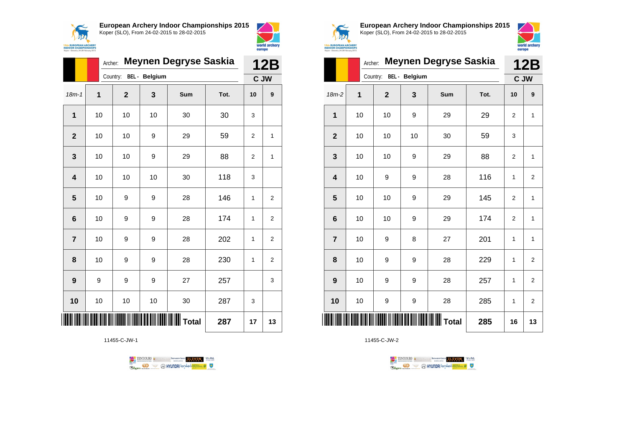



|                         | <b>Meynen Degryse Saskia</b><br>Archer: |                |    |     |      |                | <b>12B</b>       |  |
|-------------------------|-----------------------------------------|----------------|----|-----|------|----------------|------------------|--|
|                         | Country: BEL - Belgium                  |                |    |     |      |                | C JW             |  |
| $18m - 1$               | $\overline{1}$                          | $\overline{2}$ | 3  | Sum | Tot. | 10             | $\boldsymbol{9}$ |  |
| $\mathbf{1}$            | 10                                      | 10             | 10 | 30  | 30   | 3              |                  |  |
| $\overline{2}$          | 10                                      | 10             | 9  | 29  | 59   | $\overline{2}$ | 1                |  |
| 3                       | 10                                      | 10             | 9  | 29  | 88   | $\overline{2}$ | 1                |  |
| $\overline{\mathbf{4}}$ | 10                                      | 10             | 10 | 30  | 118  | 3              |                  |  |
| 5                       | 10                                      | 9              | 9  | 28  | 146  | 1              | $\overline{c}$   |  |
| $6\phantom{1}6$         | 10                                      | 9              | 9  | 28  | 174  | 1              | $\overline{2}$   |  |
| $\overline{7}$          | 10                                      | 9              | 9  | 28  | 202  | 1              | $\overline{2}$   |  |
| 8                       | 10                                      | 9              | 9  | 28  | 230  | 1              | 2                |  |
| 9                       | 9                                       | 9              | 9  | 27  | 257  |                | 3                |  |
| 10                      | 10                                      | 10             | 10 | 30  | 287  | 3              |                  |  |
|                         |                                         |                |    |     | 287  | 17             | 13               |  |

11455-C-JW-1





**European Archery Indoor Championships 2015** Koper (SLO), From 24-02-2015 to 28-02-2015



|                         | Meynen Degryse Saskia<br>Archer: |              |    |     |      | <b>12B</b>     |                         |
|-------------------------|----------------------------------|--------------|----|-----|------|----------------|-------------------------|
|                         | BEL - Belgium<br>Country:        |              |    |     |      | C JW           |                         |
| $18m-2$                 | 1                                | $\mathbf{2}$ | 3  | Sum | Tot. | 10             | 9                       |
| 1                       | 10                               | 10           | 9  | 29  | 29   | $\overline{2}$ | $\mathbf{1}$            |
| $\overline{2}$          | 10                               | 10           | 10 | 30  | 59   | 3              |                         |
| 3                       | 10                               | 10           | 9  | 29  | 88   | 2              | 1                       |
| $\overline{\mathbf{4}}$ | 10                               | 9            | 9  | 28  | 116  | $\mathbf{1}$   | $\overline{\mathbf{c}}$ |
| 5                       | 10                               | 10           | 9  | 29  | 145  | $\overline{2}$ | $\mathbf{1}$            |
| $6\phantom{1}6$         | 10                               | 10           | 9  | 29  | 174  | $\overline{2}$ | 1                       |
| $\overline{7}$          | 10                               | 9            | 8  | 27  | 201  | $\mathbf{1}$   | $\mathbf{1}$            |
| 8                       | 10                               | 9            | 9  | 28  | 229  | 1              | $\overline{\mathbf{c}}$ |
| 9                       | 10                               | 9            | 9  | 28  | 257  | $\mathbf{1}$   | $\overline{2}$          |
| 10                      | 10                               | 9            | 9  | 28  | 285  | 1              | $\overline{\mathbf{c}}$ |
| <b>III</b> Total        |                                  |              |    |     | 285  | 16             | 13                      |

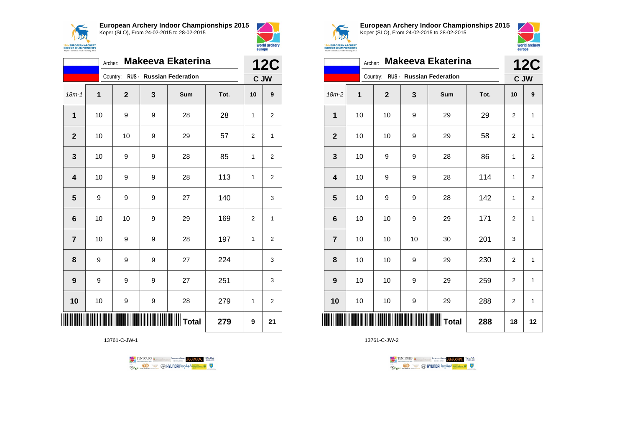

18m-1 **1 2 3 Sum Tot. 10 9**

Archer: **Makeeva Ekaterina**

Country: **RUS - Russian Federation**



**15th EUROPEAN ARCHERY**<br>**INDOOR CHAMPIONSHIPS**<br>Koper - Slovenia, 24-28 February 2015

**12C C JW**

**European Archery Indoor Championships 2015** Koper (SLO), From 24-02-2015 to 28-02-2015



|                  | <b>12C</b> |              |    |                                 |      |                |                         |
|------------------|------------|--------------|----|---------------------------------|------|----------------|-------------------------|
|                  |            | Country:     |    | <b>RUS - Russian Federation</b> |      | C JW           |                         |
| $18m-2$          | 1          | $\mathbf{2}$ | 3  | Sum                             | Tot. | 10             | 9                       |
| 1                | 10         | 10           | 9  | 29                              | 29   | 2              | $\mathbf{1}$            |
| $\mathbf{2}$     | 10         | 10           | 9  | 29                              | 58   | 2              | $\mathbf{1}$            |
| 3                | 10         | 9            | 9  | 28                              | 86   | 1              | $\overline{\mathbf{c}}$ |
| 4                | 10         | 9            | 9  | 28                              | 114  | 1              | $\overline{2}$          |
| 5                | 10         | 9            | 9  | 28                              | 142  | 1              | $\overline{\mathbf{c}}$ |
| $6\phantom{1}6$  | 10         | 10           | 9  | 29                              | 171  | 2              | 1                       |
| $\overline{7}$   | 10         | 10           | 10 | 30                              | 201  | 3              |                         |
| 8                | 10         | 10           | 9  | 29                              | 230  | 2              | $\mathbf{1}$            |
| $\boldsymbol{9}$ | 10         | 10           | 9  | 29                              | 259  | 2              | $\mathbf{1}$            |
| 10               | 10         | 10           | 9  | 29                              | 288  | $\overline{c}$ | 1                       |
| ∭                |            |              |    | $\vert$ Total                   | 288  | 18             | 12                      |

13761-C-JW-2



| ║                |    |    |   | $\parallel$ Total | 279 | 9                | 21                      |
|------------------|----|----|---|-------------------|-----|------------------|-------------------------|
| 10               | 10 | 9  | 9 | 28                | 279 | 1                | $\overline{c}$          |
| $\boldsymbol{9}$ | 9  | 9  | 9 | 27                | 251 |                  | 3                       |
| 8                | 9  | 9  | 9 | 27                | 224 |                  | 3                       |
| $\overline{7}$   | 10 | 9  | 9 | 28                | 197 | 1                | $\overline{c}$          |
| $\bf 6$          | 10 | 10 | 9 | 29                | 169 | $\overline{2}$   | $\mathbf{1}$            |
| 5                | 9  | 9  | 9 | 27                | 140 |                  | 3                       |
| 4                | 10 | 9  | 9 | 28                | 113 | 1                | $\overline{a}$          |
| $\mathbf{3}$     | 10 | 9  | 9 | 28                | 85  | 1                | $\overline{c}$          |
| $\mathbf{2}$     | 10 | 10 | 9 | 29                | 57  | $\boldsymbol{2}$ | $\mathbf{1}$            |
| 1                | 10 | 9  | 9 | 28                | 28  | 1                | $\overline{\mathbf{c}}$ |
|                  |    |    |   |                   |     |                  |                         |

13761-C-JW-1

TENTOURS & RENAISSANCE CONTROLLER VEBA **OD SOUTHERRY SECTION AND STATE Ragma**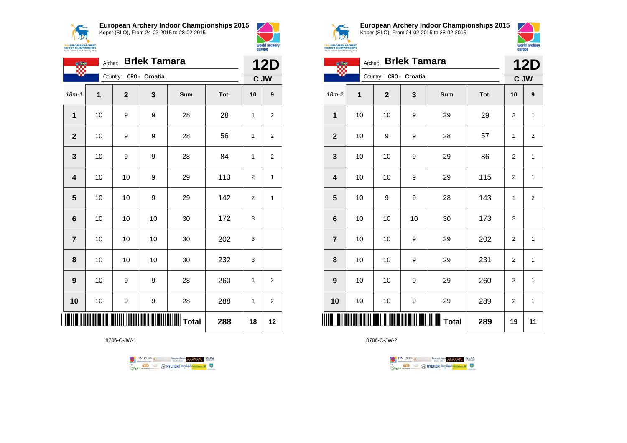**AN 15th EUROPEAN ARCHERY**<br>INDOOR CHAMPIONSHIPS<br>Koper - Slovenia, 24-28 February 2015 **European Archery Indoor Championships 2015**



|                | Archer:        |                        | <b>12D</b> |                 |      |                |                         |  |
|----------------|----------------|------------------------|------------|-----------------|------|----------------|-------------------------|--|
|                |                | Country: CRO - Croatia |            |                 |      | C JW           |                         |  |
| $18m - 1$      | $\overline{1}$ | $\overline{2}$         | 3          | Sum             | Tot. | 10             | 9                       |  |
| 1              | 10             | 9                      | 9          | 28              | 28   | 1              | $\overline{\mathbf{c}}$ |  |
| $\mathbf{2}$   | 10             | 9                      | 9          | 28              | 56   | 1              | $\boldsymbol{2}$        |  |
| 3              | 10             | 9                      | 9          | 28              | 84   | 1              | $\overline{\mathbf{c}}$ |  |
| 4              | 10             | 10                     | 9          | 29              | 113  | 2              | 1                       |  |
| 5              | 10             | 10                     | 9          | 29              | 142  | $\overline{2}$ | 1                       |  |
| 6              | 10             | 10                     | 10         | 30              | 172  | 3              |                         |  |
| $\overline{7}$ | 10             | 10                     | 10         | 30              | 202  | 3              |                         |  |
| 8              | 10             | 10                     | 10         | 30              | 232  | 3              |                         |  |
| 9              | 10             | 9                      | 9          | 28              | 260  | 1              | $\overline{\mathbf{c}}$ |  |
| 10             | 10             | 9                      | 9          | 28              | 288  | 1              | $\boldsymbol{2}$        |  |
|                |                |                        |            | <b>II</b> Total | 288  | 18             | 12                      |  |

8706-C-JW-1





world archery

europe

**European Archery Indoor Championships 2015** Koper (SLO), From 24-02-2015 to 28-02-2015



|                                   | ЪW |  |  |
|-----------------------------------|----|--|--|
| <b>EUROPEAN ARCHERY</b>           |    |  |  |
| <b>OOR CHAMPIONSHIPS</b>          |    |  |  |
| r - Slovenia, 24-28 February 2015 |    |  |  |

|     | <b>Brlek Tamara</b><br>Archer:<br><b>OF BR</b> |             |                        |    |     |      |                |                |  |
|-----|------------------------------------------------|-------------|------------------------|----|-----|------|----------------|----------------|--|
|     |                                                |             | Country: CRO - Croatia |    |     |      | C JW           |                |  |
|     | 18m-2                                          | $\mathbf 1$ | $\mathbf{2}$           | 3  | Sum | Tot. | 10             | 9              |  |
|     | 1                                              | 10          | 10                     | 9  | 29  | 29   | 2              | $\mathbf 1$    |  |
|     | $\overline{2}$                                 | 10          | 9                      | 9  | 28  | 57   | 1              | $\overline{2}$ |  |
|     | 3                                              | 10          | 10                     | 9  | 29  | 86   | 2              | 1              |  |
|     | $\overline{\mathbf{4}}$                        | 10          | 10                     | 9  | 29  | 115  | $\overline{2}$ | $\mathbf{1}$   |  |
|     | 5                                              | 10          | 9                      | 9  | 28  | 143  | 1              | 2              |  |
|     | $6\phantom{1}6$                                | 10          | 10                     | 10 | 30  | 173  | 3              |                |  |
|     | $\overline{7}$                                 | 10          | 10                     | 9  | 29  | 202  | 2              | 1              |  |
|     | 8                                              | 10          | 10                     | 9  | 29  | 231  | $\overline{2}$ | $\mathbf{1}$   |  |
|     | 9                                              | 10          | 10                     | 9  | 29  | 260  | $\overline{2}$ | 1              |  |
|     | 10                                             | 10          | 10                     | 9  | 29  | 289  | 2              | $\mathbf{1}$   |  |
| ║║║ |                                                |             |                        |    |     | 289  | 19             | 11             |  |

8706-C-JW-2

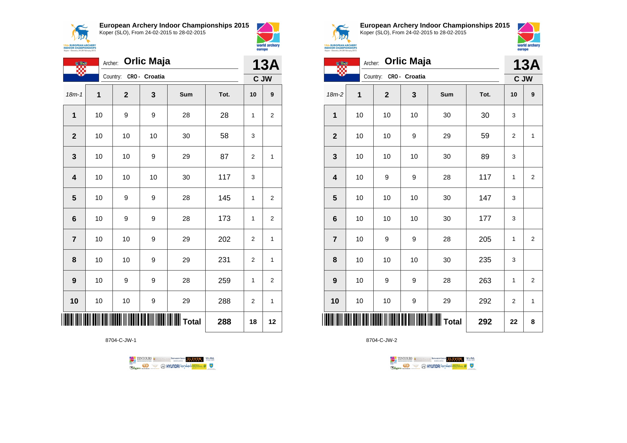$\prec$ **ANA 15th EUROPEAN ARCHERY**<br>INDOOR CHAMPIONSHIPS<br>Koper - Slovenia, 24-28 February 2015 **European Archery Indoor Championships 2015**





world archery

| <b>Orlic Maja</b><br>Archer: |    |                        |    |                 |      |                | 13A              |
|------------------------------|----|------------------------|----|-----------------|------|----------------|------------------|
|                              |    | Country: CRO - Croatia |    |                 |      |                | C JW             |
| $18m - 1$                    | 1  | $\mathbf 2$            | 3  | Sum             | Tot. | 10             | $\boldsymbol{9}$ |
| 1                            | 10 | 9                      | 9  | 28              | 28   | 1              | $\overline{2}$   |
| $\overline{2}$               | 10 | 10                     | 10 | 30              | 58   | 3              |                  |
| 3                            | 10 | 10                     | 9  | 29              | 87   | $\overline{2}$ | 1                |
| $\overline{\mathbf{4}}$      | 10 | 10                     | 10 | 30              | 117  | 3              |                  |
| 5                            | 10 | 9                      | 9  | 28              | 145  | 1              | $\overline{2}$   |
| $6\phantom{1}6$              | 10 | 9                      | 9  | 28              | 173  | 1              | $\overline{2}$   |
| $\overline{7}$               | 10 | 10                     | 9  | 29              | 202  | $\overline{2}$ | 1                |
| 8                            | 10 | 10                     | 9  | 29              | 231  | $\overline{2}$ | 1                |
| $\boldsymbol{9}$             | 10 | 9                      | 9  | 28              | 259  | 1              | $\overline{2}$   |
| 10                           | 10 | 10                     | 9  | 29              | 288  | $\overline{2}$ | 1                |
|                              |    |                        |    | <b>II</b> Total | 288  | 18             | 12               |

8704-C-JW-1





**European Archery Indoor Championships 2015** Koper (SLO), From 24-02-2015 to 28-02-2015



|                 | <b>COMPA</b> | Archer:     |              | <b>13A</b>       |              |      |              |                         |
|-----------------|--------------|-------------|--------------|------------------|--------------|------|--------------|-------------------------|
|                 |              |             | Country:     | CRO - Croatia    |              |      | C JW         |                         |
| 18m-2           |              | $\mathbf 1$ | $\mathbf{2}$ | 3                | Sum          | Tot. | 10           | 9                       |
| 1               |              | 10          | 10           | 10               | 30           | 30   | 3            |                         |
| $\mathbf 2$     |              | 10          | 10           | 9                | 29           | 59   | 2            | $\mathbf{1}$            |
| 3               |              | 10          | 10           | 10               | 30           | 89   | 3            |                         |
| 4               |              | 10          | 9            | 9                | 28           | 117  | 1            | 2                       |
| 5               |              | 10          | 10           | 10               | 30           | 147  | 3            |                         |
| $6\phantom{1}6$ |              | 10          | 10           | 10               | 30           | 177  | 3            |                         |
| $\overline{7}$  |              | 10          | 9            | $\boldsymbol{9}$ | 28           | 205  | $\mathbf{1}$ | $\overline{\mathbf{c}}$ |
| 8               |              | 10          | 10           | 10               | 30           | 235  | 3            |                         |
| 9               |              | 10          | 9            | 9                | 28           | 263  | 1            | $\overline{2}$          |
| 10              |              | 10          | 10           | 9                | 29           | 292  | 2            | $\mathbf 1$             |
|                 |              |             |              |                  | <b>Total</b> | 292  | 22           | 8                       |

8704-C-JW-2



 $\perp$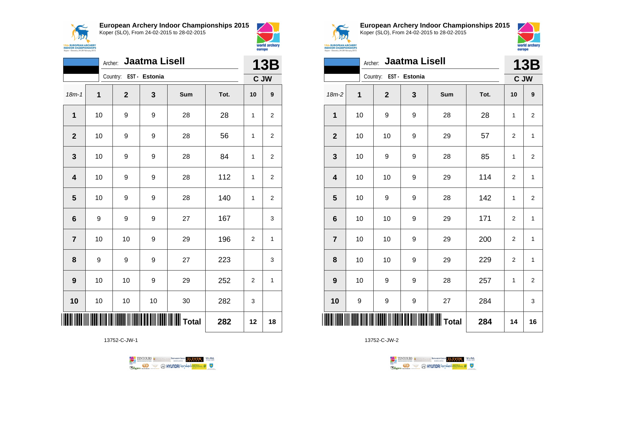



world archery

europe

|                         | Jaatma Lisell<br>Archer: |                        |    |                                          |      |    |                |  |  |
|-------------------------|--------------------------|------------------------|----|------------------------------------------|------|----|----------------|--|--|
|                         |                          | Country: EST - Estonia |    |                                          |      |    | C JW           |  |  |
| $18m - 1$               | $\mathbf 1$              | $\mathbf{2}$           | 3  | Sum                                      | Tot. | 10 | 9              |  |  |
| $\mathbf{1}$            | 10                       | 9                      | 9  | 28                                       | 28   | 1  | 2              |  |  |
| $\mathbf{2}$            | 10                       | 9                      | 9  | 28                                       | 56   | 1  | 2              |  |  |
| $\mathbf{3}$            | 10                       | 9                      | 9  | 28                                       | 84   | 1  | 2              |  |  |
| $\overline{\mathbf{4}}$ | 10                       | 9                      | 9  | 28                                       | 112  | 1  | $\overline{2}$ |  |  |
| 5                       | 10                       | 9                      | 9  | 28                                       | 140  | 1  | $\mathbf{2}$   |  |  |
| $6\phantom{1}$          | 9                        | 9                      | 9  | 27                                       | 167  |    | 3              |  |  |
| $\overline{7}$          | 10                       | 10                     | 9  | 29                                       | 196  | 2  | 1              |  |  |
| 8                       | 9                        | 9                      | 9  | 27                                       | 223  |    | 3              |  |  |
| $\boldsymbol{9}$        | 10                       | 10                     | 9  | 29                                       | 252  | 2  | $\mathbf{1}$   |  |  |
| 10                      | 10                       | 10                     | 10 | 30                                       | 282  | 3  |                |  |  |
|                         |                          |                        |    | <b>                            Total</b> | 282  | 12 | 18             |  |  |

13752-C-JW-1

TENTOURS & RENAISSANCE CONTROLLER VEBA **Example 1999** O HYUNDAI lonsed **and the Company of Company of Company of Company of Company of Company of Company of Company of Company of Company of Company of Company of Company of Company of Company of Company of Compa** 



**European Archery Indoor Championships 2015** Koper (SLO), From 24-02-2015 to 28-02-2015



|                         | Jaatma Lisell<br>Archer: |                        |   |                       |      |                |                |  |  |
|-------------------------|--------------------------|------------------------|---|-----------------------|------|----------------|----------------|--|--|
|                         |                          | Country: EST - Estonia |   |                       |      | C JW           |                |  |  |
| $18m-2$                 | 1                        | $\mathbf{2}$           | 3 | Sum                   | Tot. | 10             | 9              |  |  |
| 1                       | 10                       | 9                      | 9 | 28                    | 28   | 1              | $\overline{2}$ |  |  |
| $\mathbf{2}$            | 10                       | 10                     | 9 | 29                    | 57   | 2              | $\mathbf{1}$   |  |  |
| $\mathbf 3$             | 10                       | 9                      | 9 | 28                    | 85   | 1              | $\overline{2}$ |  |  |
| $\overline{\mathbf{4}}$ | 10                       | 10                     | 9 | 29                    | 114  | $\overline{2}$ | $\mathbf{1}$   |  |  |
| 5                       | 10                       | 9                      | 9 | 28                    | 142  | 1              | $\overline{2}$ |  |  |
| $\bf 6$                 | 10                       | 10                     | 9 | 29                    | 171  | $\overline{2}$ | $\mathbf{1}$   |  |  |
| $\overline{7}$          | 10                       | 10                     | 9 | 29                    | 200  | $\overline{2}$ | $\mathbf{1}$   |  |  |
| 8                       | 10                       | 10                     | 9 | 29                    | 229  | $\overline{2}$ | $\mathbf{1}$   |  |  |
| 9                       | 10                       | 9                      | 9 | 28                    | 257  | 1              | $\overline{2}$ |  |  |
| 10                      | 9                        | 9                      | 9 | 27                    | 284  |                | 3              |  |  |
| ║║║                     |                          |                        |   | <b>WWWWWWWW</b> Total | 284  | 14             | 16             |  |  |

13752-C-JW-2

TENTOURS **(i)** CONSIDER DEVELOPS OF THE VEDA TABLES OF THE CONSIDERED PARTICULAR DEVELOPS OF THE CONSIDERED PARTICULAR DEVELOPS OF THE CONSTRUCTION OF THE CONSTRUCTION OF THE CONSTRUCTION OF THE CONSTRUCTION OF THE CONSTRU **Example 2** @ HYUNDAI lansed **State 4** U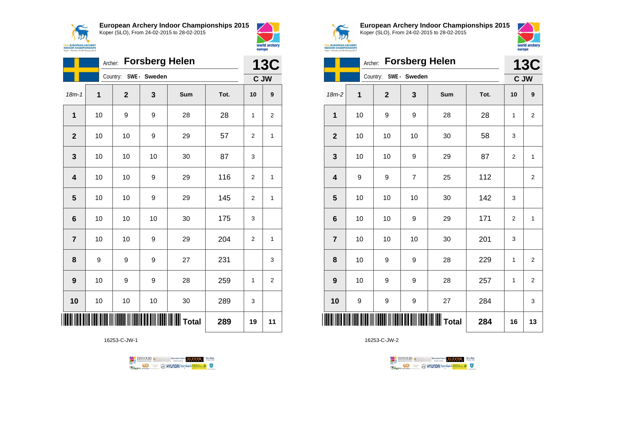



world archery

europe

|                         | Archer: Forsberg Helen |                       |    |       |      |                |                |  |  |
|-------------------------|------------------------|-----------------------|----|-------|------|----------------|----------------|--|--|
|                         |                        | Country: SWE - Sweden |    |       |      |                | C JW           |  |  |
| $18m - 1$               | 1                      | $\mathbf{2}$          | 3  | Sum   | Tot. | 10             | 9              |  |  |
| $\overline{1}$          | 10                     | 9                     | 9  | 28    | 28   | 1              | 2              |  |  |
| $\overline{2}$          | 10                     | 10                    | 9  | 29    | 57   | $\overline{2}$ | 1              |  |  |
| 3                       | 10                     | 10                    | 10 | 30    | 87   | 3              |                |  |  |
| $\overline{\mathbf{4}}$ | 10                     | 10                    | 9  | 29    | 116  | $\overline{2}$ | $\mathbf{1}$   |  |  |
| 5                       | 10                     | 10                    | 9  | 29    | 145  | 2              | 1              |  |  |
| 6                       | 10                     | 10                    | 10 | 30    | 175  | 3              |                |  |  |
| $\overline{7}$          | 10                     | 10                    | 9  | 29    | 204  | 2              | $\mathbf{1}$   |  |  |
| 8                       | 9                      | 9                     | 9  | 27    | 231  |                | 3              |  |  |
| 9                       | 10                     | 9                     | 9  | 28    | 259  | 1              | $\overline{c}$ |  |  |
| 10                      | 10                     | 10                    | 10 | 30    | 289  | 3              |                |  |  |
|                         |                        |                       |    | Total | 289  | 19             | 11             |  |  |

16253-C-JW-1





**European Archery Indoor Championships 2015** Koper (SLO), From 24-02-2015 to 28-02-2015



|                         | <b>Forsberg Helen</b><br>Archer: |              |                |     |      |                |                         |  |
|-------------------------|----------------------------------|--------------|----------------|-----|------|----------------|-------------------------|--|
|                         |                                  | Country:     | SWE- Sweden    |     |      |                | <b>13C</b><br>C JW      |  |
| $18m-2$                 | 1                                | $\mathbf{2}$ | 3              | Sum | Tot. | 10             | 9                       |  |
| 1                       | 10                               | 9            | 9              | 28  | 28   | 1              | $\overline{\mathbf{c}}$ |  |
| $\overline{2}$          | 10                               | 10           | 10             | 30  | 58   | 3              |                         |  |
| 3                       | 10                               | 10           | 9              | 29  | 87   | 2              | $\mathbf{1}$            |  |
| $\overline{\mathbf{4}}$ | 9                                | 9            | $\overline{7}$ | 25  | 112  |                | $\overline{\mathbf{c}}$ |  |
| 5                       | 10                               | 10           | 10             | 30  | 142  | 3              |                         |  |
| $6\phantom{1}6$         | 10                               | 10           | 9              | 29  | 171  | $\overline{2}$ | $\mathbf{1}$            |  |
| $\overline{7}$          | 10                               | 10           | 10             | 30  | 201  | 3              |                         |  |
| 8                       | 10                               | 9            | 9              | 28  | 229  | 1              | $\mathbf 2$             |  |
| 9                       | 10                               | 9            | 9              | 28  | 257  | $\mathbf{1}$   | $\overline{2}$          |  |
| 10                      | 9                                | 9            | 9              | 27  | 284  |                | 3                       |  |
| ║║║                     |                                  |              |                |     | 284  | 16             | 13                      |  |

16253-C-JW-2

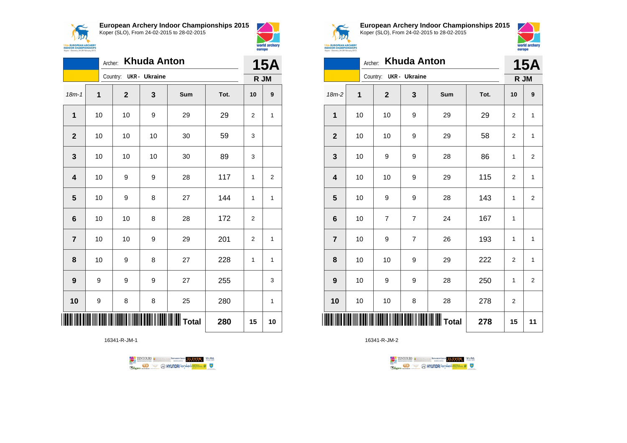

**European Archery Indoor Championships 2015**



|                         | <b>Khuda Anton</b><br>Archer: |              |                      |     |      |              |                |  |  |
|-------------------------|-------------------------------|--------------|----------------------|-----|------|--------------|----------------|--|--|
|                         |                               | Country:     | <b>UKR</b> - Ukraine |     |      | R JM         |                |  |  |
| $18m - 1$               | $\overline{1}$                | $\mathbf{2}$ | 3                    | Sum | Tot. | 10           | 9              |  |  |
| $\mathbf 1$             | 10                            | 10           | 9                    | 29  | 29   | 2            | 1              |  |  |
| $\mathbf{2}$            | 10                            | 10           | 10                   | 30  | 59   | 3            |                |  |  |
| $\mathbf{3}$            | 10                            | 10           | 10                   | 30  | 89   | 3            |                |  |  |
| $\overline{\mathbf{4}}$ | 10                            | 9            | 9                    | 28  | 117  | $\mathbf{1}$ | $\overline{2}$ |  |  |
| 5                       | 10                            | 9            | 8                    | 27  | 144  | 1            | 1              |  |  |
| $6\phantom{1}6$         | 10                            | 10           | 8                    | 28  | 172  | 2            |                |  |  |
| $\overline{7}$          | 10                            | 10           | 9                    | 29  | 201  | 2            | 1              |  |  |
| 8                       | 10                            | 9            | 8                    | 27  | 228  | 1            | 1              |  |  |
| $\boldsymbol{9}$        | 9                             | 9            | 9                    | 27  | 255  |              | 3              |  |  |
| 10                      | 9                             | 8            | 8                    | 25  | 280  |              | 1              |  |  |
|                         |                               |              |                      |     | 280  | 15           | 10             |  |  |

16341-R-JM-1





world archery

europe

**European Archery Indoor Championships 2015** Koper (SLO), From 24-02-2015 to 28-02-2015



| ЛW                         |  |  |
|----------------------------|--|--|
| <b>ROPEAN ARCHERY</b>      |  |  |
| <b>R CHAMPIONSHIPS</b>     |  |  |
| weeia, 24-28 February 2015 |  |  |
|                            |  |  |

|                         | Archer: |                        | <b>Khuda Anton</b> |     |      | <b>15A</b>     |                         |
|-------------------------|---------|------------------------|--------------------|-----|------|----------------|-------------------------|
|                         |         | Country: UKR - Ukraine |                    |     |      | R JM           |                         |
| 18m-2                   | 1       | $\mathbf{2}$           | 3                  | Sum | Tot. | 10             | 9                       |
| 1                       | 10      | 10                     | 9                  | 29  | 29   | 2              | 1                       |
| $\overline{2}$          | 10      | 10                     | 9                  | 29  | 58   | 2              | $\mathbf{1}$            |
| 3                       | 10      | 9                      | 9                  | 28  | 86   | 1              | 2                       |
| $\overline{\mathbf{4}}$ | 10      | 10                     | 9                  | 29  | 115  | $\overline{2}$ | $\mathbf{1}$            |
| 5                       | 10      | 9                      | 9                  | 28  | 143  | 1              | $\overline{2}$          |
| 6                       | 10      | $\overline{7}$         | $\overline{7}$     | 24  | 167  | 1              |                         |
| $\overline{7}$          | 10      | 9                      | $\overline{7}$     | 26  | 193  | 1              | $\mathbf{1}$            |
| 8                       | 10      | 10                     | 9                  | 29  | 222  | 2              | 1                       |
| 9                       | 10      | 9                      | 9                  | 28  | 250  | 1              | $\overline{\mathbf{c}}$ |
| 10                      | 10      | 10                     | 8                  | 28  | 278  | $\overline{2}$ |                         |
|                         |         |                        |                    |     | 278  | 15             | 11                      |

TENTOURS **(i)** CONSIDER DEVELOPS OF THE VEDA TABLES OF THE CONSIDERED PARTICULAR DEVELOPS OF THE CONSIDERED PARTICULAR DEVELOPS OF THE CONSTRUCTION OF THE CONSTRUCTION OF THE CONSTRUCTION OF THE CONSTRUCTION OF THE CONSTRU

**Example 2** @ HYUNDAI lansed **State 4** U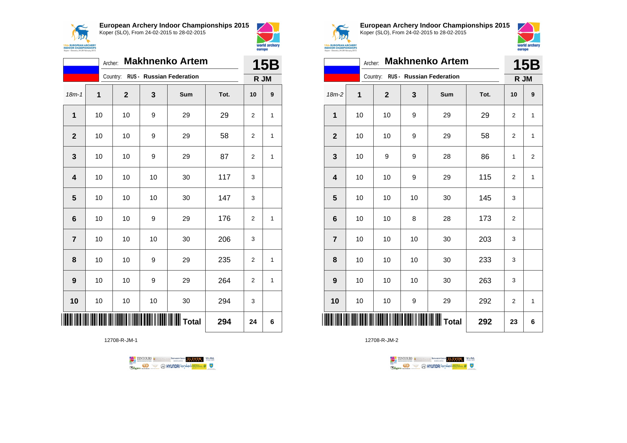



|                         | Archer: |              |    | <b>Makhnenko Artem</b>            |      | 15B            |                  |
|-------------------------|---------|--------------|----|-----------------------------------|------|----------------|------------------|
|                         |         |              |    | Country: RUS - Russian Federation |      | R JM           |                  |
| $18m - 1$               | 1       | $\mathbf{2}$ | 3  | Sum                               | Tot. | 10             | $\boldsymbol{9}$ |
| $\mathbf{1}$            | 10      | 10           | 9  | 29                                | 29   | $\overline{2}$ | $\mathbf{1}$     |
| $\overline{2}$          | 10      | 10           | 9  | 29                                | 58   | 2              | 1                |
| 3                       | 10      | 10           | 9  | 29                                | 87   | 2              | 1                |
| $\overline{\mathbf{4}}$ | 10      | 10           | 10 | 30                                | 117  | 3              |                  |
| 5                       | 10      | 10           | 10 | 30                                | 147  | 3              |                  |
| $6\phantom{1}6$         | 10      | 10           | 9  | 29                                | 176  | 2              | 1                |
| $\overline{7}$          | 10      | 10           | 10 | 30                                | 206  | 3              |                  |
| 8                       | 10      | 10           | 9  | 29                                | 235  | 2              | 1                |
| $\boldsymbol{9}$        | 10      | 10           | 9  | 29                                | 264  | $\overline{2}$ | $\mathbf{1}$     |
| 10                      | 10      | 10           | 10 | 30                                | 294  | 3              |                  |
|                         |         |              |    | <b>III</b> Total                  | 294  | 24             | 6                |

12708-R-JM-1





**European Archery Indoor Championships 2015** Koper (SLO), From 24-02-2015 to 28-02-2015



|                         | <b>Makhnenko Artem</b><br>Archer: |             |    |                                   |      |                |                         |  |
|-------------------------|-----------------------------------|-------------|----|-----------------------------------|------|----------------|-------------------------|--|
|                         |                                   |             |    | Country: RUS - Russian Federation |      | R JM           |                         |  |
| $18m-2$                 | 1                                 | $\mathbf 2$ | 3  | Sum                               | Tot. | 10             | 9                       |  |
| 1                       | 10                                | 10          | 9  | 29                                | 29   | 2              | 1                       |  |
| $\mathbf 2$             | 10                                | 10          | 9  | 29                                | 58   | 2              | 1                       |  |
| 3                       | 10                                | 9           | 9  | 28                                | 86   | 1              | $\overline{\mathbf{c}}$ |  |
| $\overline{\mathbf{4}}$ | 10                                | 10          | 9  | 29                                | 115  | $\overline{2}$ | $\mathbf{1}$            |  |
| 5                       | 10                                | 10          | 10 | 30                                | 145  | 3              |                         |  |
| $6\phantom{1}6$         | 10                                | 10          | 8  | 28                                | 173  | $\overline{2}$ |                         |  |
| $\overline{7}$          | 10                                | 10          | 10 | 30                                | 203  | 3              |                         |  |
| 8                       | 10                                | 10          | 10 | 30                                | 233  | 3              |                         |  |
| 9                       | 10                                | 10          | 10 | 30                                | 263  | 3              |                         |  |
| 10                      | 10                                | 10          | 9  | 29                                | 292  | 2              | 1                       |  |
| ║║║                     |                                   |             |    |                                   | 292  | 23             | 6                       |  |

TENTOURS **Q** CONSIDERED BEXTRED CONDUCT **CONSIDERED** VICE DA **B** MYUNDAI Tonsed **Williams 9** Ragm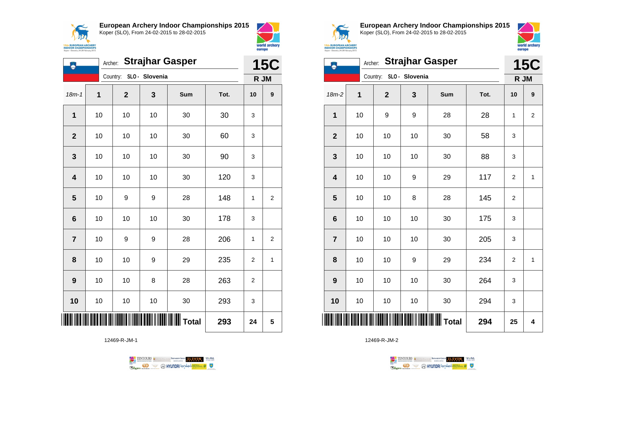



| ۸              |    | Archer:                 |                | <b>Strajhar Gasper</b> |      | <b>15C</b>     |                |
|----------------|----|-------------------------|----------------|------------------------|------|----------------|----------------|
|                |    | Country:                | SLO - Slovenia |                        |      | R JM           |                |
| $18m - 1$      | 1  | $\overline{\mathbf{2}}$ | 3              | Sum                    | Tot. | 10             | 9              |
| $\mathbf 1$    | 10 | 10                      | 10             | 30                     | 30   | 3              |                |
| $\mathbf{2}$   | 10 | 10                      | 10             | 30                     | 60   | 3              |                |
| 3              | 10 | 10                      | 10             | 30                     | 90   | 3              |                |
| 4              | 10 | 10                      | 10             | 30                     | 120  | 3              |                |
| 5              | 10 | 9                       | 9              | 28                     | 148  | 1              | 2              |
| $\bf 6$        | 10 | 10                      | 10             | 30                     | 178  | 3              |                |
| $\overline{7}$ | 10 | 9                       | 9              | 28                     | 206  | 1              | $\overline{2}$ |
| 8              | 10 | 10                      | 9              | 29                     | 235  | $\overline{2}$ | 1              |
| 9              | 10 | 10                      | 8              | 28                     | 263  | 2              |                |
| 10             | 10 | 10                      | 10             | 30                     | 293  | 3              |                |
| III            |    |                         |                |                        | 293  | 24             | 5              |

12469-R-JM-1





**European Archery Indoor Championships 2015** Koper (SLO), From 24-02-2015 to 28-02-2015



|                         | <b>Strajhar Gasper</b><br>Archer: |                         |                         |                  |      |                  | <b>15C</b>       |  |
|-------------------------|-----------------------------------|-------------------------|-------------------------|------------------|------|------------------|------------------|--|
|                         |                                   |                         | Country: SLO - Slovenia |                  |      |                  | R JM             |  |
| 18m-2                   | 1                                 | $\overline{\mathbf{2}}$ | 3                       | Sum              | Tot. | 10               | $\boldsymbol{9}$ |  |
| 1                       | 10                                | 9                       | 9                       | 28               | 28   | 1                | $\overline{2}$   |  |
| $\overline{2}$          | 10                                | 10                      | 10                      | 30               | 58   | 3                |                  |  |
| 3                       | 10                                | 10                      | 10                      | 30               | 88   | 3                |                  |  |
| $\overline{\mathbf{4}}$ | 10                                | 10                      | 9                       | 29               | 117  | $\overline{2}$   | $\mathbf{1}$     |  |
| 5                       | 10                                | 10                      | 8                       | 28               | 145  | $\overline{c}$   |                  |  |
| $6\phantom{1}6$         | 10                                | 10                      | 10                      | 30               | 175  | 3                |                  |  |
| $\overline{7}$          | 10                                | 10                      | 10                      | 30               | 205  | 3                |                  |  |
| 8                       | 10                                | 10                      | 9                       | 29               | 234  | $\boldsymbol{2}$ | 1                |  |
| 9                       | 10                                | 10                      | 10                      | 30               | 264  | 3                |                  |  |
| 10                      | 10                                | 10                      | 10                      | 30               | 294  | 3                |                  |  |
| ║║║                     |                                   |                         |                         | IIIIIIIIII Total | 294  | 25               | 4                |  |

TENTOURS **(i)** CONSIDER DEVELOPS OF THE VEDA TABLES OF THE CONSIDERED PARTICULAR DEVELOPS OF THE CONSIDERED PARTICULAR DEVELOPS OF THE CONSTRUCTION OF THE CONSTRUCTION OF THE CONSTRUCTION OF THE CONSTRUCTION OF THE CONSTRU **B** MYUNDAI Tonsed **Williams 9 Regin**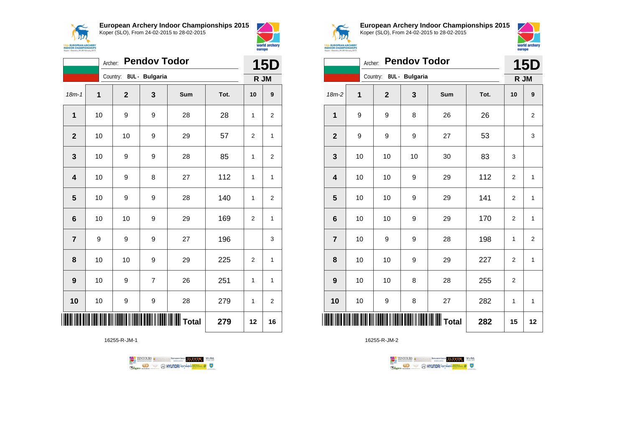



|                         |    | Archer:                 | <b>Pendov Todor</b> |                  |      | <b>15D</b>   |                |
|-------------------------|----|-------------------------|---------------------|------------------|------|--------------|----------------|
|                         |    | Country: BUL - Bulgaria |                     |                  |      |              | R JM           |
| $18m - 1$               | 1  | $\mathbf 2$             | 3                   | Sum              | Tot. | 10           | 9              |
| 1                       | 10 | 9                       | 9                   | 28               | 28   | 1            | 2              |
| $\mathbf{2}$            | 10 | 10                      | 9                   | 29               | 57   | 2            | 1              |
| $\mathbf 3$             | 10 | 9                       | 9                   | 28               | 85   | $\mathbf{1}$ | $\overline{2}$ |
| $\overline{\mathbf{4}}$ | 10 | 9                       | 8                   | 27               | 112  | $\mathbf{1}$ | 1              |
| $\overline{\mathbf{5}}$ | 10 | 9                       | 9                   | 28               | 140  | $\mathbf{1}$ | $\overline{2}$ |
| 6                       | 10 | 10                      | 9                   | 29               | 169  | 2            | 1              |
| $\overline{7}$          | 9  | 9                       | 9                   | 27               | 196  |              | 3              |
| 8                       | 10 | 10                      | 9                   | 29               | 225  | 2            | 1              |
| 9                       | 10 | 9                       | $\overline{7}$      | 26               | 251  | $\mathbf{1}$ | 1              |
| 10                      | 10 | 9                       | 9                   | 28               | 279  | $\mathbf{1}$ | $\overline{2}$ |
|                         |    |                         |                     | <b>III</b> Total | 279  | 12           | 16             |

16255-R-JM-1





**European Archery Indoor Championships 2015** Koper (SLO), From 24-02-2015 to 28-02-2015



|                  |    | Archer:                 | <b>Pendov Todor</b> |                   |      | <b>15D</b>     |                         |
|------------------|----|-------------------------|---------------------|-------------------|------|----------------|-------------------------|
|                  |    | Country: BUL - Bulgaria |                     |                   |      |                | R JM                    |
| $18m-2$          | 1  | $\mathbf{2}$            | $\mathbf{3}$        | Sum               | Tot. | 10             | 9                       |
| 1                | 9  | 9                       | 8                   | 26                | 26   |                | $\mathbf 2$             |
| $\mathbf{2}$     | 9  | 9                       | 9                   | 27                | 53   |                | 3                       |
| 3                | 10 | 10                      | 10                  | 30                | 83   | 3              |                         |
| 4                | 10 | 10                      | 9                   | 29                | 112  | 2              | 1                       |
| 5                | 10 | $10$                    | 9                   | 29                | 141  | $\overline{2}$ | $\mathbf 1$             |
| 6                | 10 | 10                      | 9                   | 29                | 170  | 2              | $\mathbf{1}$            |
| $\overline{7}$   | 10 | 9                       | 9                   | 28                | 198  | 1              | $\overline{\mathbf{c}}$ |
| 8                | 10 | 10                      | 9                   | 29                | 227  | $\overline{2}$ | 1                       |
| $\boldsymbol{9}$ | 10 | 10                      | 8                   | 28                | 255  | $\overline{2}$ |                         |
| 10               | 10 | 9                       | 8                   | 27                | 282  | 1              | 1                       |
| ∭                |    |                         |                     | $\parallel$ Total | 282  | 15             | 12                      |

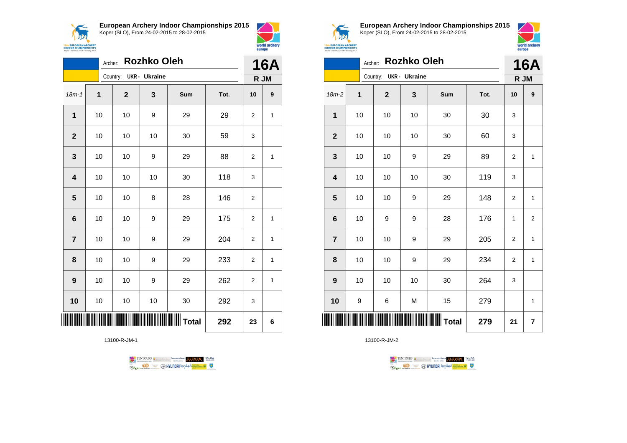



|                |    | Archer:                | <b>Rozhko Oleh</b> |     |      | <b>16A</b>     |              |
|----------------|----|------------------------|--------------------|-----|------|----------------|--------------|
|                |    | Country: UKR - Ukraine |                    |     |      | R JM           |              |
| $18m - 1$      | 1  | $\mathbf 2$            | 3                  | Sum | Tot. | 10             | 9            |
| 1              | 10 | 10                     | 9                  | 29  | 29   | 2              | 1            |
| $\mathbf{2}$   | 10 | 10                     | 10                 | 30  | 59   | 3              |              |
| 3              | 10 | 10                     | 9                  | 29  | 88   | 2              | 1            |
| 4              | 10 | 10                     | 10                 | 30  | 118  | 3              |              |
| 5              | 10 | 10                     | 8                  | 28  | 146  | 2              |              |
| 6              | 10 | 10                     | 9                  | 29  | 175  | $\overline{2}$ | $\mathbf{1}$ |
| $\overline{7}$ | 10 | 10                     | 9                  | 29  | 204  | 2              | 1            |
| 8              | 10 | 10                     | 9                  | 29  | 233  | $\overline{2}$ | 1            |
| 9              | 10 | 10                     | 9                  | 29  | 262  | 2              | 1            |
| 10             | 10 | 10                     | 10                 | 30  | 292  | 3              |              |
|                |    |                        |                    |     | 292  | 23             | 6            |

13100-R-JM-1





**European Archery Indoor Championships 2015** Koper (SLO), From 24-02-2015 to 28-02-2015



|                |    | Archer: Rozhko Oleh    |    |                   |      | <b>16A</b>       |                         |
|----------------|----|------------------------|----|-------------------|------|------------------|-------------------------|
|                |    | Country: UKR - Ukraine |    |                   |      | R JM             |                         |
| $18m-2$        | 1  | $\mathbf{2}$           | 3  | Sum               | Tot. | 10               | 9                       |
| 1              | 10 | 10                     | 10 | 30                | 30   | 3                |                         |
| $\overline{2}$ | 10 | 10                     | 10 | 30                | 60   | 3                |                         |
| 3              | 10 | 10                     | 9  | 29                | 89   | 2                | 1                       |
| 4              | 10 | 10                     | 10 | 30                | 119  | 3                |                         |
| 5              | 10 | 10                     | 9  | 29                | 148  | 2                | 1                       |
| 6              | 10 | 9                      | 9  | 28                | 176  | 1                | $\overline{\mathbf{c}}$ |
| $\overline{7}$ | 10 | 10                     | 9  | 29                | 205  | $\boldsymbol{2}$ | 1                       |
| 8              | 10 | 10                     | 9  | 29                | 234  | $\mathbf 2$      | 1                       |
| 9              | 10 | 10                     | 10 | 30                | 264  | 3                |                         |
| 10             | 9  | 6                      | M  | 15                | 279  |                  | 1                       |
| ║║║            |    |                        |    | IIIIIIIIIII Total | 279  | 21               | $\overline{7}$          |

TENTOURS **Q** CONSIDERED BEXTRED CONDUCT **CONSIDERED** VICE DA

**B** MYUNDAI Tonsed **Williams 9** 

13100-R-JM-2

**Regin**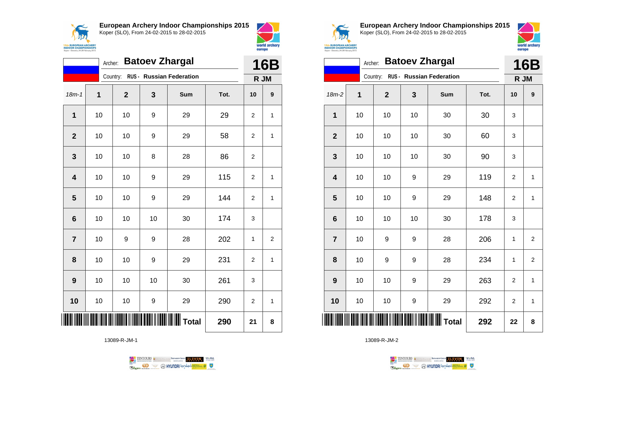

18m-1 **1 2 3 Sum Tot. 10 9**

**1** | 10 | 10 | 9 | 29 | 29 | 2 | 1

**2** | 10 | 10 | 9 | 29 | 58 | 2 | 1

**4** | 10 | 10 | 9 | 29 | 115 | 2 | 1

**5** | 10 | 10 | 9 | 29 | 144 | 2 | 1

**7** | 10 | 9 | 9 | 28 | 202 | 1 | 2

**8** | 10 | 10 | 9 | 29 | 231 | 2 | 1

**10** | 10 | 10 | 9 | 29 | 290 | 2 | 1

\*13089-R-JM-1\* **Total 290 21 8**

**3** | 10 | 10 | 8 | 28 | 86 | 2

**6** | 10 | 10 | 30 | 174 | 3

**9** | 10 | 10 | 30 | 261 | 3

Archer: **Batoev Zhargal**

Country: **RUS - Russian Federation**



**15th EUROPEAN ARCHERY**<br>INDOOR CHAMPIONSHIPS

Koper - Skyemia, 24-28 F

**16B R JM**

**European Archery Indoor Championships 2015** Koper (SLO), From 24-02-2015 to 28-02-2015



|                | Archer: |             |                  | <b>Batoev Zhargal</b>                 |      | <b>16B</b>     |              |
|----------------|---------|-------------|------------------|---------------------------------------|------|----------------|--------------|
|                |         |             |                  | Country: RUS - Russian Federation     |      | R JM           |              |
| 18m-2          | 1       | $\mathbf 2$ | 3                | Sum                                   | Tot. | 10             | 9            |
| 1              | 10      | 10          | 10               | 30                                    | 30   | 3              |              |
| $\overline{2}$ | 10      | 10          | 10               | 30                                    | 60   | 3              |              |
| 3              | 10      | 10          | 10               | 30                                    | 90   | 3              |              |
| 4              | 10      | 10          | 9                | 29                                    | 119  | $\overline{2}$ | 1            |
| 5              | 10      | 10          | 9                | 29                                    | 148  | $\overline{2}$ | 1            |
| 6              | 10      | 10          | 10               | 30                                    | 178  | 3              |              |
| $\overline{7}$ | 10      | 9           | $\boldsymbol{9}$ | 28                                    | 206  | 1              | 2            |
| 8              | 10      | 9           | 9                | 28                                    | 234  | 1              | 2            |
| 9              | 10      | 10          | 9                | 29                                    | 263  | $\mathbf 2$    | $\mathbf{1}$ |
| 10             | 10      | 10          | 9                | 29                                    | 292  | $\overline{2}$ | 1            |
| IIII           |         |             |                  | <b>                      </b>   Total | 292  | 22             | 8            |

13089-R-JM-2



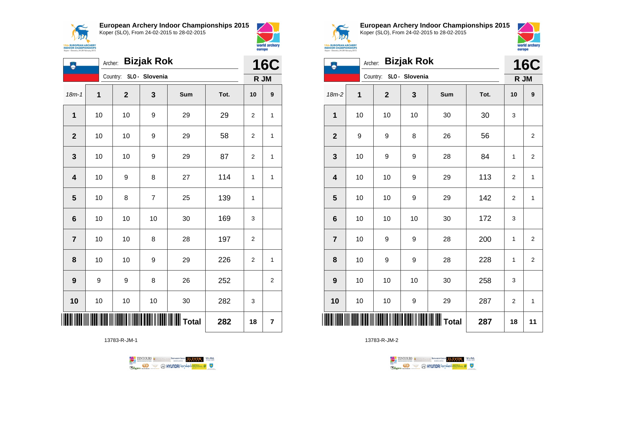

**European Archery Indoor Championships 2015**



| Ä.                      | <b>Bizjak Rok</b><br>Archer: |                         |                |       |      |                |                |
|-------------------------|------------------------------|-------------------------|----------------|-------|------|----------------|----------------|
|                         |                              | Country: SLO - Slovenia |                |       |      | R JM           |                |
| $18m - 1$               | $\mathbf 1$                  | $\boldsymbol{2}$        | 3              | Sum   | Tot. | 10             | 9              |
| 1                       | 10                           | 10                      | 9              | 29    | 29   | $\overline{2}$ | $\mathbf{1}$   |
| $\overline{2}$          | 10                           | 10                      | 9              | 29    | 58   | $\overline{2}$ | $\mathbf{1}$   |
| 3                       | 10                           | 10                      | 9              | 29    | 87   | $\overline{2}$ | $\overline{1}$ |
| $\overline{\mathbf{4}}$ | 10                           | 9                       | 8              | 27    | 114  | 1              | $\mathbf{1}$   |
| 5                       | 10                           | 8                       | $\overline{7}$ | 25    | 139  | $\mathbf{1}$   |                |
| $6\phantom{1}$          | 10                           | 10                      | 10             | 30    | 169  | 3              |                |
| $\overline{7}$          | 10                           | 10                      | 8              | 28    | 197  | $\mathbf{2}$   |                |
| 8                       | 10                           | 10                      | 9              | 29    | 226  | 2              | 1              |
| 9                       | 9                            | 9                       | 8              | 26    | 252  |                | $\mathbf 2$    |
| 10                      | 10                           | 10                      | $10$           | 30    | 282  | 3              |                |
|                         |                              |                         |                | Total | 282  | 18             | 7              |

13783-R-JM-1





world archery

europe

**European Archery Indoor Championships 2015** Koper (SLO), From 24-02-2015 to 28-02-2015



| ۸                | <b>Bizjak Rok</b><br>Archer:<br>Country: SLO - Slovenia |              |    |              |      |    |                         |
|------------------|---------------------------------------------------------|--------------|----|--------------|------|----|-------------------------|
|                  |                                                         |              |    |              |      |    | R JM                    |
| 18m-2            | 1                                                       | $\mathbf{2}$ | 3  | Sum          | Tot. | 10 | 9                       |
| 1                | 10                                                      | 10           | 10 | 30           | 30   | 3  |                         |
| $\overline{2}$   | 9                                                       | 9            | 8  | 26           | 56   |    | $\overline{\mathbf{c}}$ |
| 3                | 10                                                      | 9            | 9  | 28           | 84   | 1  | $\overline{\mathbf{c}}$ |
| 4                | 10                                                      | 10           | 9  | 29           | 113  | 2  | $\mathbf{1}$            |
| 5                | 10                                                      | 10           | 9  | 29           | 142  | 2  | 1                       |
| 6                | 10                                                      | 10           | 10 | 30           | 172  | 3  |                         |
| $\overline{7}$   | 10                                                      | 9            | 9  | 28           | 200  | 1  | $\overline{2}$          |
| 8                | 10                                                      | 9            | 9  | 28           | 228  | 1  | $\overline{2}$          |
| $\boldsymbol{9}$ | 10                                                      | 10           | 10 | 30           | 258  | 3  |                         |
| 10               | 10                                                      | 10           | 9  | 29           | 287  | 2  | 1                       |
|                  |                                                         |              |    | <b>Total</b> | 287  | 18 | 11                      |

13783-R-JM-2



 $\perp$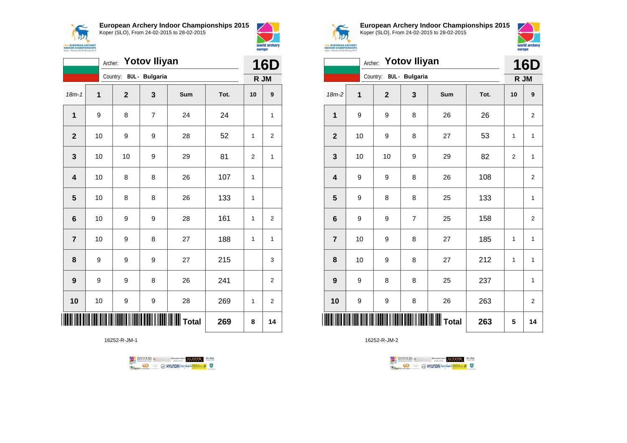



world archery

europe

|                         | <b>Yotov Iliyan</b><br>Archer: |              |                       |     |      |                |                         |
|-------------------------|--------------------------------|--------------|-----------------------|-----|------|----------------|-------------------------|
|                         |                                | Country:     | <b>BUL</b> - Bulgaria |     |      |                | R JM                    |
| $18m - 1$               | 1                              | $\mathbf{2}$ | 3                     | Sum | Tot. | 10             | $\boldsymbol{9}$        |
| $\mathbf{1}$            | 9                              | 8            | $\overline{7}$        | 24  | 24   |                | 1                       |
| $\mathbf{2}$            | 10                             | 9            | 9                     | 28  | 52   | $\mathbf{1}$   | 2                       |
| $\mathbf 3$             | 10                             | 10           | 9                     | 29  | 81   | $\overline{2}$ | $\mathbf{1}$            |
| $\overline{\mathbf{4}}$ | 10                             | 8            | 8                     | 26  | 107  | $\mathbf{1}$   |                         |
| $\overline{\mathbf{5}}$ | 10                             | 8            | 8                     | 26  | 133  | $\mathbf{1}$   |                         |
| 6                       | 10                             | 9            | 9                     | 28  | 161  | $\mathbf{1}$   | $\overline{c}$          |
| $\overline{\mathbf{r}}$ | 10                             | 9            | 8                     | 27  | 188  | 1              | $\mathbf{1}$            |
| 8                       | 9                              | 9            | 9                     | 27  | 215  |                | 3                       |
| 9                       | 9                              | 9            | 8                     | 26  | 241  |                | $\overline{c}$          |
| 10                      | 10                             | 9            | 9                     | 28  | 269  | 1              | $\overline{\mathbf{c}}$ |
|                         |                                |              |                       |     | 269  | 8              | 14                      |

16252-R-JM-1





**European Archery Indoor Championships 2015** Koper (SLO), From 24-02-2015 to 28-02-2015



|                  | Archer: Yotov Iliyan    |             |                |                  |      |                  |                  |  |
|------------------|-------------------------|-------------|----------------|------------------|------|------------------|------------------|--|
|                  | Country: BUL - Bulgaria |             |                |                  |      | R JM             | <b>16D</b>       |  |
| $18m-2$          | 1                       | $\mathbf 2$ | 3              | Sum              | Tot. | 10               | 9                |  |
| 1                | 9                       | 9           | 8              | 26               | 26   |                  | 2                |  |
| $\overline{2}$   | 10                      | 9           | 8              | 27               | 53   | 1                | $\mathbf{1}$     |  |
| 3                | 10                      | 10          | 9              | 29               | 82   | $\boldsymbol{2}$ | 1                |  |
| 4                | 9                       | 9           | 8              | 26               | 108  |                  | $\boldsymbol{2}$ |  |
| 5                | 9                       | 8           | 8              | 25               | 133  |                  | $\mathbf{1}$     |  |
| $\bf 6$          | 9                       | 9           | $\overline{7}$ | 25               | 158  |                  | $\overline{2}$   |  |
| $\overline{7}$   | 10                      | 9           | 8              | 27               | 185  | $\mathbf{1}$     | $\mathbf{1}$     |  |
| 8                | 10                      | 9           | 8              | 27               | 212  | 1                | $\mathbf{1}$     |  |
| $\boldsymbol{9}$ | 9                       | 8           | 8              | 25               | 237  |                  | $\mathbf{1}$     |  |
| 10               | 9                       | 9           | 8              | 26               | 263  |                  | $\overline{c}$   |  |
| ║                |                         |             |                | <b>III</b> Total | 263  | 5                | 14               |  |

TENTOURS **Q** CONSIDERED BEXTRED CONDUCT **CONSIDERED** VICE DA **Example 2** @ HYUNDAI lansed **State 4** U

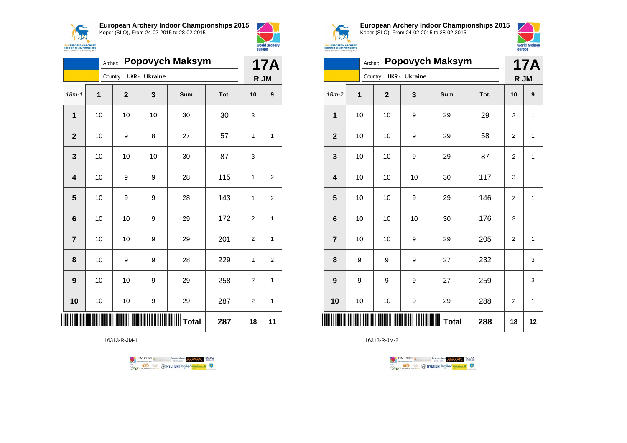

**European Archery Indoor Championships 2015**

Koper (SLO), From 24-02-2015 to 28-02-2015



|                         |                | Archer: |              |               | <b>Popovych Maksym</b> |      | <b>17A</b>     |                |
|-------------------------|----------------|---------|--------------|---------------|------------------------|------|----------------|----------------|
|                         |                |         | Country:     | UKR - Ukraine |                        | R JM |                |                |
| $18m - 1$               | $\overline{1}$ |         | $\mathbf{2}$ | 3             | Sum                    | Tot. | 10             | 9              |
| 1                       | 10             |         | 10           | 10            | 30                     | 30   | 3              |                |
| $\mathbf{2}$            | 10             |         | 9            | 8             | 27                     | 57   | 1              | 1              |
| 3                       | 10             |         | 10           | 10            | 30                     | 87   | 3              |                |
| $\overline{\mathbf{4}}$ | 10             |         | 9            | 9             | 28                     | 115  | 1              | $\overline{2}$ |
| 5                       | 10             |         | 9            | 9             | 28                     | 143  | 1              | $\overline{c}$ |
| 6                       | 10             |         | 10           | 9             | 29                     | 172  | $\overline{2}$ | $\mathbf{1}$   |
| $\overline{7}$          | 10             |         | 10           | 9             | 29                     | 201  | $\overline{2}$ | 1              |
| 8                       | 10             |         | 9            | 9             | 28                     | 229  | $\mathbf{1}$   | 2              |
| 9                       | 10             |         | 10           | 9             | 29                     | 258  | $\overline{2}$ | 1              |
| 10                      | 10             |         | 10           | 9             | 29                     | 287  | $\overline{2}$ | $\mathbf{1}$   |
|                         |                |         |              |               | <b>II</b> Total        | 287  | 18             | 11             |

16313-R-JM-1

TENTOURS & RENAISSANCE CONTROLLER VEBA **B** AHYUNDAI lonsed **Williams & Ragma** 



**European Archery Indoor Championships 2015** Koper (SLO), From 24-02-2015 to 28-02-2015



| <b>Popovych Maksym</b><br>Archer: |    |             |                      |     | <b>17A</b> |                |              |
|-----------------------------------|----|-------------|----------------------|-----|------------|----------------|--------------|
|                                   |    | Country:    | <b>UKR</b> - Ukraine |     |            | R JM           |              |
| 18m-2                             | 1  | $\mathbf 2$ | 3                    | Sum | Tot.       | 10             | 9            |
| $\mathbf 1$                       | 10 | 10          | 9                    | 29  | 29         | $\overline{2}$ | 1            |
| $\mathbf{2}$                      | 10 | 10          | 9                    | 29  | 58         | $\overline{2}$ | 1            |
| 3                                 | 10 | 10          | 9                    | 29  | 87         | $\overline{2}$ | $\mathbf{1}$ |
| 4                                 | 10 | 10          | 10                   | 30  | 117        | 3              |              |
| 5                                 | 10 | 10          | 9                    | 29  | 146        | $\overline{c}$ | $\mathbf{1}$ |
| $6\phantom{1}6$                   | 10 | 10          | 10                   | 30  | 176        | 3              |              |
| $\overline{7}$                    | 10 | 10          | 9                    | 29  | 205        | $\overline{2}$ | 1            |
| 8                                 | 9  | 9           | 9                    | 27  | 232        |                | 3            |
| 9                                 | 9  | 9           | 9                    | 27  | 259        |                | 3            |
| 10                                | 10 | 10          | 9                    | 29  | 288        | $\overline{2}$ | 1            |
| ║║║                               |    |             |                      |     | 288        | 18             | 12           |

TENTOURS **(i)** CONSIDER DEVELOPS OF THE VEDA TABLES OF THE CONSIDERED PARTICULAR DEVELOPS OF THE CONSIDERED PARTICULAR DEVELOPS OF THE CONSTRUCTION OF THE CONSTRUCTION OF THE CONSTRUCTION OF THE CONSTRUCTION OF THE CONSTRU

**B** MYUNDAI Tonsed **Williams 9** 

16313-R-JM-2

**Regin**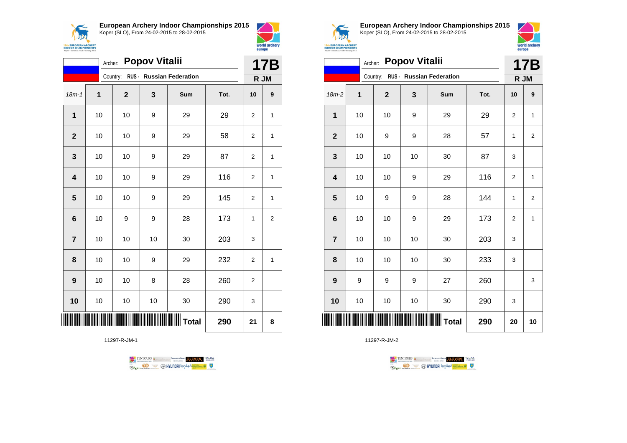



|                         | <b>Popov Vitalii</b><br>Archer: |              |    |                          |      |                |                |  |
|-------------------------|---------------------------------|--------------|----|--------------------------|------|----------------|----------------|--|
|                         |                                 | Country:     |    | RUS - Russian Federation |      | R JM           |                |  |
| $18m - 1$               | 1                               | $\mathbf{2}$ | 3  | Sum                      | Tot. | 10             | 9              |  |
| $\mathbf{1}$            | 10                              | 10           | 9  | 29                       | 29   | $\overline{2}$ | 1              |  |
| $\overline{2}$          | 10                              | 10           | 9  | 29                       | 58   | $\overline{2}$ | 1              |  |
| 3                       | 10                              | 10           | 9  | 29                       | 87   | $\overline{2}$ | 1              |  |
| $\overline{\mathbf{4}}$ | 10                              | 10           | 9  | 29                       | 116  | $\overline{2}$ | 1              |  |
| 5                       | 10                              | 10           | 9  | 29                       | 145  | $\overline{2}$ | 1              |  |
| $6\phantom{1}6$         | 10                              | 9            | 9  | 28                       | 173  | 1              | $\overline{2}$ |  |
| $\overline{7}$          | 10                              | 10           | 10 | 30                       | 203  | 3              |                |  |
| 8                       | 10                              | 10           | 9  | 29                       | 232  | $\overline{2}$ | 1              |  |
| 9                       | 10                              | 10           | 8  | 28                       | 260  | $\overline{2}$ |                |  |
| 10                      | 10                              | 10           | 10 | 30                       | 290  | 3              |                |  |
|                         |                                 |              |    |                          | 290  | 21             | 8              |  |

11297-R-JM-1





**European Archery Indoor Championships 2015** Koper (SLO), From 24-02-2015 to 28-02-2015



|                         | Archer: |             | <b>Popov Vitalii</b> |                                   |      |                | 17B            |
|-------------------------|---------|-------------|----------------------|-----------------------------------|------|----------------|----------------|
|                         |         |             |                      | Country: RUS - Russian Federation |      | R JM           |                |
| $18m-2$                 | 1       | $\mathbf 2$ | 3                    | Sum                               | Tot. | 10             | 9              |
| 1                       | 10      | 10          | 9                    | 29                                | 29   | $\overline{2}$ | 1              |
| $\mathbf{2}$            | 10      | 9           | 9                    | 28                                | 57   | 1              | $\overline{2}$ |
| $\mathbf{3}$            | 10      | 10          | 10                   | 30                                | 87   | 3              |                |
| $\overline{\mathbf{4}}$ | 10      | 10          | 9                    | 29                                | 116  | $\overline{2}$ | $\mathbf{1}$   |
| 5                       | 10      | 9           | 9                    | 28                                | 144  | 1              | $\overline{2}$ |
| $6\phantom{1}6$         | 10      | 10          | 9                    | 29                                | 173  | $\overline{2}$ | $\mathbf{1}$   |
| $\overline{7}$          | 10      | 10          | 10                   | 30                                | 203  | 3              |                |
| 8                       | 10      | 10          | 10                   | 30                                | 233  | 3              |                |
| $\boldsymbol{9}$        | 9       | 9           | 9                    | 27                                | 260  |                | 3              |
| 10                      | 10      | 10          | 10                   | 30                                | 290  | 3              |                |
|                         |         |             |                      |                                   | 290  | 20             | 10             |

TENTOURS GENERAL BRASIDINGSOUP ELEVEN VERA **B** MYUNDAI Tonsed **Williams 9** Ragm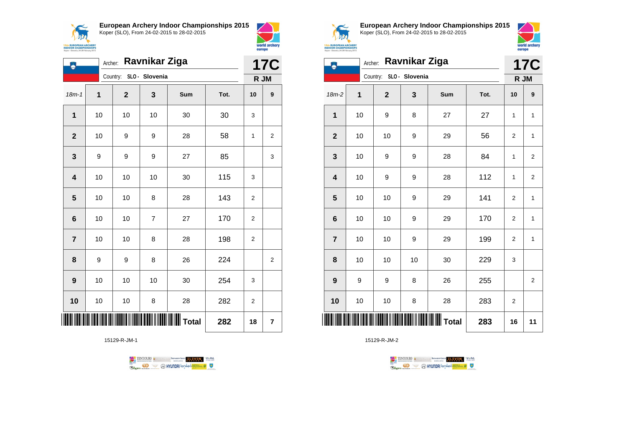



|                 | <b>Ravnikar Ziga</b><br>Archer: |                         |                |                       |      |                |            |
|-----------------|---------------------------------|-------------------------|----------------|-----------------------|------|----------------|------------|
|                 |                                 | Country: SLO - Slovenia |                |                       |      | R JM           | <b>17C</b> |
| $18m - 1$       | 1                               | $\mathbf{2}$            | 3              | Sum                   | Tot. | 10             | 9          |
| 1               | 10                              | 10                      | 10             | 30                    | 30   | 3              |            |
| $\overline{2}$  | 10                              | 9                       | 9              | 28                    | 58   | 1              | 2          |
| 3               | 9                               | 9                       | 9              | 27                    | 85   |                | 3          |
| 4               | 10                              | 10                      | 10             | 30                    | 115  | 3              |            |
| 5               | 10                              | 10                      | 8              | 28                    | 143  | 2              |            |
| $6\phantom{1}6$ | 10                              | 10                      | $\overline{7}$ | 27                    | 170  | $\overline{2}$ |            |
| $\overline{7}$  | 10                              | 10                      | 8              | 28                    | 198  | $\overline{2}$ |            |
| 8               | 9                               | 9                       | 8              | 26                    | 224  |                | 2          |
| 9               | 10                              | 10                      | 10             | 30                    | 254  | 3              |            |
| 10              | 10                              | 10                      | 8              | 28                    | 282  | $\overline{2}$ |            |
| Ш               |                                 |                         |                | <b>III III T</b> otal | 282  | 18             | 7          |

15129-R-JM-1





**European Archery Indoor Championships 2015** Koper (SLO), From 24-02-2015 to 28-02-2015



| ٨                       | Archer: |              | Ravnikar Ziga           |              |      |                  | <b>17C</b>              |
|-------------------------|---------|--------------|-------------------------|--------------|------|------------------|-------------------------|
|                         |         |              | Country: SLO - Slovenia |              |      |                  | R JM                    |
| $18m-2$                 | 1       | $\mathbf{2}$ | 3                       | Sum          | Tot. | 10               | 9                       |
| 1                       | 10      | 9            | 8                       | 27           | 27   | 1                | $\mathbf{1}$            |
| $\mathbf{2}$            | 10      | 10           | 9                       | 29           | 56   | $\overline{c}$   | 1                       |
| $\mathbf 3$             | 10      | 9            | 9                       | 28           | 84   | 1                | $\overline{\mathbf{c}}$ |
| $\overline{\mathbf{4}}$ | 10      | 9            | 9                       | 28           | 112  | 1                | $\overline{\mathbf{c}}$ |
| 5                       | 10      | 10           | 9                       | 29           | 141  | $\overline{c}$   | $\mathbf{1}$            |
| $\bf 6$                 | 10      | 10           | 9                       | 29           | 170  | 2                | $\mathbf{1}$            |
| $\overline{7}$          | 10      | 10           | 9                       | 29           | 199  | $\boldsymbol{2}$ | $\mathbf{1}$            |
| 8                       | 10      | 10           | 10                      | 30           | 229  | 3                |                         |
| $\boldsymbol{9}$        | 9       | 9            | 8                       | 26           | 255  |                  | $\overline{2}$          |
| 10                      | 10      | 10           | 8                       | 28           | 283  | 2                |                         |
|                         |         |              |                         | <b>Total</b> | 283  | 16               | 11                      |

15129-R-JM-2



 $\perp$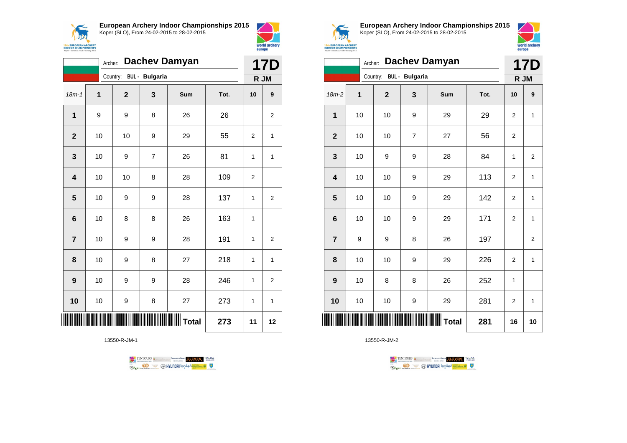



|                         | <b>Dachev Damyan</b><br>Archer: |              |                       |                 |      |                | <b>17D</b>     |  |
|-------------------------|---------------------------------|--------------|-----------------------|-----------------|------|----------------|----------------|--|
|                         |                                 | Country:     | <b>BUL - Bulgaria</b> |                 |      |                | R JM           |  |
| $18m - 1$               | $\mathbf 1$                     | $\mathbf{2}$ | 3                     | Sum             | Tot. | 10             | 9              |  |
| $\mathbf{1}$            | 9                               | 9            | 8                     | 26              | 26   |                | $\overline{c}$ |  |
| $\overline{2}$          | 10                              | 10           | 9                     | 29              | 55   | $\overline{2}$ | 1              |  |
| 3                       | 10                              | 9            | $\overline{7}$        | 26              | 81   | 1              | 1              |  |
| $\overline{\mathbf{4}}$ | 10                              | 10           | 8                     | 28              | 109  | 2              |                |  |
| $\overline{\mathbf{5}}$ | 10                              | 9            | 9                     | 28              | 137  | 1              | $\overline{2}$ |  |
| $6\phantom{1}6$         | 10                              | 8            | 8                     | 26              | 163  | 1              |                |  |
| $\overline{7}$          | 10                              | 9            | 9                     | 28              | 191  | 1              | $\overline{2}$ |  |
| 8                       | 10                              | 9            | 8                     | 27              | 218  | 1              | $\mathbf{1}$   |  |
| 9                       | 10                              | 9            | 9                     | 28              | 246  | 1              | 2              |  |
| 10                      | 10                              | 9            | 8                     | 27              | 273  | 1              | 1              |  |
|                         |                                 |              |                       | <b>II</b> Total | 273  | 11             | 12             |  |

13550-R-JM-1





**European Archery Indoor Championships 2015** Koper (SLO), From 24-02-2015 to 28-02-2015



|                         | <b>Dachev Damyan</b><br>Archer: |                         |   |     |      |                | <b>17D</b>     |  |
|-------------------------|---------------------------------|-------------------------|---|-----|------|----------------|----------------|--|
|                         |                                 | Country: BUL - Bulgaria |   |     |      | R JM           |                |  |
| 18m-2                   | 1                               | $\mathbf 2$             | 3 | Sum | Tot. | 10             | 9              |  |
| $\mathbf 1$             | 10                              | 10                      | 9 | 29  | 29   | 2              | 1              |  |
| $\overline{2}$          | 10                              | 10                      | 7 | 27  | 56   | 2              |                |  |
| 3                       | 10                              | 9                       | 9 | 28  | 84   | 1              | $\overline{2}$ |  |
| $\overline{\mathbf{4}}$ | 10                              | 10                      | 9 | 29  | 113  | $\overline{2}$ | $\mathbf{1}$   |  |
| 5                       | 10                              | 10                      | 9 | 29  | 142  | 2              | $\mathbf{1}$   |  |
| $6\phantom{1}6$         | 10                              | 10                      | 9 | 29  | 171  | $\overline{2}$ | $\mathbf{1}$   |  |
| $\overline{7}$          | 9                               | 9                       | 8 | 26  | 197  |                | 2              |  |
| 8                       | 10                              | 10                      | 9 | 29  | 226  | $\overline{2}$ | 1              |  |
| 9                       | 10                              | 8                       | 8 | 26  | 252  | $\mathbf{1}$   |                |  |
| 10                      | 10                              | 10                      | 9 | 29  | 281  | 2              | 1              |  |
| ║║║                     |                                 |                         |   |     | 281  | 16             | 10             |  |

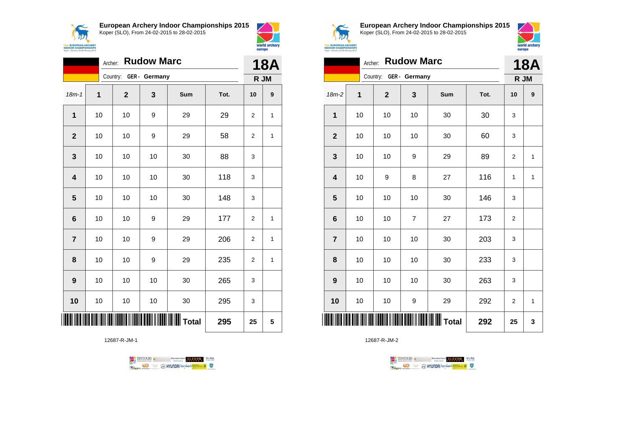



|                         | <b>Rudow Marc</b><br>Archer: |                        |    |         |      |                |                    |
|-------------------------|------------------------------|------------------------|----|---------|------|----------------|--------------------|
|                         |                              | Country: GER - Germany |    |         |      |                | <b>18A</b><br>R JM |
| $18m - 1$               | 1                            | $\mathbf 2$            | 3  | Sum     | Tot. | 10             | 9                  |
| 1                       | 10                           | 10                     | 9  | 29      | 29   | $\overline{2}$ | 1                  |
| $\overline{2}$          | 10                           | 10                     | 9  | 29      | 58   | $\overline{2}$ | 1                  |
| 3                       | 10                           | 10                     | 10 | 30      | 88   | 3              |                    |
| $\overline{\mathbf{4}}$ | 10                           | 10                     | 10 | 30      | 118  | 3              |                    |
| 5                       | 10                           | 10                     | 10 | 30      | 148  | 3              |                    |
| $6\phantom{1}6$         | 10                           | 10                     | 9  | 29      | 177  | $\overline{2}$ | 1                  |
| $\overline{7}$          | 10                           | 10                     | 9  | 29      | 206  | $\overline{2}$ | 1                  |
| 8                       | 10                           | 10                     | 9  | 29      | 235  | 2              | 1                  |
| $\boldsymbol{9}$        | 10                           | 10                     | 10 | 30      | 265  | 3              |                    |
| 10                      | 10                           | 10                     | 10 | 30      | 295  | 3              |                    |
| ▏▎▌▌▌▌▌                 |                              |                        |    | ∭ Total | 295  | 25             | 5                  |

12687-R-JM-1





**European Archery Indoor Championships 2015** Koper (SLO), From 24-02-2015 to 28-02-2015



|                 | <b>Rudow Marc</b><br>Archer: |                |                        |     |      |                |              |  |
|-----------------|------------------------------|----------------|------------------------|-----|------|----------------|--------------|--|
|                 |                              |                | Country: GER - Germany |     |      | R JM           | <b>18A</b>   |  |
| $18m-2$         | 1                            | $\overline{2}$ | 3                      | Sum | Tot. | 10             | 9            |  |
| 1               | 10                           | 10             | 10                     | 30  | 30   | 3              |              |  |
| $\overline{2}$  | 10                           | 10             | 10                     | 30  | 60   | 3              |              |  |
| 3               | 10                           | 10             | 9                      | 29  | 89   | 2              | $\mathbf{1}$ |  |
| 4               | 10                           | 9              | 8                      | 27  | 116  | 1              | 1            |  |
| 5               | 10                           | 10             | 10                     | 30  | 146  | 3              |              |  |
| $6\phantom{1}6$ | 10                           | 10             | 7                      | 27  | 173  | 2              |              |  |
| $\overline{7}$  | 10                           | 10             | 10                     | 30  | 203  | 3              |              |  |
| 8               | 10                           | 10             | 10                     | 30  | 233  | 3              |              |  |
| 9               | 10                           | 10             | 10                     | 30  | 263  | 3              |              |  |
| 10              | 10                           | 10             | 9                      | 29  | 292  | $\overline{2}$ | $\mathbf{1}$ |  |
| ║║║             |                              |                |                        |     | 292  | 25             | 3            |  |

TENTOURS **Q** CONSIDERED BEXTRED CONDUCT **CONSIDERED** VICE DA **B** MYUNDAI Tonsed **Williams 9** Ragm

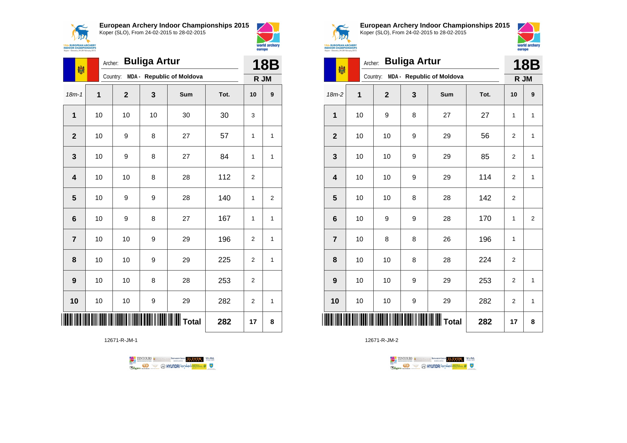



|                         | <b>Buliga Artur</b><br>Archer:<br>喇 |              |    |                                    |      |                |                |  |
|-------------------------|-------------------------------------|--------------|----|------------------------------------|------|----------------|----------------|--|
|                         |                                     |              |    | Country: MDA - Republic of Moldova |      |                | R JM           |  |
| $18m - 1$               | $\overline{1}$                      | $\mathbf{2}$ | 3  | <b>Sum</b>                         | Tot. | 10             | 9              |  |
| $\mathbf{1}$            | 10                                  | 10           | 10 | 30                                 | 30   | 3              |                |  |
| $\overline{2}$          | 10                                  | 9            | 8  | 27                                 | 57   | 1              | 1              |  |
| 3                       | 10                                  | 9            | 8  | 27                                 | 84   | 1              | 1              |  |
| $\overline{\mathbf{4}}$ | 10                                  | 10           | 8  | 28                                 | 112  | $\overline{2}$ |                |  |
| 5                       | 10                                  | 9            | 9  | 28                                 | 140  | 1              | $\overline{c}$ |  |
| $6\phantom{1}6$         | 10                                  | 9            | 8  | 27                                 | 167  | 1              | 1              |  |
| $\overline{7}$          | 10                                  | 10           | 9  | 29                                 | 196  | $\overline{2}$ | 1              |  |
| 8                       | 10                                  | 10           | 9  | 29                                 | 225  | 2              | 1              |  |
| 9                       | 10                                  | 10           | 8  | 28                                 | 253  | 2              |                |  |
| 10                      | 10                                  | 10           | 9  | 29                                 | 282  | 2              | 1              |  |
|                         |                                     |              |    | <b>WWW</b> Total                   | 282  | 17             | 8              |  |

12671-R-JM-1





**European Archery Indoor Championships 2015** Koper (SLO), From 24-02-2015 to 28-02-2015



| 喇                | Archer: |             | <b>Buliga Artur</b> |                                    |      |                | <b>18B</b>     |  |
|------------------|---------|-------------|---------------------|------------------------------------|------|----------------|----------------|--|
|                  |         |             |                     | Country: MDA - Republic of Moldova |      | R JM           |                |  |
| $18m-2$          | 1       | $\mathbf 2$ | 3                   | Sum                                | Tot. | 10             | 9              |  |
| 1                | 10      | 9           | 8                   | 27                                 | 27   | $\mathbf{1}$   | 1              |  |
| $\mathbf{2}$     | 10      | 10          | 9                   | 29                                 | 56   | $\overline{2}$ | $\mathbf{1}$   |  |
| 3                | 10      | 10          | 9                   | 29                                 | 85   | $\overline{2}$ | 1              |  |
| 4                | 10      | 10          | 9                   | 29                                 | 114  | $\overline{2}$ | 1              |  |
| 5                | 10      | 10          | 8                   | 28                                 | 142  | 2              |                |  |
| 6                | 10      | 9           | 9                   | 28                                 | 170  | $\mathbf{1}$   | $\overline{2}$ |  |
| $\overline{7}$   | 10      | 8           | 8                   | 26                                 | 196  | 1              |                |  |
| 8                | 10      | 10          | 8                   | 28                                 | 224  | $\overline{2}$ |                |  |
| $\boldsymbol{9}$ | 10      | 10          | 9                   | 29                                 | 253  | 2              | 1              |  |
| 10               | 10      | 10          | 9                   | 29                                 | 282  | 2              | 1              |  |
|                  |         |             |                     | <b>Total</b>                       | 282  | 17             | 8              |  |

TENTOURS **(i)** CONSIDER DEVELOPS OF THE VEDA TABLES OF THE CONSIDERED PARTICULAR DEVELOPS OF THE CONSIDERED PARTICULAR DEVELOPS OF THE CONSTRUCTION OF THE CONSTRUCTION OF THE CONSTRUCTION OF THE CONSTRUCTION OF THE CONSTRU **Example 2** @ HYUNDAI lansed **State 4** U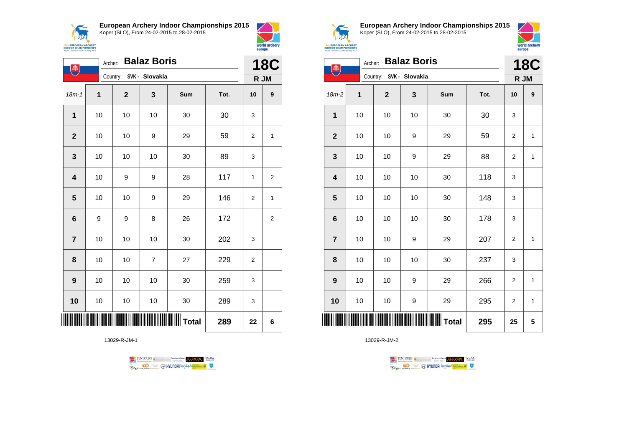**ANA 15th EUROPEAN ARCHERY**<br>INDOOR CHAMPIONSHIPS<br>Koper - Slovenia, 24-28 February 2015 **European Archery Indoor Championships 2015** Koper (SLO), From 24-02-2015 to 28-02-2015



|                         | <b>Balaz Boris</b><br>Archer:<br>$\ket{\ddot{\ddot{\pi}}}$ |                         |                |     |      |                |                  |  |
|-------------------------|------------------------------------------------------------|-------------------------|----------------|-----|------|----------------|------------------|--|
|                         |                                                            | Country: SVK - Slovakia |                |     |      | R JM           |                  |  |
| $18m - 1$               | 1                                                          | $\mathbf 2$             | 3              | Sum | Tot. | 10             | $\boldsymbol{9}$ |  |
| 1                       | 10                                                         | 10                      | 10             | 30  | 30   | 3              |                  |  |
| $\mathbf{2}$            | 10                                                         | 10                      | 9              | 29  | 59   | $\overline{c}$ | 1                |  |
| $\mathbf{3}$            | 10                                                         | 10                      | 10             | 30  | 89   | 3              |                  |  |
| $\overline{\mathbf{4}}$ | 10                                                         | 9                       | 9              | 28  | 117  | 1              | $\overline{2}$   |  |
| $5\phantom{1}$          | 10                                                         | 10                      | 9              | 29  | 146  | 2              | 1                |  |
| 6                       | 9                                                          | 9                       | 8              | 26  | 172  |                | $\overline{2}$   |  |
| $\overline{7}$          | 10                                                         | 10                      | 10             | 30  | 202  | 3              |                  |  |
| 8                       | 10                                                         | 10                      | $\overline{7}$ | 27  | 229  | $\overline{2}$ |                  |  |
| 9                       | 10                                                         | 10                      | 10             | 30  | 259  | 3              |                  |  |
| 10                      | 10                                                         | 10                      | 10             | 30  | 289  | 3              |                  |  |
| ▏▎▌▌▌▌▌                 |                                                            |                         |                |     | 289  | 22             | 6                |  |

13029-R-JM-1

TENTOURS & RENAISSANCE CONTROLLER VEBA **Example 1999** O HYUNDAI lonsed **and the Company of Company of Company of Company of Company of Company of Company of Company of Company of Company of Company of Company of Company of Company of Company of Company of Compa** 



**European Archery Indoor Championships 2015** Koper (SLO), From 24-02-2015 to 28-02-2015



|                         | <b>Balaz Boris</b><br>Archer:<br>书 |             |                         |     |      |                |              |  |
|-------------------------|------------------------------------|-------------|-------------------------|-----|------|----------------|--------------|--|
|                         |                                    |             | Country: SVK - Slovakia |     |      | R JM           |              |  |
| 18m-2                   | 1                                  | $\mathbf 2$ | 3                       | Sum | Tot. | 10             | 9            |  |
| 1                       | 10                                 | 10          | 10                      | 30  | 30   | 3              |              |  |
| $\mathbf{2}$            | 10                                 | 10          | 9                       | 29  | 59   | 2              | 1            |  |
| $\mathbf 3$             | 10                                 | $10$        | 9                       | 29  | 88   | $\overline{c}$ | $\mathbf{1}$ |  |
| $\overline{\mathbf{4}}$ | 10                                 | 10          | 10                      | 30  | 118  | 3              |              |  |
| 5                       | 10                                 | 10          | 10                      | 30  | 148  | 3              |              |  |
| $6\phantom{1}6$         | 10                                 | 10          | 10                      | 30  | 178  | 3              |              |  |
| $\overline{7}$          | 10                                 | $10$        | 9                       | 29  | 207  | $\overline{c}$ | 1            |  |
| 8                       | 10                                 | $10$        | 10                      | 30  | 237  | 3              |              |  |
| 9                       | 10                                 | 10          | 9                       | 29  | 266  | $\overline{c}$ | 1            |  |
| 10                      | 10                                 | 10          | 9                       | 29  | 295  | 2              | $\mathbf{1}$ |  |
| IIIII                   |                                    |             |                         |     | 295  | 25             | 5            |  |

TENTOURS **(i)** CONSIDER DEVELOPS OF THE VEDA TABLES OF THE CONSIDERED PARTICULAR DEVELOPS OF THE CONSIDERED PARTICULAR DEVELOPS OF THE CONSTRUCTION OF THE CONSTRUCTION OF THE CONSTRUCTION OF THE CONSTRUCTION OF THE CONSTRU **Example 2** @ HYUNDAI lansed **State 4** U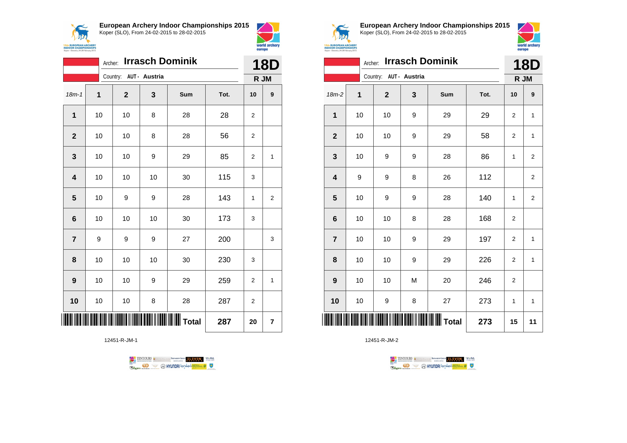



|                         | <b>Irrasch Dominik</b><br>Archer: |  |              |                        |     |      |      | <b>18D</b>       |  |
|-------------------------|-----------------------------------|--|--------------|------------------------|-----|------|------|------------------|--|
|                         |                                   |  |              | Country: AUT - Austria |     |      | R JM |                  |  |
| $18m - 1$               | $\mathbf 1$                       |  | $\mathbf{2}$ | 3                      | Sum | Tot. | 10   | $\boldsymbol{9}$ |  |
| 1                       | 10                                |  | 10           | 8                      | 28  | 28   | 2    |                  |  |
| $\mathbf{2}$            | 10                                |  | 10           | 8                      | 28  | 56   | 2    |                  |  |
| 3                       | 10                                |  | 10           | 9                      | 29  | 85   | 2    | $\mathbf{1}$     |  |
| $\overline{\mathbf{4}}$ | 10                                |  | 10           | 10                     | 30  | 115  | 3    |                  |  |
| 5                       | 10                                |  | 9            | 9                      | 28  | 143  | 1    | $\overline{2}$   |  |
| 6                       | 10                                |  | 10           | 10                     | 30  | 173  | 3    |                  |  |
| $\overline{7}$          | 9                                 |  | 9            | 9                      | 27  | 200  |      | 3                |  |
| 8                       | 10                                |  | 10           | 10                     | 30  | 230  | 3    |                  |  |
| 9                       | 10                                |  | 10           | 9                      | 29  | 259  | 2    | 1                |  |
| 10                      | 10                                |  | 10           | 8                      | 28  | 287  | 2    |                  |  |
|                         |                                   |  |              |                        |     | 287  | 20   | 7                |  |

12451-R-JM-1





**European Archery Indoor Championships 2015** Koper (SLO), From 24-02-2015 to 28-02-2015



|                         | <b>Irrasch Dominik</b><br>Archer: |                        |   |     |      |                  |                  |  |
|-------------------------|-----------------------------------|------------------------|---|-----|------|------------------|------------------|--|
|                         |                                   | Country: AUT - Austria |   |     |      |                  | R JM             |  |
| $18m-2$                 | 1                                 | $\mathbf{2}$           | 3 | Sum | Tot. | 10               | $\boldsymbol{9}$ |  |
| $\mathbf{1}$            | 10                                | 10                     | 9 | 29  | 29   | $\overline{2}$   | $\mathbf{1}$     |  |
| $\mathbf{2}$            | 10                                | 10                     | 9 | 29  | 58   | $\overline{2}$   | $\mathbf{1}$     |  |
| 3                       | 10                                | 9                      | 9 | 28  | 86   | 1                | 2                |  |
| $\overline{\mathbf{4}}$ | 9                                 | 9                      | 8 | 26  | 112  |                  | $\overline{2}$   |  |
| 5                       | 10                                | 9                      | 9 | 28  | 140  | 1                | $\overline{2}$   |  |
| $6\phantom{1}$          | 10                                | 10                     | 8 | 28  | 168  | $\overline{2}$   |                  |  |
| $\overline{7}$          | 10                                | 10                     | 9 | 29  | 197  | $\overline{2}$   | 1                |  |
| 8                       | 10                                | 10                     | 9 | 29  | 226  | $\boldsymbol{2}$ | $\mathbf{1}$     |  |
| 9                       | 10                                | 10                     | M | 20  | 246  | 2                |                  |  |
| 10                      | 10                                | 9                      | 8 | 27  | 273  | 1                | $\mathbf{1}$     |  |
| ║║║                     |                                   |                        |   |     | 273  | 15               | 11               |  |

TENTOURS **(i)** CONSIDER DEVELOPS OF THE VEDA TABLES OF THE CONSIDERED PARTICULAR DEVELOPS OF THE CONSIDERED PARTICULAR DEVELOPS OF THE CONSTRUCTION OF THE CONSTRUCTION OF THE CONSTRUCTION OF THE CONSTRUCTION OF THE CONSTRU **Example 2** @ HYUNDAI lansed **State 4** U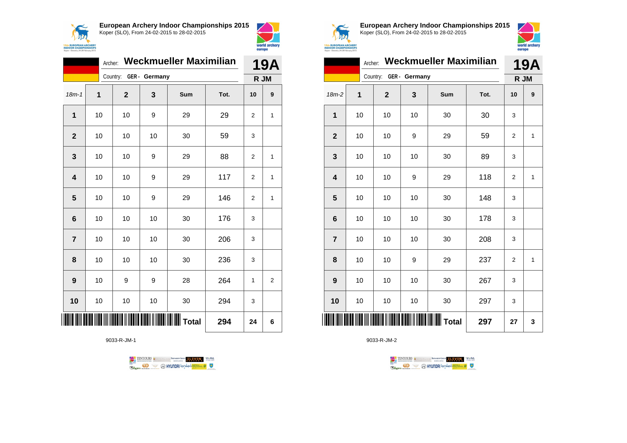



|                | <b>Weckmueller Maximilian</b><br>Archer: |                        |    |     |      |                |                  |
|----------------|------------------------------------------|------------------------|----|-----|------|----------------|------------------|
|                |                                          | Country: GER - Germany |    |     |      | R JM           |                  |
| $18m - 1$      | 1                                        | $\mathbf{2}$           | 3  | Sum | Tot. | 10             | $\boldsymbol{9}$ |
| $\mathbf 1$    | 10                                       | 10                     | 9  | 29  | 29   | 2              | 1                |
| $\overline{2}$ | 10                                       | 10                     | 10 | 30  | 59   | 3              |                  |
| 3              | 10                                       | 10                     | 9  | 29  | 88   | 2              | 1                |
| 4              | 10                                       | 10                     | 9  | 29  | 117  | 2              | 1                |
| 5              | 10                                       | 10                     | 9  | 29  | 146  | $\overline{2}$ | $\mathbf{1}$     |
| 6              | 10                                       | 10                     | 10 | 30  | 176  | 3              |                  |
| $\overline{7}$ | 10                                       | 10                     | 10 | 30  | 206  | 3              |                  |
| 8              | 10                                       | 10                     | 10 | 30  | 236  | 3              |                  |
| 9              | 10                                       | 9                      | 9  | 28  | 264  | $\mathbf{1}$   | $\overline{2}$   |
| 10             | 10                                       | 10                     | 10 | 30  | 294  | 3              |                  |
|                |                                          |                        |    |     | 294  | 24             | 6                |

9033-R-JM-1





**European Archery Indoor Championships 2015** Koper (SLO), From 24-02-2015 to 28-02-2015



|                 | 19A |                        |    |     |      |      |                  |
|-----------------|-----|------------------------|----|-----|------|------|------------------|
|                 |     | Country: GER - Germany |    |     |      | R JM |                  |
| $18m-2$         | 1   | $\mathbf 2$            | 3  | Sum | Tot. | 10   | $\boldsymbol{9}$ |
| 1               | 10  | 10                     | 10 | 30  | 30   | 3    |                  |
| $\overline{2}$  | 10  | 10                     | 9  | 29  | 59   | 2    | 1                |
| 3               | 10  | 10                     | 10 | 30  | 89   | 3    |                  |
| 4               | 10  | 10                     | 9  | 29  | 118  | 2    | $\mathbf{1}$     |
| 5               | 10  | 10                     | 10 | 30  | 148  | 3    |                  |
| $6\phantom{1}6$ | 10  | 10                     | 10 | 30  | 178  | 3    |                  |
| $\overline{7}$  | 10  | 10                     | 10 | 30  | 208  | 3    |                  |
| 8               | 10  | 10                     | 9  | 29  | 237  | 2    | $\mathbf{1}$     |
| 9               | 10  | 10                     | 10 | 30  | 267  | 3    |                  |
| 10              | 10  | 10                     | 10 | 30  | 297  | 3    |                  |
| IIII            |     |                        |    |     | 297  | 27   | 3                |

TENTOURS **(i)** CONSIDER DEVELOPS OF THE VEDA TABLES OF THE CONSIDERED PARTICULAR DEVELOPS OF THE CONSIDERED PARTICULAR DEVELOPS OF THE CONSTRUCTION OF THE CONSTRUCTION OF THE CONSTRUCTION OF THE CONSTRUCTION OF THE CONSTRU **Example 2** @ HYUNDAI lansed **State 4** U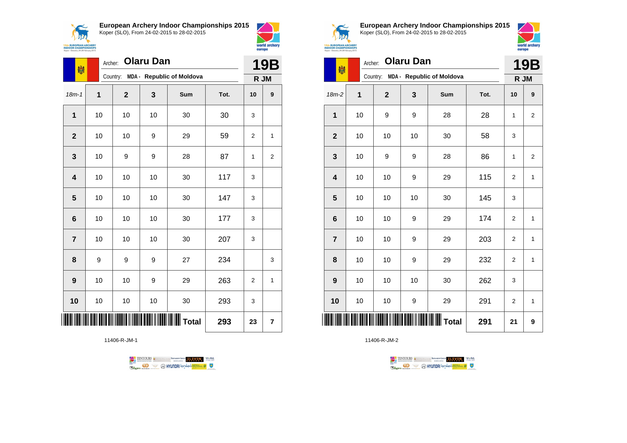



world archery

europe

| 喇                       |    | Archer:  |              | <b>19B</b> |                                  |      |                |                  |
|-------------------------|----|----------|--------------|------------|----------------------------------|------|----------------|------------------|
|                         |    | Country: |              |            | <b>MDA - Republic of Moldova</b> |      | R JM           |                  |
| $18m - 1$               | 1  |          | $\mathbf{2}$ | 3          | <b>Sum</b>                       | Tot. | 10             | 9                |
| $\mathbf{1}$            | 10 |          | 10           | 10         | 30                               | 30   | 3              |                  |
| $\mathbf{2}$            | 10 |          | 10           | 9          | 29                               | 59   | $\overline{2}$ | 1                |
| 3                       | 10 |          | 9            | 9          | 28                               | 87   | 1              | $\boldsymbol{2}$ |
| $\overline{\mathbf{4}}$ | 10 |          | 10           | 10         | 30                               | 117  | 3              |                  |
| 5                       | 10 |          | 10           | 10         | 30                               | 147  | 3              |                  |
| 6                       | 10 |          | 10           | 10         | 30                               | 177  | 3              |                  |
| $\overline{7}$          | 10 |          | 10           | 10         | 30                               | 207  | 3              |                  |
| 8                       | 9  |          | 9            | 9          | 27                               | 234  |                | 3                |
| 9                       | 10 |          | 10           | 9          | 29                               | 263  | $\overline{2}$ | 1                |
| 10                      | 10 |          | 10           | 10         | 30                               | 293  | 3              |                  |
|                         |    |          |              |            |                                  | 293  | 23             | 7                |

11406-R-JM-1





**European Archery Indoor Championships 2015** Koper (SLO), From 24-02-2015 to 28-02-2015



**19B** 

**15th EUROPEAN ARCHERY<br>INDOOR CHAMPIONSHIPS**<br>Koper - Slovenia, 24-28 February 2015

|                         | <b>Olaru Dan</b><br>Archer:<br>喇 |              |    |                                  |      |                |                |
|-------------------------|----------------------------------|--------------|----|----------------------------------|------|----------------|----------------|
|                         |                                  | Country:     |    | <b>MDA - Republic of Moldova</b> |      | R JM           |                |
| $18m-2$                 | $\mathbf 1$                      | $\mathbf{2}$ | 3  | Sum                              | Tot. | 10             | 9              |
| 1                       | 10                               | 9            | 9  | 28                               | 28   | $\mathbf{1}$   | $\overline{2}$ |
| $\mathbf{2}$            | 10                               | 10           | 10 | 30                               | 58   | 3              |                |
| 3                       | 10                               | 9            | 9  | 28                               | 86   | 1              | 2              |
| $\overline{\mathbf{4}}$ | 10                               | 10           | 9  | 29                               | 115  | $\overline{2}$ | $\mathbf{1}$   |
| 5                       | 10                               | 10           | 10 | 30                               | 145  | 3              |                |
| $6\phantom{1}6$         | 10                               | 10           | 9  | 29                               | 174  | 2              | $\mathbf{1}$   |
| $\overline{7}$          | 10                               | 10           | 9  | 29                               | 203  | $\overline{2}$ | $\mathbf{1}$   |
| 8                       | 10                               | 10           | 9  | 29                               | 232  | $\overline{2}$ | $\mathbf{1}$   |
| $\boldsymbol{9}$        | 10                               | 10           | 10 | 30                               | 262  | 3              |                |
| 10                      | 10                               | 10           | 9  | 29                               | 291  | $\overline{2}$ | $\mathbf{1}$   |
|                         |                                  |              |    |                                  | 291  | 21             | 9              |

TENTOURS **(i)** CONSIDER DEVELOPS OF THE VEDA TABLES OF THE CONSIDERED PARTICULAR DEVELOPS OF THE CONSIDERED PARTICULAR DEVELOPS OF THE CONSTRUCTION OF THE CONSTRUCTION OF THE CONSTRUCTION OF THE CONSTRUCTION OF THE CONSTRU

**Example 2** @ HYUNDAI lansed **State 4** U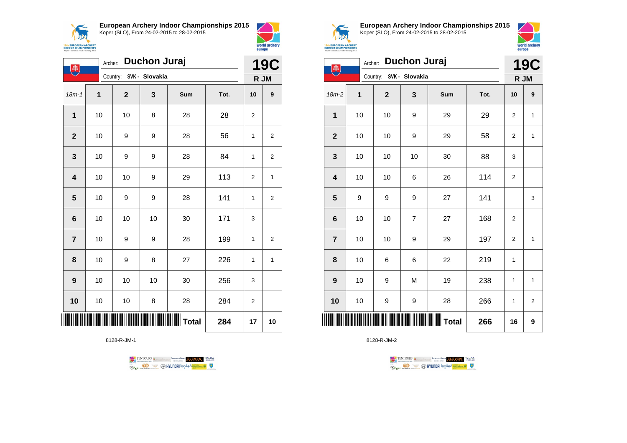



|                         | <b>Duchon Juraj</b><br>Archer:<br>$\left( \begin{matrix} \mathbf{\ddot{r}} \end{matrix} \right)$ |                         |     |     |      |              |                  |  |
|-------------------------|--------------------------------------------------------------------------------------------------|-------------------------|-----|-----|------|--------------|------------------|--|
|                         |                                                                                                  | Country: SVK - Slovakia |     |     |      |              | R JM             |  |
| $18m - 1$               | 1                                                                                                | $\mathbf 2$             | 3   | Sum | Tot. | 10           | $\boldsymbol{9}$ |  |
| $\mathbf{1}$            | 10                                                                                               | 10                      | 8   | 28  | 28   | 2            |                  |  |
| $\mathbf{2}$            | 10                                                                                               | 9                       | 9   | 28  | 56   | 1            | 2                |  |
| 3                       | 10                                                                                               | 9                       | 9   | 28  | 84   | 1            | 2                |  |
| $\overline{\mathbf{4}}$ | 10                                                                                               | 10                      | 9   | 29  | 113  | 2            | 1                |  |
| 5                       | 10                                                                                               | 9                       | 9   | 28  | 141  | $\mathbf{1}$ | $\overline{c}$   |  |
| $6\phantom{1}$          | 10                                                                                               | 10                      | 10  | 30  | 171  | 3            |                  |  |
| $\overline{7}$          | $10$                                                                                             | 9                       | 9   | 28  | 199  | 1            | 2                |  |
| 8                       | 10                                                                                               | 9                       | 8   | 27  | 226  | 1            | 1                |  |
| 9                       | 10                                                                                               | 10                      | 10  | 30  | 256  | 3            |                  |  |
| 10                      | 10                                                                                               | 10                      | 8   | 28  | 284  | 2            |                  |  |
|                         |                                                                                                  |                         | 284 | 17  | 10   |              |                  |  |

8128-R-JM-1





**European Archery Indoor Championships 2015** Koper (SLO), From 24-02-2015 to 28-02-2015



|                         | <b>Duchon Juraj</b><br>Archer:<br>电 |                         |                |       |      |                |                         |
|-------------------------|-------------------------------------|-------------------------|----------------|-------|------|----------------|-------------------------|
|                         |                                     | Country: SVK - Slovakia |                |       |      | R JM           |                         |
| 18m-2                   | 1                                   | $\mathbf{2}$            | 3              | Sum   | Tot. | 10             | 9                       |
| 1                       | 10                                  | 10                      | 9              | 29    | 29   | 2              | $\mathbf{1}$            |
| $\mathbf{2}$            | 10                                  | 10                      | 9              | 29    | 58   | 2              | 1                       |
| 3                       | 10                                  | 10                      | 10             | 30    | 88   | 3              |                         |
| $\overline{\mathbf{4}}$ | 10                                  | 10                      | 6              | 26    | 114  | $\overline{2}$ |                         |
| 5                       | 9                                   | 9                       | 9              | 27    | 141  |                | 3                       |
| $6\phantom{1}6$         | 10                                  | 10                      | $\overline{7}$ | 27    | 168  | $\overline{2}$ |                         |
| $\overline{7}$          | 10                                  | 10                      | 9              | 29    | 197  | $\overline{2}$ | $\mathbf{1}$            |
| 8                       | 10                                  | 6                       | 6              | 22    | 219  | 1              |                         |
| 9                       | 10                                  | 9                       | M              | 19    | 238  | $\mathbf{1}$   | 1                       |
| 10                      | 10                                  | 9                       | 9              | 28    | 266  | 1              | $\overline{\mathbf{c}}$ |
| IIII                    |                                     |                         |                | Total | 266  | 16             | 9                       |

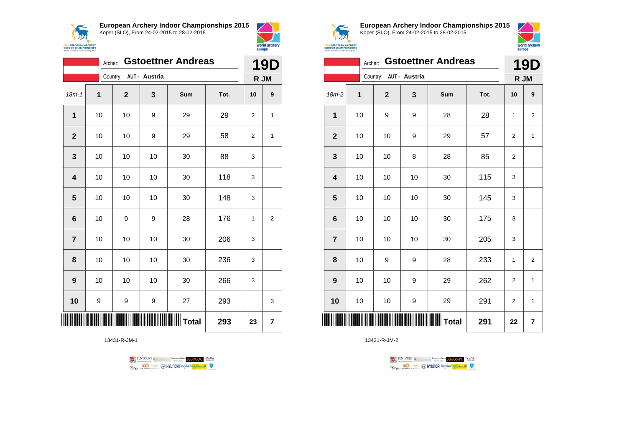



|                         | Archer: |                        |    | <b>Gstoettner Andreas</b> |      | <b>19D</b> |                |
|-------------------------|---------|------------------------|----|---------------------------|------|------------|----------------|
|                         |         | Country: AUT - Austria |    |                           |      |            | R JM           |
| $18m - 1$               | 1       | $\overline{2}$         | 3  | Sum                       | Tot. | 10         | 9              |
| 1                       | 10      | 10                     | 9  | 29                        | 29   | 2          | 1              |
| $\overline{2}$          | 10      | 10                     | 9  | 29                        | 58   | 2          | 1              |
| 3                       | 10      | 10                     | 10 | 30                        | 88   | 3          |                |
| $\overline{\mathbf{4}}$ | 10      | 10                     | 10 | 30                        | 118  | 3          |                |
| 5                       | 10      | 10                     | 10 | 30                        | 148  | 3          |                |
| $6\phantom{1}6$         | 10      | 9                      | 9  | 28                        | 176  | 1          | $\overline{2}$ |
| $\overline{7}$          | 10      | 10                     | 10 | 30                        | 206  | 3          |                |
| 8                       | 10      | 10                     | 10 | 30                        | 236  | 3          |                |
| 9                       | 10      | 10                     | 10 | 30                        | 266  | 3          |                |
| 10                      | 9       | 9                      | 9  | 27                        | 293  |            | 3              |
|                         |         |                        |    | 293                       | 23   | 7          |                |

13431-R-JM-1

TENTOURS & RENAISSANCE CONTROLLER VEBA **OD SOUTHERRY SECTION AND STATE Ragma** 



**European Archery Indoor Championships 2015** Koper (SLO), From 24-02-2015 to 28-02-2015



|                         | <b>Gstoettner Andreas</b><br>Archer: |                        |    |     |      |                |                |
|-------------------------|--------------------------------------|------------------------|----|-----|------|----------------|----------------|
|                         |                                      | Country: AUT - Austria |    |     |      | R JM           |                |
| $18m-2$                 | 1                                    | $\mathbf 2$            | 3  | Sum | Tot. | 10             | 9              |
| 1                       | 10                                   | 9                      | 9  | 28  | 28   | 1              | $\overline{2}$ |
| $\mathbf{2}$            | 10                                   | 10                     | 9  | 29  | 57   | $\overline{2}$ | $\mathbf{1}$   |
| 3                       | 10                                   | 10                     | 8  | 28  | 85   | 2              |                |
| $\overline{\mathbf{4}}$ | 10                                   | 10                     | 10 | 30  | 115  | 3              |                |
| 5                       | 10                                   | 10                     | 10 | 30  | 145  | 3              |                |
| $6\phantom{1}$          | 10                                   | 10                     | 10 | 30  | 175  | 3              |                |
| $\overline{7}$          | 10                                   | 10                     | 10 | 30  | 205  | 3              |                |
| 8                       | 10                                   | 9                      | 9  | 28  | 233  | 1              | $\overline{2}$ |
| 9                       | 10                                   | 10                     | 9  | 29  | 262  | $\overline{c}$ | 1              |
| 10                      | 10                                   | 10                     | 9  | 29  | 291  | 2              | $\mathbf{1}$   |
| ║║║                     |                                      |                        |    |     | 291  | 22             | 7              |

TENTOURS **(i)** CONSIDER DEVELOPS OF THE VEDA TABLES OF THE CONSIDERED PARTICULAR DEVELOPS OF THE CONSIDERED PARTICULAR DEVELOPS OF THE CONSTRUCTION OF THE CONSTRUCTION OF THE CONSTRUCTION OF THE CONSTRUCTION OF THE CONSTRU **B** MYUNDAI Tonsed **Williams 9 Regin**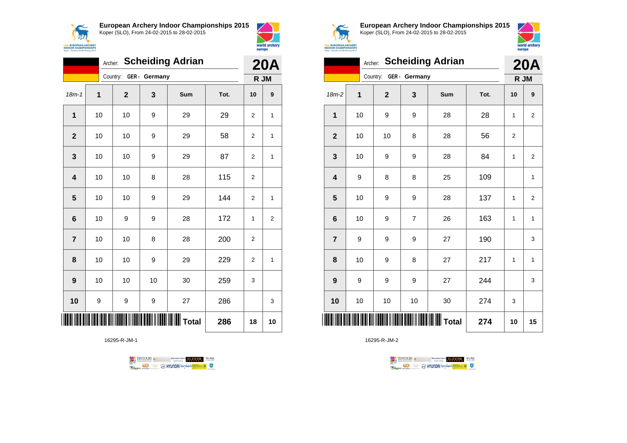

18m-1 **1 2 3 Sum Tot. 10 9**

**1** | 10 | 10 | 9 | 29 | 29 | 2 | 1

**2** | 10 | 10 | 9 | 29 | 58 | 2 | 1

**3** | 10 | 10 | 9 | 29 | 87 | 2 | 1

**5** | 10 | 10 | 9 | 29 | 144 | 2 | 1

**6** | 10 | 9 | 9 | 28 | 172 | 1 | 2

**8** | 10 | 10 | 9 | 29 | 229 | 2 | 1

**10** | 9 | 9 | 9 | 27 | 286 | | 3

**TOTAL TOTAL TERM** THE TOTAL TOTAL TOTAL 18 10

16295-R-JM-1

**4** | 10 | 10 | 8 | 28 | 115 | 2

**7** | 10 | 10 | 8 | 28 | 200 | 2

**9** | 10 | 10 | 30 | 259 | 3

Archer: **Scheiding Adrian**

Country: **GER - Germany**



**15th EUROPEAN ARCHERY**<br>INDOOR CHAMPIONSHIPS

Koper - Slovenia, 24-28 F

**20A R JM**

**European Archery Indoor Championships 2015** Koper (SLO), From 24-02-2015 to 28-02-2015



|                         |    |              |                        | Archer: Scheiding Adrian |      | <b>20A</b>     |                |
|-------------------------|----|--------------|------------------------|--------------------------|------|----------------|----------------|
|                         |    |              | Country: GER - Germany |                          |      |                | R JM           |
| $18m-2$                 | 1  | $\mathbf{2}$ | 3                      | Sum                      | Tot. | 10             | 9              |
| $\mathbf{1}$            | 10 | 9            | 9                      | 28                       | 28   | 1              | $\overline{2}$ |
| $\overline{2}$          | 10 | 10           | 8                      | 28                       | 56   | $\overline{2}$ |                |
| 3                       | 10 | 9            | 9                      | 28                       | 84   | 1              | 2              |
| $\overline{\mathbf{4}}$ | 9  | 8            | 8                      | 25                       | 109  |                | $\mathbf{1}$   |
| 5                       | 10 | 9            | 9                      | 28                       | 137  | 1              | $\overline{2}$ |
| $6\phantom{1}6$         | 10 | 9            | $\overline{7}$         | 26                       | 163  | 1              | $\mathbf{1}$   |
| $\overline{7}$          | 9  | 9            | 9                      | 27                       | 190  |                | 3              |
| 8                       | 10 | 9            | 8                      | 27                       | 217  | 1              | 1              |
| 9                       | 9  | 9            | 9                      | 27                       | 244  |                | 3              |
| 10                      | 10 | 10           | 10                     | 30                       | 274  | 3              |                |
|                         |    |              |                        | <b>WIII</b> Total        | 274  | 10             | 15             |



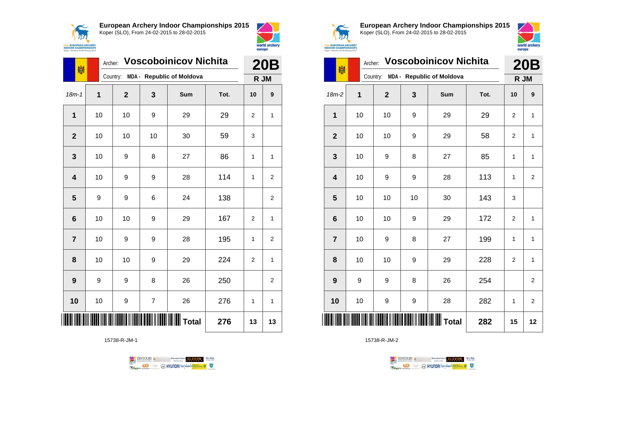



|                | <b>Voscoboinicov Nichita</b><br>Archer:<br>喇 |                |                |                           |      |                |                |
|----------------|----------------------------------------------|----------------|----------------|---------------------------|------|----------------|----------------|
|                |                                              | Country:       |                | MDA - Republic of Moldova |      | R JM           |                |
| $18m - 1$      | 1                                            | $\overline{2}$ | 3              | Sum                       | Tot. | 10             | 9              |
| 1              | 10                                           | 10             | 9              | 29                        | 29   | 2              | 1              |
| $\overline{2}$ | 10                                           | 10             | 10             | 30                        | 59   | 3              |                |
| 3              | 10                                           | 9              | 8              | 27                        | 86   | 1              | 1              |
| 4              | 10                                           | 9              | 9              | 28                        | 114  | 1              | 2              |
| 5              | 9                                            | 9              | 6              | 24                        | 138  |                | 2              |
| 6              | 10                                           | 10             | 9              | 29                        | 167  | $\overline{2}$ | 1              |
| $\overline{7}$ | 10                                           | 9              | 9              | 28                        | 195  | 1              | $\overline{2}$ |
| 8              | 10                                           | 10             | 9              | 29                        | 224  | 2              | 1              |
| 9              | 9                                            | 9              | 8              | 26                        | 250  |                | $\overline{2}$ |
| 10             | 10                                           | 9              | $\overline{7}$ | 26                        | 276  | 1              | 1              |
|                |                                              |                |                |                           | 276  | 13             | 13             |

15738-R-JM-1





**European Archery Indoor Championships 2015** Koper (SLO), From 24-02-2015 to 28-02-2015



| 喇                       | Archer: | <b>Voscoboinicov Nichita</b> | <b>20B</b> |                                    |      |                |                         |
|-------------------------|---------|------------------------------|------------|------------------------------------|------|----------------|-------------------------|
|                         |         |                              |            | Country: MDA - Republic of Moldova |      | R JM           |                         |
| $18m-2$                 | 1       | $\mathbf 2$                  | 3          | Sum                                | Tot. | 10             | 9                       |
| 1                       | 10      | 10                           | 9          | 29                                 | 29   | 2              | 1                       |
| $\mathbf{2}$            | 10      | 10                           | 9          | 29                                 | 58   | $\overline{2}$ | 1                       |
| 3                       | 10      | 9                            | 8          | 27                                 | 85   | 1              | 1                       |
| $\overline{\mathbf{4}}$ | 10      | 9                            | 9          | 28                                 | 113  | $\mathbf{1}$   | $\overline{\mathbf{c}}$ |
| 5                       | 10      | 10                           | 10         | 30                                 | 143  | 3              |                         |
| $6\phantom{1}6$         | 10      | 10                           | 9          | 29                                 | 172  | $\overline{2}$ | 1                       |
| $\overline{7}$          | 10      | 9                            | 8          | 27                                 | 199  | 1              | 1                       |
| 8                       | 10      | 10                           | 9          | 29                                 | 228  | $\overline{2}$ | 1                       |
| 9                       | 9       | 9                            | 8          | 26                                 | 254  |                | $\overline{\mathbf{c}}$ |
| 10                      | 10      | 9                            | 9          | 28                                 | 282  | 1              | $\overline{2}$          |
|                         |         |                              |            |                                    | 282  | 15             | 12                      |

TENTOURS **Q** CONSIDERED BEXTRED CONDUCT **CONSIDERED** VICE DA **B** MYUNDAI Tonsed **Williams 9** Ragm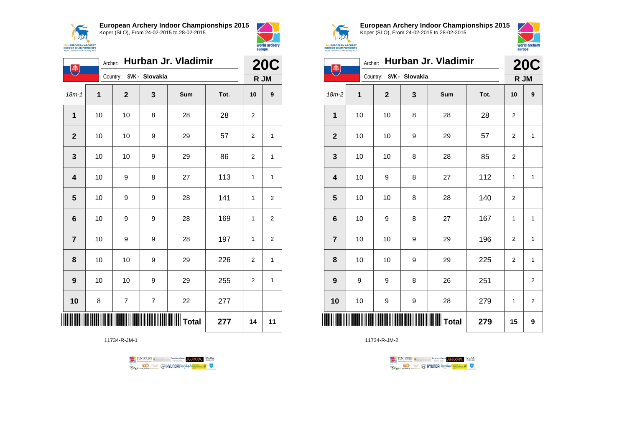



|                         | Hurban Jr. Vladimir<br>Archer:<br>书 |                         |                |     |      |              | <b>20C</b>       |  |
|-------------------------|-------------------------------------|-------------------------|----------------|-----|------|--------------|------------------|--|
|                         |                                     | Country: SVK - Slovakia |                |     |      |              | R JM             |  |
| $18m-1$                 | $\overline{1}$                      | $\overline{2}$          | 3              | Sum | Tot. | 10           | $\boldsymbol{9}$ |  |
| $\mathbf{1}$            | 10                                  | 10                      | 8              | 28  | 28   | 2            |                  |  |
| $\overline{\mathbf{2}}$ | 10                                  | 10                      | 9              | 29  | 57   | 2            | 1                |  |
| 3                       | 10                                  | 10                      | 9              | 29  | 86   | 2            | 1                |  |
| $\overline{\mathbf{4}}$ | 10                                  | 9                       | 8              | 27  | 113  | 1            | 1                |  |
| 5                       | 10                                  | 9                       | 9              | 28  | 141  | 1            | $\overline{2}$   |  |
| 6                       | 10                                  | 9                       | 9              | 28  | 169  | $\mathbf{1}$ | 2                |  |
| $\overline{7}$          | 10                                  | 9                       | 9              | 28  | 197  | 1            | $\overline{2}$   |  |
| 8                       | 10                                  | 10                      | 9              | 29  | 226  | 2            | 1                |  |
| 9                       | 10                                  | 10                      | 9              | 29  | 255  | 2            | 1                |  |
| 10                      | 8                                   | 7                       | $\overline{7}$ | 22  | 277  |              |                  |  |
|                         |                                     |                         |                |     | 277  | 14           | 11               |  |

11734-R-JM-1





**European Archery Indoor Championships 2015** Koper (SLO), From 24-02-2015 to 28-02-2015



| Hurban Jr. Vladimir<br>Archer:<br>主 |    |                         |   |     |      |                | <b>20C</b>              |  |
|-------------------------------------|----|-------------------------|---|-----|------|----------------|-------------------------|--|
|                                     |    | Country: SVK - Slovakia |   |     |      | R JM           |                         |  |
| 18m-2                               | 1  | $\mathbf 2$             | 3 | Sum | Tot. | 10             | 9                       |  |
| 1                                   | 10 | 10                      | 8 | 28  | 28   | 2              |                         |  |
| $\mathbf{2}$                        | 10 | 10                      | 9 | 29  | 57   | 2              | $\mathbf{1}$            |  |
| $\mathbf 3$                         | 10 | 10                      | 8 | 28  | 85   | $\overline{c}$ |                         |  |
| 4                                   | 10 | 9                       | 8 | 27  | 112  | 1              | $\mathbf{1}$            |  |
| 5                                   | 10 | 10                      | 8 | 28  | 140  | $\overline{c}$ |                         |  |
| $6\phantom{1}$                      | 10 | 9                       | 8 | 27  | 167  | 1              | $\mathbf{1}$            |  |
| $\overline{7}$                      | 10 | 10                      | 9 | 29  | 196  | $\overline{c}$ | $\mathbf{1}$            |  |
| 8                                   | 10 | 10                      | 9 | 29  | 225  | $\overline{c}$ | $\mathbf{1}$            |  |
| 9                                   | 9  | 9                       | 8 | 26  | 251  |                | $\overline{\mathbf{c}}$ |  |
| 10                                  | 10 | 9                       | 9 | 28  | 279  | 1              | 2                       |  |
| ║║║                                 |    |                         |   |     | 279  | 15             | 9                       |  |

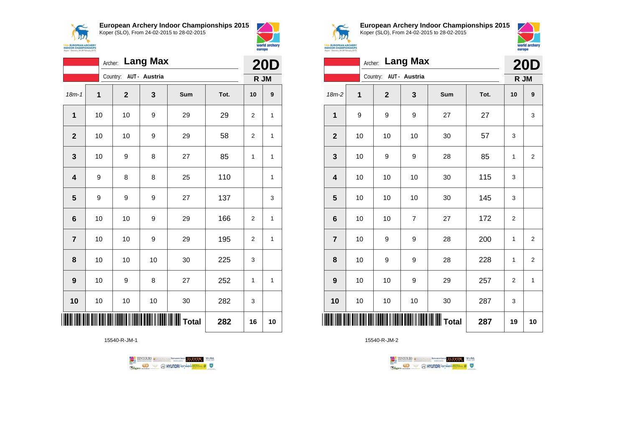



world archery

europe

|                         |             | Archer: Lang Max       |      |                  |      | <b>20D</b>     |              |
|-------------------------|-------------|------------------------|------|------------------|------|----------------|--------------|
|                         |             | Country: AUT - Austria |      |                  |      | R JM           |              |
| $18m - 1$               | $\mathbf 1$ | $\mathbf{2}$           | 3    | Sum              | Tot. | 10             | 9            |
| 1                       | 10          | 10                     | 9    | 29               | 29   | 2              | 1            |
| $\mathbf{2}$            | 10          | 10                     | 9    | 29               | 58   | 2              | 1            |
| $\mathbf{3}$            | 10          | 9                      | 8    | 27               | 85   | 1              | 1            |
| $\overline{\mathbf{4}}$ | 9           | 8                      | 8    | 25               | 110  |                | $\mathbf{1}$ |
| 5                       | 9           | 9                      | 9    | 27               | 137  |                | 3            |
| $\bf 6$                 | 10          | 10                     | 9    | 29               | 166  | $\overline{2}$ | 1            |
| $\overline{7}$          | 10          | 10                     | 9    | 29               | 195  | $\overline{2}$ | 1            |
| 8                       | 10          | 10                     | 10   | 30               | 225  | 3              |              |
| 9                       | 10          | 9                      | 8    | 27               | 252  | 1              | 1            |
| 10                      | $10$        | 10                     | $10$ | 30               | 282  | 3              |              |
|                         |             |                        |      | <b>III</b> Total | 282  | 16             | 10           |

15540-R-JM-1





**European Archery Indoor Championships 2015** Koper (SLO), From 24-02-2015 to 28-02-2015



|                         | Archer: Lang Max |                        |                |     |      |                |                |
|-------------------------|------------------|------------------------|----------------|-----|------|----------------|----------------|
|                         |                  | Country: AUT - Austria |                |     |      | R JM           |                |
| $18m-2$                 | 1                | $\mathbf{2}$           | 3              | Sum | Tot. | 10             | 9              |
| 1                       | 9                | 9                      | 9              | 27  | 27   |                | 3              |
| $\mathbf{2}$            | 10               | 10                     | 10             | 30  | 57   | 3              |                |
| $\mathbf 3$             | 10               | 9                      | 9              | 28  | 85   | 1              | $\overline{2}$ |
| $\overline{\mathbf{4}}$ | 10               | 10                     | 10             | 30  | 115  | 3              |                |
| 5                       | 10               | 10                     | 10             | 30  | 145  | 3              |                |
| $6\phantom{1}6$         | 10               | 10                     | $\overline{7}$ | 27  | 172  | $\overline{c}$ |                |
| $\overline{7}$          | 10               | 9                      | 9              | 28  | 200  | 1              | 2              |
| 8                       | 10               | 9                      | 9              | 28  | 228  | 1              | $\overline{2}$ |
| 9                       | 10               | 10                     | 9              | 29  | 257  | $\overline{c}$ | $\mathbf{1}$   |
| 10                      | 10               | $10$                   | 10             | 30  | 287  | 3              |                |
| ║║║                     |                  |                        |                |     | 287  | 19             | 10             |

TENTOURS **(i)** CONSIDER DEVELOPS OF THE VEDA TABLES OF THE CONSIDERED PARTICULAR DEVELOPS OF THE CONSIDERED PARTICULAR DEVELOPS OF THE CONSTRUCTION OF THE CONSTRUCTION OF THE CONSTRUCTION OF THE CONSTRUCTION OF THE CONSTRU **Example 2** @ HYUNDAI lansed **State 4** U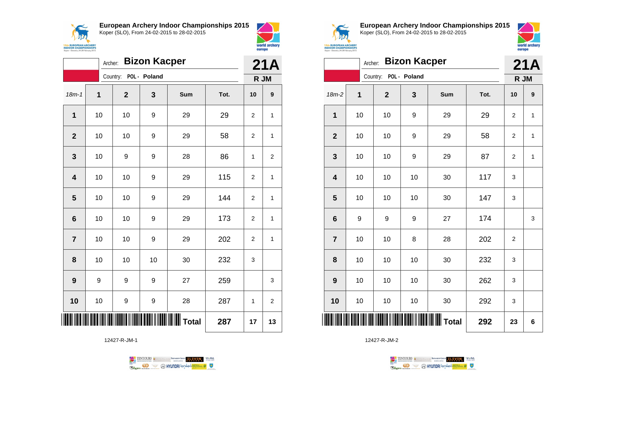



world archery

europe

|                         | Archer: |              | <b>Bizon Kacper</b> |     |      |                | 21A          |
|-------------------------|---------|--------------|---------------------|-----|------|----------------|--------------|
|                         |         | Country:     | POL - Poland        |     |      |                | R JM         |
| $18m - 1$               | 1       | $\mathbf{2}$ | 3                   | Sum | Tot. | 10             | 9            |
| $\mathbf{1}$            | 10      | 10           | 9                   | 29  | 29   | $\overline{2}$ | $\mathbf{1}$ |
| $\overline{2}$          | 10      | 10           | 9                   | 29  | 58   | 2              | 1            |
| 3                       | 10      | 9            | 9                   | 28  | 86   | 1              | 2            |
| $\overline{\mathbf{4}}$ | 10      | 10           | 9                   | 29  | 115  | 2              | 1            |
| 5                       | 10      | 10           | 9                   | 29  | 144  | $\overline{2}$ | $\mathbf{1}$ |
| 6                       | 10      | 10           | 9                   | 29  | 173  | 2              | 1            |
| $\overline{7}$          | 10      | 10           | 9                   | 29  | 202  | 2              | 1            |
| 8                       | 10      | 10           | 10                  | 30  | 232  | 3              |              |
| 9                       | 9       | 9            | 9                   | 27  | 259  |                | 3            |
| 10                      | 10      | 9            | 9                   | 28  | 287  | 1              | 2            |
| Ⅲ                       |         |              | 287                 | 17  | 13   |                |              |

12427-R-JM-1





**European Archery Indoor Championships 2015** Koper (SLO), From 24-02-2015 to 28-02-2015



|                         | Archer: |              | <b>Bizon Kacper</b> |     |      | 21A            |              |
|-------------------------|---------|--------------|---------------------|-----|------|----------------|--------------|
|                         |         | Country:     | POL - Poland        |     |      | R JM           |              |
| 18m-2                   | 1       | $\mathbf{2}$ | 3                   | Sum | Tot. | 10             | 9            |
| 1                       | 10      | 10           | 9                   | 29  | 29   | $\overline{2}$ | $\mathbf{1}$ |
| $\overline{2}$          | 10      | 10           | 9                   | 29  | 58   | 2              | 1            |
| 3                       | 10      | 10           | 9                   | 29  | 87   | 2              | 1            |
| $\overline{\mathbf{4}}$ | 10      | 10           | 10                  | 30  | 117  | 3              |              |
| 5                       | 10      | 10           | 10                  | 30  | 147  | 3              |              |
| $6\phantom{1}6$         | 9       | 9            | 9                   | 27  | 174  |                | 3            |
| $\overline{7}$          | 10      | 10           | 8                   | 28  | 202  | $\overline{2}$ |              |
| 8                       | 10      | 10           | 10                  | 30  | 232  | 3              |              |
| 9                       | 10      | 10           | 10                  | 30  | 262  | 3              |              |
| 10                      | 10      | 10           | 10                  | 30  | 292  | 3              |              |
|                         |         |              |                     |     | 292  | 23             | 6            |

TENTOURS **Q** CONSIDERED BEXTRED CONDUCT **CONSIDERED** VICE DA **B** MYUNDAI Tonsed **Williams 9** Ragm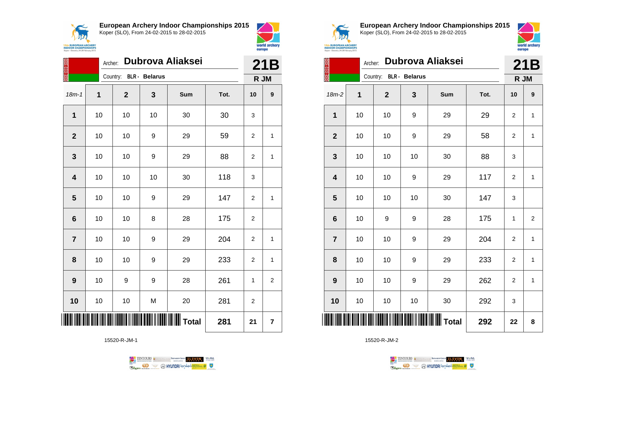



|                |    | Dubrova Aliaksei<br>Archer: |                      |                                         |      |                |                |
|----------------|----|-----------------------------|----------------------|-----------------------------------------|------|----------------|----------------|
|                |    | Country:                    | <b>BLR</b> - Belarus |                                         |      | R JM           |                |
| $18m - 1$      | 1  | $\mathbf 2$                 | 3                    | Sum                                     | Tot. | 10             | 9              |
| 1              | 10 | 10                          | 10                   | 30                                      | 30   | 3              |                |
| $\mathbf{2}$   | 10 | 10                          | 9                    | 29                                      | 59   | 2              | 1              |
| 3              | 10 | 10                          | 9                    | 29                                      | 88   | $\overline{2}$ | 1              |
| 4              | 10 | 10                          | 10                   | 30                                      | 118  | 3              |                |
| 5              | 10 | 10                          | 9                    | 29                                      | 147  | 2              | 1              |
| 6              | 10 | 10                          | 8                    | 28                                      | 175  | $\overline{2}$ |                |
| $\overline{7}$ | 10 | 10                          | 9                    | 29                                      | 204  | $\overline{2}$ | 1              |
| 8              | 10 | 10                          | 9                    | 29                                      | 233  | $\overline{2}$ | 1              |
| 9              | 10 | 9                           | 9                    | 28                                      | 261  | 1              | $\overline{c}$ |
| 10             | 10 | 10                          | M                    | 20                                      | 281  | $\overline{2}$ |                |
|                |    |                             |                      | ║║║║║║║║║║║║║║║║║║║║╷┰ <sub>ota</sub> ı | 281  | 21             | 7              |

15520-R-JM-1





**European Archery Indoor Championships 2015** Koper (SLO), From 24-02-2015 to 28-02-2015



|                 | Archer: |                        | 21B |     |      |                |                |
|-----------------|---------|------------------------|-----|-----|------|----------------|----------------|
|                 |         | Country: BLR - Belarus |     |     |      |                | R JM           |
| $18m-2$         | 1       | $\mathbf 2$            | 3   | Sum | Tot. | 10             | 9              |
| 1               | 10      | 10                     | 9   | 29  | 29   | $\overline{2}$ | 1              |
| $\mathbf{2}$    | 10      | 10                     | 9   | 29  | 58   | $\overline{2}$ | $\mathbf{1}$   |
| 3               | 10      | 10                     | 10  | 30  | 88   | 3              |                |
| 4               | 10      | 10                     | 9   | 29  | 117  | $\overline{2}$ | $\mathbf{1}$   |
| 5               | 10      | 10                     | 10  | 30  | 147  | 3              |                |
| $6\phantom{1}6$ | 10      | 9                      | 9   | 28  | 175  | $\mathbf{1}$   | $\overline{2}$ |
| $\overline{7}$  | 10      | 10                     | 9   | 29  | 204  | $\overline{2}$ | $\mathbf{1}$   |
| 8               | 10      | 10                     | 9   | 29  | 233  | $\overline{2}$ | 1              |
| 9               | 10      | 10                     | 9   | 29  | 262  | $\overline{2}$ | $\mathbf{1}$   |
| 10              | 10      | 10                     | 10  | 30  | 292  | 3              |                |
| IIII            |         |                        |     |     | 292  | 22             | 8              |

TENTOURS **(i)** CONSIDER DEVELOPS OF THE VEDA TABLES OF THE CONSIDERED PARTICULAR DEVELOPS OF THE CONSIDERED PARTICULAR DEVELOPS OF THE CONSTRUCTION OF THE CONSTRUCTION OF THE CONSTRUCTION OF THE CONSTRUCTION OF THE CONSTRU **B** MYUNDAI Tonsed **Williams 9 Regin**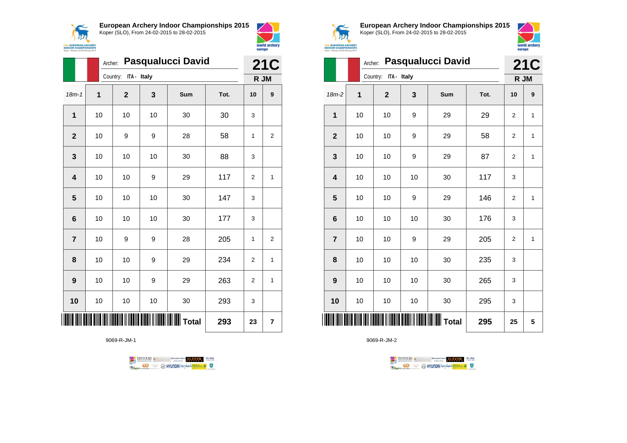



|                         |    | <b>Pasqualucci David</b><br>Archer: |    |                   |      |                |                  |  |
|-------------------------|----|-------------------------------------|----|-------------------|------|----------------|------------------|--|
|                         |    | Country: ITA - Italy                |    |                   |      |                | R JM             |  |
| $18m - 1$               | 1  | $\overline{2}$                      | 3  | Sum               | Tot. | 10             | $\boldsymbol{9}$ |  |
| 1                       | 10 | 10                                  | 10 | 30                | 30   | 3              |                  |  |
| $\overline{2}$          | 10 | 9                                   | 9  | 28                | 58   | 1              | 2                |  |
| 3                       | 10 | 10                                  | 10 | 30                | 88   | 3              |                  |  |
| $\overline{\mathbf{4}}$ | 10 | 10                                  | 9  | 29                | 117  | $\overline{2}$ | 1                |  |
| 5                       | 10 | 10                                  | 10 | 30                | 147  | 3              |                  |  |
| $6\phantom{1}6$         | 10 | 10                                  | 10 | 30                | 177  | 3              |                  |  |
| $\overline{7}$          | 10 | 9                                   | 9  | 28                | 205  | 1              | 2                |  |
| 8                       | 10 | 10                                  | 9  | 29                | 234  | 2              | 1                |  |
| 9                       | 10 | 10                                  | 9  | 29                | 263  | $\overline{2}$ | $\mathbf{1}$     |  |
| 10                      | 10 | 10                                  | 10 | 30                | 293  | 3              |                  |  |
|                         |    |                                     |    | <b>WIII</b> Total | 293  | 23             | 7                |  |

9069-R-JM-1





**European Archery Indoor Championships 2015** Koper (SLO), From 24-02-2015 to 28-02-2015



|                         |    | <b>Pasqualucci David</b><br>Archer: |    |     |      |                |              |
|-------------------------|----|-------------------------------------|----|-----|------|----------------|--------------|
|                         |    | Country: ITA - Italy                |    |     |      | R JM           |              |
| $18m-2$                 | 1  | $\mathbf{2}$                        | 3  | Sum | Tot. | 10             | 9            |
| 1                       | 10 | 10                                  | 9  | 29  | 29   | $\overline{2}$ | 1            |
| $\overline{2}$          | 10 | 10                                  | 9  | 29  | 58   | $\overline{2}$ | 1            |
| 3                       | 10 | 10                                  | 9  | 29  | 87   | $\overline{2}$ | $\mathbf{1}$ |
| $\overline{\mathbf{4}}$ | 10 | 10                                  | 10 | 30  | 117  | 3              |              |
| 5                       | 10 | 10                                  | 9  | 29  | 146  | $\overline{2}$ | $\mathbf{1}$ |
| $6\phantom{1}6$         | 10 | 10                                  | 10 | 30  | 176  | 3              |              |
| $\overline{7}$          | 10 | 10                                  | 9  | 29  | 205  | $\overline{2}$ | 1            |
| 8                       | 10 | 10                                  | 10 | 30  | 235  | 3              |              |
| 9                       | 10 | 10                                  | 10 | 30  | 265  | 3              |              |
| 10                      | 10 | 10                                  | 10 | 30  | 295  | 3              |              |
| ║║║                     |    |                                     |    |     | 295  | 25             | 5            |

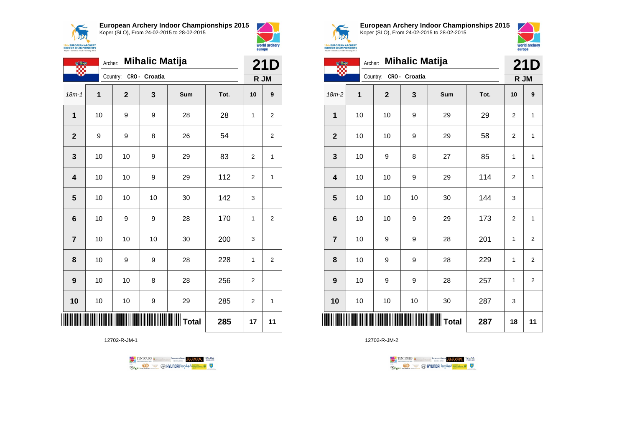**AIX 15th EUROPEAN ARCH<br>INDOOR CHAMPIONS**<br>Koper - Slovenia, 24-28 Februar **European Archery Indoor Championships 2015**





|                 | <b>Mihalic Matija</b><br>Archer: |              |               |           |      |                |                    |
|-----------------|----------------------------------|--------------|---------------|-----------|------|----------------|--------------------|
|                 |                                  | Country:     | CRO - Croatia |           |      |                | <b>21D</b><br>R JM |
| $18m - 1$       | 1                                | $\mathbf{2}$ | 3             | Sum       | Tot. | 10             | 9                  |
| $\mathbf 1$     | 10                               | 9            | 9             | 28        | 28   | 1              | 2                  |
| $\overline{2}$  | 9                                | 9            | 8             | 26        | 54   |                | 2                  |
| 3               | 10                               | 10           | 9             | 29        | 83   | 2              | 1                  |
| 4               | 10                               | 10           | 9             | 29        | 112  | $\overline{2}$ | $\mathbf{1}$       |
| 5               | 10                               | 10           | 10            | 30        | 142  | 3              |                    |
| $6\phantom{1}6$ | 10                               | 9            | 9             | 28        | 170  | 1              | $\overline{2}$     |
| $\overline{7}$  | 10                               | 10           | 10            | 30        | 200  | 3              |                    |
| 8               | 10                               | 9            | 9             | 28        | 228  | 1              | $\overline{2}$     |
| 9               | 10                               | 10           | 8             | 28        | 256  | 2              |                    |
| 10              | 10                               | 10           | 9             | 29        | 285  | $\overline{2}$ | 1                  |
|                 |                                  |              |               | III Total | 285  | 17             | 11                 |

12702-R-JM-1





**European Archery Indoor Championships 2015** Koper (SLO), From 24-02-2015 to 28-02-2015



|  | <b>EUROPEAN ARCHERY</b><br><b>OOR CHAMPIONSHIPS</b> |  |
|--|-----------------------------------------------------|--|
|  | r - Slovenia, 24-28 February 2015                   |  |

| <b>O BY</b>             | Archer:     | <b>Mihalic Matija</b>  |    |     | 21D  |                |                         |
|-------------------------|-------------|------------------------|----|-----|------|----------------|-------------------------|
|                         |             | Country: CRO - Croatia |    |     |      | R JM           |                         |
| 18m-2                   | $\mathbf 1$ | $\mathbf{2}$           | 3  | Sum | Tot. | 10             | 9                       |
| 1                       | 10          | 10                     | 9  | 29  | 29   | $\overline{2}$ | $\mathbf{1}$            |
| $\mathbf{2}$            | 10          | 10                     | 9  | 29  | 58   | 2              | 1                       |
| 3                       | 10          | 9                      | 8  | 27  | 85   | 1              | 1                       |
| $\overline{\mathbf{4}}$ | 10          | 10                     | 9  | 29  | 114  | $\overline{2}$ | 1                       |
| 5                       | 10          | 10                     | 10 | 30  | 144  | 3              |                         |
| $6\phantom{1}6$         | 10          | 10                     | 9  | 29  | 173  | $\overline{2}$ | 1                       |
| $\overline{7}$          | 10          | 9                      | 9  | 28  | 201  | $\mathbf{1}$   | $\mathbf 2$             |
| 8                       | 10          | 9                      | 9  | 28  | 229  | 1              | $\overline{2}$          |
| 9                       | 10          | 9                      | 9  | 28  | 257  | 1              | $\overline{\mathbf{c}}$ |
| 10                      | 10          | 10                     | 10 | 30  | 287  | 3              |                         |
|                         |             |                        |    |     | 287  | 18             | 11                      |

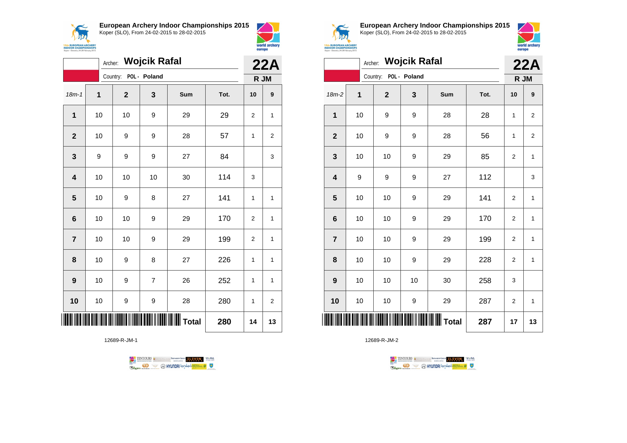



world archery europe

|                         | <b>Wojcik Rafal</b><br>Archer: |                       |                |                          |      |                |                |
|-------------------------|--------------------------------|-----------------------|----------------|--------------------------|------|----------------|----------------|
|                         |                                | Country: POL - Poland |                |                          |      | R JM           |                |
| $18m - 1$               | $\mathbf{1}$                   | $\overline{2}$        | 3              | Sum                      | Tot. | 10             | 9              |
| $\mathbf{1}$            | 10                             | 10                    | 9              | 29                       | 29   | $\overline{2}$ | 1              |
| $\overline{2}$          | 10                             | 9                     | 9              | 28                       | 57   | 1              | $\overline{2}$ |
| 3                       | 9                              | 9                     | 9              | 27                       | 84   |                | 3              |
| $\overline{\mathbf{4}}$ | 10                             | 10                    | 10             | 30                       | 114  | 3              |                |
| 5                       | 10                             | 9                     | 8              | 27                       | 141  | 1              | 1              |
| 6                       | 10                             | 10                    | 9              | 29                       | 170  | $\overline{2}$ | 1              |
| $\overline{7}$          | 10                             | 10                    | 9              | 29                       | 199  | 2              | 1              |
| 8                       | 10                             | 9                     | 8              | 27                       | 226  | 1              | 1              |
| 9                       | 10                             | 9                     | $\overline{7}$ | 26                       | 252  | 1              | 1              |
| 10                      | 10                             | 9                     | 9              | 28                       | 280  | 1              | 2              |
|                         |                                |                       |                | IIIIIIIIIIIIIIIIII Total | 280  | 14             | 13             |

12689-R-JM-1





**European Archery Indoor Championships 2015** Koper (SLO), From 24-02-2015 to 28-02-2015



| <b>EUROPEAN ARCHERY</b><br><b>INDOOR CHAMPIONSHIPS</b><br>Koper - Slovenia, 24-28 February 2015 |    |                       |                      | world archery<br>europe |      |                |                |
|-------------------------------------------------------------------------------------------------|----|-----------------------|----------------------|-------------------------|------|----------------|----------------|
|                                                                                                 |    |                       | Archer: Wojcik Rafal |                         |      |                | 22A            |
|                                                                                                 |    | Country: POL - Poland |                      |                         |      | R JM           |                |
| $18m-2$                                                                                         | 1  | $\mathbf{2}$          | 3                    | <b>Sum</b>              | Tot. | 10             | 9              |
| 1                                                                                               | 10 | 9                     | 9                    | 28                      | 28   | 1              | $\overline{2}$ |
| $\mathbf{2}$                                                                                    | 10 | 9                     | 9                    | 28                      | 56   | 1              | $\overline{2}$ |
| 3                                                                                               | 10 | 10                    | 9                    | 29                      | 85   | $\overline{2}$ | 1              |
| 4                                                                                               | 9  | 9                     | 9                    | 27                      | 112  |                | 3              |
| 5                                                                                               | 10 | 10                    | 9                    | 29                      | 141  | $\overline{2}$ | 1              |
| 6                                                                                               | 10 | 10                    | 9                    | 29                      | 170  | $\overline{2}$ | 1              |
| $\overline{7}$                                                                                  | 10 | 10                    | 9                    | 29                      | 199  | $\overline{2}$ | $\mathbf{1}$   |
| 8                                                                                               | 10 | 10                    | 9                    | 29                      | 228  | $\overline{2}$ | $\mathbf{1}$   |
| 9                                                                                               | 10 | 10                    | 10                   | 30                      | 258  | 3              |                |
| 10                                                                                              | 10 | 10                    | 9                    | 29                      | 287  | $\overline{2}$ | 1              |
|                                                                                                 |    |                       |                      | <b>Total</b>            | 287  | 17             | 13             |

TENTOURS GENERAL BEXTRONGENT FUEVEN. WEBA **Example 2** @ HYUNDAI lansed **State 4** U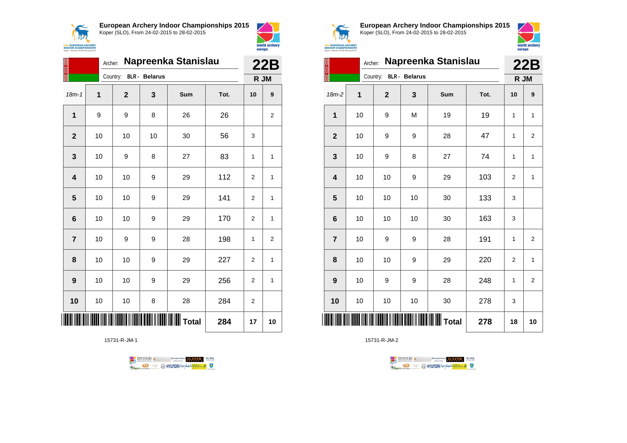



|                | Archer: | Napreenka Stanislau |                      |                                             | <b>22B</b> |                |    |
|----------------|---------|---------------------|----------------------|---------------------------------------------|------------|----------------|----|
|                |         | Country:            | <b>BLR</b> - Belarus |                                             |            | R JM           |    |
| $18m - 1$      | 1       | $\mathbf{2}$        | 3                    | <b>Sum</b>                                  | Tot.       | 10             | 9  |
| 1              | 9       | 9                   | 8                    | 26                                          | 26         |                | 2  |
| $\overline{2}$ | 10      | 10                  | 10                   | 30                                          | 56         | 3              |    |
| 3              | 10      | 9                   | 8                    | 27                                          | 83         | 1              | 1  |
| 4              | 10      | 10                  | 9                    | 29                                          | 112        | $\overline{2}$ | 1  |
| 5              | 10      | 10                  | 9                    | 29                                          | 141        | 2              | 1  |
| 6              | 10      | 10                  | 9                    | 29                                          | 170        | $\overline{2}$ | 1  |
| $\overline{7}$ | 10      | 9                   | 9                    | 28                                          | 198        | 1              | 2  |
| 8              | 10      | 10                  | 9                    | 29                                          | 227        | 2              | 1  |
| 9              | 10      | 10                  | 9                    | 29                                          | 256        | $\overline{2}$ | 1  |
| 10             | 10      | 10                  | 8                    | 28                                          | 284        | $\overline{2}$ |    |
|                |         |                     |                      | <b>          </b>                     Total | 284        | 17             | 10 |

15731-R-JM-1





**European Archery Indoor Championships 2015** Koper (SLO), From 24-02-2015 to 28-02-2015



|                         |    | Napreenka Stanislau<br>Archer: |                      |       |      |                |                |
|-------------------------|----|--------------------------------|----------------------|-------|------|----------------|----------------|
|                         |    | Country:                       | <b>BLR</b> - Belarus |       |      | R JM           | 22B            |
| $18m-2$                 | 1  | $\mathbf{2}$                   | 3                    | Sum   | Tot. | 10             | 9              |
| $\mathbf 1$             | 10 | 9                              | M                    | 19    | 19   | 1              | $\mathbf{1}$   |
| $\overline{2}$          | 10 | 9                              | 9                    | 28    | 47   | 1              | $\overline{2}$ |
| 3                       | 10 | 9                              | 8                    | 27    | 74   | 1              | 1              |
| $\overline{\mathbf{4}}$ | 10 | 10                             | 9                    | 29    | 103  | $\overline{2}$ | $\mathbf{1}$   |
| 5                       | 10 | 10                             | 10                   | 30    | 133  | 3              |                |
| $6\phantom{1}6$         | 10 | 10                             | 10                   | 30    | 163  | 3              |                |
| $\overline{7}$          | 10 | 9                              | 9                    | 28    | 191  | 1              | $\overline{2}$ |
| 8                       | 10 | 10                             | 9                    | 29    | 220  | $\overline{2}$ | $\mathbf{1}$   |
| 9                       | 10 | 9                              | 9                    | 28    | 248  | 1              | $\overline{2}$ |
| 10                      | 10 | 10                             | 10                   | 30    | 278  | 3              |                |
| ║                       |    |                                |                      | Total | 278  | 18             | 10             |

TENTOURS **(i)** CONSIDER DEVELOPS OF THE VEDA TABLES OF THE CONSIDERED PARTICULAR DEVELOPS OF THE CONSIDERED PARTICULAR DEVELOPS OF THE CONSTRUCTION OF THE CONSTRUCTION OF THE CONSTRUCTION OF THE CONSTRUCTION OF THE CONSTRU

**B** MYUNDAI Tonsed **Williams 9** 

15731-R-JM-2

Ragm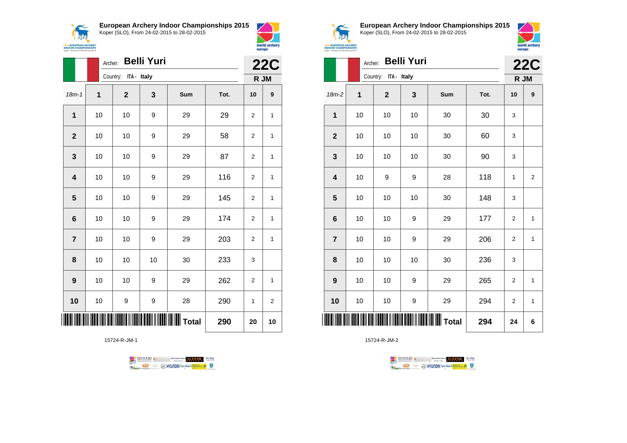

**European Archery Indoor Championships 2015**



world archery

europe

|                         | Archer: | <b>Belli Yuri</b>    |    |       | <b>22C</b> |    |              |
|-------------------------|---------|----------------------|----|-------|------------|----|--------------|
|                         |         | Country: ITA - Italy |    |       |            |    | R JM         |
| $18m - 1$               | 1       | $\mathbf{2}$         | 3  | Sum   | Tot.       | 10 | 9            |
| $\mathbf{1}$            | 10      | 10                   | 9  | 29    | 29         | 2  | 1            |
| $\mathbf{2}$            | 10      | 10                   | 9  | 29    | 58         | 2  | $\mathbf{1}$ |
| 3                       | 10      | 10                   | 9  | 29    | 87         | 2  | 1            |
| $\overline{\mathbf{4}}$ | 10      | 10                   | 9  | 29    | 116        | 2  | 1            |
| 5                       | 10      | 10                   | 9  | 29    | 145        | 2  | 1            |
| $\bf 6$                 | 10      | 10                   | 9  | 29    | 174        | 2  | 1            |
| $\overline{7}$          | 10      | 10                   | 9  | 29    | 203        | 2  | $\mathbf{1}$ |
| 8                       | 10      | 10                   | 10 | 30    | 233        | 3  |              |
| 9                       | 10      | 10                   | 9  | 29    | 262        | 2  | 1            |
| 10                      | 10      | 9                    | 9  | 28    | 290        | 1  | 2            |
|                         |         |                      |    | Total | 290        | 20 | 10           |

15724-R-JM-1





**European Archery Indoor Championships 2015** Koper (SLO), From 24-02-2015 to 28-02-2015



|                         | <b>Belli Yuri</b><br>Archer:<br>Country: ITA - Italy |              |    |     |      | <b>22C</b>     |                |
|-------------------------|------------------------------------------------------|--------------|----|-----|------|----------------|----------------|
|                         |                                                      |              |    |     |      | R JM           |                |
| 18m-2                   | 1                                                    | $\mathbf{2}$ | 3  | Sum | Tot. | 10             | 9              |
| 1                       | 10                                                   | 10           | 10 | 30  | 30   | 3              |                |
| $\mathbf{2}$            | 10                                                   | 10           | 10 | 30  | 60   | 3              |                |
| 3                       | 10                                                   | 10           | 10 | 30  | 90   | 3              |                |
| $\overline{\mathbf{4}}$ | 10                                                   | 9            | 9  | 28  | 118  | 1              | $\overline{2}$ |
| 5                       | 10                                                   | 10           | 10 | 30  | 148  | 3              |                |
| $6\phantom{1}6$         | 10                                                   | 10           | 9  | 29  | 177  | $\overline{2}$ | $\mathbf{1}$   |
| $\overline{7}$          | 10                                                   | 10           | 9  | 29  | 206  | $\overline{2}$ | 1              |
| 8                       | 10                                                   | 10           | 10 | 30  | 236  | 3              |                |
| 9                       | 10                                                   | 10           | 9  | 29  | 265  | $\overline{2}$ | $\mathbf{1}$   |
| 10                      | 10                                                   | 10           | 9  | 29  | 294  | 2              | $\mathbf{1}$   |
| ║║║                     |                                                      |              |    |     | 294  | 24             | 6              |

TENTOURS **(i)** CONSIDER DEVELOPS OF THE VEDA TABLES OF THE CONSIDERED PARTICULAR DEVELOPS OF THE CONSIDERED PARTICULAR DEVELOPS OF THE CONSTRUCTION OF THE CONSTRUCTION OF THE CONSTRUCTION OF THE CONSTRUCTION OF THE CONSTRU **Example 2** @ HYUNDAI lansed **State 4** U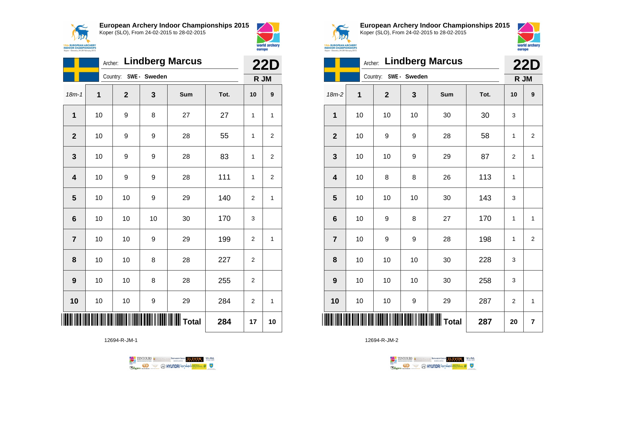



world archery

|                         | <b>Lindberg Marcus</b><br>Archer: |                       |    |                         |      |                |                |  |
|-------------------------|-----------------------------------|-----------------------|----|-------------------------|------|----------------|----------------|--|
|                         |                                   | Country: SWE - Sweden |    |                         |      | R JM           |                |  |
| $18m - 1$               | 1                                 | $\mathbf{2}$          | 3  | Sum                     | Tot. | 10             | 9              |  |
| $\mathbf 1$             | 10                                | 9                     | 8  | 27                      | 27   | 1              | 1              |  |
| $\mathbf{2}$            | 10                                | 9                     | 9  | 28                      | 55   | 1              | 2              |  |
| 3                       | 10                                | 9                     | 9  | 28                      | 83   | 1              | 2              |  |
| $\overline{\mathbf{4}}$ | 10                                | 9                     | 9  | 28                      | 111  | 1              | $\overline{c}$ |  |
| 5                       | 10                                | 10                    | 9  | 29                      | 140  | $\overline{2}$ | $\mathbf{1}$   |  |
| $6\phantom{1}6$         | 10                                | 10                    | 10 | 30                      | 170  | 3              |                |  |
| $\overline{7}$          | 10                                | 10                    | 9  | 29                      | 199  | $\overline{2}$ | 1              |  |
| 8                       | 10                                | 10                    | 8  | 28                      | 227  | 2              |                |  |
| 9                       | 10                                | 10                    | 8  | 28                      | 255  | 2              |                |  |
| 10                      | 10                                | 10                    | 9  | 29                      | 284  | 2              | 1              |  |
|                         |                                   |                       |    | <b>   </b>        Total | 284  | 17             | 10             |  |

12694-R-JM-1





**European Archery Indoor Championships 2015** Koper (SLO), From 24-02-2015 to 28-02-2015



|                         | <b>Lindberg Marcus</b><br>Archer: |                       |     |     |      |                |                    |
|-------------------------|-----------------------------------|-----------------------|-----|-----|------|----------------|--------------------|
|                         |                                   | Country: SWE - Sweden |     |     |      |                | <b>22D</b><br>R JM |
| 18m-2                   | 1                                 | $\mathbf 2$           | 3   | Sum | Tot. | 10             | 9                  |
| 1                       | 10                                | 10                    | 10  | 30  | 30   | 3              |                    |
| $\overline{2}$          | 10                                | 9                     | 9   | 28  | 58   | 1              | $\overline{2}$     |
| 3                       | 10                                | 10                    | 9   | 29  | 87   | $\overline{2}$ | 1                  |
| $\overline{\mathbf{4}}$ | 10                                | 8                     | 8   | 26  | 113  | 1              |                    |
| 5                       | 10                                | 10                    | 10  | 30  | 143  | 3              |                    |
| $6\phantom{1}6$         | 10                                | 9                     | 8   | 27  | 170  | 1              | $\mathbf{1}$       |
| $\overline{7}$          | 10                                | 9                     | 9   | 28  | 198  | 1              | $\overline{2}$     |
| 8                       | 10                                | 10                    | 10  | 30  | 228  | 3              |                    |
| 9                       | 10                                | 10                    | 10  | 30  | 258  | 3              |                    |
| 10                      | 10                                | 10                    | 9   | 29  | 287  | $\overline{2}$ | $\mathbf{1}$       |
| ║║║                     |                                   |                       | 287 | 20  | 7    |                |                    |

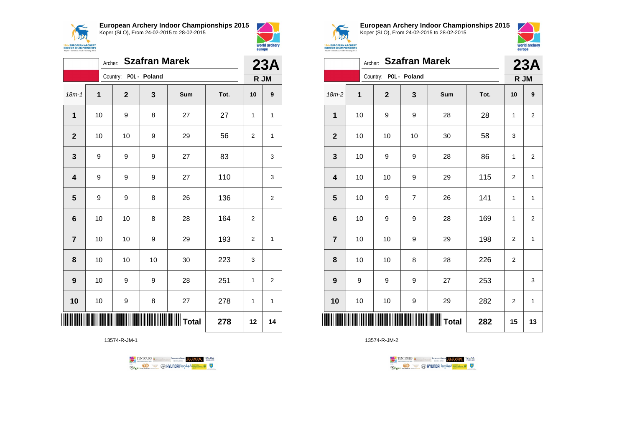



|                         | <b>Szafran Marek</b><br>Archer: |                       |    |       |      |                |              |  |
|-------------------------|---------------------------------|-----------------------|----|-------|------|----------------|--------------|--|
|                         |                                 | Country: POL - Poland |    |       |      |                | R JM         |  |
| $18m - 1$               | $\overline{1}$                  | $\mathbf{2}$          | 3  | Sum   | Tot. | 10             | 9            |  |
| 1                       | 10                              | 9                     | 8  | 27    | 27   | 1              | 1            |  |
| $\mathbf{2}$            | 10                              | 10                    | 9  | 29    | 56   | 2              | $\mathbf{1}$ |  |
| 3                       | 9                               | 9                     | 9  | 27    | 83   |                | 3            |  |
| $\overline{\mathbf{4}}$ | 9                               | 9                     | 9  | 27    | 110  |                | 3            |  |
| $\overline{\mathbf{5}}$ | 9                               | 9                     | 8  | 26    | 136  |                | 2            |  |
| 6                       | 10                              | 10                    | 8  | 28    | 164  | $\overline{2}$ |              |  |
| $\overline{\mathbf{r}}$ | 10                              | 10                    | 9  | 29    | 193  | 2              | $\mathbf{1}$ |  |
| 8                       | 10                              | 10                    | 10 | 30    | 223  | 3              |              |  |
| 9                       | 10                              | 9                     | 9  | 28    | 251  | 1              | 2            |  |
| 10                      | 10                              | 9                     | 8  | 27    | 278  | 1              | $\mathbf{1}$ |  |
|                         |                                 |                       |    | Total | 278  | 12             | 14           |  |

13574-R-JM-1





**European Archery Indoor Championships 2015** Koper (SLO), From 24-02-2015 to 28-02-2015



|                         |              | Archer:               | <b>Szafran Marek</b> |     |      |                | 23A                     |
|-------------------------|--------------|-----------------------|----------------------|-----|------|----------------|-------------------------|
|                         |              | Country: POL - Poland |                      |     |      | R JM           |                         |
| $18m-2$                 | $\mathbf{1}$ | $\mathbf 2$           | 3                    | Sum | Tot. | 10             | 9                       |
| 1                       | 10           | 9                     | 9                    | 28  | 28   | 1              | $\overline{2}$          |
| $\mathbf{2}$            | 10           | 10                    | 10                   | 30  | 58   | 3              |                         |
| 3                       | 10           | 9                     | 9                    | 28  | 86   | 1              | 2                       |
| $\overline{\mathbf{4}}$ | 10           | 10                    | 9                    | 29  | 115  | $\overline{2}$ | $\mathbf{1}$            |
| 5                       | 10           | 9                     | $\overline{7}$       | 26  | 141  | 1              | $\mathbf{1}$            |
| $6\phantom{1}6$         | 10           | 9                     | 9                    | 28  | 169  | 1              | $\overline{\mathbf{c}}$ |
| $\overline{7}$          | 10           | 10                    | 9                    | 29  | 198  | $\overline{2}$ | $\mathbf{1}$            |
| 8                       | 10           | 10                    | 8                    | 28  | 226  | $\overline{2}$ |                         |
| 9                       | 9            | 9                     | 9                    | 27  | 253  |                | 3                       |
| 10                      | 10           | 10                    | 9                    | 29  | 282  | 2              | $\mathbf{1}$            |
|                         |              |                       |                      |     | 282  | 15             | 13                      |

TENTOURS **(i)** CONSIDER DEVELOPS OF THE VEDA TABLES OF THE CONSIDERED PARTICULAR DEVELOPS OF THE CONSIDERED PARTICULAR DEVELOPS OF THE CONSTRUCTION OF THE CONSTRUCTION OF THE CONSTRUCTION OF THE CONSTRUCTION OF THE CONSTRU **B** MYUNDAI Tonsed **Williams 9** Ragm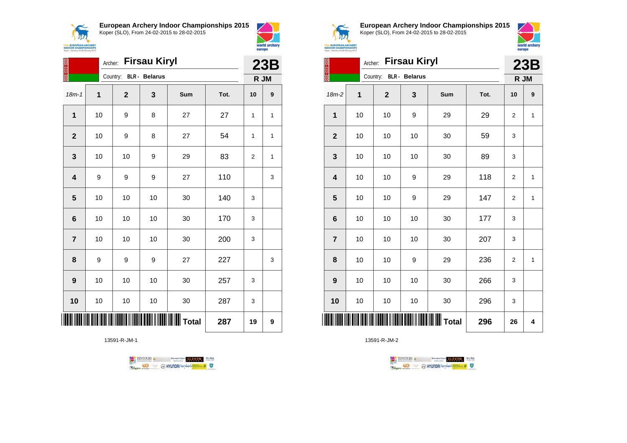

**European Archery Indoor Championships 2015**

18m-1 **1 2 3 Sum Tot. 10 9**

**1** | 10 | 9 | 8 | 27 | 27 | 1 | 1

**2** | 10 | 9 | 8 | 27 | 54 | 1 | 1

**3** | 10 | 10 | 9 | 29 | 83 | 2 | 1

**4** | 9 | 9 | 9 | 27 | 110 | | 3

**5** | 10 | 10 | 10 | 30 | 140 | 3

**6** | 10 | 10 | 30 | 170 | 3

**7** | 10 | 10 | 10 | 30 | 200 | 3

**9** | 10 | 10 | 30 | 257 | 3

**10** | 10 | 10 | 30 | 287 | 3

13591-R-JM-1

\*13591-R-JM-1\* **Total 287 19 9**

**8** | 9 | 9 | 9 | 27 | 227 | | 3



Archer: **Firsau Kiryl**

Country: **BLR - Belarus**



**23B R JM**



**European Archery Indoor Championships 2015** Koper (SLO), From 24-02-2015 to 28-02-2015



|                | <b>Firsau Kiryl</b><br>Archer: |                        |    |     |      |                |              |  |
|----------------|--------------------------------|------------------------|----|-----|------|----------------|--------------|--|
|                |                                | Country: BLR - Belarus |    |     |      | 23B<br>R JM    |              |  |
| $18m-2$        | 1                              | $\mathbf 2$            | 3  | Sum | Tot. | 10             | 9            |  |
| 1              | 10                             | 10                     | 9  | 29  | 29   | $\overline{2}$ | 1            |  |
| $\overline{2}$ | 10                             | 10                     | 10 | 30  | 59   | 3              |              |  |
| 3              | 10                             | 10                     | 10 | 30  | 89   | 3              |              |  |
| 4              | 10                             | 10                     | 9  | 29  | 118  | 2              | $\mathbf{1}$ |  |
| 5              | 10                             | 10                     | 9  | 29  | 147  | $\overline{2}$ | 1            |  |
| 6              | 10                             | 10                     | 10 | 30  | 177  | 3              |              |  |
| $\overline{7}$ | 10                             | 10                     | 10 | 30  | 207  | 3              |              |  |
| 8              | 10                             | 10                     | 9  | 29  | 236  | 2              | 1            |  |
| 9              | 10                             | 10                     | 10 | 30  | 266  | 3              |              |  |
| 10             | 10                             | 10                     | 10 | 30  | 296  | 3              |              |  |
| IIII           |                                |                        |    |     | 296  | 26             | 4            |  |

TENTOURS of Demand REASON SECTION SEARCH **OD OHYUNDAI** lensed **Wilson** 9 Room

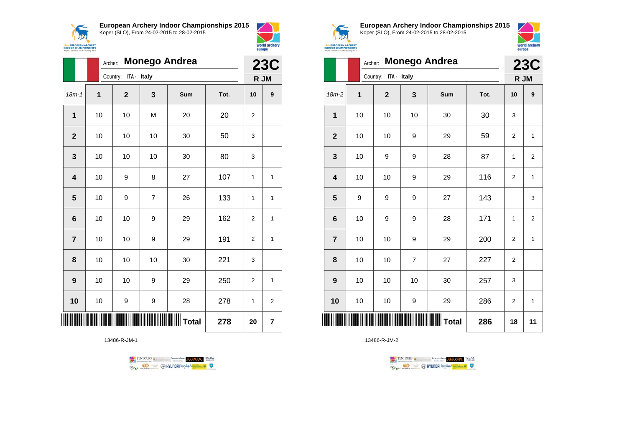



|                |              | <b>Monego Andrea</b><br>Archer: |                |     |      |                |                  |  |  |  |
|----------------|--------------|---------------------------------|----------------|-----|------|----------------|------------------|--|--|--|
|                |              | ITA - Italy<br>Country:         |                |     |      |                | R JM             |  |  |  |
| $18m - 1$      | $\mathbf{1}$ | $\mathbf 2$                     | 3              | Sum | Tot. | 10             | $\boldsymbol{9}$ |  |  |  |
| 1              | 10           | 10                              | M              | 20  | 20   | $\overline{2}$ |                  |  |  |  |
| $\overline{2}$ | 10           | 10                              | 10             | 30  | 50   | 3              |                  |  |  |  |
| 3              | 10           | 10                              | 10             | 30  | 80   | 3              |                  |  |  |  |
| 4              | 10           | 9                               | 8              | 27  | 107  | 1              | 1                |  |  |  |
| 5              | 10           | 9                               | $\overline{7}$ | 26  | 133  | 1              | 1                |  |  |  |
| 6              | 10           | 10                              | 9              | 29  | 162  | $\overline{2}$ | 1                |  |  |  |
| $\overline{7}$ | 10           | 10                              | 9              | 29  | 191  | 2              | 1                |  |  |  |
| 8              | 10           | 10                              | 10             | 30  | 221  | 3              |                  |  |  |  |
| 9              | 10           | 10                              | 9              | 29  | 250  | $\overline{2}$ | 1                |  |  |  |
| 10             | 10           | 9                               | 9              | 28  | 278  | $\mathbf{1}$   | $\overline{2}$   |  |  |  |
|                |              |                                 |                |     | 278  | 20             | 7                |  |  |  |

13486-R-JM-1





**European Archery Indoor Championships 2015** Koper (SLO), From 24-02-2015 to 28-02-2015



|                | <b>Monego Andrea</b><br>Archer: |                         |    |                 |      |                |                |  |  |
|----------------|---------------------------------|-------------------------|----|-----------------|------|----------------|----------------|--|--|
|                |                                 | ITA - Italy<br>Country: |    |                 |      |                |                |  |  |
| $18m-2$        | 1                               | $\overline{2}$          | 3  | Sum             | Tot. | 10             | 9              |  |  |
| 1              | 10                              | 10                      | 10 | 30              | 30   | 3              |                |  |  |
| $\overline{2}$ | 10                              | 10                      | 9  | 29              | 59   | $\overline{2}$ | $\mathbf{1}$   |  |  |
| 3              | 10                              | 9                       | 9  | 28              | 87   | 1              | $\overline{2}$ |  |  |
| 4              | 10                              | 10                      | 9  | 29              | 116  | 2              | 1              |  |  |
| 5              | 9                               | 9                       | 9  | 27              | 143  |                | 3              |  |  |
| 6              | 10                              | 9                       | 9  | 28              | 171  | 1              | $\overline{2}$ |  |  |
| $\overline{7}$ | 10                              | 10                      | 9  | 29              | 200  | $\overline{2}$ | $\mathbf{1}$   |  |  |
| 8              | 10                              | 10                      | 7  | 27              | 227  | $\overline{2}$ |                |  |  |
| 9              | 10                              | 10                      | 10 | 30              | 257  | 3              |                |  |  |
| 10             | 10                              | 10                      | 9  | 29              | 286  | $\overline{2}$ | $\mathbf{1}$   |  |  |
| <b>       </b> |                                 |                         |    | <b>WW</b> Total | 286  | 18             | 11             |  |  |

TENTOURS **Q** CONSIDERED BEXTRED CONDUCT **CONSIDERED** VICE DA **Example 2** @ HYUNDAI lansed **State 4** U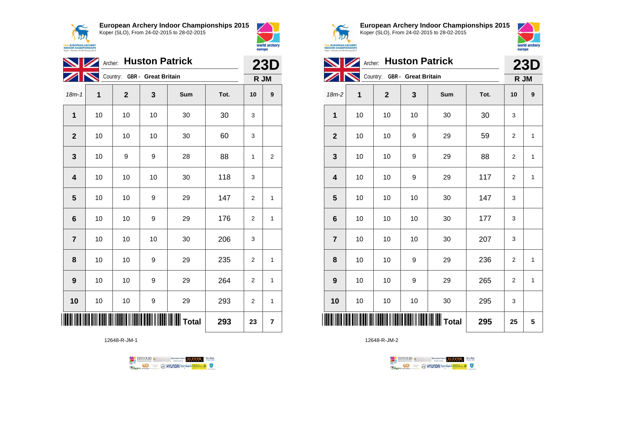

**European Archery Indoor Championships 2015**



|                         | Archer: Huston Patrick |                              |    | <b>23D</b>      |      |                |                         |
|-------------------------|------------------------|------------------------------|----|-----------------|------|----------------|-------------------------|
|                         |                        | Country: GBR - Great Britain |    |                 |      | R JM           |                         |
| $18m-1$                 | 1                      | $\mathbf{2}$                 | 3  | Sum             | Tot. | 10             | 9                       |
| 1                       | 10                     | 10                           | 10 | 30              | 30   | 3              |                         |
| $\mathbf{2}$            | 10                     | 10                           | 10 | 30              | 60   | 3              |                         |
| 3                       | 10                     | 9                            | 9  | 28              | 88   | 1              | $\overline{\mathbf{c}}$ |
| $\overline{\mathbf{4}}$ | 10                     | 10                           | 10 | 30              | 118  | 3              |                         |
| 5                       | 10                     | 10                           | 9  | 29              | 147  | $\overline{2}$ | 1                       |
| 6                       | 10                     | 10                           | 9  | 29              | 176  | 2              | 1                       |
| $\overline{7}$          | 10                     | 10                           | 10 | 30              | 206  | 3              |                         |
| 8                       | 10                     | 10                           | 9  | 29              | 235  | $\overline{2}$ | 1                       |
| $\boldsymbol{9}$        | 10                     | 10                           | 9  | 29              | 264  | $\overline{2}$ | 1                       |
| 10                      | 10                     | 10                           | 9  | 29              | 293  | $\overline{2}$ | 1                       |
|                         |                        |                              |    | <b>II</b> Total | 293  | 23             | 7                       |

12648-R-JM-1





world archery

europe

**European Archery Indoor Championships 2015** Koper (SLO), From 24-02-2015 to 28-02-2015



|                              |    |              | Archer: Huston Patrick |                         |      |                | <b>23D</b>   |
|------------------------------|----|--------------|------------------------|-------------------------|------|----------------|--------------|
| Country: GBR - Great Britain |    |              |                        |                         |      |                | R JM         |
| 18m-2                        | 1  | $\mathbf{2}$ | 3                      | Sum                     | Tot. | 10             | 9            |
| 1                            | 10 | 10           | 10                     | 30                      | 30   | 3              |              |
| $\overline{2}$               | 10 | 10           | 9                      | 29                      | 59   | $\overline{2}$ | 1            |
| 3                            | 10 | 10           | 9                      | 29                      | 88   | 2              | 1            |
| 4                            | 10 | 10           | 9                      | 29                      | 117  | 2              | 1            |
| 5                            | 10 | 10           | 10                     | 30                      | 147  | 3              |              |
| 6                            | 10 | 10           | 10                     | 30                      | 177  | 3              |              |
| $\overline{7}$               | 10 | 10           | 10                     | 30                      | 207  | 3              |              |
| 8                            | 10 | 10           | 9                      | 29                      | 236  | 2              | 1            |
| 9                            | 10 | 10           | 9                      | 29                      | 265  | $\overline{2}$ | $\mathbf{1}$ |
| 10                           | 10 | 10           | 10                     | 30                      | 295  | 3              |              |
| ║║║                          |    |              |                        | IIIIIIIIIIIIIIIII Total | 295  | 25             | 5            |

TENTOURS **Q** CONSIDERED BEXTRED CONDUCT **CONSIDERED** VICE DA **B** MYUNDAI Tonsed **Williams 9 Regin**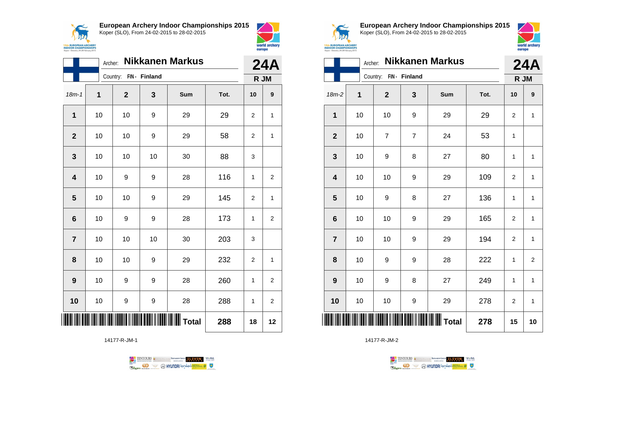

**European Archery Indoor Championships 2015**



|                         | Archer: |              |              | <b>Nikkanen Markus</b> |      | <b>24A</b>     |                  |
|-------------------------|---------|--------------|--------------|------------------------|------|----------------|------------------|
|                         |         | Country:     | FIN- Finland |                        |      |                | R JM             |
| $18m - 1$               | 1       | $\mathbf{2}$ | 3            | Sum                    | Tot. | 10             | $\boldsymbol{9}$ |
| 1                       | 10      | 10           | 9            | 29                     | 29   | $\overline{2}$ | 1                |
| $\overline{2}$          | 10      | 10           | 9            | 29                     | 58   | 2              | 1                |
| 3                       | 10      | 10           | 10           | 30                     | 88   | 3              |                  |
| $\overline{\mathbf{4}}$ | 10      | 9            | 9            | 28                     | 116  | 1              | $\overline{2}$   |
| 5                       | 10      | 10           | 9            | 29                     | 145  | $\overline{2}$ | 1                |
| $6\phantom{1}$          | 10      | 9            | 9            | 28                     | 173  | $\mathbf{1}$   | $\overline{2}$   |
| $\overline{7}$          | 10      | 10           | 10           | 30                     | 203  | 3              |                  |
| 8                       | 10      | 10           | 9            | 29                     | 232  | $\overline{2}$ | 1                |
| 9                       | 10      | 9            | 9            | 28                     | 260  | $\mathbf{1}$   | $\overline{2}$   |
| 10                      | 10      | 9            | 9            | 28                     | 288  | 1              | 2                |
|                         |         |              |              | <b>WILLE</b> Total     | 288  | 18             | 12               |

14177-R-JM-1





world archery

europe

**European Archery Indoor Championships 2015** Koper (SLO), From 24-02-2015 to 28-02-2015



|                        | Archer:     |                |                | <b>Nikkanen Markus</b> |      |                | <b>24A</b>              |
|------------------------|-------------|----------------|----------------|------------------------|------|----------------|-------------------------|
| Country: FIN - Finland |             |                |                |                        |      |                | R JM                    |
| $18m-2$                | $\mathbf 1$ | $\overline{2}$ | $\mathbf{3}$   | Sum                    | Tot. | 10             | 9                       |
| 1                      | 10          | 10             | 9              | 29                     | 29   | 2              | $\mathbf{1}$            |
| $\mathbf{2}$           | 10          | $\overline{7}$ | $\overline{7}$ | 24                     | 53   | 1              |                         |
| 3                      | 10          | 9              | 8              | 27                     | 80   | 1              | $\mathbf{1}$            |
| 4                      | 10          | 10             | 9              | 29                     | 109  | $\overline{2}$ | $\mathbf{1}$            |
| 5                      | 10          | 9              | 8              | 27                     | 136  | $\mathbf{1}$   | $\mathbf{1}$            |
| 6                      | 10          | 10             | 9              | 29                     | 165  | 2              | 1                       |
| $\overline{7}$         | 10          | 10             | 9              | 29                     | 194  | $\overline{2}$ | $\mathbf{1}$            |
| 8                      | 10          | 9              | 9              | 28                     | 222  | 1              | $\overline{\mathbf{c}}$ |
| 9                      | 10          | 9              | 8              | 27                     | 249  | $\mathbf{1}$   | $\mathbf{1}$            |
| 10                     | 10          | 10             | 9              | 29                     | 278  | $\overline{2}$ | $\mathbf{1}$            |
| ║║                     |             |                |                |                        | 278  | 15             | 10                      |

TENTOURS **(i)** CONSIDER DEVELOPS OF THE VEDA TABLES OF THE CONSIDERED PARTICULAR DEVELOPS OF THE CONSIDERED PARTICULAR DEVELOPS OF THE CONSTRUCTION OF THE CONSTRUCTION OF THE CONSTRUCTION OF THE CONSTRUCTION OF THE CONSTRU

**B** MYUNDAI Tonsed **Williams 9** 

14177-R-JM-2

**Regin**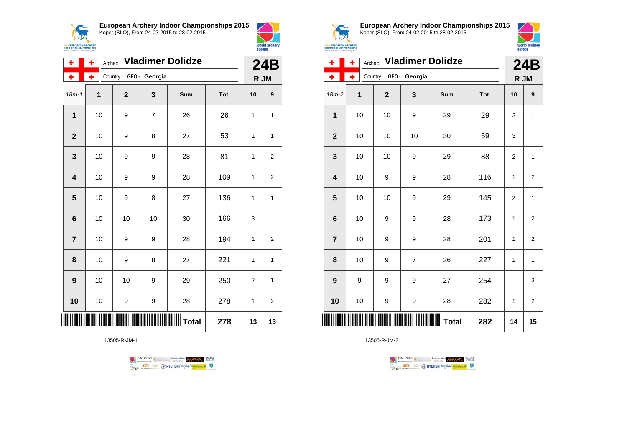



| ÷              | ٠  | Archer: Vladimer Dolidze |                |                         |      |      |    |  |
|----------------|----|--------------------------|----------------|-------------------------|------|------|----|--|
| ۰              | ۰  | Country: GEO - Georgia   |                |                         |      | R JM |    |  |
| $18m - 1$      | 1  | $\mathbf{2}$             | 3              | Sum                     | Tot. | 10   | 9  |  |
| $\overline{1}$ | 10 | 9                        | $\overline{7}$ | 26                      | 26   | 1    | 1  |  |
| $\overline{2}$ | 10 | 9                        | 8              | 27                      | 53   | 1    | 1  |  |
| 3              | 10 | 9                        | 9              | 28                      | 81   | 1    | 2  |  |
| 4              | 10 | 9                        | 9              | 28                      | 109  | 1    | 2  |  |
| 5              | 10 | 9                        | 8              | 27                      | 136  | 1    | 1  |  |
| 6              | 10 | 10                       | 10             | 30                      | 166  | 3    |    |  |
| $\overline{7}$ | 10 | 9                        | 9              | 28                      | 194  | 1    | 2  |  |
| 8              | 10 | 9                        | 8              | 27                      | 221  | 1    | 1  |  |
| 9              | 10 | 10                       | 9              | 29                      | 250  | 2    | 1  |  |
| 10             | 10 | 9                        | 9              | 28                      | 278  | 1    | 2  |  |
|                |    |                          |                | <b>          </b> Total | 278  | 13   | 13 |  |

13505-R-JM-1





**European Archery Indoor Championships 2015** Koper (SLO), From 24-02-2015 to 28-02-2015



| ٠              | ٠              | <b>Vladimer Dolidze</b><br>Archer: |              |                          |      |                |                         |  |
|----------------|----------------|------------------------------------|--------------|--------------------------|------|----------------|-------------------------|--|
| ۰              | ÷              | Country:                           | GEO- Georgia |                          |      |                | R JM                    |  |
| $18m-2$        | $\overline{1}$ | $\overline{2}$                     | 3            | Sum                      | Tot. | 10             | 9                       |  |
| 1              | 10             | 10                                 | 9            | 29                       | 29   | $\overline{2}$ | $\mathbf{1}$            |  |
| $\mathbf{2}$   | 10             | 10                                 | 10           | 30                       | 59   | 3              |                         |  |
| 3              | 10             | 10                                 | 9            | 29                       | 88   | $\overline{2}$ | $\mathbf{1}$            |  |
| 4              | 10             | 9                                  | 9            | 28                       | 116  | 1              | $\overline{\mathbf{c}}$ |  |
| 5              | 10             | 10                                 | 9            | 29                       | 145  | $\overline{2}$ | $\mathbf{1}$            |  |
| 6              | 10             | 9                                  | 9            | 28                       | 173  | 1              | $\overline{2}$          |  |
| $\overline{7}$ | 10             | 9                                  | 9            | 28                       | 201  | 1              | $\overline{2}$          |  |
| 8              | 10             | 9                                  | 7            | 26                       | 227  | 1              | 1                       |  |
| 9              | 9              | 9                                  | 9            | 27                       | 254  |                | 3                       |  |
| 10             | 10             | 9                                  | 9            | 28                       | 282  | 1              | $\overline{2}$          |  |
| ║║║            |                |                                    |              | IIIIIIIIIIIIIIIIII Total | 282  | 14             | 15                      |  |

TENTOURS **(i)** CONSIDER DEVELOPS OF THE VEDA TABLES OF THE CONSIDERED PARTICULAR DEVELOPS OF THE CONSIDERED PARTICULAR DEVELOPS OF THE CONSTRUCTION OF THE CONSTRUCTION OF THE CONSTRUCTION OF THE CONSTRUCTION OF THE CONSTRU **B** MYUNDAI Tonsed **Williams 9** Ragm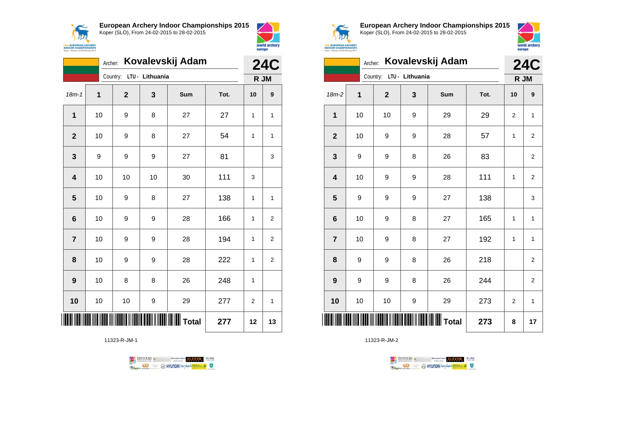



|                | Kovalevskij Adam<br>Archer: |                          |    |           |      |    |                    |
|----------------|-----------------------------|--------------------------|----|-----------|------|----|--------------------|
|                |                             | Country: LTU - Lithuania |    |           |      |    | <b>24C</b><br>R JM |
| $18m - 1$      | 1                           | $\mathbf{2}$             | 3  | Sum       | Tot. | 10 | 9                  |
| $\mathbf{1}$   | 10                          | 9                        | 8  | 27        | 27   | 1  | 1                  |
| $\mathbf{2}$   | 10                          | 9                        | 8  | 27        | 54   | 1  | $\mathbf{1}$       |
| 3              | 9                           | 9                        | 9  | 27        | 81   |    | 3                  |
| 4              | 10                          | 10                       | 10 | 30        | 111  | 3  |                    |
| 5              | 10                          | 9                        | 8  | 27        | 138  | 1  | 1                  |
| 6              | 10                          | 9                        | 9  | 28        | 166  | 1  | $\overline{2}$     |
| $\overline{7}$ | 10                          | 9                        | 9  | 28        | 194  | 1  | 2                  |
| 8              | 10                          | 9                        | 9  | 28        | 222  | 1  | $\overline{2}$     |
| 9              | 10                          | 8                        | 8  | 26        | 248  | 1  |                    |
| 10             | 10                          | 10                       | 9  | 29        | 277  | 2  | 1                  |
|                |                             |                          |    | ∭∭∭ Total | 277  | 12 | 13                 |

11323-R-JM-1





**European Archery Indoor Championships 2015** Koper (SLO), From 24-02-2015 to 28-02-2015



|                         | Kovalevskij Adam<br>Archer: |                          |   |                    |      |                |                         |
|-------------------------|-----------------------------|--------------------------|---|--------------------|------|----------------|-------------------------|
|                         |                             | Country: LTU - Lithuania |   |                    |      |                | <b>24C</b><br>R JM      |
| $18m-2$                 | $\mathbf{1}$                | $\mathbf{2}$             | 3 | Sum                | Tot. | 10             | 9                       |
| 1                       | 10                          | 10                       | 9 | 29                 | 29   | 2              | $\mathbf{1}$            |
| $\overline{2}$          | 10                          | 9                        | 9 | 28                 | 57   | 1              | $\overline{2}$          |
| 3                       | 9                           | 9                        | 8 | 26                 | 83   |                | 2                       |
| $\overline{\mathbf{4}}$ | 10                          | 9                        | 9 | 28                 | 111  | 1              | $\overline{2}$          |
| 5                       | 9                           | 9                        | 9 | 27                 | 138  |                | 3                       |
| $6\phantom{1}6$         | 10                          | 9                        | 8 | 27                 | 165  | 1              | 1                       |
| $\overline{7}$          | 10                          | 9                        | 8 | 27                 | 192  | 1              | $\mathbf{1}$            |
| 8                       | 9                           | 9                        | 8 | 26                 | 218  |                | $\overline{\mathbf{c}}$ |
| 9                       | 9                           | 9                        | 8 | 26                 | 244  |                | $\overline{\mathbf{c}}$ |
| 10                      | 10                          | 10                       | 9 | 29                 | 273  | $\overline{2}$ | 1                       |
| ║║                      |                             |                          |   | <b>WILLE</b> Total | 273  | 8              | 17                      |

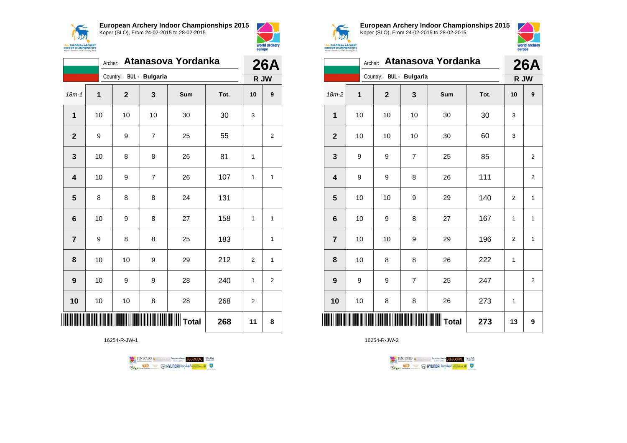



|                         | Atanasova Yordanka<br>Archer: |                         |                |     |      |                |                  |
|-------------------------|-------------------------------|-------------------------|----------------|-----|------|----------------|------------------|
|                         |                               | Country: BUL - Bulgaria |                |     |      | R JW           | <b>26A</b>       |
| $18m - 1$               | 1                             | $\overline{2}$          | 3              | Sum | Tot. | 10             | $\boldsymbol{9}$ |
| $\mathbf 1$             | 10                            | 10                      | 10             | 30  | 30   | 3              |                  |
| $\overline{2}$          | 9                             | 9                       | $\overline{7}$ | 25  | 55   |                | $\overline{2}$   |
| 3                       | 10                            | 8                       | 8              | 26  | 81   | $\mathbf{1}$   |                  |
| $\overline{\mathbf{4}}$ | 10                            | 9                       | $\overline{7}$ | 26  | 107  | $\mathbf{1}$   | 1                |
| $5\phantom{1}$          | 8                             | 8                       | 8              | 24  | 131  |                |                  |
| $6\phantom{1}$          | 10                            | 9                       | 8              | 27  | 158  | 1              | $\mathbf{1}$     |
| $\overline{7}$          | 9                             | 8                       | 8              | 25  | 183  |                | 1                |
| 8                       | 10                            | 10                      | 9              | 29  | 212  | 2              | $\mathbf{1}$     |
| 9                       | 10                            | 9                       | 9              | 28  | 240  | $\mathbf{1}$   | $\overline{2}$   |
| 10                      | 10                            | 10                      | 8              | 28  | 268  | $\overline{2}$ |                  |
|                         |                               |                         |                |     | 268  | 11             | 8                |

16254-R-JW-1





**European Archery Indoor Championships 2015** Koper (SLO), From 24-02-2015 to 28-02-2015



|                 | Atanasova Yordanka<br>Archer: |                         |                |                                              |      |              |                    |
|-----------------|-------------------------------|-------------------------|----------------|----------------------------------------------|------|--------------|--------------------|
|                 |                               | Country: BUL - Bulgaria |                |                                              |      |              | <b>26A</b><br>R JW |
| $18m-2$         | 1                             | $\mathbf 2$             | 3              | Sum                                          | Tot. | 10           | 9                  |
| 1               | 10                            | 10                      | 10             | 30                                           | 30   | 3            |                    |
| $\overline{2}$  | 10                            | 10                      | 10             | 30                                           | 60   | 3            |                    |
| 3               | 9                             | 9                       | $\overline{7}$ | 25                                           | 85   |              | 2                  |
| 4               | 9                             | 9                       | 8              | 26                                           | 111  |              | $\overline{2}$     |
| 5               | 10                            | 10                      | 9              | 29                                           | 140  | 2            | 1                  |
| $6\phantom{1}6$ | 10                            | 9                       | 8              | 27                                           | 167  | $\mathbf{1}$ | $\mathbf{1}$       |
| $\overline{7}$  | 10                            | 10                      | 9              | 29                                           | 196  | 2            | 1                  |
| 8               | 10                            | 8                       | 8              | 26                                           | 222  | $\mathbf{1}$ |                    |
| 9               | 9                             | 9                       | $\overline{7}$ | 25                                           | 247  |              | $\overline{c}$     |
| 10              | 10                            | 8                       | 8              | 26                                           | 273  | 1            |                    |
| ║║║             |                               |                         |                | <b>                               </b> Total | 273  | 13           | 9                  |

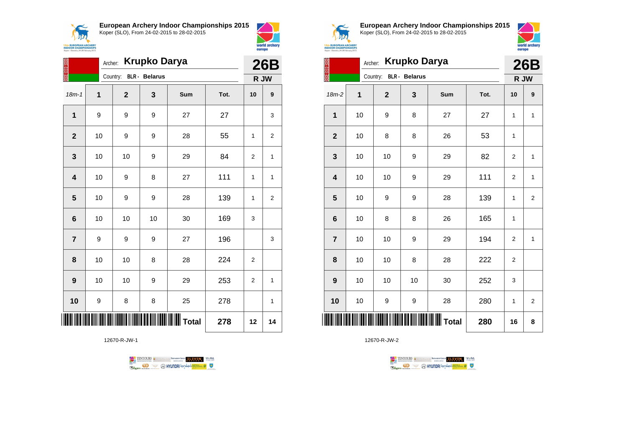



| <b>Krupko Darya</b><br>Archer: |    |                        |    |     |      |                | <b>26B</b>     |  |
|--------------------------------|----|------------------------|----|-----|------|----------------|----------------|--|
|                                |    | Country: BLR - Belarus |    |     |      |                | R JW           |  |
| $18m - 1$                      | 1  | $\overline{2}$         | 3  | Sum | Tot. | 10             | 9              |  |
| 1                              | 9  | 9                      | 9  | 27  | 27   |                | 3              |  |
| $\overline{2}$                 | 10 | 9                      | 9  | 28  | 55   | 1              | $\overline{2}$ |  |
| 3                              | 10 | 10                     | 9  | 29  | 84   | $\overline{2}$ | $\mathbf{1}$   |  |
| $\overline{\mathbf{4}}$        | 10 | 9                      | 8  | 27  | 111  | 1              | $\mathbf{1}$   |  |
| 5                              | 10 | 9                      | 9  | 28  | 139  | 1              | $\overline{2}$ |  |
| $6\phantom{1}6$                | 10 | 10                     | 10 | 30  | 169  | 3              |                |  |
| $\overline{7}$                 | 9  | 9                      | 9  | 27  | 196  |                | 3              |  |
| 8                              | 10 | 10                     | 8  | 28  | 224  | $\overline{2}$ |                |  |
| 9                              | 10 | 10                     | 9  | 29  | 253  | $\overline{2}$ | 1              |  |
| 10                             | 9  | 8                      | 8  | 25  | 278  |                | 1              |  |
| ║║                             |    |                        |    |     | 278  | 12             | 14             |  |

12670-R-JW-1





**European Archery Indoor Championships 2015** Koper (SLO), From 24-02-2015 to 28-02-2015



| S XX           | Archer: |              | <b>Krupko Darya</b>  |                   |      | <b>26B</b>     |                         |
|----------------|---------|--------------|----------------------|-------------------|------|----------------|-------------------------|
|                |         | Country:     | <b>BLR</b> - Belarus |                   |      |                | R JW                    |
| $18m-2$        | 1       | $\mathbf{2}$ | 3                    | Sum               | Tot. | 10             | 9                       |
| 1              | 10      | 9            | 8                    | 27                | 27   | $\mathbf{1}$   | $\mathbf{1}$            |
| $\mathbf{2}$   | 10      | 8            | 8                    | 26                | 53   | 1              |                         |
| 3              | 10      | 10           | 9                    | 29                | 82   | $\overline{2}$ | $\mathbf{1}$            |
| 4              | 10      | 10           | 9                    | 29                | 111  | 2              | 1                       |
| 5              | 10      | 9            | 9                    | 28                | 139  | $\mathbf{1}$   | $\overline{2}$          |
| 6              | 10      | 8            | 8                    | 26                | 165  | 1              |                         |
| $\overline{7}$ | 10      | 10           | 9                    | 29                | 194  | $\overline{2}$ | 1                       |
| 8              | 10      | 10           | 8                    | 28                | 222  | 2              |                         |
| 9              | 10      | 10           | 10                   | 30                | 252  | 3              |                         |
| 10             | 10      | 9            | 9                    | 28                | 280  | 1              | $\overline{\mathbf{c}}$ |
| ║║║            |         |              |                      | $\parallel$ Total | 280  | 16             | 8                       |

TENTOURS **(i)** CONSIDER DEVELOPS OF THE VEDA TABLES OF THE CONSIDERED PARTICULAR DEVELOPS OF THE CONSIDERED PARTICULAR DEVELOPS OF THE CONSTRUCTION OF THE CONSTRUCTION OF THE CONSTRUCTION OF THE CONSTRUCTION OF THE CONSTRU

**B** MYUNDAI Tonsed **Williams 9** 

12670-R-JW-2

Ragm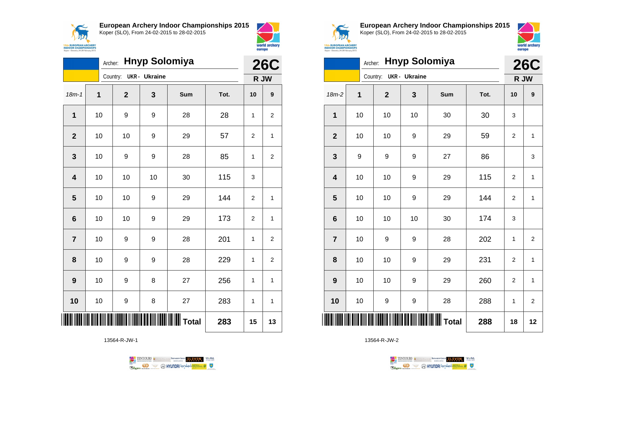



|                 | <b>Hnyp Solomiya</b><br>Archer: |  |                        |    |                                     |      |                | <b>26C</b>       |  |
|-----------------|---------------------------------|--|------------------------|----|-------------------------------------|------|----------------|------------------|--|
|                 |                                 |  | Country: UKR - Ukraine |    |                                     |      |                | R JW             |  |
| $18m-1$         | 1                               |  | $\mathbf 2$            | 3  | Sum                                 | Tot. | 10             | $\boldsymbol{9}$ |  |
| 1               | 10                              |  | 9                      | 9  | 28                                  | 28   | 1              | 2                |  |
| $\mathbf{2}$    | 10                              |  | 10                     | 9  | 29                                  | 57   | $\overline{2}$ | 1                |  |
| $\mathbf{3}$    | 10                              |  | 9                      | 9  | 28                                  | 85   | 1              | $\overline{2}$   |  |
| 4               | 10                              |  | 10                     | 10 | 30                                  | 115  | 3              |                  |  |
| 5               | 10                              |  | 10                     | 9  | 29                                  | 144  | $\overline{2}$ | 1                |  |
| $6\phantom{1}6$ | 10                              |  | 10                     | 9  | 29                                  | 173  | $\overline{2}$ | 1                |  |
| $\overline{7}$  | 10                              |  | 9                      | 9  | 28                                  | 201  | 1              | $\overline{2}$   |  |
| 8               | 10                              |  | 9                      | 9  | 28                                  | 229  | 1              | $\overline{2}$   |  |
| 9               | 10                              |  | 9                      | 8  | 27                                  | 256  | 1              | $\mathbf{1}$     |  |
| 10              | 10                              |  | 9                      | 8  | 27                                  | 283  | 1              | $\mathbf{1}$     |  |
|                 |                                 |  |                        |    | <b>IIIIIIIIIIIIIIIIIIIIII</b> Total | 283  | 15             | 13               |  |

13564-R-JW-1





**European Archery Indoor Championships 2015** Koper (SLO), From 24-02-2015 to 28-02-2015



|                | <b>Hnyp Solomiya</b><br>Archer: |              |               |                                             |      |                |                |
|----------------|---------------------------------|--------------|---------------|---------------------------------------------|------|----------------|----------------|
|                |                                 | Country:     | UKR - Ukraine |                                             |      | R JW           |                |
| 18m-2          | 1                               | $\mathbf{2}$ | 3             | Sum                                         | Tot. | 10             | 9              |
| 1              | 10                              | 10           | 10            | 30                                          | 30   | 3              |                |
| $\mathbf{2}$   | 10                              | 10           | 9             | 29                                          | 59   | $\overline{2}$ | 1              |
| 3              | 9                               | 9            | 9             | 27                                          | 86   |                | 3              |
| 4              | 10                              | 10           | 9             | 29                                          | 115  | 2              | $\mathbf{1}$   |
| 5              | 10                              | 10           | 9             | 29                                          | 144  | $\overline{2}$ | $\mathbf{1}$   |
| 6              | 10                              | 10           | 10            | 30                                          | 174  | 3              |                |
| $\overline{7}$ | 10                              | 9            | 9             | 28                                          | 202  | 1              | $\overline{2}$ |
| 8              | 10                              | 10           | 9             | 29                                          | 231  | $\overline{2}$ | $\mathbf{1}$   |
| 9              | 10                              | 10           | 9             | 29                                          | 260  | $\overline{2}$ | $\mathbf{1}$   |
| 10             | 10                              | 9            | 9             | 28                                          | 288  | 1              | $\overline{2}$ |
|                |                                 |              |               | <b>                              </b> Total | 288  | 18             | 12             |

TENTOURS **(i)** CONSIDER DEVELOPS OF THE VEDA TABLES OF THE CONSIDERED PARTICULAR DEVELOPS OF THE CONSIDERED PARTICULAR DEVELOPS OF THE CONSTRUCTION OF THE CONSTRUCTION OF THE CONSTRUCTION OF THE CONSTRUCTION OF THE CONSTRU **B** MYUNDAI Tonsed **Williams 9** Ragm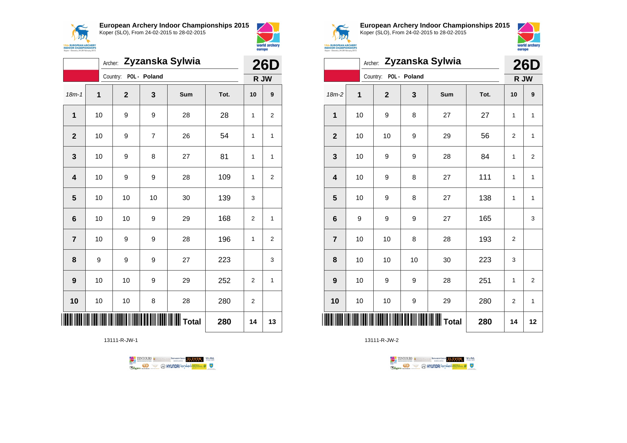



|                         | Archer: Zyzanska Sylwia |                       |    |                            |      |                |                |  |
|-------------------------|-------------------------|-----------------------|----|----------------------------|------|----------------|----------------|--|
|                         |                         | Country: POL - Poland |    |                            |      |                | R JW           |  |
| $18m - 1$               | 1                       | $\mathbf{2}$          | 3  | Sum                        | Tot. | 10             | 9              |  |
| 1                       | 10                      | 9                     | 9  | 28                         | 28   | 1              | $\overline{2}$ |  |
| $\mathbf{2}$            | 10                      | 9                     | 7  | 26                         | 54   | 1              | 1              |  |
| 3                       | 10                      | 9                     | 8  | 27                         | 81   | 1              | 1              |  |
| $\overline{\mathbf{4}}$ | 10                      | 9                     | 9  | 28                         | 109  | 1              | $\overline{2}$ |  |
| 5                       | 10                      | 10                    | 10 | 30                         | 139  | 3              |                |  |
| 6                       | 10                      | 10                    | 9  | 29                         | 168  | $\overline{2}$ | 1              |  |
| $\overline{\mathbf{r}}$ | 10                      | 9                     | 9  | 28                         | 196  | 1              | $\overline{2}$ |  |
| 8                       | 9                       | 9                     | 9  | 27                         | 223  |                | 3              |  |
| 9                       | 10                      | 10                    | 9  | 29                         | 252  | $\overline{2}$ | 1              |  |
| 10                      | 10                      | 10                    | 8  | 28                         | 280  | $\overline{2}$ |                |  |
| IIII                    |                         |                       |    | <b>             </b> Total | 280  | 14             | 13             |  |

13111-R-JW-1





**European Archery Indoor Championships 2015** Koper (SLO), From 24-02-2015 to 28-02-2015



|                         | Archer: Zyzanska Sylwia |                       |    |     |      |                |                  |
|-------------------------|-------------------------|-----------------------|----|-----|------|----------------|------------------|
|                         |                         | Country: POL - Poland |    |     |      |                | R JW             |
| $18m-2$                 | 1                       | $\overline{2}$        | 3  | Sum | Tot. | 10             | $\boldsymbol{9}$ |
| $\mathbf 1$             | 10                      | 9                     | 8  | 27  | 27   | 1              | 1                |
| $\mathbf{2}$            | 10                      | 10                    | 9  | 29  | 56   | $\overline{2}$ | 1                |
| 3                       | 10                      | 9                     | 9  | 28  | 84   | 1              | $\overline{2}$   |
| $\overline{\mathbf{4}}$ | 10                      | 9                     | 8  | 27  | 111  | 1              | $\mathbf{1}$     |
| 5                       | 10                      | 9                     | 8  | 27  | 138  | 1              | $\mathbf{1}$     |
| $6\phantom{1}6$         | 9                       | 9                     | 9  | 27  | 165  |                | 3                |
| $\overline{7}$          | 10                      | 10                    | 8  | 28  | 193  | $\overline{2}$ |                  |
| 8                       | 10                      | 10                    | 10 | 30  | 223  | 3              |                  |
| 9                       | 10                      | 9                     | 9  | 28  | 251  | 1              | $\overline{2}$   |
| 10                      | 10                      | 10                    | 9  | 29  | 280  | $\overline{2}$ | 1                |
| ║║║                     |                         |                       |    |     | 280  | 14             | 12               |

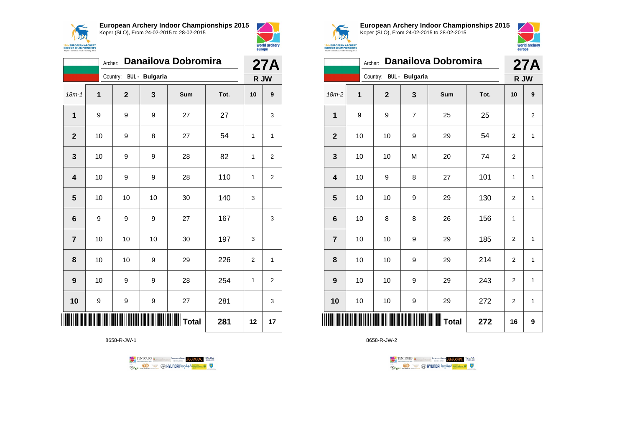



| <b>Danailova Dobromira</b><br>Archer: |                         |                |     |     |      |              | <b>27A</b>     |  |
|---------------------------------------|-------------------------|----------------|-----|-----|------|--------------|----------------|--|
|                                       | Country: BUL - Bulgaria |                |     |     |      | R JW         |                |  |
| $18m - 1$                             | 1                       | $\overline{2}$ | 3   | Sum | Tot. | 10           | 9              |  |
| 1                                     | 9                       | 9              | 9   | 27  | 27   |              | 3              |  |
| $\overline{2}$                        | 10                      | 9              | 8   | 27  | 54   | 1            | 1              |  |
| 3                                     | 10                      | 9              | 9   | 28  | 82   | 1            | 2              |  |
| $\overline{\mathbf{4}}$               | 10                      | 9              | 9   | 28  | 110  | 1            | $\overline{2}$ |  |
| 5                                     | 10                      | 10             | 10  | 30  | 140  | 3            |                |  |
| 6                                     | 9                       | 9              | 9   | 27  | 167  |              | 3              |  |
| $\overline{7}$                        | 10                      | 10             | 10  | 30  | 197  | 3            |                |  |
| 8                                     | 10                      | 10             | 9   | 29  | 226  | 2            | 1              |  |
| 9                                     | 10                      | 9              | 9   | 28  | 254  | $\mathbf{1}$ | 2              |  |
| 10                                    | 9                       | 9              | 9   | 27  | 281  |              | 3              |  |
|                                       |                         |                | 281 | 12  | 17   |              |                |  |

8658-R-JW-1





**European Archery Indoor Championships 2015** Koper (SLO), From 24-02-2015 to 28-02-2015



|                         | <b>Danailova Dobromira</b><br>Archer: |                         |   |     |      |                |              |  |  |
|-------------------------|---------------------------------------|-------------------------|---|-----|------|----------------|--------------|--|--|
|                         |                                       | Country: BUL - Bulgaria |   |     |      |                | 27A<br>R JW  |  |  |
| $18m-2$                 | 1                                     | $\mathbf{2}$            | 3 | Sum | Tot. | 10             | 9            |  |  |
| 1                       | 9                                     | 9                       | 7 | 25  | 25   |                | 2            |  |  |
| $\overline{2}$          | 10                                    | 10                      | 9 | 29  | 54   | 2              | $\mathbf{1}$ |  |  |
| 3                       | 10                                    | 10                      | M | 20  | 74   | $\overline{2}$ |              |  |  |
| $\overline{\mathbf{4}}$ | 10                                    | 9                       | 8 | 27  | 101  | 1              | $\mathbf{1}$ |  |  |
| 5                       | 10                                    | 10                      | 9 | 29  | 130  | 2              | $\mathbf{1}$ |  |  |
| $6\phantom{1}6$         | 10                                    | 8                       | 8 | 26  | 156  | 1              |              |  |  |
| $\overline{7}$          | 10                                    | 10                      | 9 | 29  | 185  | 2              | $\mathbf{1}$ |  |  |
| 8                       | 10                                    | 10                      | 9 | 29  | 214  | $\overline{2}$ | 1            |  |  |
| 9                       | 10                                    | 10                      | 9 | 29  | 243  | $\overline{2}$ | $\mathbf{1}$ |  |  |
| 10                      | 10                                    | 10                      | 9 | 29  | 272  | 2              | $\mathbf{1}$ |  |  |
|                         |                                       |                         |   | 272 | 16   | 9              |              |  |  |

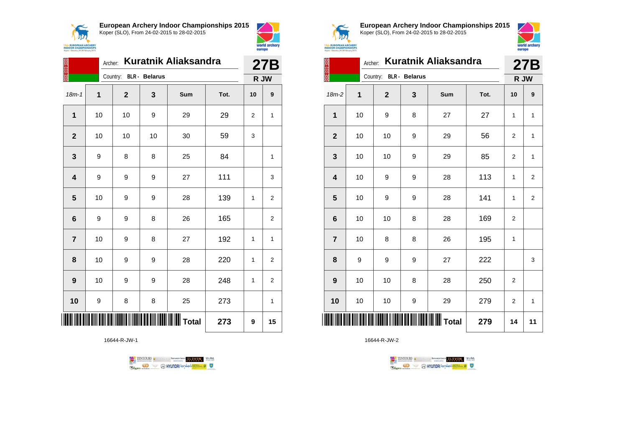



|                         |      | <b>Kuratnik Aliaksandra</b><br>Archer: |                      |     |      |              |                |  |  |
|-------------------------|------|----------------------------------------|----------------------|-----|------|--------------|----------------|--|--|
|                         |      | Country:                               | <b>BLR</b> - Belarus |     |      | R JW         |                |  |  |
| $18m - 1$               | 1    | $\mathbf 2$                            | 3                    | Sum | Tot. | 10           | 9              |  |  |
| 1                       | 10   | 10                                     | 9                    | 29  | 29   | 2            | $\mathbf{1}$   |  |  |
| $\mathbf{2}$            | 10   | 10                                     | 10                   | 30  | 59   | 3            |                |  |  |
| 3                       | 9    | 8                                      | 8                    | 25  | 84   |              | $\mathbf{1}$   |  |  |
| $\overline{\mathbf{4}}$ | 9    | 9                                      | 9                    | 27  | 111  |              | 3              |  |  |
| 5                       | 10   | 9                                      | 9                    | 28  | 139  | $\mathbf{1}$ | 2              |  |  |
| $6\phantom{1}$          | 9    | 9                                      | 8                    | 26  | 165  |              | 2              |  |  |
| $\overline{7}$          | 10   | 9                                      | 8                    | 27  | 192  | 1            | 1              |  |  |
| 8                       | $10$ | 9                                      | 9                    | 28  | 220  | $\mathbf{1}$ | $\overline{2}$ |  |  |
| 9                       | 10   | 9                                      | 9                    | 28  | 248  | $\mathbf{1}$ | 2              |  |  |
| 10                      | 9    | 8                                      | 8                    | 25  | 273  |              | 1              |  |  |
|                         |      |                                        |                      |     | 273  | 9            | 15             |  |  |

16644-R-JW-1





**European Archery Indoor Championships 2015** Koper (SLO), From 24-02-2015 to 28-02-2015



|                         | <b>Kuratnik Aliaksandra</b><br>Archer: |                        |   |     |      |                |                |  |  |
|-------------------------|----------------------------------------|------------------------|---|-----|------|----------------|----------------|--|--|
|                         |                                        | Country: BLR - Belarus |   |     |      | R JW           |                |  |  |
| 18m-2                   | 1                                      | $\mathbf{2}$           | 3 | Sum | Tot. | 10             | 9              |  |  |
| 1                       | 10                                     | 9                      | 8 | 27  | 27   | 1              | $\mathbf{1}$   |  |  |
| $\mathbf{2}$            | 10                                     | 10                     | 9 | 29  | 56   | $\overline{2}$ | $\mathbf{1}$   |  |  |
| 3                       | 10                                     | 10                     | 9 | 29  | 85   | 2              | $\mathbf{1}$   |  |  |
| $\overline{\mathbf{4}}$ | 10                                     | 9                      | 9 | 28  | 113  | 1              | $\overline{2}$ |  |  |
| 5                       | 10                                     | 9                      | 9 | 28  | 141  | 1              | $\overline{2}$ |  |  |
| $6\phantom{1}$          | 10                                     | 10                     | 8 | 28  | 169  | $\overline{2}$ |                |  |  |
| $\overline{7}$          | 10                                     | 8                      | 8 | 26  | 195  | 1              |                |  |  |
| 8                       | 9                                      | 9                      | 9 | 27  | 222  |                | 3              |  |  |
| 9                       | 10                                     | 10                     | 8 | 28  | 250  | 2              |                |  |  |
| 10                      | 10                                     | 10                     | 9 | 29  | 279  | 2              | $\mathbf{1}$   |  |  |
| ║║║                     |                                        |                        |   |     | 279  | 14             | 11             |  |  |

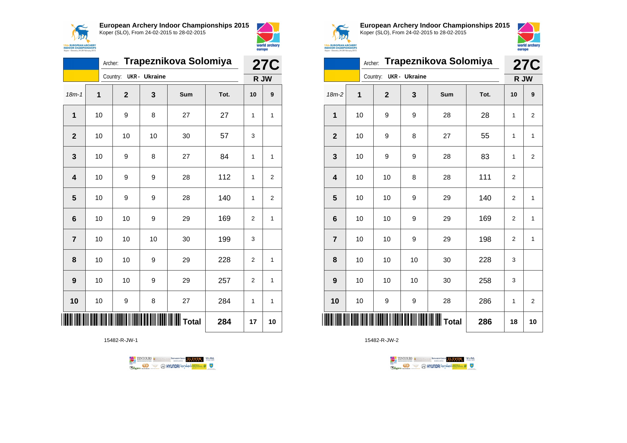

Archer: **Trapeznikova Solomiya**

18m-1 **1 2 3 Sum Tot. 10 9**

**1** | 10 | 9 | 8 | 27 | 27 | 1 | 1

**3** | 10 | 9 | 8 | 27 | 84 | 1 | 1

**4** | 10 | 9 | 9 | 28 | 112 | 1 | 2

**5** | 10 | 9 | 9 | 28 | 140 | 1 | 2

**6** | 10 | 10 | 9 | 29 | 169 | 2 | 1

**8** | 10 | 10 | 9 | 29 | 228 | 2 | 1

**9** | 10 | 10 | 9 | 29 | 257 | 2 | 1

**10** | 10 | 9 | 8 | 27 | 284 | 1 | 1

**TOTAL TOTAL TERM** THE TOTAL TOTAL TOTAL 17 10

**7** | 10 | 10 | 10 | 30 | 199 | 3

**2** | 10 | 10 | 10 | 30 | 57 | 3

Country: **UKR - Ukraine**



**15th EUROPEAN ARCHERY**<br>INDOOR CHAMPIONSHIPS

Koper - Slovenia, 24-28 F

**27C R JW**

**European Archery Indoor Championships 2015** Koper (SLO), From 24-02-2015 to 28-02-2015



|                | Trapeznikova Solomiya<br>Archer: |                |                      |     |      |                |                         |  |  |
|----------------|----------------------------------|----------------|----------------------|-----|------|----------------|-------------------------|--|--|
|                |                                  | Country:       | <b>UKR</b> - Ukraine |     | R JW | <b>27C</b>     |                         |  |  |
| 18m-2          | 1                                | $\overline{2}$ | 3                    | Sum | Tot. | 10             | 9                       |  |  |
| 1              | 10                               | 9              | 9                    | 28  | 28   | 1              | $\overline{2}$          |  |  |
| $\overline{2}$ | 10                               | 9              | 8                    | 27  | 55   | 1              | $\mathbf{1}$            |  |  |
| 3              | 10                               | 9              | 9                    | 28  | 83   | 1              | $\overline{\mathbf{c}}$ |  |  |
| 4              | 10                               | 10             | 8                    | 28  | 111  | $\overline{2}$ |                         |  |  |
| 5              | 10                               | 10             | 9                    | 29  | 140  | $\overline{2}$ | $\mathbf{1}$            |  |  |
| 6              | 10                               | 10             | 9                    | 29  | 169  | $\overline{2}$ | $\mathbf{1}$            |  |  |
| $\overline{7}$ | 10                               | 10             | 9                    | 29  | 198  | $\overline{2}$ | $\mathbf{1}$            |  |  |
| 8              | 10                               | 10             | 10                   | 30  | 228  | 3              |                         |  |  |
| 9              | 10                               | 10             | 10                   | 30  | 258  | 3              |                         |  |  |
| 10             | 10                               | 9              | 9                    | 28  | 286  | 1              | $\overline{2}$          |  |  |
|                |                                  |                |                      |     | 286  | 18             | 10                      |  |  |

15482-R-JW-2





15482-R-JW-1

**Example 3** @ HYUNDAI lansed **State 4 0**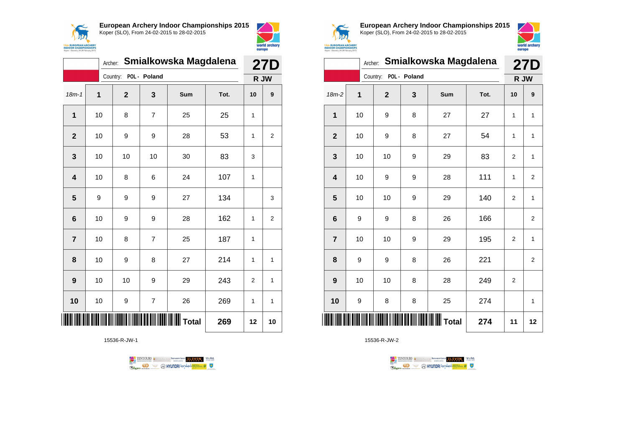



|                | <b>27D</b>       |                       |                |                 |      |                |                  |  |
|----------------|------------------|-----------------------|----------------|-----------------|------|----------------|------------------|--|
|                |                  | Country: POL - Poland |                |                 |      | R JW           |                  |  |
| $18m - 1$      | 1                | $\mathbf{2}$          | 3              | Sum             | Tot. | 10             | $\boldsymbol{9}$ |  |
| 1              | 10               | 8                     | $\overline{7}$ | 25              | 25   | 1              |                  |  |
| $\overline{2}$ | 10               | 9                     | 9              | 28              | 53   | 1              | 2                |  |
| 3              | 10               | 10                    | 10             | 30              | 83   | 3              |                  |  |
| 4              | 10               | 8                     | 6              | 24              | 107  | 1              |                  |  |
| 5              | $\boldsymbol{9}$ | 9                     | 9              | 27              | 134  |                | 3                |  |
| 6              | 10               | 9                     | 9              | 28              | 162  | 1              | $\overline{2}$   |  |
| $\overline{7}$ | 10               | 8                     | $\overline{7}$ | 25              | 187  | 1              |                  |  |
| 8              | 10               | 9                     | 8              | 27              | 214  | 1              | 1                |  |
| 9              | 10               | 10                    | 9              | 29              | 243  | $\overline{2}$ | 1                |  |
| 10             | 10               | 9                     | $\overline{7}$ | 26              | 269  | 1              | 1                |  |
|                |                  |                       |                | <b>∭∐</b> Total | 269  | 12             | 10               |  |

15536-R-JW-1





**European Archery Indoor Championships 2015** Koper (SLO), From 24-02-2015 to 28-02-2015



world archer europe

|                         | Smialkowska Magdalena<br>Archer: |                                     |              |     |      |                |                |  |  |  |
|-------------------------|----------------------------------|-------------------------------------|--------------|-----|------|----------------|----------------|--|--|--|
|                         |                                  | Country:                            | POL - Poland |     |      |                | R JW           |  |  |  |
| $18m-2$                 | 1                                | $\mathbf{2}$                        | 3            | Sum | Tot. | 10             | 9              |  |  |  |
| 1                       | 10                               | 9                                   | 8            | 27  | 27   | 1              | $\mathbf{1}$   |  |  |  |
| $\overline{2}$          | 10                               | 9                                   | 8            | 27  | 54   | 1              | 1              |  |  |  |
| 3                       | 10                               | 10                                  | 9            | 29  | 83   | $\overline{2}$ | 1              |  |  |  |
| $\overline{\mathbf{4}}$ | 10                               | 9                                   | 9            | 28  | 111  | 1              | $\overline{2}$ |  |  |  |
| 5                       | 10                               | 10                                  | 9            | 29  | 140  | $\overline{2}$ | $\mathbf{1}$   |  |  |  |
| $6\phantom{1}6$         | 9                                | 9                                   | 8            | 26  | 166  |                | $\overline{2}$ |  |  |  |
| $\overline{7}$          | 10                               | 10                                  | 9            | 29  | 195  | $\overline{2}$ | $\mathbf{1}$   |  |  |  |
| 8                       | 9                                | 9                                   | 8            | 26  | 221  |                | $\overline{2}$ |  |  |  |
| 9                       | 10                               | 10                                  | 8            | 28  | 249  | $\overline{2}$ |                |  |  |  |
| 10                      | 9                                | 8                                   | 8            | 25  | 274  |                | 1              |  |  |  |
| ║║                      |                                  | <b>IIIIIIIIIIIIIIIIIIIIII</b> Total | 274          | 11  | 12   |                |                |  |  |  |

TENTOURS GENERAL BEXTRONGENT FUEVEN. WEBA

**Example 2** @ HYUNDAI lansed **State 4** U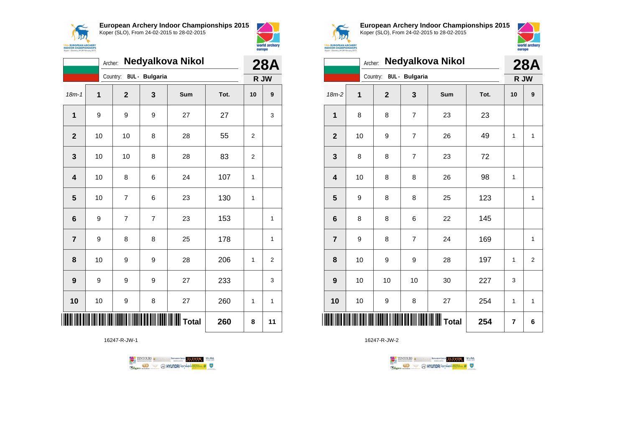



|                         | Nedyalkova Nikol<br>Archer: |                |                       |                    |      |                |                |  |  |
|-------------------------|-----------------------------|----------------|-----------------------|--------------------|------|----------------|----------------|--|--|
|                         |                             | Country:       | <b>BUL</b> - Bulgaria |                    |      | R JW           | <b>28A</b>     |  |  |
| $18m - 1$               | 1                           | $\overline{2}$ | 3                     | Sum                | Tot. | 10             | 9              |  |  |
| $\mathbf 1$             | 9                           | 9              | 9                     | 27                 | 27   |                | 3              |  |  |
| $\overline{2}$          | 10                          | 10             | 8                     | 28                 | 55   | $\overline{2}$ |                |  |  |
| 3                       | 10                          | 10             | 8                     | 28                 | 83   | 2              |                |  |  |
| $\overline{\mathbf{4}}$ | 10                          | 8              | 6                     | 24                 | 107  | 1              |                |  |  |
| 5                       | 10                          | $\overline{7}$ | 6                     | 23                 | 130  | 1              |                |  |  |
| $6\phantom{1}6$         | 9                           | $\overline{7}$ | $\overline{7}$        | 23                 | 153  |                | $\overline{1}$ |  |  |
| $\overline{7}$          | 9                           | 8              | 8                     | 25                 | 178  |                | 1              |  |  |
| 8                       | 10                          | 9              | 9                     | 28                 | 206  | 1              | $\overline{2}$ |  |  |
| 9                       | 9                           | 9              | 9                     | 27                 | 233  |                | 3              |  |  |
| 10                      | 10                          | 9              | 8                     | 27                 | 260  | 1              | 1              |  |  |
| ║║                      |                             |                |                       | <b>WILLE</b> Total | 260  | 8              | 11             |  |  |

16247-R-JW-1





**European Archery Indoor Championships 2015** Koper (SLO), From 24-02-2015 to 28-02-2015



|                  |   | Archer: |                         | <b>28A</b>     |              |      |      |             |
|------------------|---|---------|-------------------------|----------------|--------------|------|------|-------------|
|                  |   |         | Country: BUL - Bulgaria |                |              |      | R JW |             |
| $18m-2$          | 1 |         | $\mathbf{2}$            | 3              | Sum          | Tot. | 10   | 9           |
| 1                |   | 8       | 8                       | $\overline{7}$ | 23           | 23   |      |             |
| $\mathbf{2}$     |   | 10      | 9                       | $\overline{7}$ | 26           | 49   | 1    | 1           |
| 3                |   | 8       | 8                       | $\overline{7}$ | 23           | 72   |      |             |
| 4                |   | 10      | 8                       | 8              | 26           | 98   | 1    |             |
| 5                |   | 9       | 8                       | 8              | 25           | 123  |      | 1           |
| $\bf 6$          | 8 |         | 8                       | 6              | 22           | 145  |      |             |
| $\overline{7}$   |   | 9       | 8                       | 7              | 24           | 169  |      | $\mathbf 1$ |
| 8                |   | 10      | 9                       | 9              | 28           | 197  | 1    | $\mathbf 2$ |
| $\boldsymbol{9}$ |   | 10      | 10                      | 10             | 30           | 227  | 3    |             |
| 10               |   | 10      | 9                       | 8              | 27           | 254  | 1    | 1           |
| Ⅲ                |   |         |                         |                | <b>Total</b> | 254  | 7    | 6           |

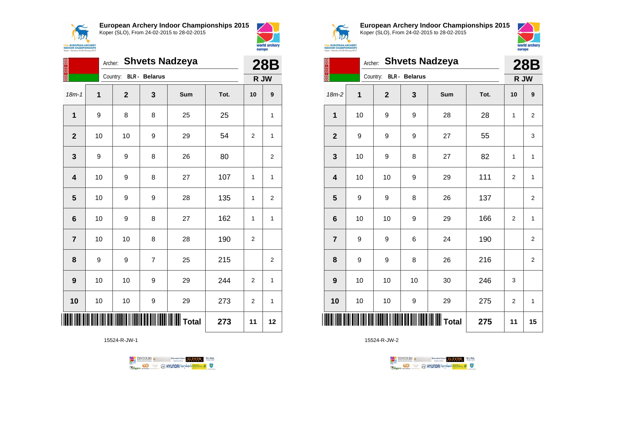



world archery europe

|                         | <b>Shvets Nadzeya</b><br>Archer:<br>Country: |              |                      |     |      |                |                |  |  |  |
|-------------------------|----------------------------------------------|--------------|----------------------|-----|------|----------------|----------------|--|--|--|
|                         |                                              |              | <b>BLR</b> - Belarus |     |      |                | R JW           |  |  |  |
| $18m - 1$               | 1                                            | $\mathbf{2}$ | 3                    | Sum | Tot. | 10             | 9              |  |  |  |
| $\mathbf{1}$            | 9                                            | 8            | 8                    | 25  | 25   |                | 1              |  |  |  |
| $\mathbf{2}$            | 10                                           | 10           | 9                    | 29  | 54   | $\overline{2}$ | 1              |  |  |  |
| 3                       | 9                                            | 9            | 8                    | 26  | 80   |                | $\overline{2}$ |  |  |  |
| 4                       | 10                                           | 9            | 8                    | 27  | 107  | 1              | $\mathbf{1}$   |  |  |  |
| $\overline{\mathbf{5}}$ | 10                                           | 9            | 9                    | 28  | 135  | 1              | 2              |  |  |  |
| 6                       | 10                                           | 9            | 8                    | 27  | 162  | 1              | 1              |  |  |  |
| $\overline{7}$          | 10                                           | 10           | 8                    | 28  | 190  | $\mathbf{2}$   |                |  |  |  |
| 8                       | 9                                            | 9            | $\overline{7}$       | 25  | 215  |                | 2              |  |  |  |
| 9                       | 10                                           | 10           | 9                    | 29  | 244  | $\overline{2}$ | 1              |  |  |  |
| 10                      | 10                                           | 10           | 9                    | 29  | 273  | 2              | $\mathbf{1}$   |  |  |  |
|                         |                                              |              | 273                  | 11  | 12   |                |                |  |  |  |

15524-R-JW-1





**European Archery Indoor Championships 2015** Koper (SLO), From 24-02-2015 to 28-02-2015



|                | <b>15th EUROPEAN ARCHERY</b><br>INDOOR CHAMPIONSHIPS<br>Koper - Slovenia, 24-28 February 2015 |                |                      |                       |      |                |                |  |  |  |  |
|----------------|-----------------------------------------------------------------------------------------------|----------------|----------------------|-----------------------|------|----------------|----------------|--|--|--|--|
| 经济学            |                                                                                               | Archer:        |                      | <b>Shvets Nadzeya</b> |      |                | <b>28B</b>     |  |  |  |  |
|                |                                                                                               | Country:       | <b>BLR</b> - Belarus |                       |      |                | R JW           |  |  |  |  |
| $18m-2$        | 1                                                                                             | $\overline{2}$ | 3                    | <b>Sum</b>            | Tot. | 10             | 9              |  |  |  |  |
| 1              | 10                                                                                            | 9              | 9                    | 28                    | 28   | 1              | 2              |  |  |  |  |
| $\overline{2}$ | 9                                                                                             | 9              | 9                    | 27                    | 55   |                | 3              |  |  |  |  |
| 3              | 10                                                                                            | 9              | 8                    | 27                    | 82   | 1              | 1              |  |  |  |  |
| 4              | 10                                                                                            | 10             | 9                    | 29                    | 111  | $\overline{2}$ | 1              |  |  |  |  |
| 5              | 9                                                                                             | 9              | 8                    | 26                    | 137  |                | $\overline{2}$ |  |  |  |  |
| 6              | 10                                                                                            | 10             | 9                    | 29                    | 166  | $\overline{2}$ | $\mathbf{1}$   |  |  |  |  |
| $\overline{7}$ | 9                                                                                             | 9              | 6                    | 24                    | 190  |                | $\overline{2}$ |  |  |  |  |
| 8              | 9                                                                                             | 9              | 8                    | 26                    | 216  |                | $\overline{2}$ |  |  |  |  |
| 9              | 10                                                                                            | 10             | 10                   | 30                    | 246  | 3              |                |  |  |  |  |
| 10             | 10                                                                                            | 10             | 9                    | 29                    | 275  | 2              | 1              |  |  |  |  |
| ║║║            |                                                                                               |                |                      | <b>WI</b> Total       | 275  | 11             | 15             |  |  |  |  |

TENTOURS **(i)** CONSIDER DEVELOPS OF THE VEDA TABLES OF THE CONSIDERED PARTICULAR DEVELOPS OF THE CONSIDERED PARTICULAR DEVELOPS OF THE CONSTRUCTION OF THE CONSTRUCTION OF THE CONSTRUCTION OF THE CONSTRUCTION OF THE CONSTRU

**Example 2** @ HYUNDAI lansed **State 4** U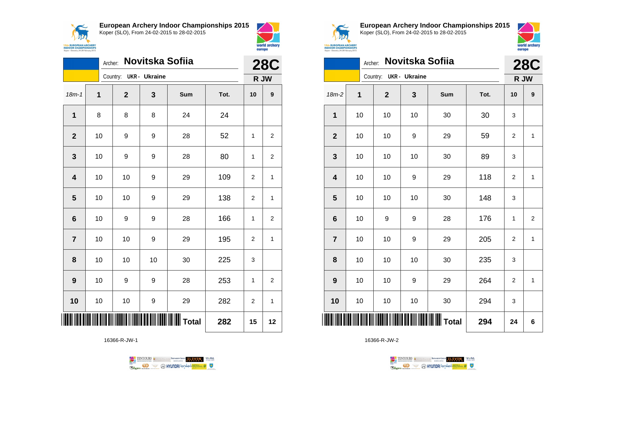



|                         | Novitska Sofiia<br>Archer: |    |                        |    |            |      |    |                    |  |
|-------------------------|----------------------------|----|------------------------|----|------------|------|----|--------------------|--|
|                         |                            |    | Country: UKR - Ukraine |    |            |      |    | <b>28C</b><br>R JW |  |
| $18m - 1$               | 1                          |    | $\mathbf{2}$           | 3  | <b>Sum</b> | Tot. | 10 | 9                  |  |
| 1                       | 8                          |    | 8                      | 8  | 24         | 24   |    |                    |  |
| $\mathbf{2}$            | 10                         |    | 9                      | 9  | 28         | 52   | 1  | $\overline{2}$     |  |
| 3                       | 10                         |    | 9                      | 9  | 28         | 80   | 1  | $\overline{c}$     |  |
| $\overline{\mathbf{4}}$ | 10                         |    | 10                     | 9  | 29         | 109  | 2  | 1                  |  |
| 5                       | 10                         |    | 10                     | 9  | 29         | 138  | 2  | 1                  |  |
| $6\phantom{1}6$         | 10                         |    | 9                      | 9  | 28         | 166  | 1  | $\overline{2}$     |  |
| $\overline{7}$          | 10                         |    | 10                     | 9  | 29         | 195  | 2  | 1                  |  |
| 8                       | 10                         |    | 10                     | 10 | 30         | 225  | 3  |                    |  |
| 9                       | 10                         |    | 9                      | 9  | 28         | 253  | 1  | $\overline{2}$     |  |
| 10                      | 10                         |    | 10                     | 9  | 29         | 282  | 2  | 1                  |  |
| ║║                      | 15                         | 12 |                        |    |            |      |    |                    |  |

16366-R-JW-1





**European Archery Indoor Championships 2015** Koper (SLO), From 24-02-2015 to 28-02-2015



|                         | Novitska Sofiia<br>Archer: |  |                        |    |     |      |                |                    |  |
|-------------------------|----------------------------|--|------------------------|----|-----|------|----------------|--------------------|--|
|                         |                            |  | Country: UKR - Ukraine |    |     |      |                | <b>28C</b><br>R JW |  |
| $18m-2$                 | 1                          |  | $\mathbf 2$            | 3  | Sum | Tot. | 10             | 9                  |  |
| 1                       | 10                         |  | 10                     | 10 | 30  | 30   | 3              |                    |  |
| $\mathbf{2}$            | 10                         |  | 10                     | 9  | 29  | 59   | 2              | 1                  |  |
| 3                       | 10                         |  | 10                     | 10 | 30  | 89   | 3              |                    |  |
| $\overline{\mathbf{4}}$ | 10                         |  | 10                     | 9  | 29  | 118  | 2              | 1                  |  |
| 5                       | 10                         |  | 10                     | 10 | 30  | 148  | 3              |                    |  |
| $6\phantom{1}6$         | 10                         |  | 9                      | 9  | 28  | 176  | 1              | $\overline{2}$     |  |
| $\overline{\mathbf{r}}$ | 10                         |  | 10                     | 9  | 29  | 205  | $\overline{2}$ | $\mathbf{1}$       |  |
| 8                       | 10                         |  | 10                     | 10 | 30  | 235  | 3              |                    |  |
| 9                       | 10                         |  | 10                     | 9  | 29  | 264  | 2              | $\mathbf{1}$       |  |
| 10                      | 10                         |  | 10                     | 10 | 30  | 294  | 3              |                    |  |
| IIII                    | 294                        |  |                        |    |     |      |                | 6                  |  |

TENTOURS **(i)** CONSIDER DEVELOPS OF THE VEDA TABLES OF THE CONSIDERED PARTICULAR DEVELOPS OF THE CONSIDERED PARTICULAR DEVELOPS OF THE CONSTRUCTION OF THE CONSTRUCTION OF THE CONSTRUCTION OF THE CONSTRUCTION OF THE CONSTRU **Example 2** @ HYUNDAI lansed **State 4** U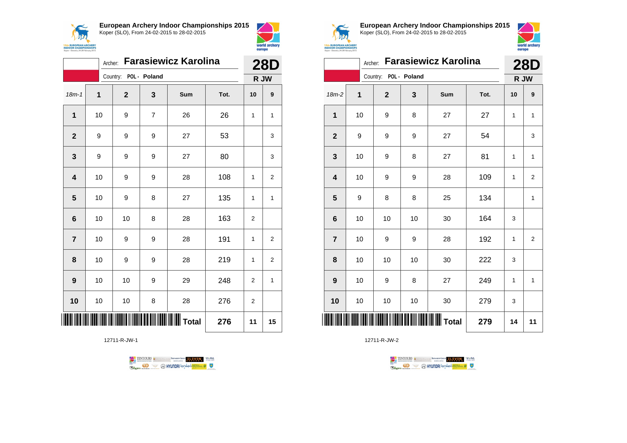



|                         | <b>Farasiewicz Karolina</b><br>Archer: |                       |                |     |      |                |                    |
|-------------------------|----------------------------------------|-----------------------|----------------|-----|------|----------------|--------------------|
|                         |                                        | Country: POL - Poland |                |     |      |                | <b>28D</b><br>R JW |
| $18m - 1$               | 1                                      | $\mathbf{2}$          | 3              | Sum | Tot. | 10             | 9                  |
| $\mathbf{1}$            | 10                                     | 9                     | $\overline{7}$ | 26  | 26   | 1              | 1                  |
| $\mathbf{2}$            | 9                                      | 9                     | 9              | 27  | 53   |                | 3                  |
| 3                       | 9                                      | 9                     | 9              | 27  | 80   |                | 3                  |
| $\overline{\mathbf{4}}$ | 10                                     | 9                     | 9              | 28  | 108  | 1              | $\overline{2}$     |
| 5                       | 10                                     | 9                     | 8              | 27  | 135  | 1              | 1                  |
| 6                       | 10                                     | 10                    | 8              | 28  | 163  | $\overline{2}$ |                    |
| $\overline{7}$          | 10                                     | 9                     | 9              | 28  | 191  | 1              | $\overline{2}$     |
| 8                       | 10                                     | 9                     | 9              | 28  | 219  | 1              | $\overline{2}$     |
| $\boldsymbol{9}$        | 10                                     | 10                    | 9              | 29  | 248  | $\overline{2}$ | 1                  |
| 10                      | 10                                     | 10                    | 8              | 28  | 276  | 2              |                    |
|                         |                                        |                       |                |     | 276  | 11             | 15                 |

12711-R-JW-1





**European Archery Indoor Championships 2015** Koper (SLO), From 24-02-2015 to 28-02-2015



|                         | <b>Farasiewicz Karolina</b><br>Archer: |                       |    |     |      |      |                |
|-------------------------|----------------------------------------|-----------------------|----|-----|------|------|----------------|
|                         |                                        | Country: POL - Poland |    |     |      | R JW |                |
| $18m-2$                 | 1                                      | $\mathbf 2$           | 3  | Sum | Tot. | 10   | 9              |
| 1                       | 10                                     | 9                     | 8  | 27  | 27   | 1    | $\mathbf{1}$   |
| $\mathbf{2}$            | 9                                      | 9                     | 9  | 27  | 54   |      | 3              |
| 3                       | 10                                     | 9                     | 8  | 27  | 81   | 1    | $\mathbf{1}$   |
| $\overline{\mathbf{4}}$ | 10                                     | 9                     | 9  | 28  | 109  | 1    | $\overline{2}$ |
| 5                       | 9                                      | 8                     | 8  | 25  | 134  |      | $\mathbf{1}$   |
| $6\phantom{1}$          | 10                                     | 10                    | 10 | 30  | 164  | 3    |                |
| $\overline{7}$          | 10                                     | 9                     | 9  | 28  | 192  | 1    | $\overline{2}$ |
| 8                       | 10                                     | 10                    | 10 | 30  | 222  | 3    |                |
| 9                       | 10                                     | 9                     | 8  | 27  | 249  | 1    | $\mathbf{1}$   |
| 10                      | 10                                     | $10$                  | 10 | 30  | 279  | 3    |                |
| ║║║                     |                                        |                       |    |     | 279  | 14   | 11             |

TENTOURS **(i)** CONSIDER DEVELOPS OF THE VEDA TABLES OF THE CONSIDERED PARTICULAR DEVELOPS OF THE CONSIDERED PARTICULAR DEVELOPS OF THE CONSTRUCTION OF THE CONSTRUCTION OF THE CONSTRUCTION OF THE CONSTRUCTION OF THE CONSTRU

**B** MYUNDAI Tonsed **Williams 9** 

12711-R-JW-2

Ragm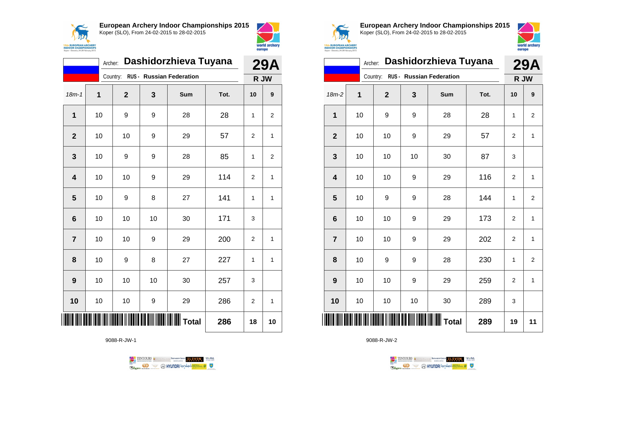



| Dashidorzhieva Tuyana<br>Archer: |    |              |    |                          |      | <b>29A</b>     |      |  |
|----------------------------------|----|--------------|----|--------------------------|------|----------------|------|--|
|                                  |    | Country:     |    | RUS - Russian Federation |      |                | R JW |  |
| $18m - 1$                        | 1  | $\mathbf{2}$ | 3  | Sum                      | Tot. | 10             | 9    |  |
| 1                                | 10 | 9            | 9  | 28                       | 28   | 1              | 2    |  |
| $\overline{2}$                   | 10 | 10           | 9  | 29                       | 57   | $\overline{2}$ | 1    |  |
| 3                                | 10 | 9            | 9  | 28                       | 85   | 1              | 2    |  |
| 4                                | 10 | 10           | 9  | 29                       | 114  | $\overline{2}$ | 1    |  |
| 5                                | 10 | 9            | 8  | 27                       | 141  | 1              | 1    |  |
| $6\phantom{1}6$                  | 10 | 10           | 10 | 30                       | 171  | 3              |      |  |
| $\overline{7}$                   | 10 | 10           | 9  | 29                       | 200  | 2              | 1    |  |
| 8                                | 10 | 9            | 8  | 27                       | 227  | 1              | 1    |  |
| 9                                | 10 | 10           | 10 | 30                       | 257  | 3              |      |  |
| 10                               | 10 | 10           | 9  | 29                       | 286  | 2              | 1    |  |
|                                  |    |              |    | $\ $ Total               | 286  | 18             | 10   |  |

9088-R-JW-1

TENTOURS of BENJAMING COUP ELEVEN VEBA **OD SOUTHERRY AND STATES OF THE STATES OF STATES** Ragun



**European Archery Indoor Championships 2015** Koper (SLO), From 24-02-2015 to 28-02-2015



|                 |         |    | Dashidorzhieva Tuyana<br>Archer: |                | <b>29A</b> |                          |      |                  |                |
|-----------------|---------|----|----------------------------------|----------------|------------|--------------------------|------|------------------|----------------|
|                 |         |    |                                  | Country:       |            | RUS - Russian Federation |      |                  | R JW           |
|                 | $18m-2$ | 1  |                                  | $\overline{2}$ | 3          | Sum                      | Tot. | 10               | 9              |
| 1               |         | 10 |                                  | 9              | 9          | 28                       | 28   | 1                | 2              |
| $\mathbf{2}$    |         |    | 10                               | 10             | 9          | 29                       | 57   | 2                | 1              |
| 3               |         | 10 |                                  | 10             | 10         | 30                       | 87   | 3                |                |
| 4               |         | 10 |                                  | 10             | 9          | 29                       | 116  | 2                | 1              |
| 5               |         |    | 10                               | 9              | 9          | 28                       | 144  | 1                | $\overline{2}$ |
| $6\phantom{1}6$ |         | 10 |                                  | 10             | 9          | 29                       | 173  | $\overline{2}$   | 1              |
| $\overline{7}$  |         | 10 |                                  | 10             | 9          | 29                       | 202  | $\overline{2}$   | 1              |
| 8               |         |    | 10                               | 9              | 9          | 28                       | 230  | 1                | 2              |
| 9               |         |    | 10                               | 10             | 9          | 29                       | 259  | $\boldsymbol{2}$ | $\mathbf{1}$   |
| 10              |         |    | 10                               | 10             | 10         | 30                       | 289  | 3                |                |
|                 |         |    |                                  |                |            | <b>Total</b>             | 289  | 19               | 11             |

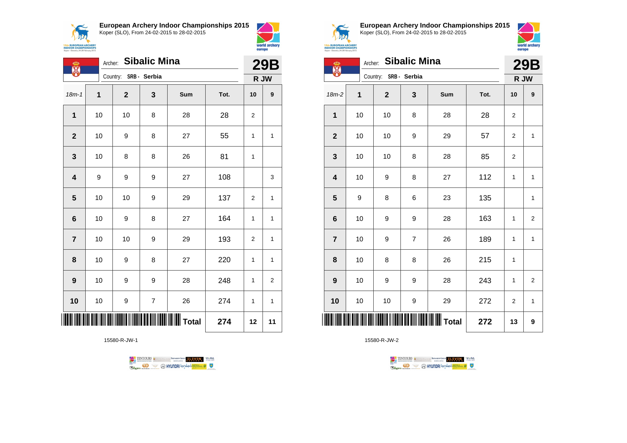

**European Archery Indoor Championships 2015**



| ക                       | <b>Sibalic Mina</b><br>Archer: |                       |                          |            |      |                | <b>29B</b>       |
|-------------------------|--------------------------------|-----------------------|--------------------------|------------|------|----------------|------------------|
| er<br>89                |                                | Country: SRB - Serbia |                          |            |      | R JW           |                  |
| $18m-1$                 | 1                              | $\mathbf{2}$          | 3                        | <b>Sum</b> | Tot. | 10             | $\boldsymbol{9}$ |
| 1                       | 10                             | 10                    | 8                        | 28         | 28   | $\overline{2}$ |                  |
| $\mathbf{2}$            | 10                             | 9                     | 8                        | 27         | 55   | 1              | $\mathbf{1}$     |
| $\mathbf{3}$            | 10                             | 8                     | 8                        | 26         | 81   | 1              |                  |
| $\overline{\mathbf{4}}$ | 9                              | 9                     | 9                        | 27         | 108  |                | 3                |
| 5                       | 10                             | 10                    | 9                        | 29         | 137  | $\overline{2}$ | $\mathbf{1}$     |
| 6                       | 10                             | 9                     | 8                        | 27         | 164  | 1              | 1                |
| $\overline{7}$          | 10                             | 10                    | 9                        | 29         | 193  | $\overline{2}$ | 1                |
| 8                       | 10                             | 9                     | 8                        | 27         | 220  | 1              | 1                |
| $\boldsymbol{9}$        | 10                             | 9                     | 9                        | 28         | 248  | 1              | $\overline{2}$   |
| 10                      | 10                             | 9                     | $\overline{\mathcal{I}}$ | 26         | 274  | 1              | 1                |
|                         |                                |                       |                          |            | 274  | 12             | 11               |

15580-R-JW-1





world archery

europe

**European Archery Indoor Championships 2015** Koper (SLO), From 24-02-2015 to 28-02-2015



| <b>INDOOR CRAMPIONSHIPS</b><br>Koper - Slovenia, 24-28 February 2015 | europe  |              |                     |                  |      |                |                |
|----------------------------------------------------------------------|---------|--------------|---------------------|------------------|------|----------------|----------------|
| ക<br>X                                                               | Archer: |              | <b>Sibalic Mina</b> |                  |      |                | <b>29B</b>     |
|                                                                      |         | Country:     | SRB - Serbia        |                  |      |                | R JW           |
| 18m-2                                                                | 1       | $\mathbf{2}$ | 3                   | <b>Sum</b>       | Tot. | 10             | 9              |
| $\mathbf{1}$                                                         | 10      | 10           | 8                   | 28               | 28   | 2              |                |
| $\mathbf{2}$                                                         | 10      | 10           | 9                   | 29               | 57   | $\overline{2}$ | $\mathbf{1}$   |
| 3                                                                    | 10      | 10           | 8                   | 28               | 85   | $\overline{2}$ |                |
| 4                                                                    | 10      | 9            | 8                   | 27               | 112  | 1              | $\mathbf{1}$   |
| 5                                                                    | 9       | 8            | 6                   | 23               | 135  |                | 1              |
| 6                                                                    | 10      | 9            | 9                   | 28               | 163  | 1              | $\overline{2}$ |
| $\overline{7}$                                                       | 10      | 9            | $\overline{7}$      | 26               | 189  | $\mathbf{1}$   | $\mathbf{1}$   |
| 8                                                                    | 10      | 8            | 8                   | 26               | 215  | $\mathbf{1}$   |                |
| 9                                                                    | 10      | 9            | 9                   | 28               | 243  | 1              | $\overline{2}$ |
| 10                                                                   | 10      | 10           | 9                   | 29               | 272  | $\overline{2}$ | $\mathbf{1}$   |
| IIIII                                                                |         |              |                     | <b>WWW</b> Total | 272  | 13             | 9              |

TENTOURS **Q** CONSIDERED BEXTRED CONDUCT **CONSIDERED** VICE DA

**B** MYUNDAI Tonsed **Williams 9** 

15580-R-JW-2

**Regin**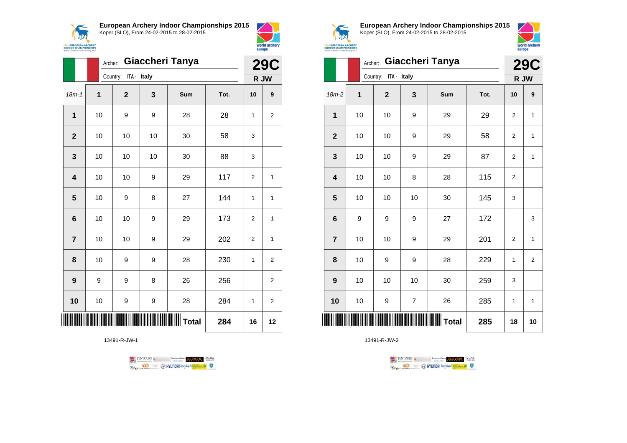

**European Archery Indoor Championships 2015**





|                         |    | Giaccheri Tanya<br>Archer: |    |                     |      |                |                |  |
|-------------------------|----|----------------------------|----|---------------------|------|----------------|----------------|--|
|                         |    | ITA - Italy<br>Country:    |    |                     |      | R JW           |                |  |
| $18m - 1$               | 1  | $\mathbf{2}$               | 3  | Sum                 | Tot. | 10             | 9              |  |
| $\mathbf{1}$            | 10 | 9                          | 9  | 28                  | 28   | 1              | 2              |  |
| $\mathbf{2}$            | 10 | 10                         | 10 | 30                  | 58   | 3              |                |  |
| 3                       | 10 | 10                         | 10 | 30                  | 88   | 3              |                |  |
| $\overline{\mathbf{4}}$ | 10 | 10                         | 9  | 29                  | 117  | $\overline{2}$ | 1              |  |
| 5                       | 10 | 9                          | 8  | 27                  | 144  | 1              | 1              |  |
| $6\phantom{1}$          | 10 | 10                         | 9  | 29                  | 173  | $\overline{2}$ | 1              |  |
| $\overline{7}$          | 10 | 10                         | 9  | 29                  | 202  | 2              | 1              |  |
| 8                       | 10 | 9                          | 9  | 28                  | 230  | $\mathbf{1}$   | $\overline{2}$ |  |
| 9                       | 9  | 9                          | 8  | 26                  | 256  |                | $\overline{2}$ |  |
| 10                      | 10 | 9                          | 9  | 28                  | 284  | 1              | 2              |  |
|                         |    |                            |    | <b>WWWWWW</b> Total | 284  | 16             | 12             |  |

13491-R-JW-1





**European Archery Indoor Championships 2015** Koper (SLO), From 24-02-2015 to 28-02-2015



|                         |             | Giaccheri Tanya<br>Archer: |                |     |      |                |                |  |
|-------------------------|-------------|----------------------------|----------------|-----|------|----------------|----------------|--|
|                         |             | Country: ITA - Italy       |                |     |      |                | R JW           |  |
| 18m-2                   | $\mathbf 1$ | $\mathbf{2}$               | 3              | Sum | Tot. | 10             | 9              |  |
| 1                       | 10          | 10                         | 9              | 29  | 29   | 2              | $\mathbf{1}$   |  |
| $\overline{2}$          | 10          | 10                         | 9              | 29  | 58   | 2              | 1              |  |
| 3                       | 10          | 10                         | 9              | 29  | 87   | $\overline{2}$ | 1              |  |
| $\overline{\mathbf{4}}$ | 10          | 10                         | 8              | 28  | 115  | $\overline{2}$ |                |  |
| 5                       | 10          | 10                         | 10             | 30  | 145  | 3              |                |  |
| $6\phantom{1}6$         | 9           | 9                          | 9              | 27  | 172  |                | 3              |  |
| $\overline{7}$          | 10          | 10                         | 9              | 29  | 201  | $\overline{2}$ | $\mathbf{1}$   |  |
| 8                       | 10          | 9                          | 9              | 28  | 229  | 1              | $\overline{2}$ |  |
| 9                       | 10          | 10                         | 10             | 30  | 259  | 3              |                |  |
| 10                      | 10          | 9                          | $\overline{7}$ | 26  | 285  | 1              | 1              |  |
| <br>                    |             |                            |                |     | 285  | 18             | 10             |  |

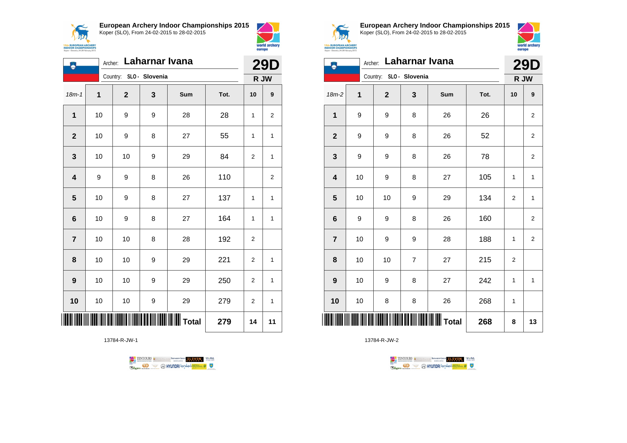



world archery europe Archer: **Laharnar Ivana 29D**

| ٨                       |             | Archer: Laharnar Ivana<br>Country: SLO - Slovenia |   |                       |      |                |                         |  |
|-------------------------|-------------|---------------------------------------------------|---|-----------------------|------|----------------|-------------------------|--|
|                         |             |                                                   |   |                       |      |                | R JW                    |  |
| $18m - 1$               | $\mathbf 1$ | $\mathbf{2}$                                      | 3 | Sum                   | Tot. | 10             | 9                       |  |
| 1                       | 10          | 9                                                 | 9 | 28                    | 28   | 1              | $\overline{\mathbf{c}}$ |  |
| $\mathbf{2}$            | 10          | 9                                                 | 8 | 27                    | 55   | 1              | 1                       |  |
| $\mathbf{3}$            | 10          | 10                                                | 9 | 29                    | 84   | $\overline{2}$ | $\mathbf{1}$            |  |
| $\overline{\mathbf{4}}$ | 9           | 9                                                 | 8 | 26                    | 110  |                | $\overline{c}$          |  |
| $5\phantom{1}$          | 10          | 9                                                 | 8 | 27                    | 137  | 1              | $\mathbf{1}$            |  |
| 6                       | 10          | 9                                                 | 8 | 27                    | 164  | $\mathbf{1}$   | $\mathbf{1}$            |  |
| $\overline{7}$          | 10          | 10                                                | 8 | 28                    | 192  | 2              |                         |  |
| 8                       | 10          | 10                                                | 9 | 29                    | 221  | 2              | $\mathbf{1}$            |  |
| $\boldsymbol{9}$        | 10          | 10                                                | 9 | 29                    | 250  | 2              | 1                       |  |
| 10                      | 10          | 10                                                | 9 | 29                    | 279  | 2              | $\mathbf{1}$            |  |
|                         |             |                                                   |   | <b>III IIII</b> Total | 279  | 14             | 11                      |  |

13784-R-JW-1





**European Archery Indoor Championships 2015** Koper (SLO), From 24-02-2015 to 28-02-2015



|                         | Koper - Slovenia, 24-28 February 2015 |                        |                |                        |      |                |                |  |  |
|-------------------------|---------------------------------------|------------------------|----------------|------------------------|------|----------------|----------------|--|--|
|                         |                                       | Archer: Laharnar Ivana |                |                        |      |                | <b>29D</b>     |  |  |
|                         | Country: SLO - Slovenia               |                        |                |                        |      | R JW           |                |  |  |
| $18m-2$                 | 1                                     | $\overline{2}$         | 3              | Sum                    | Tot. | 10             | 9              |  |  |
| 1                       | 9                                     | 9                      | 8              | 26                     | 26   |                | $\overline{2}$ |  |  |
| $\mathbf{2}$            | 9                                     | 9                      | 8              | 26                     | 52   |                | $\overline{2}$ |  |  |
| 3                       | 9                                     | 9                      | 8              | 26                     | 78   |                | $\overline{2}$ |  |  |
| $\overline{\mathbf{4}}$ | 10                                    | 9                      | 8              | 27                     | 105  | 1              | $\mathbf{1}$   |  |  |
| 5                       | 10                                    | 10                     | 9              | 29                     | 134  | $\overline{2}$ | 1              |  |  |
| 6                       | 9                                     | 9                      | 8              | 26                     | 160  |                | $\overline{c}$ |  |  |
| $\overline{7}$          | 10                                    | 9                      | 9              | 28                     | 188  | 1              | $\overline{2}$ |  |  |
| 8                       | 10                                    | 10                     | $\overline{7}$ | 27                     | 215  | $\overline{2}$ |                |  |  |
| 9                       | 10                                    | 9                      | 8              | 27                     | 242  | 1              | 1              |  |  |
| 10                      | 10                                    | 8                      | 8              | 26                     | 268  | 1              |                |  |  |
|                         |                                       |                        |                | <b>IIIIIIIII</b> Total | 268  | 8              | 13             |  |  |

TENTOURS GENERAL BEXTRONGENT FUEVEN. WEBA

**Example 2** @ HYUNDAI lansed **State 4** U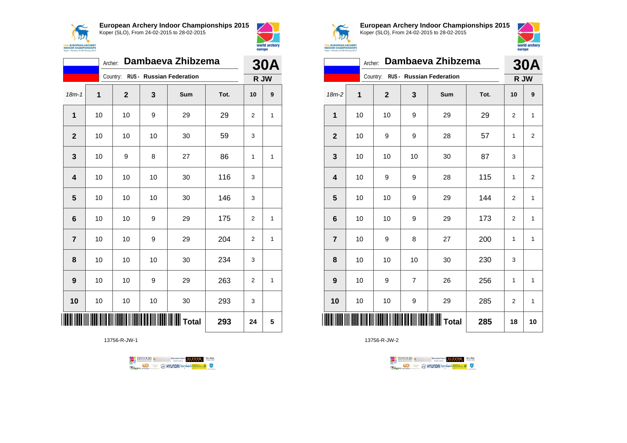



|                | Dambaeva Zhibzema<br>Archer: |              |    |                                   |      |                |                  |  |
|----------------|------------------------------|--------------|----|-----------------------------------|------|----------------|------------------|--|
|                |                              |              |    | Country: RUS - Russian Federation |      | <b>30A</b>     | R JW             |  |
| $18m - 1$      | 1                            | $\mathbf{2}$ | 3  | Sum                               | Tot. | 10             | $\boldsymbol{9}$ |  |
| $\mathbf{1}$   | 10                           | 10           | 9  | 29                                | 29   | $\overline{2}$ | 1                |  |
| $\overline{2}$ | 10                           | 10           | 10 | 30                                | 59   | 3              |                  |  |
| 3              | 10                           | 9            | 8  | 27                                | 86   | 1              | 1                |  |
| 4              | 10                           | 10           | 10 | 30                                | 116  | 3              |                  |  |
| 5              | 10                           | 10           | 10 | 30                                | 146  | 3              |                  |  |
| 6              | 10                           | 10           | 9  | 29                                | 175  | $\overline{2}$ | 1                |  |
| $\overline{7}$ | 10                           | 10           | 9  | 29                                | 204  | 2              | 1                |  |
| 8              | 10                           | 10           | 10 | 30                                | 234  | 3              |                  |  |
| 9              | 10                           | 10           | 9  | 29                                | 263  | 2              | 1                |  |
| 10             | 10                           | 10           | 10 | 30                                | 293  | 3              |                  |  |
|                |                              |              |    |                                   | 293  | 24             | 5                |  |

13756-R-JW-1





**European Archery Indoor Championships 2015** Koper (SLO), From 24-02-2015 to 28-02-2015



|                         | Dambaeva Zhibzema<br>Archer: |              |                |                                   |      |                | <b>30A</b>     |  |
|-------------------------|------------------------------|--------------|----------------|-----------------------------------|------|----------------|----------------|--|
|                         |                              |              |                | Country: RUS - Russian Federation |      | R JW           |                |  |
| $18m-2$                 | 1                            | $\mathbf{2}$ | 3              | Sum                               | Tot. | 10             | 9              |  |
| 1                       | 10                           | 10           | 9              | 29                                | 29   | 2              | 1              |  |
| $\overline{2}$          | 10                           | 9            | 9              | 28                                | 57   | 1              | $\overline{2}$ |  |
| 3                       | 10                           | 10           | 10             | 30                                | 87   | 3              |                |  |
| $\overline{\mathbf{4}}$ | 10                           | 9            | 9              | 28                                | 115  | 1              | $\overline{2}$ |  |
| 5                       | 10                           | 10           | 9              | 29                                | 144  | 2              | 1              |  |
| $6\phantom{1}6$         | 10                           | 10           | 9              | 29                                | 173  | $\overline{2}$ | $\mathbf{1}$   |  |
| $\overline{7}$          | 10                           | 9            | 8              | 27                                | 200  | 1              | 1              |  |
| 8                       | 10                           | 10           | 10             | 30                                | 230  | 3              |                |  |
| 9                       | 10                           | 9            | $\overline{7}$ | 26                                | 256  | 1              | 1              |  |
| 10                      | 10                           | 10           | 9              | 29                                | 285  | 2              | 1              |  |
| ║║║                     |                              |              |                |                                   | 285  | 18             | 10             |  |

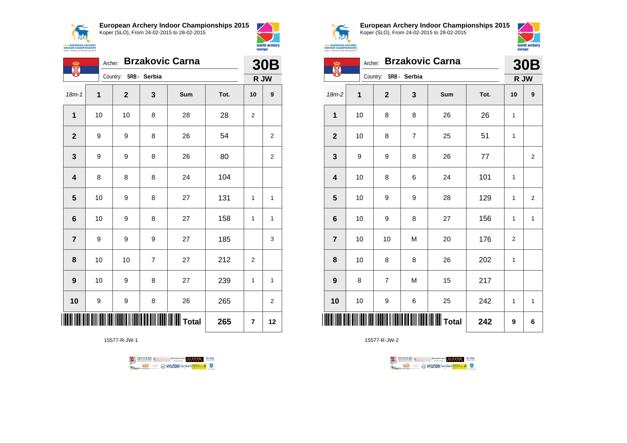

 $\overline{a}$ 

**European Archery Indoor Championships 2015** Koper (SLO), From 24-02-2015 to 28-02-2015



europe Archer: **Brzakovic Carna 30B**

world archery

| H                |              |                       |                |     |      | JUL            |                         |
|------------------|--------------|-----------------------|----------------|-----|------|----------------|-------------------------|
|                  |              | Country: SRB - Serbia |                |     |      | R JW           |                         |
| $18m - 1$        | $\mathbf{1}$ | $\mathbf 2$           | 3              | Sum | Tot. | 10             | $\boldsymbol{9}$        |
| $\mathbf{1}$     | 10           | 10                    | 8              | 28  | 28   | 2              |                         |
| $\mathbf{2}$     | 9            | 9                     | 8              | 26  | 54   |                | $\overline{\mathbf{c}}$ |
| $\mathbf 3$      | 9            | 9                     | 8              | 26  | 80   |                | $\overline{\mathbf{c}}$ |
| 4                | 8            | 8                     | 8              | 24  | 104  |                |                         |
| ${\bf 5}$        | 10           | 9                     | 8              | 27  | 131  | 1              | $\mathbf{1}$            |
| $\bf 6$          | $10\,$       | 9                     | 8              | 27  | 158  | 1              | $\mathbf{1}$            |
| $\overline{7}$   | 9            | 9                     | 9              | 27  | 185  |                | 3                       |
| 8                | 10           | 10                    | $\overline{7}$ | 27  | 212  | $\overline{2}$ |                         |
| $\boldsymbol{9}$ | 10           | 9                     | 8              | 27  | 239  | 1              | 1                       |
| 10               | 9            | 9                     | 8              | 26  | 265  |                | $\overline{2}$          |
|                  |              |                       |                |     | 265  | 7              | 12                      |

15577-R-JW-1





**European Archery Indoor Championships 2015** Koper (SLO), From 24-02-2015 to 28-02-2015



| <b>INDOOR CHAMPIONSHIPS</b><br>Koper - Skwenia, 24-28 February 2015 |         | europe         |                |                        |      |              |                |
|---------------------------------------------------------------------|---------|----------------|----------------|------------------------|------|--------------|----------------|
| ത                                                                   | Archer: |                |                | <b>Brzakovic Carna</b> |      |              | <b>30B</b>     |
|                                                                     |         | Country:       | SRB - Serbia   |                        |      |              | R JW           |
| $18m-2$                                                             | 1       | $\overline{2}$ | 3              | Sum                    | Tot. | 10           | 9              |
| $\mathbf{1}$                                                        | 10      | 8              | 8              | 26                     | 26   | 1            |                |
| $\mathbf{2}$                                                        | 10      | 8              | $\overline{7}$ | 25                     | 51   | 1            |                |
| 3                                                                   | 9       | 9              | 8              | 26                     | 77   |              | $\overline{2}$ |
| 4                                                                   | 10      | 8              | 6              | 24                     | 101  | 1            |                |
| 5                                                                   | 10      | 9              | 9              | 28                     | 129  | 1            | $\overline{2}$ |
| 6                                                                   | 10      | 9              | 8              | 27                     | 156  | 1            | $\mathbf{1}$   |
| $\overline{7}$                                                      | 10      | 10             | M              | 20                     | 176  | 2            |                |
| 8                                                                   | 10      | 8              | 8              | 26                     | 202  | $\mathbf{1}$ |                |
| 9                                                                   | 8       | $\overline{7}$ | M              | 15                     | 217  |              |                |
| 10                                                                  | 10      | 9              | 6              | 25                     | 242  | 1            | $\mathbf{1}$   |
|                                                                     |         |                |                | <b>WWIII</b> Total     | 242  | 9            | 6              |

TENTOURS & COMPANY MARKED WORDER TO BE SAMED WORD **Example 2** @ HYUNDAI lansed **State 4** U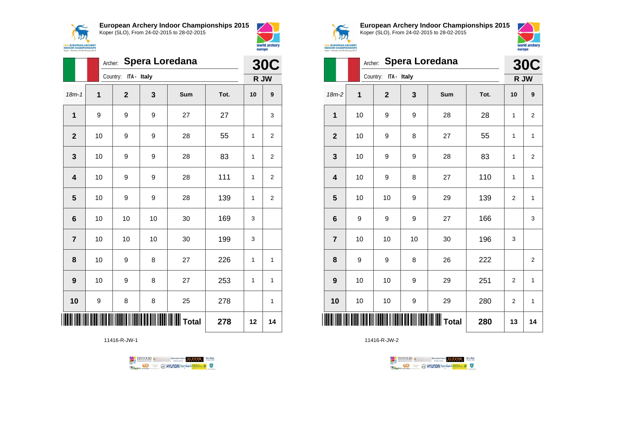



|                         |             | <b>Spera Loredana</b><br>Archer: |    |                                               |      |    |                  |  |
|-------------------------|-------------|----------------------------------|----|-----------------------------------------------|------|----|------------------|--|
|                         |             | Country: ITA - Italy             |    |                                               |      |    | R JW             |  |
| $18m - 1$               | $\mathbf 1$ | $\mathbf 2$                      | 3  | <b>Sum</b>                                    | Tot. | 10 | $\boldsymbol{9}$ |  |
| $\overline{\mathbf{1}}$ | 9           | 9                                | 9  | 27                                            | 27   |    | 3                |  |
| $\mathbf{2}$            | 10          | 9                                | 9  | 28                                            | 55   | 1  | 2                |  |
| 3                       | 10          | 9                                | 9  | 28                                            | 83   | 1  | 2                |  |
| $\overline{\mathbf{4}}$ | 10          | 9                                | 9  | 28                                            | 111  | 1  | $\overline{2}$   |  |
| 5                       | 10          | 9                                | 9  | 28                                            | 139  | 1  | 2                |  |
| $\bf 6$                 | $10$        | 10                               | 10 | 30                                            | 169  | 3  |                  |  |
| $\overline{7}$          | 10          | 10                               | 10 | 30                                            | 199  | 3  |                  |  |
| 8                       | 10          | 9                                | 8  | 27                                            | 226  | 1  | 1                |  |
| 9                       | 10          | 9                                | 8  | 27                                            | 253  | 1  | 1                |  |
| 10                      | 9           | 8                                | 8  | 25                                            | 278  |    | 1                |  |
|                         |             |                                  |    | <b>                                </b> Total | 278  | 12 | 14               |  |

11416-R-JW-1





**European Archery Indoor Championships 2015** Koper (SLO), From 24-02-2015 to 28-02-2015



|                |    | <b>Spera Loredana</b><br>Archer: |    |                 |      |                |                         |  |  |
|----------------|----|----------------------------------|----|-----------------|------|----------------|-------------------------|--|--|
|                |    | Country: ITA - Italy             |    |                 |      |                | <b>30C</b><br>R JW      |  |  |
| 18m-2          | 1  | $\mathbf 2$                      | 3  | Sum             | Tot. | 10             | 9                       |  |  |
| 1              | 10 | 9                                | 9  | 28              | 28   | 1              | $\mathbf 2$             |  |  |
| $\mathbf{2}$   | 10 | 9                                | 8  | 27              | 55   | 1              | 1                       |  |  |
| 3              | 10 | 9                                | 9  | 28              | 83   | 1              | $\overline{\mathbf{c}}$ |  |  |
| 4              | 10 | 9                                | 8  | 27              | 110  | 1              | 1                       |  |  |
| 5              | 10 | 10                               | 9  | 29              | 139  | $\overline{2}$ | $\mathbf{1}$            |  |  |
| 6              | 9  | 9                                | 9  | 27              | 166  |                | 3                       |  |  |
| $\overline{7}$ | 10 | 10                               | 10 | 30              | 196  | 3              |                         |  |  |
| 8              | 9  | 9                                | 8  | 26              | 222  |                | $\overline{\mathbf{c}}$ |  |  |
| 9              | 10 | 10                               | 9  | 29              | 251  | $\overline{2}$ | 1                       |  |  |
| 10             | 10 | 10                               | 9  | 29              | 280  | $\overline{2}$ | $\mathbf{1}$            |  |  |
| ║║║            |    |                                  |    | <b>WW</b> Total | 280  | 13             | 14                      |  |  |

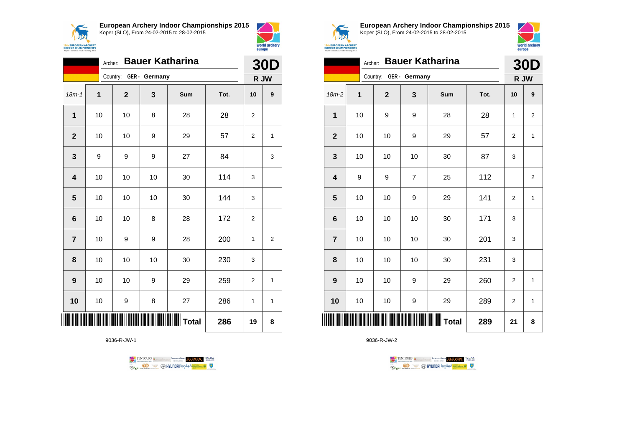



|                         | Archer:     |              |               | <b>Bauer Katharina</b> |      | <b>30D</b>     |                |
|-------------------------|-------------|--------------|---------------|------------------------|------|----------------|----------------|
|                         |             | Country:     | GER - Germany |                        |      | R JW           |                |
| $18m - 1$               | $\mathbf 1$ | $\mathbf{2}$ | 3             | Sum                    | Tot. | 10             | 9              |
| $\mathbf{1}$            | 10          | 10           | 8             | 28                     | 28   | 2              |                |
| $\overline{2}$          | 10          | 10           | 9             | 29                     | 57   | 2              | 1              |
| 3                       | 9           | 9            | 9             | 27                     | 84   |                | 3              |
| $\overline{\mathbf{4}}$ | 10          | 10           | 10            | 30                     | 114  | 3              |                |
| $\overline{\mathbf{5}}$ | 10          | 10           | 10            | 30                     | 144  | 3              |                |
| 6                       | 10          | 10           | 8             | 28                     | 172  | $\overline{2}$ |                |
| $\overline{7}$          | 10          | 9            | 9             | 28                     | 200  | 1              | $\overline{2}$ |
| 8                       | 10          | 10           | 10            | 30                     | 230  | 3              |                |
| 9                       | 10          | 10           | 9             | 29                     | 259  | 2              | 1              |
| 10                      | 10          | 9            | 8             | 27                     | 286  | 1              | 1              |
|                         |             |              |               | <b>WII</b> Total       | 286  | 19             | 8              |

9036-R-JW-1





**European Archery Indoor Championships 2015** Koper (SLO), From 24-02-2015 to 28-02-2015



|                 | Archer: |                        |                | <b>Bauer Katharina</b> |      | <b>30D</b>     |                  |  |
|-----------------|---------|------------------------|----------------|------------------------|------|----------------|------------------|--|
|                 |         | Country: GER - Germany |                |                        |      | R JW           |                  |  |
| $18m-2$         | 1       | $\overline{2}$         | 3              | Sum                    | Tot. | 10             | 9                |  |
| 1               | 10      | 9                      | 9              | 28                     | 28   | 1              | $\overline{2}$   |  |
| $\mathbf{2}$    | 10      | 10                     | 9              | 29                     | 57   | $\overline{2}$ | 1                |  |
| 3               | 10      | 10                     | 10             | 30                     | 87   | 3              |                  |  |
| 4               | 9       | 9                      | $\overline{7}$ | 25                     | 112  |                | $\boldsymbol{2}$ |  |
| 5               | 10      | 10                     | 9              | 29                     | 141  | 2              | $\mathbf{1}$     |  |
| $6\phantom{1}6$ | 10      | 10                     | 10             | 30                     | 171  | 3              |                  |  |
| $\overline{7}$  | 10      | 10                     | 10             | 30                     | 201  | 3              |                  |  |
| 8               | 10      | 10                     | 10             | 30                     | 231  | 3              |                  |  |
| 9               | 10      | 10                     | 9              | 29                     | 260  | $\overline{2}$ | 1                |  |
| 10              | 10      | 10                     | 9              | 29                     | 289  | 2              | 1                |  |
| IIII            |         |                        |                |                        | 289  | 21             | 8                |  |

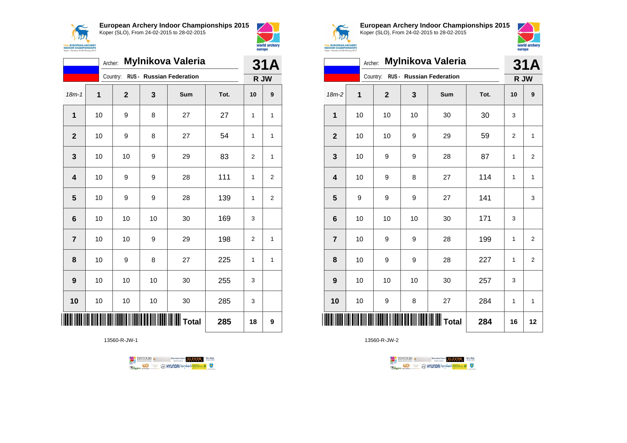



|                | <b>Mylnikova Valeria</b><br>Archer: |                |    |                          |      |                |                |
|----------------|-------------------------------------|----------------|----|--------------------------|------|----------------|----------------|
|                |                                     | Country:       |    | RUS - Russian Federation |      | R JW           | 31A            |
| $18m-1$        | 1                                   | $\overline{2}$ | 3  | Sum                      | Tot. | 10             | 9              |
| 1              | 10                                  | 9              | 8  | 27                       | 27   | 1              | 1              |
| $\overline{2}$ | 10                                  | 9              | 8  | 27                       | 54   | 1              | 1              |
| 3              | 10                                  | 10             | 9  | 29                       | 83   | 2              | 1              |
| 4              | 10                                  | 9              | 9  | 28                       | 111  | 1              | $\overline{2}$ |
| 5              | 10                                  | 9              | 9  | 28                       | 139  | 1              | $\overline{2}$ |
| 6              | 10                                  | 10             | 10 | 30                       | 169  | 3              |                |
| $\overline{7}$ | 10                                  | 10             | 9  | 29                       | 198  | $\overline{2}$ | 1              |
| 8              | 10                                  | 9              | 8  | 27                       | 225  | 1              | 1              |
| 9              | 10                                  | 10             | 10 | 30                       | 255  | 3              |                |
| 10             | 10                                  | 10             | 10 | 30                       | 285  | 3              |                |
|                |                                     |                |    |                          | 285  | 18             | 9              |

13560-R-JW-1





**European Archery Indoor Championships 2015** Koper (SLO), From 24-02-2015 to 28-02-2015



|                 | Mylnikova Valeria<br>Archer: |             |    |                                   |      |    |                         |
|-----------------|------------------------------|-------------|----|-----------------------------------|------|----|-------------------------|
|                 |                              |             |    | Country: RUS - Russian Federation |      |    | R JW                    |
| 18m-2           | 1                            | $\mathbf 2$ | 3  | Sum                               | Tot. | 10 | 9                       |
| 1               | 10                           | 10          | 10 | 30                                | 30   | 3  |                         |
| $\mathbf{2}$    | 10                           | 10          | 9  | 29                                | 59   | 2  | 1                       |
| 3               | 10                           | 9           | 9  | 28                                | 87   | 1  | $\overline{2}$          |
| 4               | 10                           | 9           | 8  | 27                                | 114  | 1  | 1                       |
| 5               | 9                            | 9           | 9  | 27                                | 141  |    | 3                       |
| $6\phantom{1}6$ | 10                           | 10          | 10 | 30                                | 171  | 3  |                         |
| $\overline{7}$  | 10                           | 9           | 9  | 28                                | 199  | 1  | $\overline{2}$          |
| 8               | 10                           | 9           | 9  | 28                                | 227  | 1  | $\overline{\mathbf{c}}$ |
| 9               | 10                           | 10          | 10 | 30                                | 257  | 3  |                         |
| 10              | 10                           | 9           | 8  | 27                                | 284  | 1  | 1                       |
|                 |                              |             |    |                                   | 284  | 16 | 12                      |

TENTOURS **(i)** CONSIDER DEVELOPS OF THE VEDA TABLES OF THE CONSIDERED PARTICULAR DEVELOPS OF THE CONSIDERED PARTICULAR DEVELOPS OF THE CONSTRUCTION OF THE CONSTRUCTION OF THE CONSTRUCTION OF THE CONSTRUCTION OF THE CONSTRU **B** MYUNDAI Tonsed **Williams 9** Ragm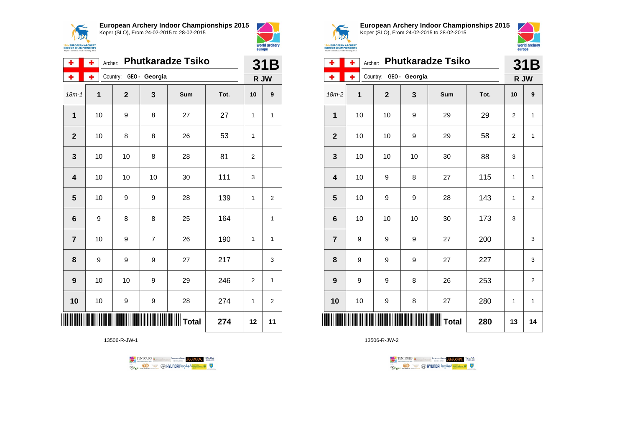



| ÷                       | ٠  | Archer:                |                | <b>Phutkaradze Tsiko</b> |      |                | 31B            |
|-------------------------|----|------------------------|----------------|--------------------------|------|----------------|----------------|
| ÷                       | ۰  | Country: GEO - Georgia |                |                          |      |                | R JW           |
| $18m - 1$               | 1  | $\mathbf{2}$           | 3              | Sum                      | Tot. | 10             | 9              |
| 1                       | 10 | 9                      | 8              | 27                       | 27   | 1              | 1              |
| $\overline{2}$          | 10 | 8                      | 8              | 26                       | 53   | 1              |                |
| 3                       | 10 | 10                     | 8              | 28                       | 81   | 2              |                |
| $\overline{\mathbf{4}}$ | 10 | 10                     | 10             | 30                       | 111  | 3              |                |
| 5                       | 10 | 9                      | 9              | 28                       | 139  | 1              | $\overline{2}$ |
| $6\phantom{1}6$         | 9  | 8                      | 8              | 25                       | 164  |                | 1              |
| $\overline{7}$          | 10 | 9                      | $\overline{7}$ | 26                       | 190  | 1              | $\mathbf{1}$   |
| 8                       | 9  | 9                      | 9              | 27                       | 217  |                | 3              |
| $\boldsymbol{9}$        | 10 | 10                     | 9              | 29                       | 246  | $\overline{2}$ | 1              |
| 10                      | 10 | 9                      | 9              | 28                       | 274  | 1              | $\overline{2}$ |
|                         |    |                        |                | <b>WW</b> Total          | 274  | 12             | 11             |

13506-R-JW-1





**European Archery Indoor Championships 2015** Koper (SLO), From 24-02-2015 to 28-02-2015



| ۰                       | ٠<br>Archer: |                        | 31B |                                                  |      |                |                |
|-------------------------|--------------|------------------------|-----|--------------------------------------------------|------|----------------|----------------|
| ۰                       | ÷            | Country: GEO - Georgia |     |                                                  |      |                | R JW           |
| 18m-2                   | $\mathbf 1$  | $\overline{2}$         | 3   | Sum                                              | Tot. | 10             | 9              |
| 1                       | 10           | 10                     | 9   | 29                                               | 29   | $\overline{2}$ | $\mathbf{1}$   |
| $\mathbf{2}$            | 10           | 10                     | 9   | 29                                               | 58   | $\overline{2}$ | $\mathbf{1}$   |
| 3                       | 10           | 10                     | 10  | 30                                               | 88   | 3              |                |
| $\overline{\mathbf{4}}$ | 10           | 9                      | 8   | 27                                               | 115  | 1              | $\mathbf{1}$   |
| 5                       | 10           | 9                      | 9   | 28                                               | 143  | 1              | $\overline{2}$ |
| $6\phantom{1}6$         | 10           | 10                     | 10  | 30                                               | 173  | 3              |                |
| $\overline{7}$          | 9            | 9                      | 9   | 27                                               | 200  |                | 3              |
| 8                       | 9            | 9                      | 9   | 27                                               | 227  |                | 3              |
| 9                       | 9            | 9                      | 8   | 26                                               | 253  |                | $\overline{2}$ |
| 10                      | 10           | 9                      | 8   | 27                                               | 280  | 1              | $\mathbf{1}$   |
| ║║║                     |              |                        |     | <b>                                   </b> Total | 280  | 13             | 14             |

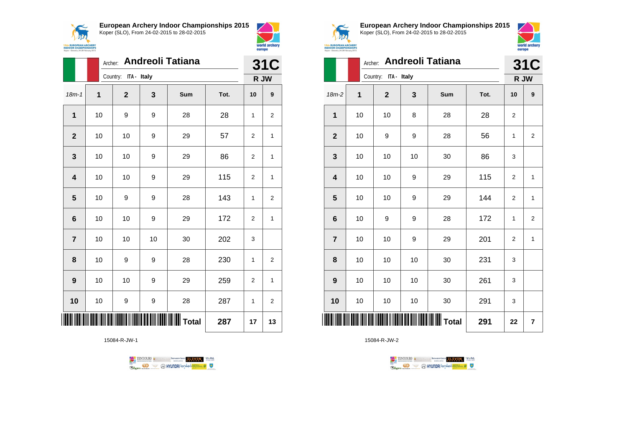



|                 | Archer: |                      | <b>31C</b> |     |      |                |                |
|-----------------|---------|----------------------|------------|-----|------|----------------|----------------|
|                 |         | Country: ITA - Italy |            |     |      | R JW           |                |
| $18m - 1$       | 1       | $\mathbf 2$          | 3          | Sum | Tot. | 10             | 9              |
| $\mathbf 1$     | 10      | 9                    | 9          | 28  | 28   | 1              | 2              |
| $\mathbf{2}$    | 10      | 10                   | 9          | 29  | 57   | $\overline{2}$ | 1              |
| 3               | 10      | 10                   | 9          | 29  | 86   | $\overline{2}$ | 1              |
| 4               | 10      | 10                   | 9          | 29  | 115  | $\overline{2}$ | 1              |
| 5               | 10      | 9                    | 9          | 28  | 143  | $\mathbf{1}$   | 2              |
| $6\phantom{1}6$ | 10      | 10                   | 9          | 29  | 172  | $\overline{2}$ | $\mathbf{1}$   |
| $\overline{7}$  | 10      | 10                   | 10         | 30  | 202  | 3              |                |
| 8               | 10      | 9                    | 9          | 28  | 230  | $\mathbf{1}$   | 2              |
| 9               | 10      | 10                   | 9          | 29  | 259  | 2              | $\mathbf{1}$   |
| 10              | 10      | 9                    | 9          | 28  | 287  | $\mathbf{1}$   | $\overline{2}$ |
|                 |         |                      |            |     | 287  | 17             | 13             |

15084-R-JW-1





**European Archery Indoor Championships 2015** Koper (SLO), From 24-02-2015 to 28-02-2015



|                         | Archer: |                      | <b>31C</b> |                                              |      |                |                |
|-------------------------|---------|----------------------|------------|----------------------------------------------|------|----------------|----------------|
|                         |         | Country: ITA - Italy |            |                                              |      | R JW           |                |
| 18m-2                   | 1       | $\mathbf{2}$         | 3          | Sum                                          | Tot. | 10             | 9              |
| 1                       | 10      | 10                   | 8          | 28                                           | 28   | $\overline{2}$ |                |
| $\mathbf{2}$            | 10      | 9                    | 9          | 28                                           | 56   | 1              | $\overline{2}$ |
| 3                       | 10      | 10                   | 10         | 30                                           | 86   | 3              |                |
| $\overline{\mathbf{4}}$ | 10      | 10                   | 9          | 29                                           | 115  | $\overline{2}$ | 1              |
| 5                       | 10      | 10                   | 9          | 29                                           | 144  | $\overline{2}$ | $\mathbf{1}$   |
| $6\phantom{1}6$         | 10      | 9                    | 9          | 28                                           | 172  | 1              | $\overline{2}$ |
| $\overline{7}$          | 10      | 10                   | 9          | 29                                           | 201  | $\overline{2}$ | 1              |
| 8                       | 10      | 10                   | 10         | 30                                           | 231  | 3              |                |
| 9                       | 10      | 10                   | 10         | 30                                           | 261  | 3              |                |
| 10                      | 10      | 10                   | 10         | 30                                           | 291  | 3              |                |
| ║║║                     |         |                      |            | <b>                             </b>   Total | 291  | 22             | 7              |